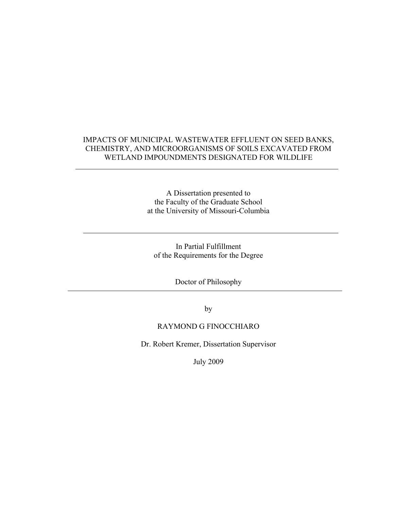### IMPACTS OF MUNICIPAL WASTEWATER EFFLUENT ON SEED BANKS, CHEMISTRY, AND MICROORGANISMS OF SOILS EXCAVATED FROM WETLAND IMPOUNDMENTS DESIGNATED FOR WILDLIFE

A Dissertation presented to the Faculty of the Graduate School at the University of Missouri-Columbia

In Partial Fulfillment of the Requirements for the Degree

Doctor of Philosophy

by

## RAYMOND G FINOCCHIARO

Dr. Robert Kremer, Dissertation Supervisor

July 2009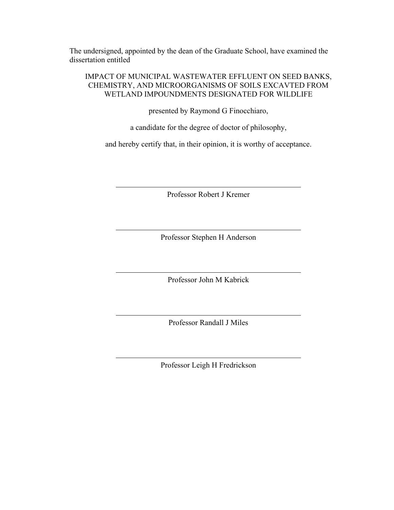The undersigned, appointed by the dean of the Graduate School, have examined the dissertation entitled

#### IMPACT OF MUNICIPAL WASTEWATER EFFLUENT ON SEED BANKS, CHEMISTRY, AND MICROORGANISMS OF SOILS EXCAVTED FROM WETLAND IMPOUNDMENTS DESIGNATED FOR WILDLIFE

presented by Raymond G Finocchiaro,

a candidate for the degree of doctor of philosophy,

and hereby certify that, in their opinion, it is worthy of acceptance.

Professor Robert J Kremer

Professor Stephen H Anderson

Professor John M Kabrick

Professor Randall J Miles

Professor Leigh H Fredrickson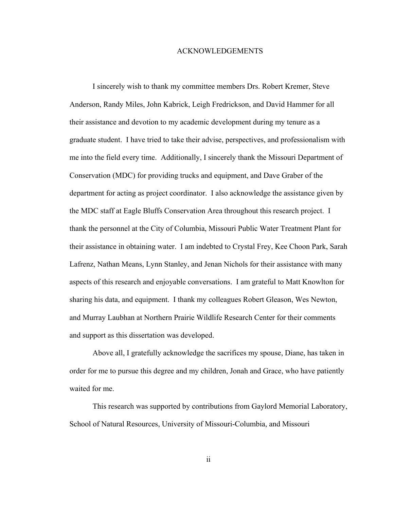#### ACKNOWLEDGEMENTS

I sincerely wish to thank my committee members Drs. Robert Kremer, Steve Anderson, Randy Miles, John Kabrick, Leigh Fredrickson, and David Hammer for all their assistance and devotion to my academic development during my tenure as a graduate student. I have tried to take their advise, perspectives, and professionalism with me into the field every time. Additionally, I sincerely thank the Missouri Department of Conservation (MDC) for providing trucks and equipment, and Dave Graber of the department for acting as project coordinator. I also acknowledge the assistance given by the MDC staff at Eagle Bluffs Conservation Area throughout this research project. I thank the personnel at the City of Columbia, Missouri Public Water Treatment Plant for their assistance in obtaining water. I am indebted to Crystal Frey, Kee Choon Park, Sarah Lafrenz, Nathan Means, Lynn Stanley, and Jenan Nichols for their assistance with many aspects of this research and enjoyable conversations. I am grateful to Matt Knowlton for sharing his data, and equipment. I thank my colleagues Robert Gleason, Wes Newton, and Murray Laubhan at Northern Prairie Wildlife Research Center for their comments and support as this dissertation was developed.

Above all, I gratefully acknowledge the sacrifices my spouse, Diane, has taken in order for me to pursue this degree and my children, Jonah and Grace, who have patiently waited for me.

This research was supported by contributions from Gaylord Memorial Laboratory, School of Natural Resources, University of Missouri-Columbia, and Missouri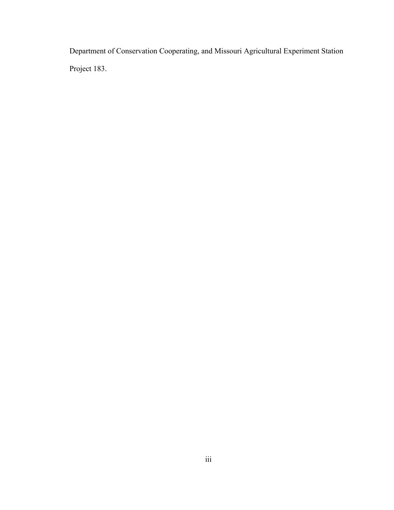Department of Conservation Cooperating, and Missouri Agricultural Experiment Station Project 183.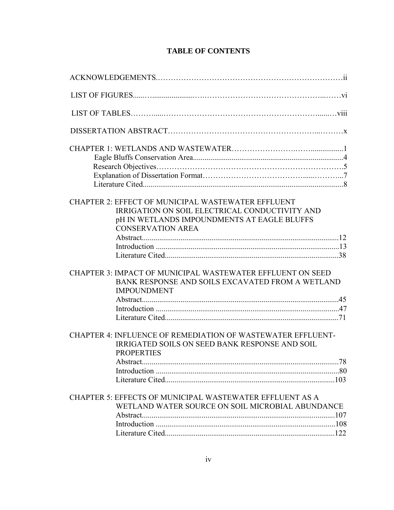# **TABLE OF CONTENTS**

| <b>CHAPTER 2: EFFECT OF MUNICIPAL WASTEWATER EFFLUENT</b><br>IRRIGATION ON SOIL ELECTRICAL CONDUCTIVITY AND<br>pH IN WETLANDS IMPOUNDMENTS AT EAGLE BLUFFS<br><b>CONSERVATION AREA</b> |
|----------------------------------------------------------------------------------------------------------------------------------------------------------------------------------------|
| <b>CHAPTER 3: IMPACT OF MUNICIPAL WASTEWATER EFFLUENT ON SEED</b><br>BANK RESPONSE AND SOILS EXCAVATED FROM A WETLAND<br><b>IMPOUNDMENT</b>                                            |
|                                                                                                                                                                                        |
| CHAPTER 4: INFLUENCE OF REMEDIATION OF WASTEWATER EFFLUENT-<br>IRRIGATED SOILS ON SEED BANK RESPONSE AND SOIL<br><b>PROPERTIES</b>                                                     |
|                                                                                                                                                                                        |
| <b>CHAPTER 5: EFFECTS OF MUNICIPAL WASTEWATER EFFLUENT AS A</b><br>WETLAND WATER SOURCE ON SOIL MICROBIAL ABUNDANCE                                                                    |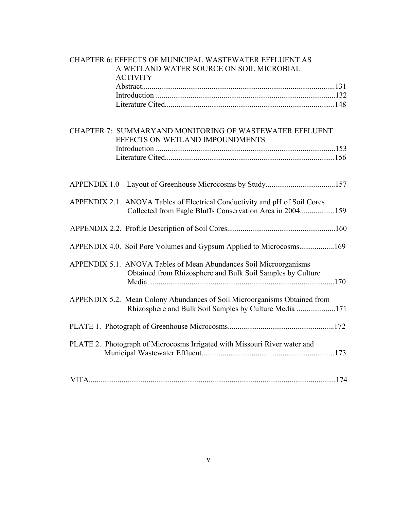| <b>CHAPTER 6: EFFECTS OF MUNICIPAL WASTEWATER EFFLUENT AS</b><br>A WETLAND WATER SOURCE ON SOIL MICROBIAL<br><b>ACTIVITY</b>        |
|-------------------------------------------------------------------------------------------------------------------------------------|
|                                                                                                                                     |
|                                                                                                                                     |
|                                                                                                                                     |
| CHAPTER 7: SUMMARYAND MONITORING OF WASTEWATER EFFLUENT                                                                             |
| EFFECTS ON WETLAND IMPOUNDMENTS                                                                                                     |
|                                                                                                                                     |
|                                                                                                                                     |
|                                                                                                                                     |
| <b>APPENDIX 1.0</b>                                                                                                                 |
| APPENDIX 2.1. ANOVA Tables of Electrical Conductivity and pH of Soil Cores                                                          |
| Collected from Eagle Bluffs Conservation Area in 2004159                                                                            |
|                                                                                                                                     |
| APPENDIX 4.0. Soil Pore Volumes and Gypsum Applied to Microcosms169                                                                 |
| APPENDIX 5.1. ANOVA Tables of Mean Abundances Soil Microorganisms<br>Obtained from Rhizosphere and Bulk Soil Samples by Culture     |
|                                                                                                                                     |
| APPENDIX 5.2. Mean Colony Abundances of Soil Microorganisms Obtained from<br>Rhizosphere and Bulk Soil Samples by Culture Media 171 |
|                                                                                                                                     |
| PLATE 2. Photograph of Microcosms Irrigated with Missouri River water and                                                           |
|                                                                                                                                     |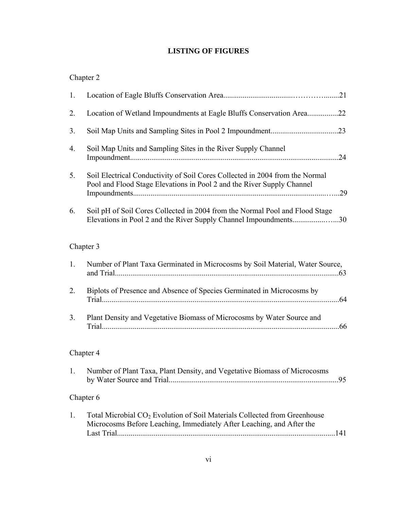# **LISTING OF FIGURES**

# Chapter 2

| 1. |                                                                                                                                                                |     |
|----|----------------------------------------------------------------------------------------------------------------------------------------------------------------|-----|
| 2. | Location of Wetland Impoundments at Eagle Bluffs Conservation Area22                                                                                           |     |
| 3. |                                                                                                                                                                |     |
| 4. | Soil Map Units and Sampling Sites in the River Supply Channel                                                                                                  | .24 |
| 5. | Soil Electrical Conductivity of Soil Cores Collected in 2004 from the Normal<br>Pool and Flood Stage Elevations in Pool 2 and the River Supply Channel         |     |
| 6. | Soil pH of Soil Cores Collected in 2004 from the Normal Pool and Flood Stage<br>Elevations in Pool 2 and the River Supply Channel Impoundments30               |     |
|    | Chapter 3                                                                                                                                                      |     |
| 1. | Number of Plant Taxa Germinated in Microcosms by Soil Material, Water Source,                                                                                  |     |
| 2. | Biplots of Presence and Absence of Species Germinated in Microcosms by                                                                                         |     |
| 3. | Plant Density and Vegetative Biomass of Microcosms by Water Source and                                                                                         |     |
|    | Chapter 4                                                                                                                                                      |     |
| 1. | Number of Plant Taxa, Plant Density, and Vegetative Biomass of Microcosms                                                                                      |     |
|    | Chapter 6                                                                                                                                                      |     |
| 1. | Total Microbial CO <sub>2</sub> Evolution of Soil Materials Collected from Greenhouse<br>Microcosms Before Leaching, Immediately After Leaching, and After the |     |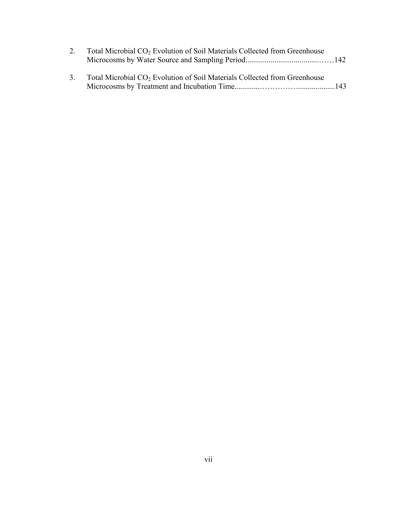| 2. | Total Microbial CO <sub>2</sub> Evolution of Soil Materials Collected from Greenhouse    |  |
|----|------------------------------------------------------------------------------------------|--|
|    |                                                                                          |  |
|    | 3. Total Microbial CO <sub>2</sub> Evolution of Soil Materials Collected from Greenhouse |  |
|    |                                                                                          |  |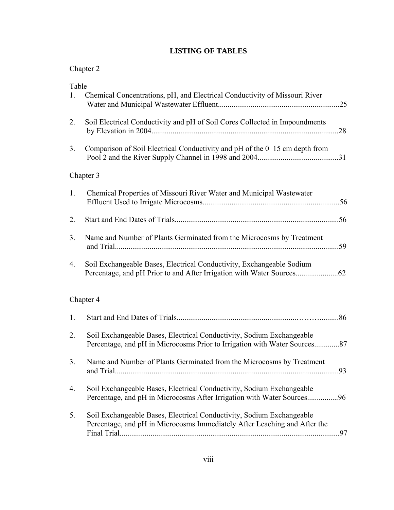# **LISTING OF TABLES**

# Chapter 2

| Table<br>1. | Chemical Concentrations, pH, and Electrical Conductivity of Missouri River                                                                         |  |
|-------------|----------------------------------------------------------------------------------------------------------------------------------------------------|--|
| 2.          | Soil Electrical Conductivity and pH of Soil Cores Collected in Impoundments                                                                        |  |
| 3.          | Comparison of Soil Electrical Conductivity and pH of the 0–15 cm depth from                                                                        |  |
|             | Chapter 3                                                                                                                                          |  |
| 1.          | Chemical Properties of Missouri River Water and Municipal Wastewater                                                                               |  |
| 2.          |                                                                                                                                                    |  |
| 3.          | Name and Number of Plants Germinated from the Microcosms by Treatment                                                                              |  |
| 4.          | Soil Exchangeable Bases, Electrical Conductivity, Exchangeable Sodium                                                                              |  |
|             | Chapter 4                                                                                                                                          |  |
| 1.          |                                                                                                                                                    |  |
| 2.          | Soil Exchangeable Bases, Electrical Conductivity, Sodium Exchangeable<br>Percentage, and pH in Microcosms Prior to Irrigation with Water Sources87 |  |
| 3.          | Name and Number of Plants Germinated from the Microcosms by Treatment                                                                              |  |
| 4.          | Soil Exchangeable Bases, Electrical Conductivity, Sodium Exchangeable<br>Percentage, and pH in Microcosms After Irrigation with Water Sources96    |  |
| 5.          | Soil Exchangeable Bases, Electrical Conductivity, Sodium Exchangeable<br>Percentage, and pH in Microcosms Immediately After Leaching and After the |  |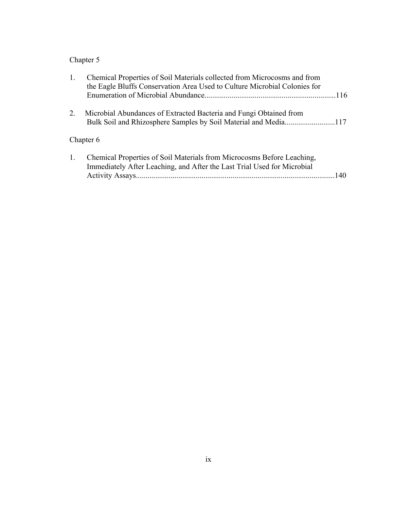# Chapter 5

| 1. | Chemical Properties of Soil Materials collected from Microcosms and from<br>the Eagle Bluffs Conservation Area Used to Culture Microbial Colonies for    |  |
|----|----------------------------------------------------------------------------------------------------------------------------------------------------------|--|
| 2. | Microbial Abundances of Extracted Bacteria and Fungi Obtained from                                                                                       |  |
|    | Chapter 6                                                                                                                                                |  |
| 1. | Chemical Properties of Soil Materials from Microcosms Before Leaching,<br>Immediately After Leaching, and After the Last Trial Used for Microbial<br>140 |  |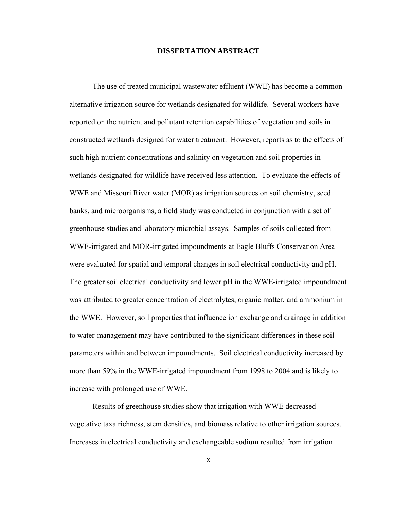#### **DISSERTATION ABSTRACT**

The use of treated municipal wastewater effluent (WWE) has become a common alternative irrigation source for wetlands designated for wildlife. Several workers have reported on the nutrient and pollutant retention capabilities of vegetation and soils in constructed wetlands designed for water treatment. However, reports as to the effects of such high nutrient concentrations and salinity on vegetation and soil properties in wetlands designated for wildlife have received less attention. To evaluate the effects of WWE and Missouri River water (MOR) as irrigation sources on soil chemistry, seed banks, and microorganisms, a field study was conducted in conjunction with a set of greenhouse studies and laboratory microbial assays. Samples of soils collected from WWE-irrigated and MOR-irrigated impoundments at Eagle Bluffs Conservation Area were evaluated for spatial and temporal changes in soil electrical conductivity and pH. The greater soil electrical conductivity and lower pH in the WWE-irrigated impoundment was attributed to greater concentration of electrolytes, organic matter, and ammonium in the WWE. However, soil properties that influence ion exchange and drainage in addition to water-management may have contributed to the significant differences in these soil parameters within and between impoundments. Soil electrical conductivity increased by more than 59% in the WWE-irrigated impoundment from 1998 to 2004 and is likely to increase with prolonged use of WWE.

Results of greenhouse studies show that irrigation with WWE decreased vegetative taxa richness, stem densities, and biomass relative to other irrigation sources. Increases in electrical conductivity and exchangeable sodium resulted from irrigation

x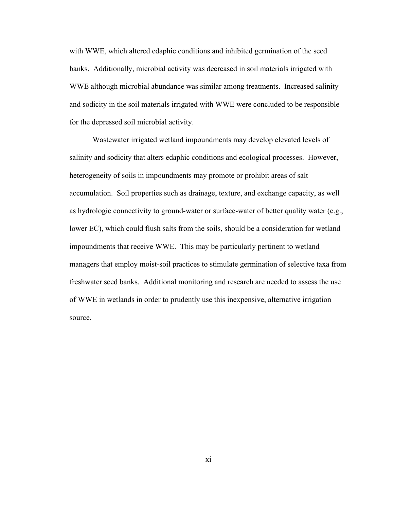with WWE, which altered edaphic conditions and inhibited germination of the seed banks. Additionally, microbial activity was decreased in soil materials irrigated with WWE although microbial abundance was similar among treatments. Increased salinity and sodicity in the soil materials irrigated with WWE were concluded to be responsible for the depressed soil microbial activity.

Wastewater irrigated wetland impoundments may develop elevated levels of salinity and sodicity that alters edaphic conditions and ecological processes. However, heterogeneity of soils in impoundments may promote or prohibit areas of salt accumulation. Soil properties such as drainage, texture, and exchange capacity, as well as hydrologic connectivity to ground-water or surface-water of better quality water (e.g., lower EC), which could flush salts from the soils, should be a consideration for wetland impoundments that receive WWE. This may be particularly pertinent to wetland managers that employ moist-soil practices to stimulate germination of selective taxa from freshwater seed banks. Additional monitoring and research are needed to assess the use of WWE in wetlands in order to prudently use this inexpensive, alternative irrigation source.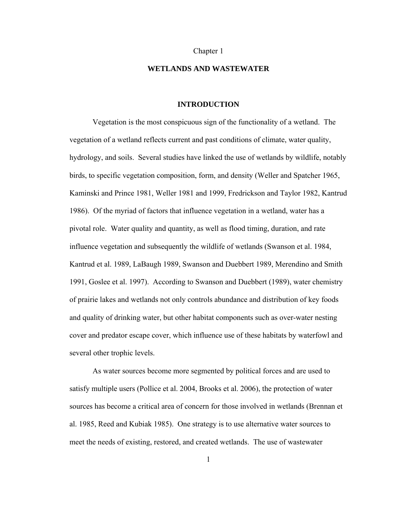#### Chapter 1

#### **WETLANDS AND WASTEWATER**

#### **INTRODUCTION**

Vegetation is the most conspicuous sign of the functionality of a wetland. The vegetation of a wetland reflects current and past conditions of climate, water quality, hydrology, and soils. Several studies have linked the use of wetlands by wildlife, notably birds, to specific vegetation composition, form, and density (Weller and Spatcher 1965, Kaminski and Prince 1981, Weller 1981 and 1999, Fredrickson and Taylor 1982, Kantrud 1986). Of the myriad of factors that influence vegetation in a wetland, water has a pivotal role. Water quality and quantity, as well as flood timing, duration, and rate influence vegetation and subsequently the wildlife of wetlands (Swanson et al. 1984, Kantrud et al. 1989, LaBaugh 1989, Swanson and Duebbert 1989, Merendino and Smith 1991, Goslee et al. 1997). According to Swanson and Duebbert (1989), water chemistry of prairie lakes and wetlands not only controls abundance and distribution of key foods and quality of drinking water, but other habitat components such as over-water nesting cover and predator escape cover, which influence use of these habitats by waterfowl and several other trophic levels.

As water sources become more segmented by political forces and are used to satisfy multiple users (Pollice et al. 2004, Brooks et al. 2006), the protection of water sources has become a critical area of concern for those involved in wetlands (Brennan et al. 1985, Reed and Kubiak 1985). One strategy is to use alternative water sources to meet the needs of existing, restored, and created wetlands. The use of wastewater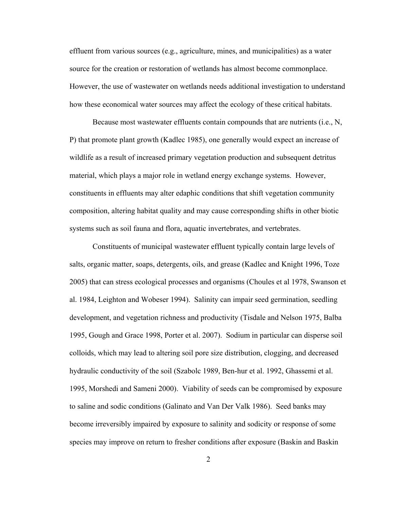effluent from various sources (e.g., agriculture, mines, and municipalities) as a water source for the creation or restoration of wetlands has almost become commonplace. However, the use of wastewater on wetlands needs additional investigation to understand how these economical water sources may affect the ecology of these critical habitats.

Because most wastewater effluents contain compounds that are nutrients (i.e., N, P) that promote plant growth (Kadlec 1985), one generally would expect an increase of wildlife as a result of increased primary vegetation production and subsequent detritus material, which plays a major role in wetland energy exchange systems. However, constituents in effluents may alter edaphic conditions that shift vegetation community composition, altering habitat quality and may cause corresponding shifts in other biotic systems such as soil fauna and flora, aquatic invertebrates, and vertebrates.

Constituents of municipal wastewater effluent typically contain large levels of salts, organic matter, soaps, detergents, oils, and grease (Kadlec and Knight 1996, Toze 2005) that can stress ecological processes and organisms (Choules et al 1978, Swanson et al. 1984, Leighton and Wobeser 1994). Salinity can impair seed germination, seedling development, and vegetation richness and productivity (Tisdale and Nelson 1975, Balba 1995, Gough and Grace 1998, Porter et al. 2007). Sodium in particular can disperse soil colloids, which may lead to altering soil pore size distribution, clogging, and decreased hydraulic conductivity of the soil (Szabolc 1989, Ben-hur et al. 1992, Ghassemi et al. 1995, Morshedi and Sameni 2000). Viability of seeds can be compromised by exposure to saline and sodic conditions (Galinato and Van Der Valk 1986). Seed banks may become irreversibly impaired by exposure to salinity and sodicity or response of some species may improve on return to fresher conditions after exposure (Baskin and Baskin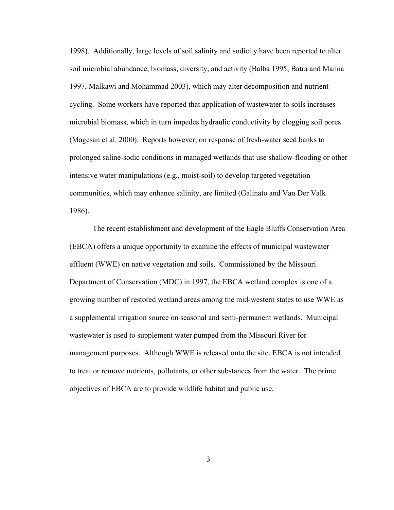1998). Additionally, large levels of soil salinity and sodicity have been reported to alter soil microbial abundance, biomass, diversity, and activity (Balba 1995, Batra and Manna 1997, Malkawi and Mohammad 2003), which may alter decomposition and nutrient cycling. Some workers have reported that application of wastewater to soils increases microbial biomass, which in turn impedes hydraulic conductivity by clogging soil pores (Magesan et al. 2000). Reports however, on response of fresh-water seed banks to prolonged saline-sodic conditions in managed wetlands that use shallow-flooding or other intensive water manipulations (e.g., moist-soil) to develop targeted vegetation communities, which may enhance salinity, are limited (Galinato and Van Der Valk 1986).

The recent establishment and development of the Eagle Bluffs Conservation Area (EBCA) offers a unique opportunity to examine the effects of municipal wastewater effluent (WWE) on native vegetation and soils. Commissioned by the Missouri Department of Conservation (MDC) in 1997, the EBCA wetland complex is one of a growing number of restored wetland areas among the mid-western states to use WWE as a supplemental irrigation source on seasonal and semi-permanent wetlands. Municipal wastewater is used to supplement water pumped from the Missouri River for management purposes. Although WWE is released onto the site, EBCA is not intended to treat or remove nutrients, pollutants, or other substances from the water. The prime objectives of EBCA are to provide wildlife habitat and public use.

3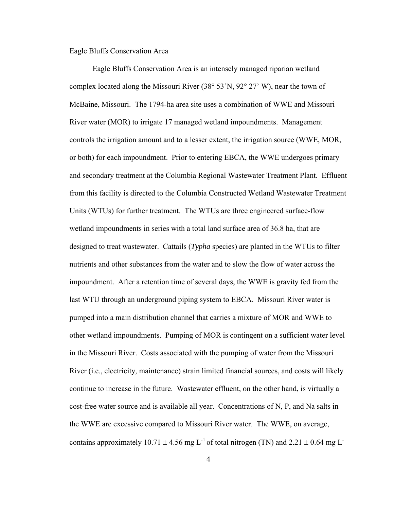#### Eagle Bluffs Conservation Area

Eagle Bluffs Conservation Area is an intensely managed riparian wetland complex located along the Missouri River (38° 53'N, 92° 27' W), near the town of McBaine, Missouri. The 1794-ha area site uses a combination of WWE and Missouri River water (MOR) to irrigate 17 managed wetland impoundments. Management controls the irrigation amount and to a lesser extent, the irrigation source (WWE, MOR, or both) for each impoundment. Prior to entering EBCA, the WWE undergoes primary and secondary treatment at the Columbia Regional Wastewater Treatment Plant. Effluent from this facility is directed to the Columbia Constructed Wetland Wastewater Treatment Units (WTUs) for further treatment. The WTUs are three engineered surface-flow wetland impoundments in series with a total land surface area of 36.8 ha, that are designed to treat wastewater. Cattails (*Typha* species) are planted in the WTUs to filter nutrients and other substances from the water and to slow the flow of water across the impoundment. After a retention time of several days, the WWE is gravity fed from the last WTU through an underground piping system to EBCA. Missouri River water is pumped into a main distribution channel that carries a mixture of MOR and WWE to other wetland impoundments. Pumping of MOR is contingent on a sufficient water level in the Missouri River. Costs associated with the pumping of water from the Missouri River (i.e., electricity, maintenance) strain limited financial sources, and costs will likely continue to increase in the future. Wastewater effluent, on the other hand, is virtually a cost-free water source and is available all year. Concentrations of N, P, and Na salts in the WWE are excessive compared to Missouri River water. The WWE, on average, contains approximately 10.71  $\pm$  4.56 mg L<sup>-1</sup> of total nitrogen (TN) and 2.21  $\pm$  0.64 mg L<sup>-1</sup>

4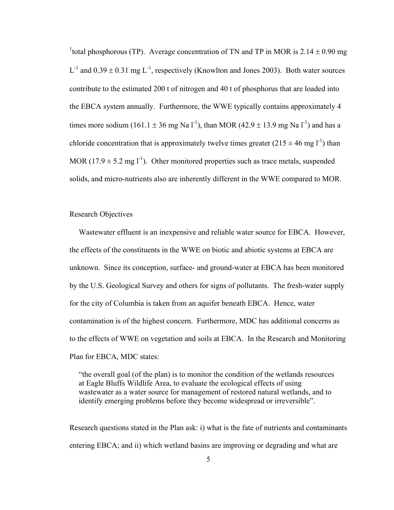<sup>1</sup> total phosphorous (TP). Average concentration of TN and TP in MOR is  $2.14 \pm 0.90$  mg  $L^{-1}$  and  $0.39 \pm 0.31$  mg  $L^{-1}$ , respectively (Knowlton and Jones 2003). Both water sources contribute to the estimated 200 t of nitrogen and 40 t of phosphorus that are loaded into the EBCA system annually. Furthermore, the WWE typically contains approximately 4 times more sodium (161.1  $\pm$  36 mg Na l<sup>-1</sup>), than MOR (42.9  $\pm$  13.9 mg Na l<sup>-1</sup>) and has a chloride concentration that is approximately twelve times greater  $(215 \pm 46 \text{ mg l}^{-1})$  than MOR (17.9  $\pm$  5.2 mg l<sup>-1</sup>). Other monitored properties such as trace metals, suspended solids, and micro-nutrients also are inherently different in the WWE compared to MOR.

#### Research Objectives

Wastewater effluent is an inexpensive and reliable water source for EBCA. However, the effects of the constituents in the WWE on biotic and abiotic systems at EBCA are unknown. Since its conception, surface- and ground-water at EBCA has been monitored by the U.S. Geological Survey and others for signs of pollutants. The fresh-water supply for the city of Columbia is taken from an aquifer beneath EBCA. Hence, water contamination is of the highest concern. Furthermore, MDC has additional concerns as to the effects of WWE on vegetation and soils at EBCA. In the Research and Monitoring Plan for EBCA, MDC states:

"the overall goal (of the plan) is to monitor the condition of the wetlands resources at Eagle Bluffs Wildlife Area, to evaluate the ecological effects of using wastewater as a water source for management of restored natural wetlands, and to identify emerging problems before they become widespread or irreversible".

Research questions stated in the Plan ask: i) what is the fate of nutrients and contaminants entering EBCA; and ii) which wetland basins are improving or degrading and what are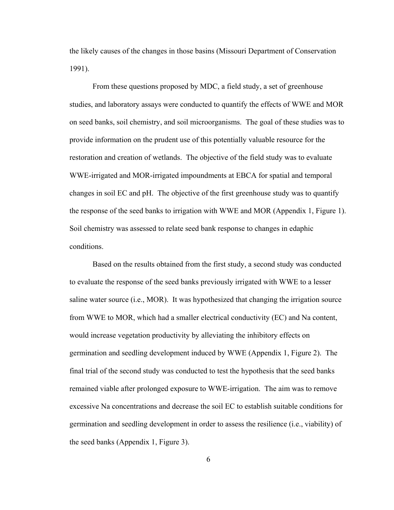the likely causes of the changes in those basins (Missouri Department of Conservation 1991).

From these questions proposed by MDC, a field study, a set of greenhouse studies, and laboratory assays were conducted to quantify the effects of WWE and MOR on seed banks, soil chemistry, and soil microorganisms. The goal of these studies was to provide information on the prudent use of this potentially valuable resource for the restoration and creation of wetlands. The objective of the field study was to evaluate WWE-irrigated and MOR-irrigated impoundments at EBCA for spatial and temporal changes in soil EC and pH. The objective of the first greenhouse study was to quantify the response of the seed banks to irrigation with WWE and MOR (Appendix 1, Figure 1). Soil chemistry was assessed to relate seed bank response to changes in edaphic conditions.

Based on the results obtained from the first study, a second study was conducted to evaluate the response of the seed banks previously irrigated with WWE to a lesser saline water source (i.e., MOR). It was hypothesized that changing the irrigation source from WWE to MOR, which had a smaller electrical conductivity (EC) and Na content, would increase vegetation productivity by alleviating the inhibitory effects on germination and seedling development induced by WWE (Appendix 1, Figure 2). The final trial of the second study was conducted to test the hypothesis that the seed banks remained viable after prolonged exposure to WWE-irrigation. The aim was to remove excessive Na concentrations and decrease the soil EC to establish suitable conditions for germination and seedling development in order to assess the resilience (i.e., viability) of the seed banks (Appendix 1, Figure 3).

6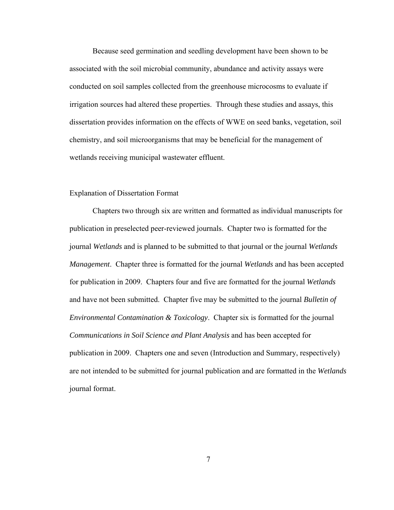Because seed germination and seedling development have been shown to be associated with the soil microbial community, abundance and activity assays were conducted on soil samples collected from the greenhouse microcosms to evaluate if irrigation sources had altered these properties. Through these studies and assays, this dissertation provides information on the effects of WWE on seed banks, vegetation, soil chemistry, and soil microorganisms that may be beneficial for the management of wetlands receiving municipal wastewater effluent.

#### Explanation of Dissertation Format

Chapters two through six are written and formatted as individual manuscripts for publication in preselected peer-reviewed journals. Chapter two is formatted for the journal *Wetlands* and is planned to be submitted to that journal or the journal *Wetlands Management*. Chapter three is formatted for the journal *Wetlands* and has been accepted for publication in 2009. Chapters four and five are formatted for the journal *Wetlands*  and have not been submitted. Chapter five may be submitted to the journal *Bulletin of Environmental Contamination & Toxicology*. Chapter six is formatted for the journal *Communications in Soil Science and Plant Analysis* and has been accepted for publication in 2009. Chapters one and seven (Introduction and Summary, respectively) are not intended to be submitted for journal publication and are formatted in the *Wetlands* journal format.

7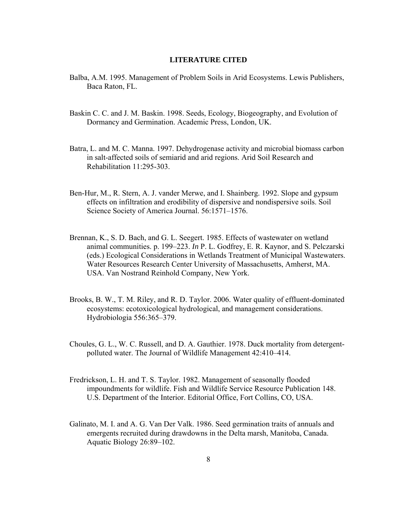#### **LITERATURE CITED**

- Balba, A.M. 1995. Management of Problem Soils in Arid Ecosystems. Lewis Publishers, Baca Raton, FL.
- Baskin C. C. and J. M. Baskin. 1998. Seeds, Ecology, Biogeography, and Evolution of Dormancy and Germination. Academic Press, London, UK.
- Batra, L. and M. C. Manna. 1997. Dehydrogenase activity and microbial biomass carbon in salt-affected soils of semiarid and arid regions. Arid Soil Research and Rehabilitation 11:295-303.
- Ben-Hur, M., R. Stern, A. J. vander Merwe, and I. Shainberg. 1992. Slope and gypsum effects on infiltration and erodibility of dispersive and nondispersive soils. Soil Science Society of America Journal. 56:1571–1576.
- Brennan, K., S. D. Bach, and G. L. Seegert. 1985. Effects of wastewater on wetland animal communities. p. 199–223. *In* P. L. Godfrey, E. R. Kaynor, and S. Pelczarski (eds.) Ecological Considerations in Wetlands Treatment of Municipal Wastewaters. Water Resources Research Center University of Massachusetts, Amherst, MA. USA. Van Nostrand Reinhold Company, New York.
- Brooks, B. W., T. M. Riley, and R. D. Taylor. 2006. Water quality of effluent-dominated ecosystems: ecotoxicological hydrological, and management considerations. Hydrobiologia 556:365–379.
- Choules, G. L., W. C. Russell, and D. A. Gauthier. 1978. Duck mortality from detergentpolluted water. The Journal of Wildlife Management 42:410–414.
- Fredrickson, L. H. and T. S. Taylor. 1982. Management of seasonally flooded impoundments for wildlife. Fish and Wildlife Service Resource Publication 148. U.S. Department of the Interior. Editorial Office, Fort Collins, CO, USA.
- Galinato, M. I. and A. G. Van Der Valk. 1986. Seed germination traits of annuals and emergents recruited during drawdowns in the Delta marsh, Manitoba, Canada. Aquatic Biology 26:89–102.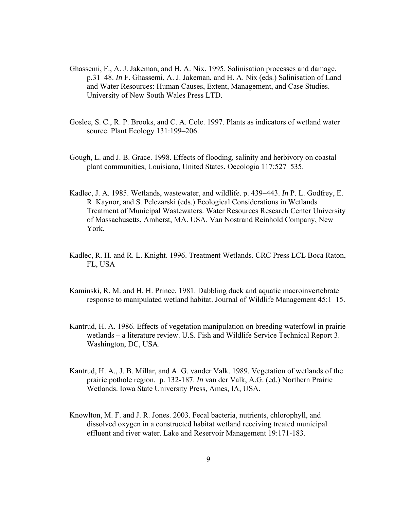- Ghassemi, F., A. J. Jakeman, and H. A. Nix. 1995. Salinisation processes and damage. p.31–48. *In* F. Ghassemi, A. J. Jakeman, and H. A. Nix (eds.) Salinisation of Land and Water Resources: Human Causes, Extent, Management, and Case Studies. University of New South Wales Press LTD.
- Goslee, S. C., R. P. Brooks, and C. A. Cole. 1997. Plants as indicators of wetland water source. Plant Ecology 131:199–206.
- Gough, L. and J. B. Grace. 1998. Effects of flooding, salinity and herbivory on coastal plant communities, Louisiana, United States. Oecologia 117:527–535.
- Kadlec, J. A. 1985. Wetlands, wastewater, and wildlife. p. 439–443. *In* P. L. Godfrey, E. R. Kaynor, and S. Pelczarski (eds.) Ecological Considerations in Wetlands Treatment of Municipal Wastewaters. Water Resources Research Center University of Massachusetts, Amherst, MA. USA. Van Nostrand Reinhold Company, New York.
- Kadlec, R. H. and R. L. Knight. 1996. Treatment Wetlands. CRC Press LCL Boca Raton, FL, USA
- Kaminski, R. M. and H. H. Prince. 1981. Dabbling duck and aquatic macroinvertebrate response to manipulated wetland habitat. Journal of Wildlife Management 45:1–15.
- Kantrud, H. A. 1986. Effects of vegetation manipulation on breeding waterfowl in prairie wetlands – a literature review. U.S. Fish and Wildlife Service Technical Report 3. Washington, DC, USA.
- Kantrud, H. A., J. B. Millar, and A. G. vander Valk. 1989. Vegetation of wetlands of the prairie pothole region. p. 132-187. *In* van der Valk, A.G. (ed.) Northern Prairie Wetlands. Iowa State University Press, Ames, IA, USA.
- Knowlton, M. F. and J. R. Jones. 2003. Fecal bacteria, nutrients, chlorophyll, and dissolved oxygen in a constructed habitat wetland receiving treated municipal effluent and river water. Lake and Reservoir Management 19:171-183.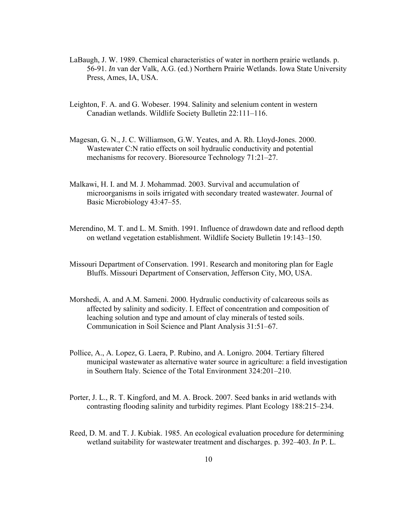- LaBaugh, J. W. 1989. Chemical characteristics of water in northern prairie wetlands. p. 56-91. *In* van der Valk, A.G. (ed.) Northern Prairie Wetlands. Iowa State University Press, Ames, IA, USA.
- Leighton, F. A. and G. Wobeser. 1994. Salinity and selenium content in western Canadian wetlands. Wildlife Society Bulletin 22:111–116.
- Magesan, G. N., J. C. Williamson, G.W. Yeates, and A. Rh. Lloyd-Jones. 2000. Wastewater C:N ratio effects on soil hydraulic conductivity and potential mechanisms for recovery. Bioresource Technology 71:21–27.
- Malkawi, H. I. and M. J. Mohammad. 2003. Survival and accumulation of microorganisms in soils irrigated with secondary treated wastewater. Journal of Basic Microbiology 43:47–55.
- Merendino, M. T. and L. M. Smith. 1991. Influence of drawdown date and reflood depth on wetland vegetation establishment. Wildlife Society Bulletin 19:143–150.
- Missouri Department of Conservation. 1991. Research and monitoring plan for Eagle Bluffs. Missouri Department of Conservation, Jefferson City, MO, USA.
- Morshedi, A. and A.M. Sameni. 2000. Hydraulic conductivity of calcareous soils as affected by salinity and sodicity. I. Effect of concentration and composition of leaching solution and type and amount of clay minerals of tested soils. Communication in Soil Science and Plant Analysis 31:51–67.
- Pollice, A., A. Lopez, G. Laera, P. Rubino, and A. Lonigro. 2004. Tertiary filtered municipal wastewater as alternative water source in agriculture: a field investigation in Southern Italy. Science of the Total Environment 324:201–210.
- Porter, J. L., R. T. Kingford, and M. A. Brock. 2007. Seed banks in arid wetlands with contrasting flooding salinity and turbidity regimes. Plant Ecology 188:215–234.
- Reed, D. M. and T. J. Kubiak. 1985. An ecological evaluation procedure for determining wetland suitability for wastewater treatment and discharges. p. 392–403. *In* P. L.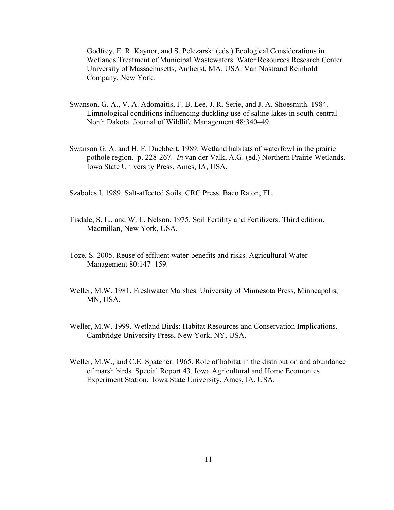Godfrey, E. R. Kaynor, and S. Pelczarski (eds.) Ecological Considerations in Wetlands Treatment of Municipal Wastewaters. Water Resources Research Center University of Massachusetts, Amherst, MA. USA. Van Nostrand Reinhold Company, New York.

- Swanson, G. A., V. A. Adomaitis, F. B. Lee, J. R. Serie, and J. A. Shoesmith. 1984. Limnological conditions influencing duckling use of saline lakes in south-central North Dakota. Journal of Wildlife Management 48:340–49.
- Swanson G. A. and H. F. Duebbert. 1989. Wetland habitats of waterfowl in the prairie pothole region. p. 228-267. *In* van der Valk, A.G. (ed.) Northern Prairie Wetlands. Iowa State University Press, Ames, IA, USA.

Szabolcs I. 1989. Salt-affected Soils. CRC Press. Baco Raton, FL.

- Tisdale, S. L., and W. L. Nelson. 1975. Soil Fertility and Fertilizers. Third edition. Macmillan, New York, USA.
- Toze, S. 2005. Reuse of effluent water-benefits and risks. Agricultural Water Management 80:147–159.
- Weller, M.W. 1981. Freshwater Marshes. University of Minnesota Press, Minneapolis, MN, USA.
- Weller, M.W. 1999. Wetland Birds: Habitat Resources and Conservation Implications. Cambridge University Press, New York, NY, USA.
- Weller, M.W., and C.E. Spatcher. 1965. Role of habitat in the distribution and abundance of marsh birds. Special Report 43. Iowa Agricultural and Home Ecomonics Experiment Station. Iowa State University, Ames, IA. USA.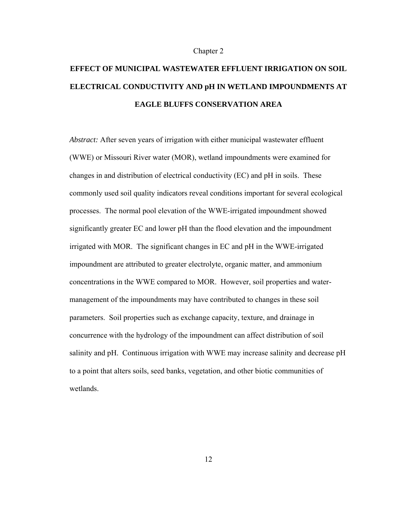#### Chapter 2

# **EFFECT OF MUNICIPAL WASTEWATER EFFLUENT IRRIGATION ON SOIL ELECTRICAL CONDUCTIVITY AND pH IN WETLAND IMPOUNDMENTS AT EAGLE BLUFFS CONSERVATION AREA**

*Abstract:* After seven years of irrigation with either municipal wastewater effluent (WWE) or Missouri River water (MOR), wetland impoundments were examined for changes in and distribution of electrical conductivity (EC) and pH in soils. These commonly used soil quality indicators reveal conditions important for several ecological processes. The normal pool elevation of the WWE-irrigated impoundment showed significantly greater EC and lower pH than the flood elevation and the impoundment irrigated with MOR. The significant changes in EC and pH in the WWE-irrigated impoundment are attributed to greater electrolyte, organic matter, and ammonium concentrations in the WWE compared to MOR. However, soil properties and watermanagement of the impoundments may have contributed to changes in these soil parameters. Soil properties such as exchange capacity, texture, and drainage in concurrence with the hydrology of the impoundment can affect distribution of soil salinity and pH. Continuous irrigation with WWE may increase salinity and decrease pH to a point that alters soils, seed banks, vegetation, and other biotic communities of wetlands.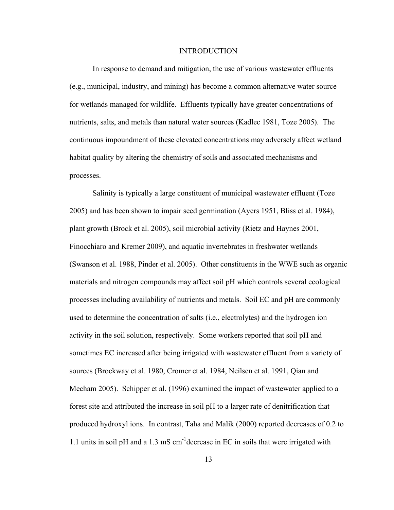#### INTRODUCTION

In response to demand and mitigation, the use of various wastewater effluents (e.g., municipal, industry, and mining) has become a common alternative water source for wetlands managed for wildlife. Effluents typically have greater concentrations of nutrients, salts, and metals than natural water sources (Kadlec 1981, Toze 2005). The continuous impoundment of these elevated concentrations may adversely affect wetland habitat quality by altering the chemistry of soils and associated mechanisms and processes.

Salinity is typically a large constituent of municipal wastewater effluent (Toze 2005) and has been shown to impair seed germination (Ayers 1951, Bliss et al. 1984), plant growth (Brock et al. 2005), soil microbial activity (Rietz and Haynes 2001, Finocchiaro and Kremer 2009), and aquatic invertebrates in freshwater wetlands (Swanson et al. 1988, Pinder et al. 2005). Other constituents in the WWE such as organic materials and nitrogen compounds may affect soil pH which controls several ecological processes including availability of nutrients and metals. Soil EC and pH are commonly used to determine the concentration of salts (i.e., electrolytes) and the hydrogen ion activity in the soil solution, respectively. Some workers reported that soil pH and sometimes EC increased after being irrigated with wastewater effluent from a variety of sources (Brockway et al. 1980, Cromer et al. 1984, Neilsen et al. 1991, Qian and Mecham 2005). Schipper et al. (1996) examined the impact of wastewater applied to a forest site and attributed the increase in soil pH to a larger rate of denitrification that produced hydroxyl ions. In contrast, Taha and Malik (2000) reported decreases of 0.2 to 1.1 units in soil pH and a 1.3 mS cm-1decrease in EC in soils that were irrigated with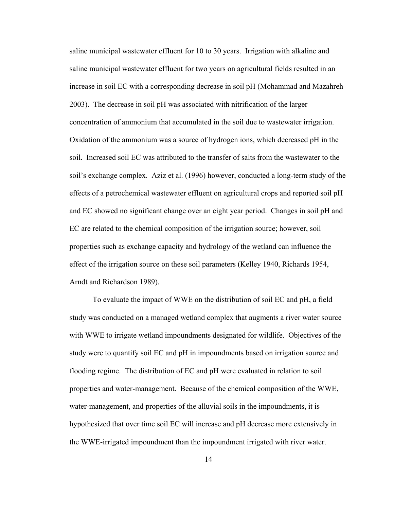saline municipal wastewater effluent for 10 to 30 years. Irrigation with alkaline and saline municipal wastewater effluent for two years on agricultural fields resulted in an increase in soil EC with a corresponding decrease in soil pH (Mohammad and Mazahreh 2003). The decrease in soil pH was associated with nitrification of the larger concentration of ammonium that accumulated in the soil due to wastewater irrigation. Oxidation of the ammonium was a source of hydrogen ions, which decreased pH in the soil. Increased soil EC was attributed to the transfer of salts from the wastewater to the soil's exchange complex. Aziz et al. (1996) however, conducted a long-term study of the effects of a petrochemical wastewater effluent on agricultural crops and reported soil pH and EC showed no significant change over an eight year period. Changes in soil pH and EC are related to the chemical composition of the irrigation source; however, soil properties such as exchange capacity and hydrology of the wetland can influence the effect of the irrigation source on these soil parameters (Kelley 1940, Richards 1954, Arndt and Richardson 1989).

To evaluate the impact of WWE on the distribution of soil EC and pH, a field study was conducted on a managed wetland complex that augments a river water source with WWE to irrigate wetland impoundments designated for wildlife. Objectives of the study were to quantify soil EC and pH in impoundments based on irrigation source and flooding regime. The distribution of EC and pH were evaluated in relation to soil properties and water-management. Because of the chemical composition of the WWE, water-management, and properties of the alluvial soils in the impoundments, it is hypothesized that over time soil EC will increase and pH decrease more extensively in the WWE-irrigated impoundment than the impoundment irrigated with river water.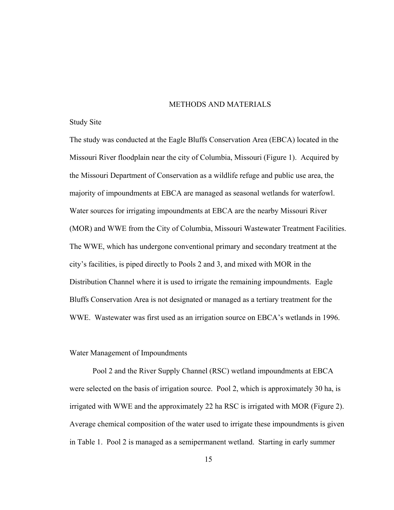#### METHODS AND MATERIALS

#### Study Site

The study was conducted at the Eagle Bluffs Conservation Area (EBCA) located in the Missouri River floodplain near the city of Columbia, Missouri (Figure 1). Acquired by the Missouri Department of Conservation as a wildlife refuge and public use area, the majority of impoundments at EBCA are managed as seasonal wetlands for waterfowl. Water sources for irrigating impoundments at EBCA are the nearby Missouri River (MOR) and WWE from the City of Columbia, Missouri Wastewater Treatment Facilities. The WWE, which has undergone conventional primary and secondary treatment at the city's facilities, is piped directly to Pools 2 and 3, and mixed with MOR in the Distribution Channel where it is used to irrigate the remaining impoundments. Eagle Bluffs Conservation Area is not designated or managed as a tertiary treatment for the WWE. Wastewater was first used as an irrigation source on EBCA's wetlands in 1996.

#### Water Management of Impoundments

Pool 2 and the River Supply Channel (RSC) wetland impoundments at EBCA were selected on the basis of irrigation source. Pool 2, which is approximately 30 ha, is irrigated with WWE and the approximately 22 ha RSC is irrigated with MOR (Figure 2). Average chemical composition of the water used to irrigate these impoundments is given in Table 1. Pool 2 is managed as a semipermanent wetland. Starting in early summer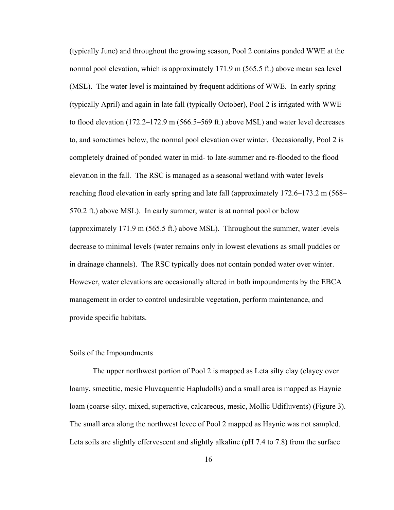(typically June) and throughout the growing season, Pool 2 contains ponded WWE at the normal pool elevation, which is approximately 171.9 m (565.5 ft.) above mean sea level (MSL). The water level is maintained by frequent additions of WWE. In early spring (typically April) and again in late fall (typically October), Pool 2 is irrigated with WWE to flood elevation (172.2–172.9 m (566.5–569 ft.) above MSL) and water level decreases to, and sometimes below, the normal pool elevation over winter. Occasionally, Pool 2 is completely drained of ponded water in mid- to late-summer and re-flooded to the flood elevation in the fall. The RSC is managed as a seasonal wetland with water levels reaching flood elevation in early spring and late fall (approximately 172.6–173.2 m (568– 570.2 ft.) above MSL). In early summer, water is at normal pool or below (approximately 171.9 m (565.5 ft.) above MSL). Throughout the summer, water levels decrease to minimal levels (water remains only in lowest elevations as small puddles or in drainage channels). The RSC typically does not contain ponded water over winter. However, water elevations are occasionally altered in both impoundments by the EBCA management in order to control undesirable vegetation, perform maintenance, and provide specific habitats.

#### Soils of the Impoundments

The upper northwest portion of Pool 2 is mapped as Leta silty clay (clayey over loamy, smectitic, mesic Fluvaquentic Hapludolls) and a small area is mapped as Haynie loam (coarse-silty, mixed, superactive, calcareous, mesic, Mollic Udifluvents) (Figure 3). The small area along the northwest levee of Pool 2 mapped as Haynie was not sampled. Leta soils are slightly effervescent and slightly alkaline (pH 7.4 to 7.8) from the surface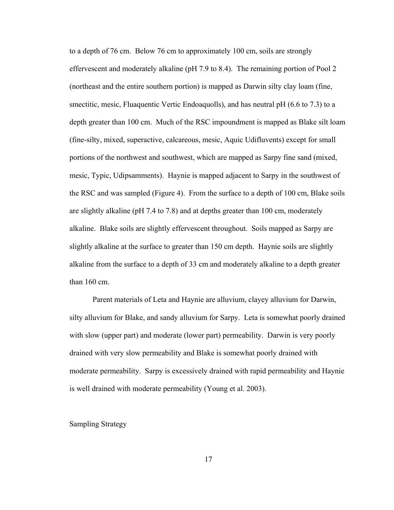to a depth of 76 cm. Below 76 cm to approximately 100 cm, soils are strongly effervescent and moderately alkaline (pH 7.9 to 8.4). The remaining portion of Pool 2 (northeast and the entire southern portion) is mapped as Darwin silty clay loam (fine, smectitic, mesic, Fluaquentic Vertic Endoaquolls), and has neutral pH (6.6 to 7.3) to a depth greater than 100 cm. Much of the RSC impoundment is mapped as Blake silt loam (fine-silty, mixed, superactive, calcareous, mesic, Aquic Udifluvents) except for small portions of the northwest and southwest, which are mapped as Sarpy fine sand (mixed, mesic, Typic, Udipsamments). Haynie is mapped adjacent to Sarpy in the southwest of the RSC and was sampled (Figure 4). From the surface to a depth of 100 cm, Blake soils are slightly alkaline (pH 7.4 to 7.8) and at depths greater than 100 cm, moderately alkaline. Blake soils are slightly effervescent throughout. Soils mapped as Sarpy are slightly alkaline at the surface to greater than 150 cm depth. Haynie soils are slightly alkaline from the surface to a depth of 33 cm and moderately alkaline to a depth greater than 160 cm.

Parent materials of Leta and Haynie are alluvium, clayey alluvium for Darwin, silty alluvium for Blake, and sandy alluvium for Sarpy. Leta is somewhat poorly drained with slow (upper part) and moderate (lower part) permeability. Darwin is very poorly drained with very slow permeability and Blake is somewhat poorly drained with moderate permeability. Sarpy is excessively drained with rapid permeability and Haynie is well drained with moderate permeability (Young et al. 2003).

#### Sampling Strategy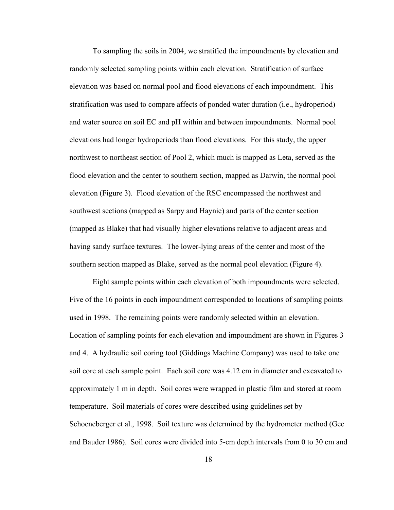To sampling the soils in 2004, we stratified the impoundments by elevation and randomly selected sampling points within each elevation. Stratification of surface elevation was based on normal pool and flood elevations of each impoundment. This stratification was used to compare affects of ponded water duration (i.e., hydroperiod) and water source on soil EC and pH within and between impoundments. Normal pool elevations had longer hydroperiods than flood elevations. For this study, the upper northwest to northeast section of Pool 2, which much is mapped as Leta, served as the flood elevation and the center to southern section, mapped as Darwin, the normal pool elevation (Figure 3). Flood elevation of the RSC encompassed the northwest and southwest sections (mapped as Sarpy and Haynie) and parts of the center section (mapped as Blake) that had visually higher elevations relative to adjacent areas and having sandy surface textures. The lower-lying areas of the center and most of the southern section mapped as Blake, served as the normal pool elevation (Figure 4).

Eight sample points within each elevation of both impoundments were selected. Five of the 16 points in each impoundment corresponded to locations of sampling points used in 1998. The remaining points were randomly selected within an elevation. Location of sampling points for each elevation and impoundment are shown in Figures 3 and 4. A hydraulic soil coring tool (Giddings Machine Company) was used to take one soil core at each sample point. Each soil core was 4.12 cm in diameter and excavated to approximately 1 m in depth. Soil cores were wrapped in plastic film and stored at room temperature. Soil materials of cores were described using guidelines set by Schoeneberger et al., 1998. Soil texture was determined by the hydrometer method (Gee and Bauder 1986). Soil cores were divided into 5-cm depth intervals from 0 to 30 cm and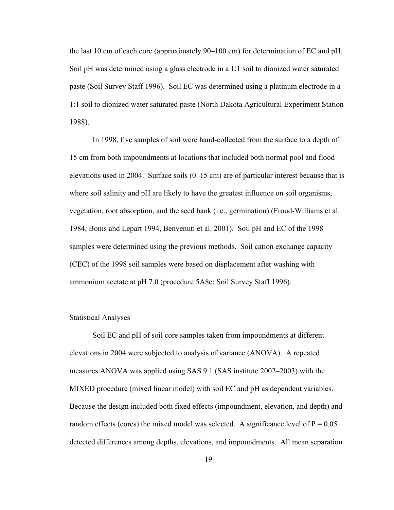the last 10 cm of each core (approximately 90–100 cm) for determination of EC and pH. Soil pH was determined using a glass electrode in a 1:1 soil to dionized water saturated paste (Soil Survey Staff 1996). Soil EC was determined using a platinum electrode in a 1:1 soil to dionized water saturated paste (North Dakota Agricultural Experiment Station 1988).

In 1998, five samples of soil were hand-collected from the surface to a depth of 15 cm from both impoundments at locations that included both normal pool and flood elevations used in 2004. Surface soils (0–15 cm) are of particular interest because that is where soil salinity and pH are likely to have the greatest influence on soil organisms, vegetation, root absorption, and the seed bank (i.e., germination) (Froud-Williams et al. 1984, Bonis and Lepart 1994, Benvenuti et al. 2001). Soil pH and EC of the 1998 samples were determined using the previous methods. Soil cation exchange capacity (CEC) of the 1998 soil samples were based on displacement after washing with ammonium acetate at pH 7.0 (procedure 5A8c; Soil Survey Staff 1996).

#### Statistical Analyses

Soil EC and pH of soil core samples taken from impoundments at different elevations in 2004 were subjected to analysis of variance (ANOVA). A repeated measures ANOVA was applied using SAS 9.1 (SAS institute 2002–2003) with the MIXED procedure (mixed linear model) with soil EC and pH as dependent variables. Because the design included both fixed effects (impoundment, elevation, and depth) and random effects (cores) the mixed model was selected. A significance level of  $P = 0.05$ detected differences among depths, elevations, and impoundments. All mean separation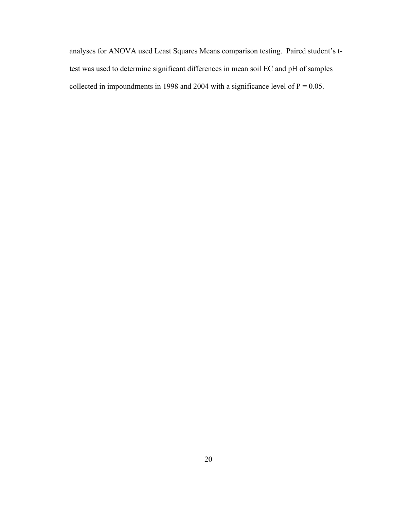analyses for ANOVA used Least Squares Means comparison testing. Paired student's ttest was used to determine significant differences in mean soil EC and pH of samples collected in impoundments in 1998 and 2004 with a significance level of  $P = 0.05$ .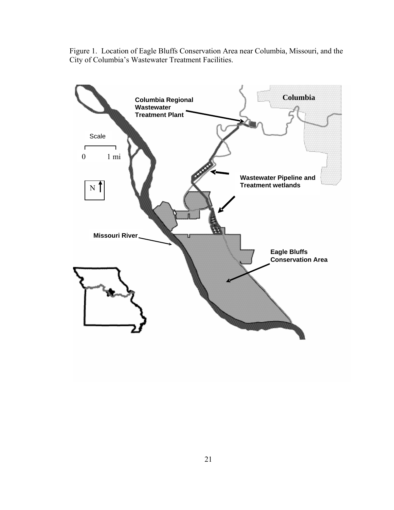Figure 1. Location of Eagle Bluffs Conservation Area near Columbia, Missouri, and the City of Columbia's Wastewater Treatment Facilities.

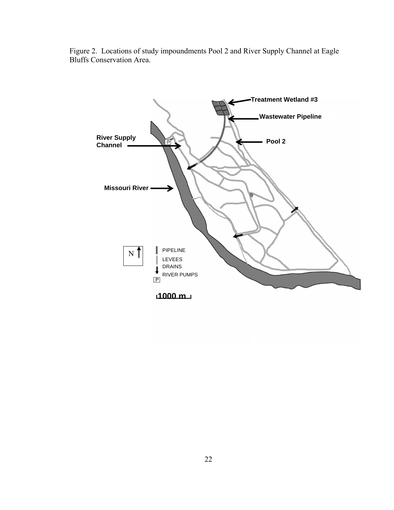

Figure 2. Locations of study impoundments Pool 2 and River Supply Channel at Eagle Bluffs Conservation Area.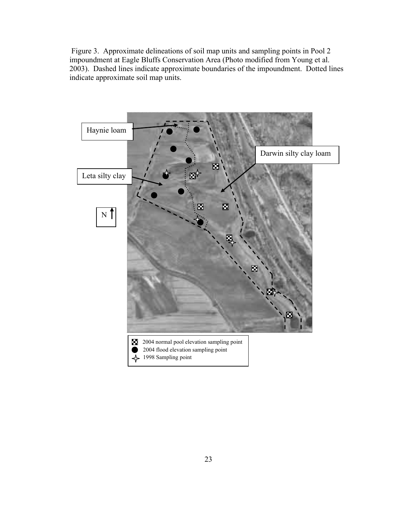Figure 3. Approximate delineations of soil map units and sampling points in Pool 2 impoundment at Eagle Bluffs Conservation Area (Photo modified from Young et al. 2003). Dashed lines indicate approximate boundaries of the impoundment. Dotted lines indicate approximate soil map units.

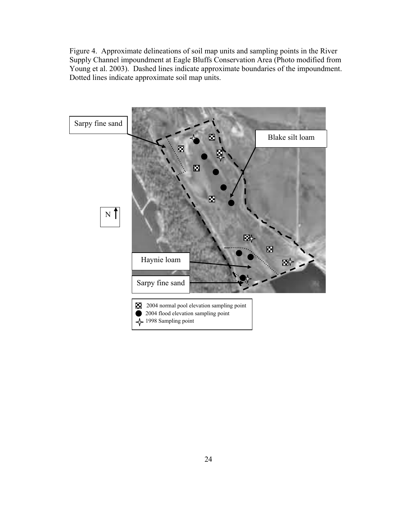Figure 4. Approximate delineations of soil map units and sampling points in the River Supply Channel impoundment at Eagle Bluffs Conservation Area (Photo modified from Young et al. 2003). Dashed lines indicate approximate boundaries of the impoundment. Dotted lines indicate approximate soil map units.

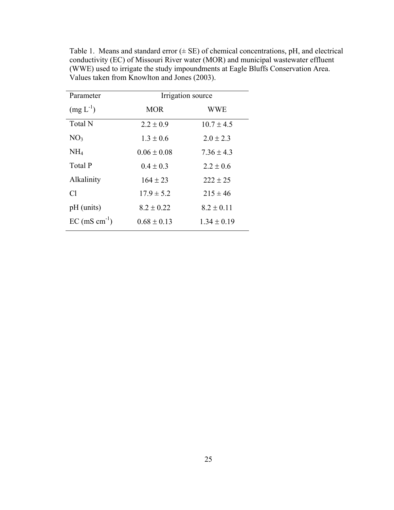| Parameter                 | Irrigation source |                 |  |  |  |  |  |  |  |
|---------------------------|-------------------|-----------------|--|--|--|--|--|--|--|
| $(mg L^{-1})$             | <b>MOR</b>        | <b>WWE</b>      |  |  |  |  |  |  |  |
| <b>Total N</b>            | $2.2 \pm 0.9$     | $10.7 \pm 4.5$  |  |  |  |  |  |  |  |
| NO <sub>3</sub>           | $1.3 \pm 0.6$     | $2.0 \pm 2.3$   |  |  |  |  |  |  |  |
| NH <sub>4</sub>           | $0.06 \pm 0.08$   | $7.36 \pm 4.3$  |  |  |  |  |  |  |  |
| Total P                   | $0.4 \pm 0.3$     | $2.2 \pm 0.6$   |  |  |  |  |  |  |  |
| Alkalinity                | $164 \pm 23$      | $222 \pm 25$    |  |  |  |  |  |  |  |
| Cl                        | $17.9 \pm 5.2$    | $215 \pm 46$    |  |  |  |  |  |  |  |
| pH (units)                | $8.2 \pm 0.22$    | $8.2 \pm 0.11$  |  |  |  |  |  |  |  |
| $EC \text{ (mS cm}^{-1})$ | $0.68 \pm 0.13$   | $1.34 \pm 0.19$ |  |  |  |  |  |  |  |

Table 1. Means and standard error  $(\pm \text{ SE})$  of chemical concentrations, pH, and electrical conductivity (EC) of Missouri River water (MOR) and municipal wastewater effluent (WWE) used to irrigate the study impoundments at Eagle Bluffs Conservation Area. Values taken from Knowlton and Jones (2003).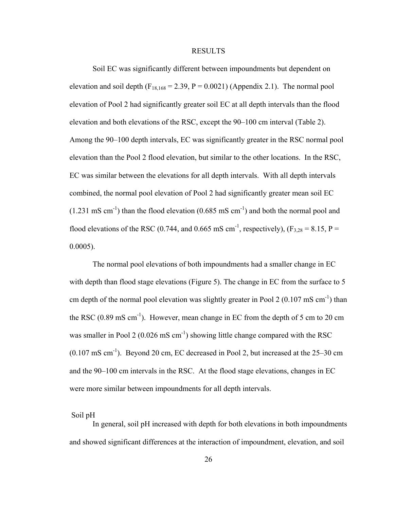## RESULTS

Soil EC was significantly different between impoundments but dependent on elevation and soil depth  $(F_{18,168} = 2.39, P = 0.0021)$  (Appendix 2.1). The normal pool elevation of Pool 2 had significantly greater soil EC at all depth intervals than the flood elevation and both elevations of the RSC, except the 90–100 cm interval (Table 2). Among the 90–100 depth intervals, EC was significantly greater in the RSC normal pool elevation than the Pool 2 flood elevation, but similar to the other locations. In the RSC, EC was similar between the elevations for all depth intervals. With all depth intervals combined, the normal pool elevation of Pool 2 had significantly greater mean soil EC  $(1.231 \text{ mS cm}^{-1})$  than the flood elevation  $(0.685 \text{ mS cm}^{-1})$  and both the normal pool and flood elevations of the RSC (0.744, and 0.665 mS cm<sup>-1</sup>, respectively), (F<sub>3,28</sub> = 8.15, P = 0.0005).

The normal pool elevations of both impoundments had a smaller change in EC with depth than flood stage elevations (Figure 5). The change in EC from the surface to 5 cm depth of the normal pool elevation was slightly greater in Pool 2  $(0.107 \text{ mS cm}^{-1})$  than the RSC  $(0.89 \text{ mS cm}^{-1})$ . However, mean change in EC from the depth of 5 cm to 20 cm was smaller in Pool 2 (0.026 mS  $cm^{-1}$ ) showing little change compared with the RSC  $(0.107 \text{ mS cm}^{-1})$ . Beyond 20 cm, EC decreased in Pool 2, but increased at the 25–30 cm and the 90–100 cm intervals in the RSC. At the flood stage elevations, changes in EC were more similar between impoundments for all depth intervals.

## Soil pH

In general, soil pH increased with depth for both elevations in both impoundments and showed significant differences at the interaction of impoundment, elevation, and soil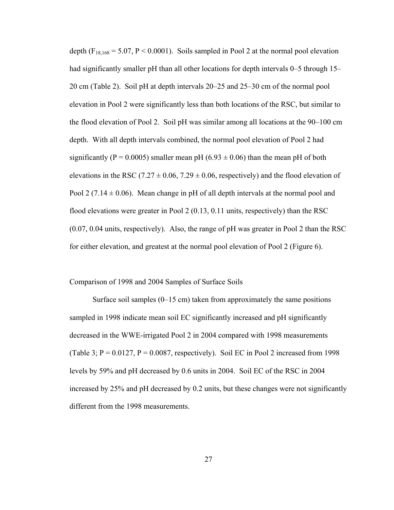depth  $(F_{18,168} = 5.07, P \le 0.0001)$ . Soils sampled in Pool 2 at the normal pool elevation had significantly smaller pH than all other locations for depth intervals 0–5 through 15– 20 cm (Table 2). Soil pH at depth intervals 20–25 and 25–30 cm of the normal pool elevation in Pool 2 were significantly less than both locations of the RSC, but similar to the flood elevation of Pool 2. Soil pH was similar among all locations at the 90–100 cm depth. With all depth intervals combined, the normal pool elevation of Pool 2 had significantly (P = 0.0005) smaller mean pH (6.93  $\pm$  0.06) than the mean pH of both elevations in the RSC (7.27  $\pm$  0.06, 7.29  $\pm$  0.06, respectively) and the flood elevation of Pool 2 (7.14  $\pm$  0.06). Mean change in pH of all depth intervals at the normal pool and flood elevations were greater in Pool 2 (0.13, 0.11 units, respectively) than the RSC (0.07, 0.04 units, respectively). Also, the range of pH was greater in Pool 2 than the RSC for either elevation, and greatest at the normal pool elevation of Pool 2 (Figure 6).

## Comparison of 1998 and 2004 Samples of Surface Soils

Surface soil samples  $(0-15 \text{ cm})$  taken from approximately the same positions sampled in 1998 indicate mean soil EC significantly increased and pH significantly decreased in the WWE-irrigated Pool 2 in 2004 compared with 1998 measurements (Table 3;  $P = 0.0127$ ,  $P = 0.0087$ , respectively). Soil EC in Pool 2 increased from 1998 levels by 59% and pH decreased by 0.6 units in 2004. Soil EC of the RSC in 2004 increased by 25% and pH decreased by 0.2 units, but these changes were not significantly different from the 1998 measurements.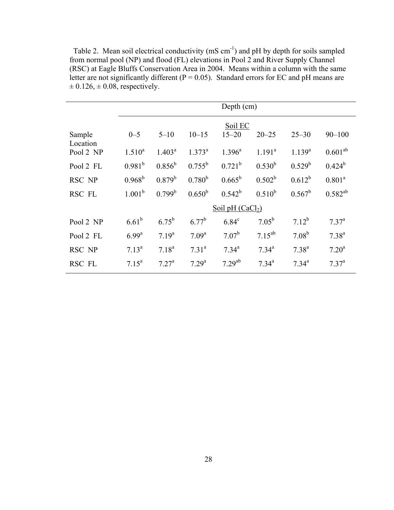Table 2. Mean soil electrical conductivity (mS cm<sup>-1</sup>) and pH by depth for soils sampled from normal pool (NP) and flood (FL) elevations in Pool 2 and River Supply Channel (RSC) at Eagle Bluffs Conservation Area in 2004. Means within a column with the same letter are not significantly different ( $P = 0.05$ ). Standard errors for EC and pH means are  $\pm 0.126$ ,  $\pm 0.08$ , respectively.

|                    |                 | Depth (cm)      |                   |                      |                |             |              |  |  |  |  |
|--------------------|-----------------|-----------------|-------------------|----------------------|----------------|-------------|--------------|--|--|--|--|
|                    |                 |                 |                   |                      |                |             |              |  |  |  |  |
| Sample<br>Location | $0 - 5$         | $5 - 10$        | $10 - 15$         | Soil EC<br>$15 - 20$ | $20 - 25$      | $25 - 30$   | $90 - 100$   |  |  |  |  |
| Pool 2 NP          | $1.510^{a}$     | $1.403^a$       | $1.373^a$         | $1.396^a$            | $1.191^a$      | $1.139^{a}$ | $0.601^{ab}$ |  |  |  |  |
| Pool 2 FL          | $0.981^{b}$     | $0.856^{\rm b}$ | $0.755^{\rm b}$   | $0.721^{b}$          | $0.530^{b}$    | $0.529^b$   | $0.424^b$    |  |  |  |  |
| RSC NP             | $0.968^{\rm b}$ | $0.879^{b}$     | $0.780^{b}$       | $0.665^{\rm b}$      | $0.502^b$      | $0.612^{b}$ | $0.801^a$    |  |  |  |  |
| RSC FL             | $1.001^b$       | $0.799^b$       | $0.650^{\rm b}$   | $0.542^b$            | $0.510^{b}$    | $0.567^b$   | $0.582^{ab}$ |  |  |  |  |
|                    |                 |                 |                   | Soil pH $(CaCl2)$    |                |             |              |  |  |  |  |
| Pool 2 NP          | $6.61^{b}$      | $6.75^{b}$      | $6.77^{b}$        | $6.84^c$             | $7.05^{\rm b}$ | $7.12^{b}$  | $7.37^{a}$   |  |  |  |  |
| Pool 2 FL          | $6.99^{a}$      | $7.19^{a}$      | 7.09 <sup>a</sup> | $7.07^{\rm b}$       | $7.15^{ab}$    | $7.08^{b}$  | $7.38^{a}$   |  |  |  |  |
| RSC NP             | $7.13^a$        | $7.18^{a}$      | $7.31^{a}$        | $7.34^{a}$           | $7.34^{a}$     | $7.38^{a}$  | $7.20^a$     |  |  |  |  |
| <b>RSC FL</b>      | $7.15^a$        | $7.27^{\rm a}$  | $7.29^{a}$        | $7.29^{ab}$          | $7.34^{a}$     | $7.34^{a}$  | $7.37^{a}$   |  |  |  |  |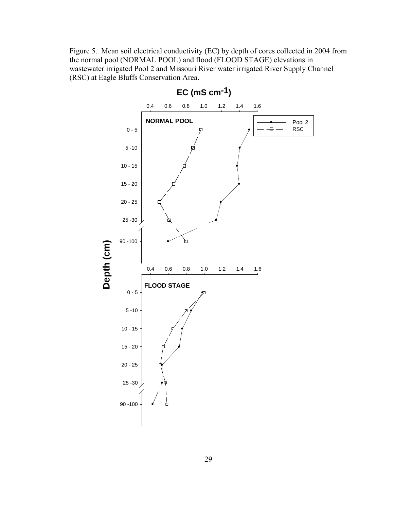Figure 5. Mean soil electrical conductivity (EC) by depth of cores collected in 2004 from the normal pool (NORMAL POOL) and flood (FLOOD STAGE) elevations in wastewater irrigated Pool 2 and Missouri River water irrigated River Supply Channel (RSC) at Eagle Bluffs Conservation Area.

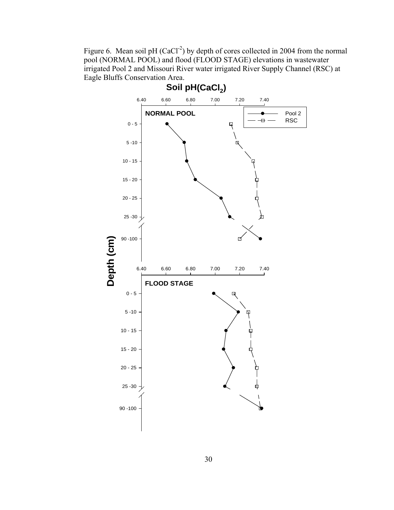Figure 6. Mean soil pH  $(CaCl<sup>-2</sup>)$  by depth of cores collected in 2004 from the normal pool (NORMAL POOL) and flood (FLOOD STAGE) elevations in wastewater irrigated Pool 2 and Missouri River water irrigated River Supply Channel (RSC) at Eagle Bluffs Conservation Area.

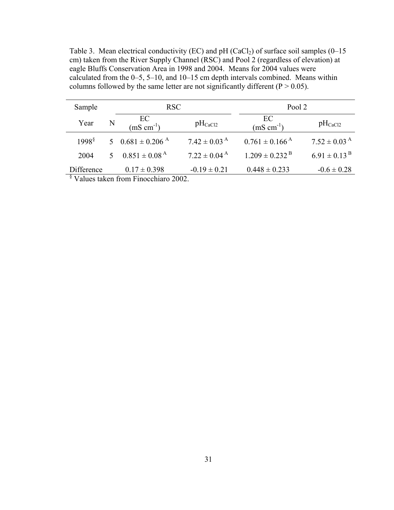Table 3. Mean electrical conductivity (EC) and pH (CaCl<sub>2</sub>) of surface soil samples (0–15 cm) taken from the River Supply Channel (RSC) and Pool 2 (regardless of elevation) at eagle Bluffs Conservation Area in 1998 and 2004. Means for 2004 values were calculated from the 0–5, 5–10, and 10–15 cm depth intervals combined. Means within columns followed by the same letter are not significantly different ( $P > 0.05$ ).

| Sample      |               | <b>RSC</b>                                       |                              | Pool 2                         |                              |  |  |
|-------------|---------------|--------------------------------------------------|------------------------------|--------------------------------|------------------------------|--|--|
| Year        | N             | $\frac{EC}{(mS \text{ cm}^{-1})}$                | $pH_{CaCl2}$                 | EC<br>$(mS \text{ cm}^{-1})$   | $pH_{CaCl2}$                 |  |  |
| $1998^{\$}$ | $\mathcal{F}$ | $0.681 \pm 0.206$ <sup>A</sup>                   | $7.42 \pm 0.03$ <sup>A</sup> | $0.761 \pm 0.166$ <sup>A</sup> | $7.52 \pm 0.03$ <sup>A</sup> |  |  |
| 2004        | $\mathcal{F}$ | $0.851 \pm 0.08$ <sup>A</sup>                    | $7.22 \pm 0.04^{\text{A}}$   | $1.209 \pm 0.232$ <sup>B</sup> | $6.91 \pm 0.13^{ B}$         |  |  |
| Difference  |               | $0.17 \pm 0.398$                                 | $-0.19 \pm 0.21$             | $0.448 \pm 0.233$              | $-0.6 \pm 0.28$              |  |  |
|             |               | <sup>§</sup> Values taken from Finocchiaro 2002. |                              |                                |                              |  |  |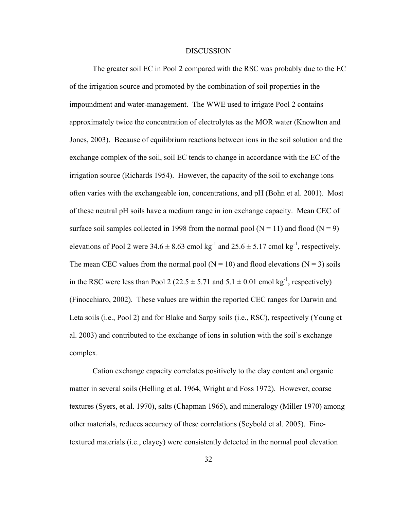## DISCUSSION

The greater soil EC in Pool 2 compared with the RSC was probably due to the EC of the irrigation source and promoted by the combination of soil properties in the impoundment and water-management. The WWE used to irrigate Pool 2 contains approximately twice the concentration of electrolytes as the MOR water (Knowlton and Jones, 2003). Because of equilibrium reactions between ions in the soil solution and the exchange complex of the soil, soil EC tends to change in accordance with the EC of the irrigation source (Richards 1954). However, the capacity of the soil to exchange ions often varies with the exchangeable ion, concentrations, and pH (Bohn et al. 2001). Most of these neutral pH soils have a medium range in ion exchange capacity. Mean CEC of surface soil samples collected in 1998 from the normal pool ( $N = 11$ ) and flood ( $N = 9$ ) elevations of Pool 2 were  $34.6 \pm 8.63$  cmol kg<sup>-1</sup> and  $25.6 \pm 5.17$  cmol kg<sup>-1</sup>, respectively. The mean CEC values from the normal pool ( $N = 10$ ) and flood elevations ( $N = 3$ ) soils in the RSC were less than Pool 2 (22.5  $\pm$  5.71 and 5.1  $\pm$  0.01 cmol kg<sup>-1</sup>, respectively) (Finocchiaro, 2002). These values are within the reported CEC ranges for Darwin and Leta soils (i.e., Pool 2) and for Blake and Sarpy soils (i.e., RSC), respectively (Young et al. 2003) and contributed to the exchange of ions in solution with the soil's exchange complex.

Cation exchange capacity correlates positively to the clay content and organic matter in several soils (Helling et al. 1964, Wright and Foss 1972). However, coarse textures (Syers, et al. 1970), salts (Chapman 1965), and mineralogy (Miller 1970) among other materials, reduces accuracy of these correlations (Seybold et al. 2005). Finetextured materials (i.e., clayey) were consistently detected in the normal pool elevation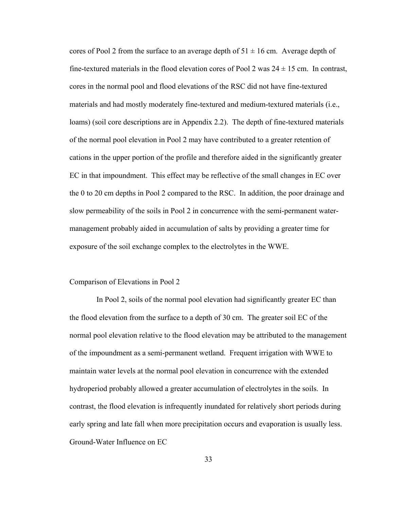cores of Pool 2 from the surface to an average depth of  $51 \pm 16$  cm. Average depth of fine-textured materials in the flood elevation cores of Pool 2 was  $24 \pm 15$  cm. In contrast, cores in the normal pool and flood elevations of the RSC did not have fine-textured materials and had mostly moderately fine-textured and medium-textured materials (i.e., loams) (soil core descriptions are in Appendix 2.2). The depth of fine-textured materials of the normal pool elevation in Pool 2 may have contributed to a greater retention of cations in the upper portion of the profile and therefore aided in the significantly greater EC in that impoundment. This effect may be reflective of the small changes in EC over the 0 to 20 cm depths in Pool 2 compared to the RSC. In addition, the poor drainage and slow permeability of the soils in Pool 2 in concurrence with the semi-permanent watermanagement probably aided in accumulation of salts by providing a greater time for exposure of the soil exchange complex to the electrolytes in the WWE.

### Comparison of Elevations in Pool 2

 In Pool 2, soils of the normal pool elevation had significantly greater EC than the flood elevation from the surface to a depth of 30 cm. The greater soil EC of the normal pool elevation relative to the flood elevation may be attributed to the management of the impoundment as a semi-permanent wetland. Frequent irrigation with WWE to maintain water levels at the normal pool elevation in concurrence with the extended hydroperiod probably allowed a greater accumulation of electrolytes in the soils. In contrast, the flood elevation is infrequently inundated for relatively short periods during early spring and late fall when more precipitation occurs and evaporation is usually less. Ground-Water Influence on EC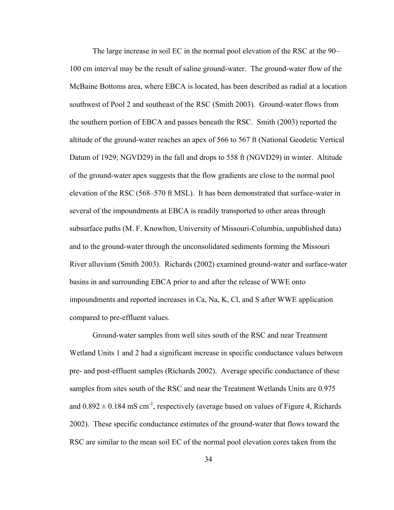The large increase in soil EC in the normal pool elevation of the RSC at the 90– 100 cm interval may be the result of saline ground-water. The ground-water flow of the McBaine Bottoms area, where EBCA is located, has been described as radial at a location southwest of Pool 2 and southeast of the RSC (Smith 2003). Ground-water flows from the southern portion of EBCA and passes beneath the RSC. Smith (2003) reported the altitude of the ground-water reaches an apex of 566 to 567 ft (National Geodetic Vertical Datum of 1929; NGVD29) in the fall and drops to 558 ft (NGVD29) in winter. Altitude of the ground-water apex suggests that the flow gradients are close to the normal pool elevation of the RSC (568–570 ft MSL). It has been demonstrated that surface-water in several of the impoundments at EBCA is readily transported to other areas through subsurface paths (M. F. Knowlton, University of Missouri-Columbia, unpublished data) and to the ground-water through the unconsolidated sediments forming the Missouri River alluvium (Smith 2003). Richards (2002) examined ground-water and surface-water basins in and surrounding EBCA prior to and after the release of WWE onto impoundments and reported increases in Ca, Na, K, Cl, and S after WWE application compared to pre-effluent values.

Ground-water samples from well sites south of the RSC and near Treatment Wetland Units 1 and 2 had a significant increase in specific conductance values between pre- and post-effluent samples (Richards 2002). Average specific conductance of these samples from sites south of the RSC and near the Treatment Wetlands Units are 0.975 and  $0.892 \pm 0.184$  mS cm<sup>-1</sup>, respectively (average based on values of Figure 4, Richards 2002). These specific conductance estimates of the ground-water that flows toward the RSC are similar to the mean soil EC of the normal pool elevation cores taken from the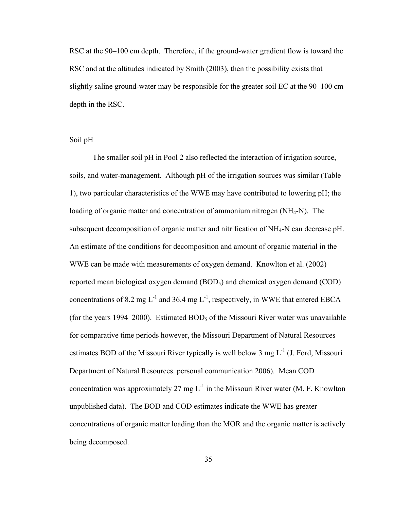RSC at the 90–100 cm depth. Therefore, if the ground-water gradient flow is toward the RSC and at the altitudes indicated by Smith (2003), then the possibility exists that slightly saline ground-water may be responsible for the greater soil EC at the 90–100 cm depth in the RSC.

## Soil pH

The smaller soil pH in Pool 2 also reflected the interaction of irrigation source, soils, and water-management. Although pH of the irrigation sources was similar (Table 1), two particular characteristics of the WWE may have contributed to lowering pH; the loading of organic matter and concentration of ammonium nitrogen (NH4-N). The subsequent decomposition of organic matter and nitrification of NH4-N can decrease pH. An estimate of the conditions for decomposition and amount of organic material in the WWE can be made with measurements of oxygen demand. Knowlton et al. (2002) reported mean biological oxygen demand (BOD<sub>5</sub>) and chemical oxygen demand (COD) concentrations of 8.2 mg  $L^{-1}$  and 36.4 mg  $L^{-1}$ , respectively, in WWE that entered EBCA (for the years 1994–2000). Estimated  $BOD<sub>5</sub>$  of the Missouri River water was unavailable for comparative time periods however, the Missouri Department of Natural Resources estimates BOD of the Missouri River typically is well below 3 mg  $L^{-1}$  (J. Ford, Missouri Department of Natural Resources. personal communication 2006). Mean COD concentration was approximately 27 mg  $L^{-1}$  in the Missouri River water (M. F. Knowlton unpublished data). The BOD and COD estimates indicate the WWE has greater concentrations of organic matter loading than the MOR and the organic matter is actively being decomposed.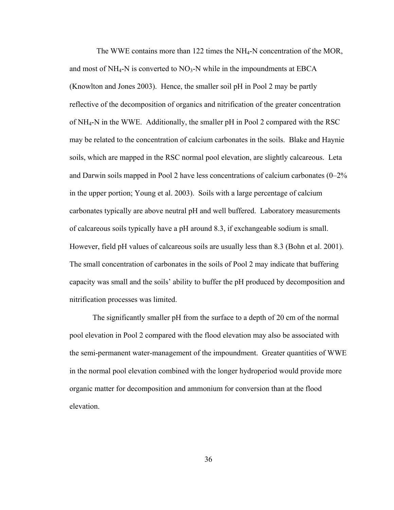The WWE contains more than 122 times the NH4-N concentration of the MOR, and most of  $NH_4$ -N is converted to  $NO_3$ -N while in the impoundments at EBCA (Knowlton and Jones 2003). Hence, the smaller soil pH in Pool 2 may be partly reflective of the decomposition of organics and nitrification of the greater concentration of NH4-N in the WWE. Additionally, the smaller pH in Pool 2 compared with the RSC may be related to the concentration of calcium carbonates in the soils. Blake and Haynie soils, which are mapped in the RSC normal pool elevation, are slightly calcareous. Leta and Darwin soils mapped in Pool 2 have less concentrations of calcium carbonates  $(0-2\%$ in the upper portion; Young et al. 2003). Soils with a large percentage of calcium carbonates typically are above neutral pH and well buffered. Laboratory measurements of calcareous soils typically have a pH around 8.3, if exchangeable sodium is small. However, field pH values of calcareous soils are usually less than 8.3 (Bohn et al. 2001). The small concentration of carbonates in the soils of Pool 2 may indicate that buffering capacity was small and the soils' ability to buffer the pH produced by decomposition and nitrification processes was limited.

The significantly smaller pH from the surface to a depth of 20 cm of the normal pool elevation in Pool 2 compared with the flood elevation may also be associated with the semi-permanent water-management of the impoundment. Greater quantities of WWE in the normal pool elevation combined with the longer hydroperiod would provide more organic matter for decomposition and ammonium for conversion than at the flood elevation.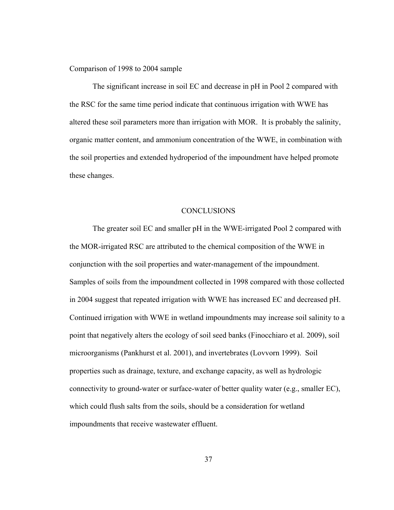Comparison of 1998 to 2004 sample

The significant increase in soil EC and decrease in pH in Pool 2 compared with the RSC for the same time period indicate that continuous irrigation with WWE has altered these soil parameters more than irrigation with MOR. It is probably the salinity, organic matter content, and ammonium concentration of the WWE, in combination with the soil properties and extended hydroperiod of the impoundment have helped promote these changes.

#### CONCLUSIONS

The greater soil EC and smaller pH in the WWE-irrigated Pool 2 compared with the MOR-irrigated RSC are attributed to the chemical composition of the WWE in conjunction with the soil properties and water-management of the impoundment. Samples of soils from the impoundment collected in 1998 compared with those collected in 2004 suggest that repeated irrigation with WWE has increased EC and decreased pH. Continued irrigation with WWE in wetland impoundments may increase soil salinity to a point that negatively alters the ecology of soil seed banks (Finocchiaro et al. 2009), soil microorganisms (Pankhurst et al. 2001), and invertebrates (Lovvorn 1999). Soil properties such as drainage, texture, and exchange capacity, as well as hydrologic connectivity to ground-water or surface-water of better quality water (e.g., smaller EC), which could flush salts from the soils, should be a consideration for wetland impoundments that receive wastewater effluent.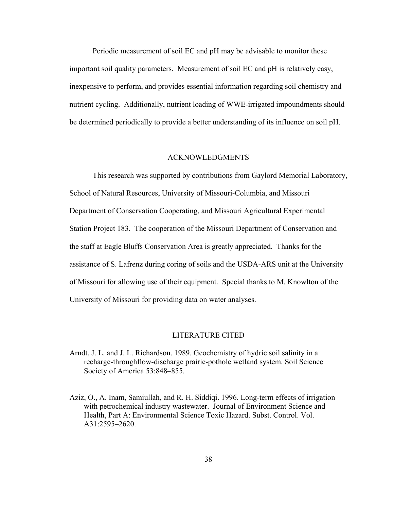Periodic measurement of soil EC and pH may be advisable to monitor these important soil quality parameters. Measurement of soil EC and pH is relatively easy, inexpensive to perform, and provides essential information regarding soil chemistry and nutrient cycling. Additionally, nutrient loading of WWE-irrigated impoundments should be determined periodically to provide a better understanding of its influence on soil pH.

## ACKNOWLEDGMENTS

This research was supported by contributions from Gaylord Memorial Laboratory, School of Natural Resources, University of Missouri-Columbia, and Missouri Department of Conservation Cooperating, and Missouri Agricultural Experimental Station Project 183. The cooperation of the Missouri Department of Conservation and the staff at Eagle Bluffs Conservation Area is greatly appreciated. Thanks for the assistance of S. Lafrenz during coring of soils and the USDA-ARS unit at the University of Missouri for allowing use of their equipment. Special thanks to M. Knowlton of the University of Missouri for providing data on water analyses.

## LITERATURE CITED

- Arndt, J. L. and J. L. Richardson. 1989. Geochemistry of hydric soil salinity in a recharge-throughflow-discharge prairie-pothole wetland system. Soil Science Society of America 53:848–855.
- Aziz, O., A. Inam, Samiullah, and R. H. Siddiqi. 1996. Long-term effects of irrigation with petrochemical industry wastewater. Journal of Environment Science and Health, Part A: Environmental Science Toxic Hazard. Subst. Control. Vol. A31:2595–2620.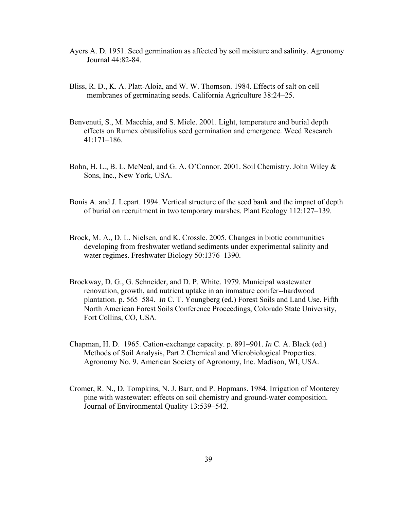- Ayers A. D. 1951. Seed germination as affected by soil moisture and salinity. Agronomy Journal 44:82-84.
- Bliss, R. D., K. A. Platt-Aloia, and W. W. Thomson. 1984. Effects of salt on cell membranes of germinating seeds. California Agriculture 38:24–25.
- Benvenuti, S., M. Macchia, and S. Miele. 2001. Light, temperature and burial depth effects on Rumex obtusifolius seed germination and emergence. Weed Research 41:171–186.
- Bohn, H. L., B. L. McNeal, and G. A. O'Connor. 2001. Soil Chemistry. John Wiley & Sons, Inc., New York, USA.
- Bonis A. and J. Lepart. 1994. Vertical structure of the seed bank and the impact of depth of burial on recruitment in two temporary marshes. Plant Ecology 112:127–139.
- Brock, M. A., D. L. Nielsen, and K. Crossle. 2005. Changes in biotic communities developing from freshwater wetland sediments under experimental salinity and water regimes. Freshwater Biology 50:1376–1390.
- Brockway, D. G., G. Schneider, and D. P. White. 1979. Municipal wastewater renovation, growth, and nutrient uptake in an immature conifer--hardwood plantation. p. 565–584. *In* C. T. Youngberg (ed.) Forest Soils and Land Use. Fifth North American Forest Soils Conference Proceedings, Colorado State University, Fort Collins, CO, USA.
- Chapman, H. D. 1965. Cation-exchange capacity. p. 891–901. *In* C. A. Black (ed.) Methods of Soil Analysis, Part 2 Chemical and Microbiological Properties. Agronomy No. 9. American Society of Agronomy, Inc. Madison, WI, USA.
- Cromer, R. N., D. Tompkins, N. J. Barr, and P. Hopmans. 1984. Irrigation of Monterey pine with wastewater: effects on soil chemistry and ground-water composition. Journal of Environmental Quality 13:539–542.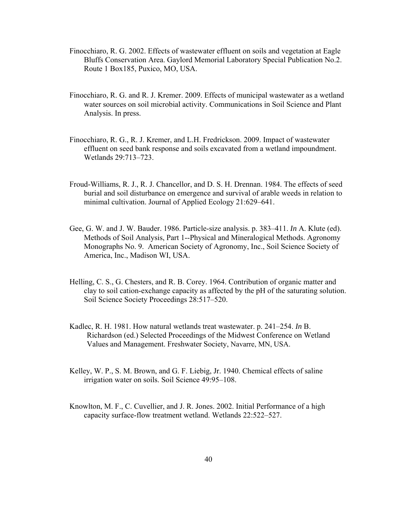- Finocchiaro, R. G. 2002. Effects of wastewater effluent on soils and vegetation at Eagle Bluffs Conservation Area. Gaylord Memorial Laboratory Special Publication No.2. Route 1 Box185, Puxico, MO, USA.
- Finocchiaro, R. G. and R. J. Kremer. 2009. Effects of municipal wastewater as a wetland water sources on soil microbial activity. Communications in Soil Science and Plant Analysis. In press.
- Finocchiaro, R. G., R. J. Kremer, and L.H. Fredrickson. 2009. Impact of wastewater effluent on seed bank response and soils excavated from a wetland impoundment. Wetlands 29:713–723.
- Froud-Williams, R. J., R. J. Chancellor, and D. S. H. Drennan. 1984. The effects of seed burial and soil disturbance on emergence and survival of arable weeds in relation to minimal cultivation. Journal of Applied Ecology 21:629–641.
- Gee, G. W. and J. W. Bauder. 1986. Particle-size analysis. p. 383–411. *In* A. Klute (ed). Methods of Soil Analysis, Part 1--Physical and Mineralogical Methods. Agronomy Monographs No. 9. American Society of Agronomy, Inc., Soil Science Society of America, Inc., Madison WI, USA.
- Helling, C. S., G. Chesters, and R. B. Corey. 1964. Contribution of organic matter and clay to soil cation-exchange capacity as affected by the pH of the saturating solution. Soil Science Society Proceedings 28:517–520.
- Kadlec, R. H. 1981. How natural wetlands treat wastewater. p. 241–254. *In* B. Richardson (ed.) Selected Proceedings of the Midwest Conference on Wetland Values and Management. Freshwater Society, Navarre, MN, USA.
- Kelley, W. P., S. M. Brown, and G. F. Liebig, Jr. 1940. Chemical effects of saline irrigation water on soils. Soil Science 49:95–108.
- Knowlton, M. F., C. Cuvellier, and J. R. Jones. 2002. Initial Performance of a high capacity surface-flow treatment wetland. Wetlands 22:522–527.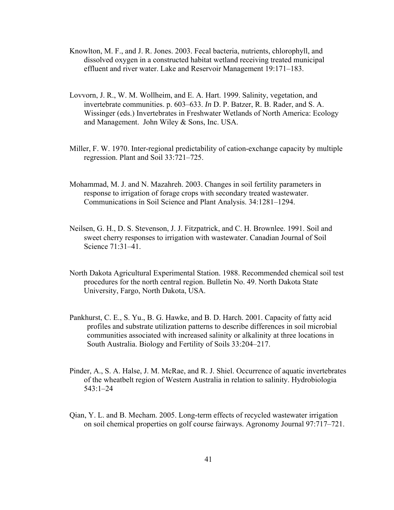- Knowlton, M. F., and J. R. Jones. 2003. Fecal bacteria, nutrients, chlorophyll, and dissolved oxygen in a constructed habitat wetland receiving treated municipal effluent and river water. Lake and Reservoir Management 19:171–183.
- Lovvorn, J. R., W. M. Wollheim, and E. A. Hart. 1999. Salinity, vegetation, and invertebrate communities. p. 603–633. *In* D. P. Batzer, R. B. Rader, and S. A. Wissinger (eds.) Invertebrates in Freshwater Wetlands of North America: Ecology and Management. John Wiley & Sons, Inc. USA.
- Miller, F. W. 1970. Inter-regional predictability of cation-exchange capacity by multiple regression. Plant and Soil 33:721–725.
- Mohammad, M. J. and N. Mazahreh. 2003. Changes in soil fertility parameters in response to irrigation of forage crops with secondary treated wastewater. Communications in Soil Science and Plant Analysis. 34:1281–1294.
- Neilsen, G. H., D. S. Stevenson, J. J. Fitzpatrick, and C. H. Brownlee. 1991. Soil and sweet cherry responses to irrigation with wastewater. Canadian Journal of Soil Science 71:31–41.
- North Dakota Agricultural Experimental Station. 1988. Recommended chemical soil test procedures for the north central region. Bulletin No. 49. North Dakota State University, Fargo, North Dakota, USA.
- Pankhurst, C. E., S. Yu., B. G. Hawke, and B. D. Harch. 2001. Capacity of fatty acid profiles and substrate utilization patterns to describe differences in soil microbial communities associated with increased salinity or alkalinity at three locations in South Australia. Biology and Fertility of Soils 33:204–217.
- Pinder, A., S. A. Halse, J. M. McRae, and R. J. Shiel. Occurrence of aquatic invertebrates of the wheatbelt region of Western Australia in relation to salinity. Hydrobiologia 543:1–24
- Qian, Y. L. and B. Mecham. 2005. Long-term effects of recycled wastewater irrigation on soil chemical properties on golf course fairways. Agronomy Journal 97:717–721.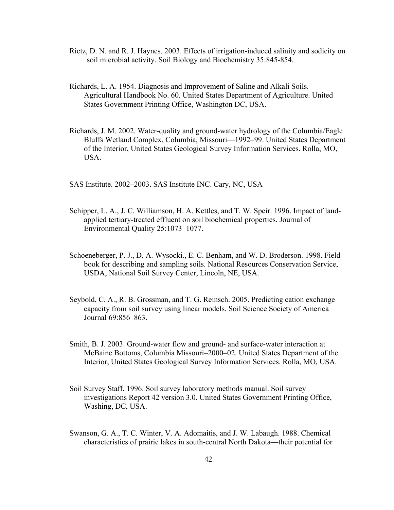- Rietz, D. N. and R. J. Haynes. 2003. Effects of irrigation-induced salinity and sodicity on soil microbial activity. Soil Biology and Biochemistry 35:845-854.
- Richards, L. A. 1954. Diagnosis and Improvement of Saline and Alkali Soils. Agricultural Handbook No. 60. United States Department of Agriculture. United States Government Printing Office, Washington DC, USA.
- Richards, J. M. 2002. Water-quality and ground-water hydrology of the Columbia/Eagle Bluffs Wetland Complex, Columbia, Missouri—1992–99. United States Department of the Interior, United States Geological Survey Information Services. Rolla, MO, USA.

SAS Institute. 2002–2003. SAS Institute INC. Cary, NC, USA

- Schipper, L. A., J. C. Williamson, H. A. Kettles, and T. W. Speir. 1996. Impact of landapplied tertiary-treated effluent on soil biochemical properties. Journal of Environmental Quality 25:1073–1077.
- Schoeneberger, P. J., D. A. Wysocki., E. C. Benham, and W. D. Broderson. 1998. Field book for describing and sampling soils. National Resources Conservation Service, USDA, National Soil Survey Center, Lincoln, NE, USA.
- Seybold, C. A., R. B. Grossman, and T. G. Reinsch. 2005. Predicting cation exchange capacity from soil survey using linear models. Soil Science Society of America Journal 69:856–863.
- Smith, B. J. 2003. Ground-water flow and ground- and surface-water interaction at McBaine Bottoms, Columbia Missouri–2000–02. United States Department of the Interior, United States Geological Survey Information Services. Rolla, MO, USA.
- Soil Survey Staff. 1996. Soil survey laboratory methods manual. Soil survey investigations Report 42 version 3.0. United States Government Printing Office, Washing, DC, USA.
- Swanson, G. A., T. C. Winter, V. A. Adomaitis, and J. W. Labaugh. 1988. Chemical characteristics of prairie lakes in south-central North Dakota—their potential for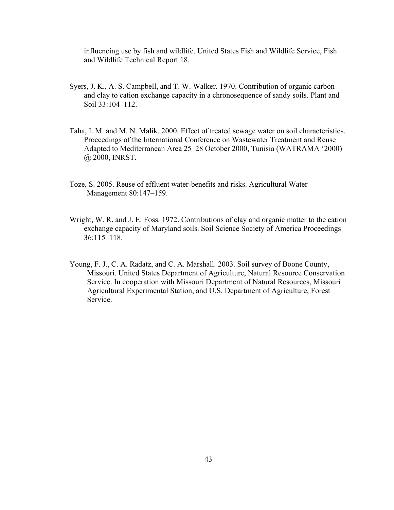influencing use by fish and wildlife. United States Fish and Wildlife Service, Fish and Wildlife Technical Report 18.

- Syers, J. K., A. S. Campbell, and T. W. Walker. 1970. Contribution of organic carbon and clay to cation exchange capacity in a chronosequence of sandy soils. Plant and Soil 33:104–112.
- Taha, I. M. and M. N. Malik. 2000. Effect of treated sewage water on soil characteristics. Proceedings of the International Conference on Wastewater Treatment and Reuse Adapted to Mediterranean Area 25–28 October 2000, Tunisia (WATRAMA '2000) @ 2000, INRST.
- Toze, S. 2005. Reuse of effluent water-benefits and risks. Agricultural Water Management 80:147–159.
- Wright, W. R. and J. E. Foss. 1972. Contributions of clay and organic matter to the cation exchange capacity of Maryland soils. Soil Science Society of America Proceedings 36:115–118.
- Young, F. J., C. A. Radatz, and C. A. Marshall. 2003. Soil survey of Boone County, Missouri. United States Department of Agriculture, Natural Resource Conservation Service. In cooperation with Missouri Department of Natural Resources, Missouri Agricultural Experimental Station, and U.S. Department of Agriculture, Forest Service.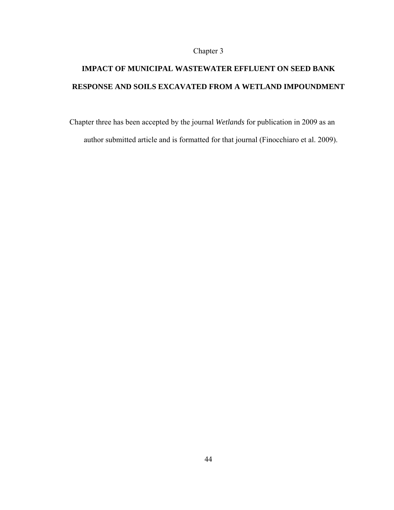# Chapter 3

# **IMPACT OF MUNICIPAL WASTEWATER EFFLUENT ON SEED BANK RESPONSE AND SOILS EXCAVATED FROM A WETLAND IMPOUNDMENT**

Chapter three has been accepted by the journal *Wetlands* for publication in 2009 as an author submitted article and is formatted for that journal (Finocchiaro et al. 2009).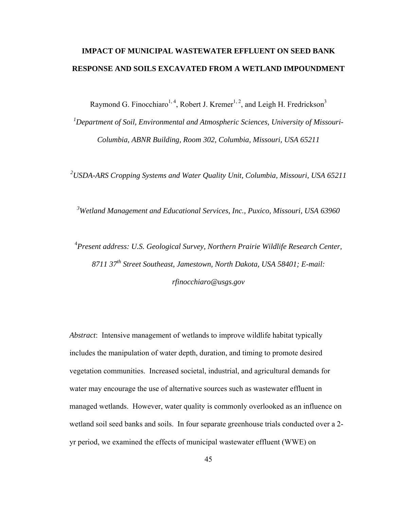# **IMPACT OF MUNICIPAL WASTEWATER EFFLUENT ON SEED BANK RESPONSE AND SOILS EXCAVATED FROM A WETLAND IMPOUNDMENT**

Raymond G. Finocchiaro<sup>1, 4</sup>, Robert J. Kremer<sup>1, 2</sup>, and Leigh H. Fredrickson<sup>3</sup>

*1 Department of Soil, Environmental and Atmospheric Sciences, University of Missouri-Columbia, ABNR Building, Room 302, Columbia, Missouri, USA 65211* 

*2 USDA-ARS Cropping Systems and Water Quality Unit, Columbia, Missouri, USA 65211* 

*3 Wetland Management and Educational Services, Inc., Puxico, Missouri, USA 63960* 

4 *Present address: U.S. Geological Survey, Northern Prairie Wildlife Research Center, 8711 37th Street Southeast, Jamestown, North Dakota, USA 58401; E-mail: rfinocchiaro@usgs.gov* 

*Abstract*: Intensive management of wetlands to improve wildlife habitat typically includes the manipulation of water depth, duration, and timing to promote desired vegetation communities. Increased societal, industrial, and agricultural demands for water may encourage the use of alternative sources such as wastewater effluent in managed wetlands. However, water quality is commonly overlooked as an influence on wetland soil seed banks and soils. In four separate greenhouse trials conducted over a 2 yr period, we examined the effects of municipal wastewater effluent (WWE) on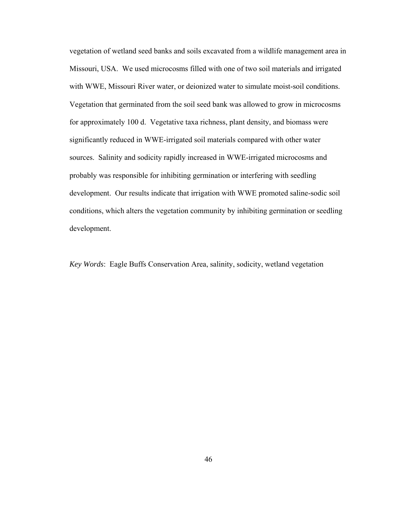vegetation of wetland seed banks and soils excavated from a wildlife management area in Missouri, USA. We used microcosms filled with one of two soil materials and irrigated with WWE, Missouri River water, or deionized water to simulate moist-soil conditions. Vegetation that germinated from the soil seed bank was allowed to grow in microcosms for approximately 100 d. Vegetative taxa richness, plant density, and biomass were significantly reduced in WWE-irrigated soil materials compared with other water sources. Salinity and sodicity rapidly increased in WWE-irrigated microcosms and probably was responsible for inhibiting germination or interfering with seedling development. Our results indicate that irrigation with WWE promoted saline-sodic soil conditions, which alters the vegetation community by inhibiting germination or seedling development.

*Key Words*: Eagle Buffs Conservation Area, salinity, sodicity, wetland vegetation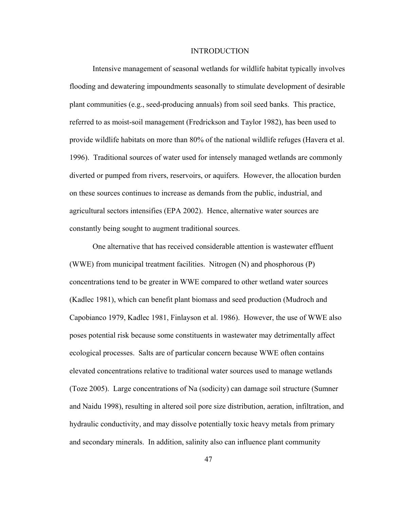## INTRODUCTION

Intensive management of seasonal wetlands for wildlife habitat typically involves flooding and dewatering impoundments seasonally to stimulate development of desirable plant communities (e.g., seed-producing annuals) from soil seed banks. This practice, referred to as moist-soil management (Fredrickson and Taylor 1982), has been used to provide wildlife habitats on more than 80% of the national wildlife refuges (Havera et al. 1996). Traditional sources of water used for intensely managed wetlands are commonly diverted or pumped from rivers, reservoirs, or aquifers. However, the allocation burden on these sources continues to increase as demands from the public, industrial, and agricultural sectors intensifies (EPA 2002). Hence, alternative water sources are constantly being sought to augment traditional sources.

One alternative that has received considerable attention is wastewater effluent (WWE) from municipal treatment facilities. Nitrogen (N) and phosphorous (P) concentrations tend to be greater in WWE compared to other wetland water sources (Kadlec 1981), which can benefit plant biomass and seed production (Mudroch and Capobianco 1979, Kadlec 1981, Finlayson et al. 1986). However, the use of WWE also poses potential risk because some constituents in wastewater may detrimentally affect ecological processes. Salts are of particular concern because WWE often contains elevated concentrations relative to traditional water sources used to manage wetlands (Toze 2005). Large concentrations of Na (sodicity) can damage soil structure (Sumner and Naidu 1998), resulting in altered soil pore size distribution, aeration, infiltration, and hydraulic conductivity, and may dissolve potentially toxic heavy metals from primary and secondary minerals. In addition, salinity also can influence plant community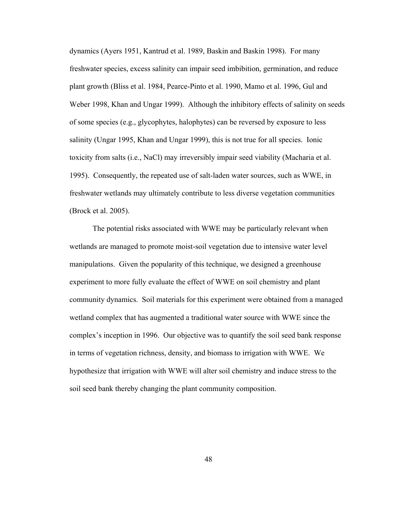dynamics (Ayers 1951, Kantrud et al. 1989, Baskin and Baskin 1998). For many freshwater species, excess salinity can impair seed imbibition, germination, and reduce plant growth (Bliss et al. 1984, Pearce-Pinto et al. 1990, Mamo et al. 1996, Gul and Weber 1998, Khan and Ungar 1999). Although the inhibitory effects of salinity on seeds of some species (e.g., glycophytes, halophytes) can be reversed by exposure to less salinity (Ungar 1995, Khan and Ungar 1999), this is not true for all species. Ionic toxicity from salts (i.e., NaCl) may irreversibly impair seed viability (Macharia et al. 1995). Consequently, the repeated use of salt-laden water sources, such as WWE, in freshwater wetlands may ultimately contribute to less diverse vegetation communities (Brock et al. 2005).

The potential risks associated with WWE may be particularly relevant when wetlands are managed to promote moist-soil vegetation due to intensive water level manipulations. Given the popularity of this technique, we designed a greenhouse experiment to more fully evaluate the effect of WWE on soil chemistry and plant community dynamics. Soil materials for this experiment were obtained from a managed wetland complex that has augmented a traditional water source with WWE since the complex's inception in 1996. Our objective was to quantify the soil seed bank response in terms of vegetation richness, density, and biomass to irrigation with WWE. We hypothesize that irrigation with WWE will alter soil chemistry and induce stress to the soil seed bank thereby changing the plant community composition.

48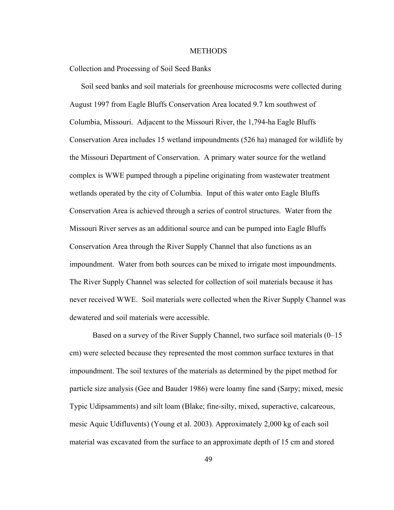## **METHODS**

Collection and Processing of Soil Seed Banks

 Soil seed banks and soil materials for greenhouse microcosms were collected during August 1997 from Eagle Bluffs Conservation Area located 9.7 km southwest of Columbia, Missouri. Adjacent to the Missouri River, the 1,794-ha Eagle Bluffs Conservation Area includes 15 wetland impoundments (526 ha) managed for wildlife by the Missouri Department of Conservation. A primary water source for the wetland complex is WWE pumped through a pipeline originating from wastewater treatment wetlands operated by the city of Columbia. Input of this water onto Eagle Bluffs Conservation Area is achieved through a series of control structures. Water from the Missouri River serves as an additional source and can be pumped into Eagle Bluffs Conservation Area through the River Supply Channel that also functions as an impoundment. Water from both sources can be mixed to irrigate most impoundments. The River Supply Channel was selected for collection of soil materials because it has never received WWE. Soil materials were collected when the River Supply Channel was dewatered and soil materials were accessible.

Based on a survey of the River Supply Channel, two surface soil materials (0–15 cm) were selected because they represented the most common surface textures in that impoundment. The soil textures of the materials as determined by the pipet method for particle size analysis (Gee and Bauder 1986) were loamy fine sand (Sarpy; mixed, mesic Typic Udipsamments) and silt loam (Blake; fine-silty, mixed, superactive, calcareous, mesic Aquic Udifluvents) (Young et al. 2003). Approximately 2,000 kg of each soil material was excavated from the surface to an approximate depth of 15 cm and stored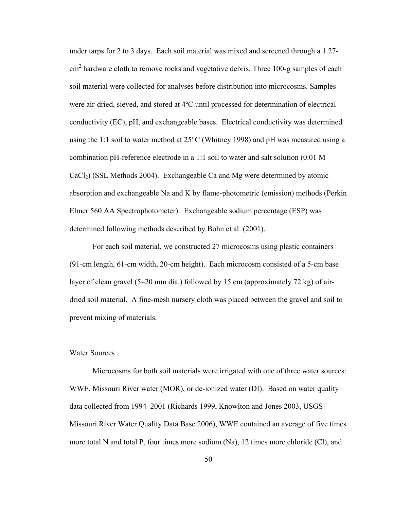under tarps for 2 to 3 days. Each soil material was mixed and screened through a 1.27-  $\text{cm}^2$  hardware cloth to remove rocks and vegetative debris. Three 100-g samples of each soil material were collected for analyses before distribution into microcosms. Samples were air-dried, sieved, and stored at 4ºC until processed for determination of electrical conductivity (EC), pH, and exchangeable bases. Electrical conductivity was determined using the 1:1 soil to water method at  $25^{\circ}$ C (Whitney 1998) and pH was measured using a combination pH-reference electrode in a 1:1 soil to water and salt solution (0.01 M  $CaCl<sub>2</sub>$ ) (SSL Methods 2004). Exchangeable Ca and Mg were determined by atomic absorption and exchangeable Na and K by flame-photometric (emission) methods (Perkin Elmer 560 AA Spectrophotometer). Exchangeable sodium percentage (ESP) was determined following methods described by Bohn et al. (2001).

For each soil material, we constructed 27 microcosms using plastic containers (91-cm length, 61-cm width, 20-cm height). Each microcosm consisted of a 5-cm base layer of clean gravel (5–20 mm dia.) followed by 15 cm (approximately 72 kg) of airdried soil material. A fine-mesh nursery cloth was placed between the gravel and soil to prevent mixing of materials.

## Water Sources

Microcosms for both soil materials were irrigated with one of three water sources: WWE, Missouri River water (MOR), or de-ionized water (DI). Based on water quality data collected from 1994–2001 (Richards 1999, Knowlton and Jones 2003, USGS Missouri River Water Quality Data Base 2006), WWE contained an average of five times more total N and total P, four times more sodium (Na), 12 times more chloride (Cl), and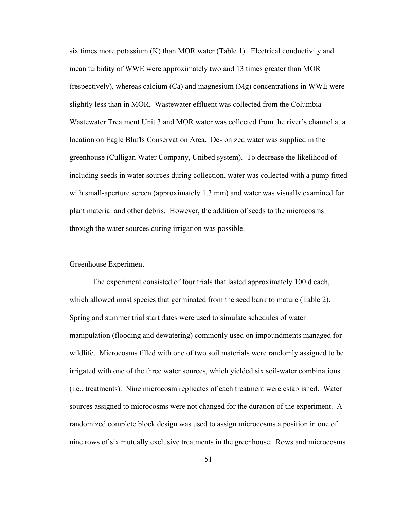six times more potassium (K) than MOR water (Table 1). Electrical conductivity and mean turbidity of WWE were approximately two and 13 times greater than MOR (respectively), whereas calcium (Ca) and magnesium (Mg) concentrations in WWE were slightly less than in MOR. Wastewater effluent was collected from the Columbia Wastewater Treatment Unit 3 and MOR water was collected from the river's channel at a location on Eagle Bluffs Conservation Area. De-ionized water was supplied in the greenhouse (Culligan Water Company, Unibed system). To decrease the likelihood of including seeds in water sources during collection, water was collected with a pump fitted with small-aperture screen (approximately 1.3 mm) and water was visually examined for plant material and other debris. However, the addition of seeds to the microcosms through the water sources during irrigation was possible.

## Greenhouse Experiment

The experiment consisted of four trials that lasted approximately 100 d each, which allowed most species that germinated from the seed bank to mature (Table 2). Spring and summer trial start dates were used to simulate schedules of water manipulation (flooding and dewatering) commonly used on impoundments managed for wildlife. Microcosms filled with one of two soil materials were randomly assigned to be irrigated with one of the three water sources, which yielded six soil-water combinations (i.e., treatments). Nine microcosm replicates of each treatment were established. Water sources assigned to microcosms were not changed for the duration of the experiment. A randomized complete block design was used to assign microcosms a position in one of nine rows of six mutually exclusive treatments in the greenhouse. Rows and microcosms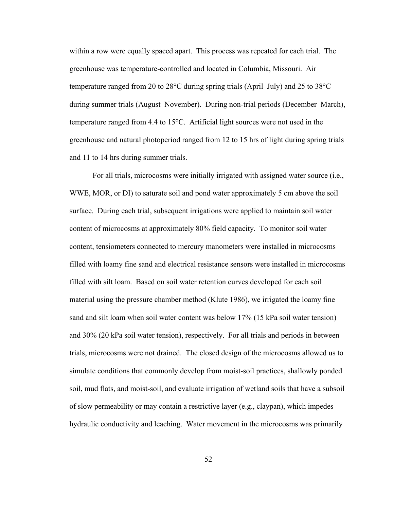within a row were equally spaced apart. This process was repeated for each trial. The greenhouse was temperature-controlled and located in Columbia, Missouri. Air temperature ranged from 20 to 28°C during spring trials (April–July) and 25 to 38°C during summer trials (August–November). During non-trial periods (December–March), temperature ranged from 4.4 to 15°C. Artificial light sources were not used in the greenhouse and natural photoperiod ranged from 12 to 15 hrs of light during spring trials and 11 to 14 hrs during summer trials.

For all trials, microcosms were initially irrigated with assigned water source (i.e., WWE, MOR, or DI) to saturate soil and pond water approximately 5 cm above the soil surface. During each trial, subsequent irrigations were applied to maintain soil water content of microcosms at approximately 80% field capacity. To monitor soil water content, tensiometers connected to mercury manometers were installed in microcosms filled with loamy fine sand and electrical resistance sensors were installed in microcosms filled with silt loam. Based on soil water retention curves developed for each soil material using the pressure chamber method (Klute 1986), we irrigated the loamy fine sand and silt loam when soil water content was below 17% (15 kPa soil water tension) and 30% (20 kPa soil water tension), respectively. For all trials and periods in between trials, microcosms were not drained. The closed design of the microcosms allowed us to simulate conditions that commonly develop from moist-soil practices, shallowly ponded soil, mud flats, and moist-soil, and evaluate irrigation of wetland soils that have a subsoil of slow permeability or may contain a restrictive layer (e.g., claypan), which impedes hydraulic conductivity and leaching. Water movement in the microcosms was primarily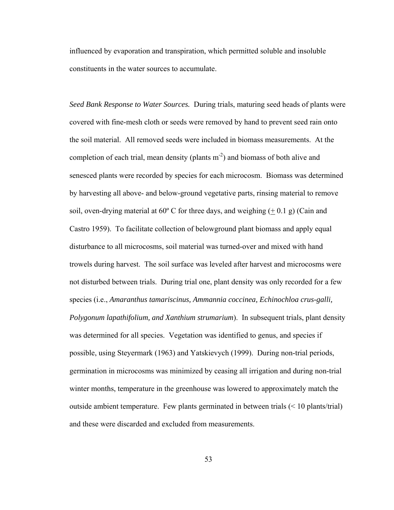influenced by evaporation and transpiration, which permitted soluble and insoluble constituents in the water sources to accumulate.

*Seed Bank Response to Water Sources.*During trials, maturing seed heads of plants were covered with fine-mesh cloth or seeds were removed by hand to prevent seed rain onto the soil material. All removed seeds were included in biomass measurements. At the completion of each trial, mean density (plants  $m<sup>-2</sup>$ ) and biomass of both alive and senesced plants were recorded by species for each microcosm. Biomass was determined by harvesting all above- and below-ground vegetative parts, rinsing material to remove soil, oven-drying material at 60 $\degree$  C for three days, and weighing ( $\pm$  0.1 g) (Cain and Castro 1959). To facilitate collection of belowground plant biomass and apply equal disturbance to all microcosms, soil material was turned-over and mixed with hand trowels during harvest. The soil surface was leveled after harvest and microcosms were not disturbed between trials. During trial one, plant density was only recorded for a few species (i.e., *Amaranthus tamariscinus, Ammannia coccinea, Echinochloa crus-galli, Polygonum lapathifolium, and Xanthium strumarium*). In subsequent trials, plant density was determined for all species. Vegetation was identified to genus, and species if possible, using Steyermark (1963) and Yatskievych (1999). During non-trial periods, germination in microcosms was minimized by ceasing all irrigation and during non-trial winter months, temperature in the greenhouse was lowered to approximately match the outside ambient temperature. Few plants germinated in between trials (< 10 plants/trial) and these were discarded and excluded from measurements.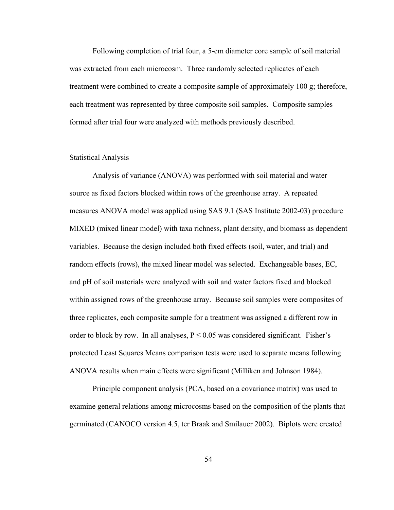Following completion of trial four, a 5-cm diameter core sample of soil material was extracted from each microcosm. Three randomly selected replicates of each treatment were combined to create a composite sample of approximately 100 g; therefore, each treatment was represented by three composite soil samples. Composite samples formed after trial four were analyzed with methods previously described.

## Statistical Analysis

Analysis of variance (ANOVA) was performed with soil material and water source as fixed factors blocked within rows of the greenhouse array. A repeated measures ANOVA model was applied using SAS 9.1 (SAS Institute 2002-03) procedure MIXED (mixed linear model) with taxa richness, plant density, and biomass as dependent variables. Because the design included both fixed effects (soil, water, and trial) and random effects (rows), the mixed linear model was selected. Exchangeable bases, EC, and pH of soil materials were analyzed with soil and water factors fixed and blocked within assigned rows of the greenhouse array. Because soil samples were composites of three replicates, each composite sample for a treatment was assigned a different row in order to block by row. In all analyses,  $P \le 0.05$  was considered significant. Fisher's protected Least Squares Means comparison tests were used to separate means following ANOVA results when main effects were significant (Milliken and Johnson 1984).

 Principle component analysis (PCA, based on a covariance matrix) was used to examine general relations among microcosms based on the composition of the plants that germinated (CANOCO version 4.5, ter Braak and Smilauer 2002). Biplots were created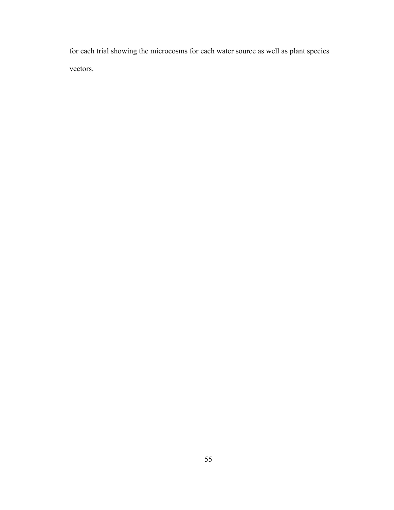for each trial showing the microcosms for each water source as well as plant species vectors.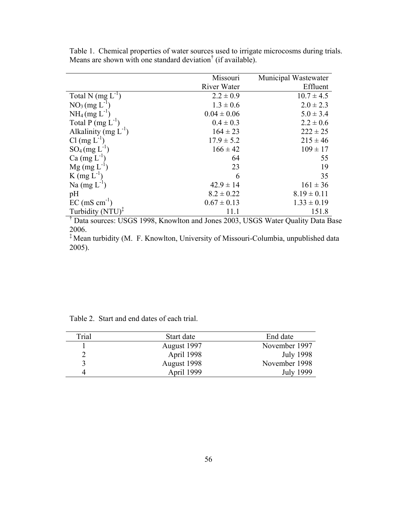|                              | Missouri        | Municipal Wastewater |
|------------------------------|-----------------|----------------------|
|                              | River Water     | Effluent             |
| Total N $(mg L^{-1})$        | $2.2 \pm 0.9$   | $10.7 \pm 4.5$       |
| $NO3 (mg L-1)$               | $1.3 \pm 0.6$   | $2.0 \pm 2.3$        |
| $NH_4$ (mg $L^{-1}$ )        | $0.04 \pm 0.06$ | $5.0 \pm 3.4$        |
| Total P $(mg L^{-1})$        | $0.4 \pm 0.3$   | $2.2 \pm 0.6$        |
| Alkalinity (mg $L^{-1}$ )    | $164 \pm 23$    | $222 \pm 25$         |
| $Cl$ (mg $L^{-1}$ )          | $17.9 \pm 5.2$  | $215 \pm 46$         |
| $SO_4$ (mg $L^{-1}$ )        | $166 \pm 42$    | $109 \pm 17$         |
| $Ca \, (\text{mg } L^{-1})$  | 64              | 55                   |
| $Mg$ (mg $L^{-1}$ )          | 23              | 19                   |
| $K$ (mg $L^{-1}$ )           | 6               | 35                   |
| Na $(mg L-1)$                | $42.9 \pm 14$   | $161 \pm 36$         |
| pH                           | $8.2 \pm 0.22$  | $8.19 \pm 0.11$      |
| $EC \text{ (mS cm}^{-1})$    | $0.67 \pm 0.13$ | $1.33 \pm 0.19$      |
| Turbidity $(NTU)^{\ddagger}$ | 11.1            | 151.8                |

Table 1. Chemical properties of water sources used to irrigate microcosms during trials. Means are shown with one standard deviation<sup>†</sup> (if available).

† Data sources: USGS 1998, Knowlton and Jones 2003, USGS Water Quality Data Base 2006.

‡ Mean turbidity (M. F. Knowlton, University of Missouri-Columbia, unpublished data 2005).

| Trial | Start date  | End date         |
|-------|-------------|------------------|
|       | August 1997 | November 1997    |
|       | April 1998  | <b>July 1998</b> |
|       | August 1998 | November 1998    |
|       | April 1999  | <b>July 1999</b> |

Table 2. Start and end dates of each trial.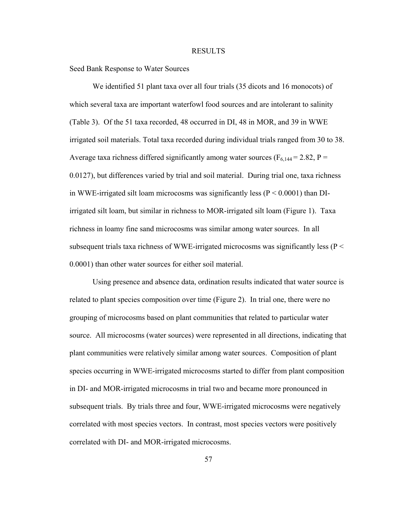## RESULTS

Seed Bank Response to Water Sources

 We identified 51 plant taxa over all four trials (35 dicots and 16 monocots) of which several taxa are important waterfowl food sources and are intolerant to salinity (Table 3). Of the 51 taxa recorded, 48 occurred in DI, 48 in MOR, and 39 in WWE irrigated soil materials. Total taxa recorded during individual trials ranged from 30 to 38. Average taxa richness differed significantly among water sources ( $F_{6,144} = 2.82$ , P = 0.0127), but differences varied by trial and soil material. During trial one, taxa richness in WWE-irrigated silt loam microcosms was significantly less ( $P < 0.0001$ ) than DIirrigated silt loam, but similar in richness to MOR-irrigated silt loam (Figure 1). Taxa richness in loamy fine sand microcosms was similar among water sources. In all subsequent trials taxa richness of WWE-irrigated microcosms was significantly less ( $P \le$ 0.0001) than other water sources for either soil material.

Using presence and absence data, ordination results indicated that water source is related to plant species composition over time (Figure 2). In trial one, there were no grouping of microcosms based on plant communities that related to particular water source. All microcosms (water sources) were represented in all directions, indicating that plant communities were relatively similar among water sources. Composition of plant species occurring in WWE-irrigated microcosms started to differ from plant composition in DI- and MOR-irrigated microcosms in trial two and became more pronounced in subsequent trials. By trials three and four, WWE-irrigated microcosms were negatively correlated with most species vectors. In contrast, most species vectors were positively correlated with DI- and MOR-irrigated microcosms.

57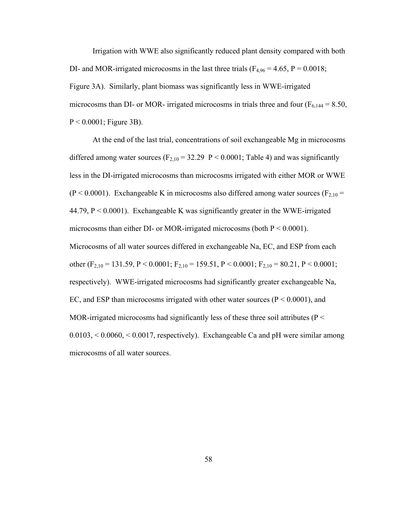Irrigation with WWE also significantly reduced plant density compared with both DI- and MOR-irrigated microcosms in the last three trials ( $F_{4,96} = 4.65$ ,  $P = 0.0018$ ; Figure 3A). Similarly, plant biomass was significantly less in WWE-irrigated microcosms than DI- or MOR- irrigated microcosms in trials three and four ( $F_{6,144} = 8.50$ ,  $P < 0.0001$ ; Figure 3B).

 At the end of the last trial, concentrations of soil exchangeable Mg in microcosms differed among water sources ( $F_{2,10} = 32.29$  P < 0.0001; Table 4) and was significantly less in the DI-irrigated microcosms than microcosms irrigated with either MOR or WWE  $(P < 0.0001)$ . Exchangeable K in microcosms also differed among water sources  $(F<sub>2,10</sub> =$ 44.79,  $P < 0.0001$ ). Exchangeable K was significantly greater in the WWE-irrigated microcosms than either DI- or MOR-irrigated microcosms (both  $P < 0.0001$ ). Microcosms of all water sources differed in exchangeable Na, EC, and ESP from each other (F<sub>2,10</sub> = 131.59, P < 0.0001; F<sub>2,10</sub> = 159.51, P < 0.0001; F<sub>2,10</sub> = 80.21, P < 0.0001; respectively). WWE-irrigated microcosms had significantly greater exchangeable Na, EC, and ESP than microcosms irrigated with other water sources ( $P < 0.0001$ ), and MOR-irrigated microcosms had significantly less of these three soil attributes ( $P <$  $0.0103$ ,  $\leq 0.0060$ ,  $\leq 0.0017$ , respectively). Exchangeable Ca and pH were similar among microcosms of all water sources.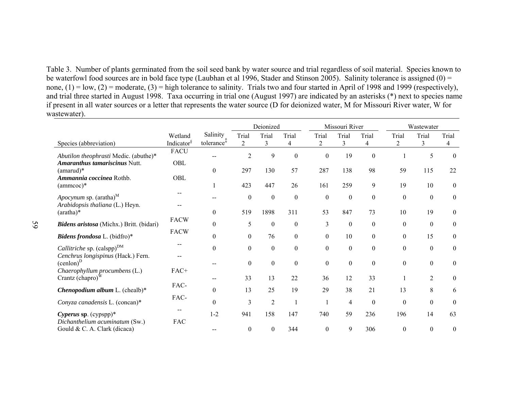Table 3. Number of plants germinated from the soil seed bank by water source and trial regardless of soil material. Species known to be waterfowl food sources are in bold face type (Laubhan et al 1996, Stader and Stinson 2005). Salinity tolerance is assigned (0) = none,  $(1) = \text{low}, (2) = \text{moderate}, (3) = \text{high tolerance to salinity}$ . Trials two and four started in April of 1998 and 1999 (respectively), and trial three started in August 1998. Taxa occurring in trial one (August 1997) are indicated by an asterisks (\*) next to species name if present in all water sources or a letter that represents the water source (D for deionized water, M for Missouri River water, W for wastewater).

|                                                                |                          |                        | Deionized        |                  |                  |                  | Missouri River   |              | Wastewater       |                  |                  |
|----------------------------------------------------------------|--------------------------|------------------------|------------------|------------------|------------------|------------------|------------------|--------------|------------------|------------------|------------------|
|                                                                | Wetland                  | Salinity               | Trial            | Trial            | Trial            | Trial            | Trial            | Trial        | Trial            | Trial            | Trial            |
| Species (abbreviation)                                         | Indicator <sup>§</sup>   | tolerance <sup>+</sup> | $\overline{2}$   | 3                | 4                | $\overline{2}$   | 3                | 4            | $\overline{c}$   | 3                | 4                |
| Abutilon theophrasti Medic. (abuthe)*                          | <b>FACU</b>              |                        | $\overline{c}$   | 9                | $\theta$         | $\boldsymbol{0}$ | 19               | $\mathbf{0}$ |                  | 5                | $\mathbf{0}$     |
| Amaranthus tamariscinus Nutt.<br>$(amarud)*$                   | OBL                      | $\mathbf{0}$           | 297              | 130              | 57               | 287              | 138              | 98           | 59               | 115              | 22               |
| <i>Ammannia coccinea</i> Rothb.<br>$(ammcoc)*$                 | OBL                      | 1                      | 423              | 447              | 26               | 161              | 259              | 9            | 19               | 10               | $\mathbf{0}$     |
| Apocynum sp. (aratha) <sup>M</sup>                             | $\overline{\phantom{m}}$ |                        | $\boldsymbol{0}$ | $\boldsymbol{0}$ | $\Omega$         | $\boldsymbol{0}$ | $\boldsymbol{0}$ | $\theta$     | $\boldsymbol{0}$ | $\theta$         | $\boldsymbol{0}$ |
| Arabidopsis thaliana (L.) Heyn.<br>$(\text{aratha})^*$         |                          | $\theta$               | 519              | 1898             | 311              | 53               | 847              | 73           | 10               | 19               | $\boldsymbol{0}$ |
| Bidens aristosa (Michx.) Britt. (bidari)                       | <b>FACW</b>              | $\theta$               | 5                | $\boldsymbol{0}$ | $\mathbf{0}$     | 3                | $\boldsymbol{0}$ | $\theta$     | $\boldsymbol{0}$ | $\theta$         | $\boldsymbol{0}$ |
| Bidens frondosa L. (bidfro)*                                   | <b>FACW</b>              | $\theta$               | $\boldsymbol{0}$ | 76               | $\boldsymbol{0}$ | $\boldsymbol{0}$ | 10               | $\theta$     | $\boldsymbol{0}$ | 15               | $\mathbf{0}$     |
| Callitriche sp. $(calspp)^{DM}$                                |                          | $\theta$               | $\boldsymbol{0}$ | $\mathbf{0}$     | $\theta$         | $\boldsymbol{0}$ | $\boldsymbol{0}$ | $\theta$     | $\boldsymbol{0}$ | $\theta$         | $\mathbf{0}$     |
| Cenchrus longispinus (Hack.) Fern.<br>$(cenlon)^D$             |                          |                        | $\boldsymbol{0}$ | $\boldsymbol{0}$ | $\overline{0}$   | $\boldsymbol{0}$ | $\boldsymbol{0}$ | $\theta$     | $\boldsymbol{0}$ | $\boldsymbol{0}$ | $\boldsymbol{0}$ |
| Chaerophyllum procumbens (L.)<br>Crantz $(\text{chapro})^W$    | FAC+                     |                        | 33               | 13               | 22               | 36               | 12               | 33           |                  | $\overline{2}$   | $\mathbf{0}$     |
| Chenopodium album L. (chealb)*                                 | FAC-                     | $\mathbf{0}$           | 13               | 25               | 19               | 29               | 38               | 21           | 13               | 8                | 6                |
| Conyza canadensis L. (concan)*                                 | FAC-                     | $\Omega$               | 3                | $\overline{2}$   |                  |                  | $\overline{4}$   | $\theta$     | $\boldsymbol{0}$ | $\mathbf{0}$     | $\theta$         |
| Cyperus sp. (cypspp)*                                          |                          | $1 - 2$                | 941              | 158              | 147              | 740              | 59               | 236          | 196              | 14               | 63               |
| Dichanthelium acuminatum (Sw.)<br>Gould & C. A. Clark (dicaca) | <b>FAC</b>               |                        | $\boldsymbol{0}$ | $\boldsymbol{0}$ | 344              | $\boldsymbol{0}$ | 9                | 306          | $\theta$         | $\mathbf{0}$     | $\boldsymbol{0}$ |

59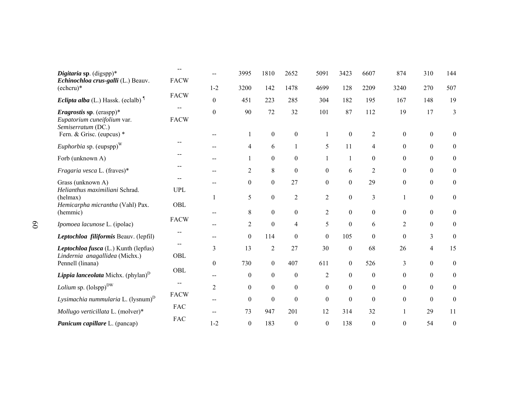| Digitaria sp. $(digsp)$ *<br>Echinochloa crus-galli (L.) Beauv.                                                   | <b>FACW</b> |                  | 3995             | 1810                   | 2652                   | 5091                | 3423             | 6607                  | 874                  | 310                  | 144                              |
|-------------------------------------------------------------------------------------------------------------------|-------------|------------------|------------------|------------------------|------------------------|---------------------|------------------|-----------------------|----------------------|----------------------|----------------------------------|
| $(echcru)*$                                                                                                       |             | $1 - 2$          | 3200             | 142                    | 1478                   | 4699                | 128              | 2209                  | 3240                 | 270                  | 507                              |
| <i>Eclipta alba</i> (L.) Hassk. (eclalb) <sup>1</sup>                                                             | <b>FACW</b> | $\mathbf{0}$     | 451              | 223                    | 285                    | 304                 | 182              | 195                   | 167                  | 148                  | 19                               |
| <i>Eragrostis</i> sp. (eraspp)*<br>Eupatorium cuneifolium var.<br>Semiserratum (DC.)<br>Fern. & Grisc. (eupcus) * | <b>FACW</b> | $\boldsymbol{0}$ | 90               | 72<br>$\boldsymbol{0}$ | 32<br>$\boldsymbol{0}$ | 101<br>$\mathbf{1}$ | 87<br>$\theta$   | 112<br>$\overline{2}$ | 19<br>$\overline{0}$ | 17<br>$\overline{0}$ | $\mathfrak{Z}$<br>$\overline{0}$ |
| <i>Euphorbia</i> sp. $(eupspp)^W$                                                                                 |             |                  | 4                | 6                      | 1                      | 5                   | 11               | 4                     | $\overline{0}$       | $\overline{0}$       | $\boldsymbol{0}$                 |
| Forb (unknown A)                                                                                                  |             | --               | 1                | $\boldsymbol{0}$       | $\boldsymbol{0}$       | $\mathbf{1}$        | $\mathbf{1}$     | $\theta$              | $\theta$             | $\Omega$             | $\boldsymbol{0}$                 |
| Fragaria vesca L. (fraves)*                                                                                       | --          |                  | $\overline{2}$   | 8                      | $\boldsymbol{0}$       | $\boldsymbol{0}$    | 6                | $\overline{c}$        | $\overline{0}$       | $\overline{0}$       | $\boldsymbol{0}$                 |
| Grass (unknown A)<br>Helianthus maximiliani Schrad.                                                               | <b>UPL</b>  | $-$              | $\overline{0}$   | $\boldsymbol{0}$       | 27                     | $\boldsymbol{0}$    | $\mathbf{0}$     | 29                    | $\theta$             | $\overline{0}$       | $\overline{0}$                   |
| (helmax)<br>Hemicarpha micrantha (Vahl) Pax.                                                                      | OBL         | 1                | 5                | $\boldsymbol{0}$       | $\overline{2}$         | $\overline{2}$      | $\boldsymbol{0}$ | 3                     | 1                    | $\overline{0}$       | $\boldsymbol{0}$                 |
| (hemmic)                                                                                                          |             |                  | 8                | $\boldsymbol{0}$       | $\boldsymbol{0}$       | $\overline{2}$      | $\mathbf{0}$     | $\theta$              | $\overline{0}$       | $\overline{0}$       | $\overline{0}$                   |
| Ipomoea lacunose L. (ipolac)                                                                                      | <b>FACW</b> | $- -$            | $\overline{c}$   | $\boldsymbol{0}$       | $\overline{4}$         | 5                   | $\mathbf{0}$     | 6                     | $\overline{2}$       | $\theta$             | $\boldsymbol{0}$                 |
| Leptochloa filiformis Beauv. (lepfil)                                                                             |             | --               | $\Omega$         | 114                    | $\theta$               | $\Omega$            | 105              | $\theta$              | $\theta$             | 3                    | $\boldsymbol{0}$                 |
| Leptochloa fusca (L.) Kunth (lepfus)                                                                              | --<br>OBL   | 3                | 13               | $\overline{c}$         | 27                     | 30                  | $\mathbf{0}$     | 68                    | 26                   | $\overline{4}$       | 15                               |
| Lindernia anagallidea (Michx.)<br>Pennell (linana)                                                                |             | $\theta$         | 730              | $\boldsymbol{0}$       | 407                    | 611                 | $\overline{0}$   | 526                   | 3                    | $\theta$             | $\boldsymbol{0}$                 |
| <i>Lippia lanceolata</i> Michx. $(\text{phylan})^D$                                                               | OBL         | $- -$            | $\boldsymbol{0}$ | $\boldsymbol{0}$       | $\boldsymbol{0}$       | $\overline{2}$      | $\mathbf{0}$     | $\boldsymbol{0}$      | $\overline{0}$       | $\overline{0}$       | $\boldsymbol{0}$                 |
| Lolium sp. $(logp_p)^{DW}$                                                                                        |             | $\overline{2}$   | $\boldsymbol{0}$ | $\boldsymbol{0}$       | $\boldsymbol{0}$       | $\Omega$            | $\theta$         | $\Omega$              | $\Omega$             | $\overline{0}$       | $\boldsymbol{0}$                 |
| Lysimachia nummularia L. (lysnum) <sup>D</sup>                                                                    | <b>FACW</b> | --               | $\Omega$         | $\boldsymbol{0}$       | $\mathbf{0}$           | $\mathbf{0}$        | $\mathbf{0}$     | $\theta$              | $\theta$             | $\theta$             | $\boldsymbol{0}$                 |
| Mollugo verticillata L. (molver)*                                                                                 | <b>FAC</b>  |                  | 73               | 947                    | 201                    | 12                  | 314              | 32                    | 1                    | 29                   | 11                               |
| Panicum capillare L. (pancap)                                                                                     | <b>FAC</b>  | $1 - 2$          | $\boldsymbol{0}$ | 183                    | $\boldsymbol{0}$       | $\boldsymbol{0}$    | 138              | $\boldsymbol{0}$      | $\Omega$             | 54                   | $\boldsymbol{0}$                 |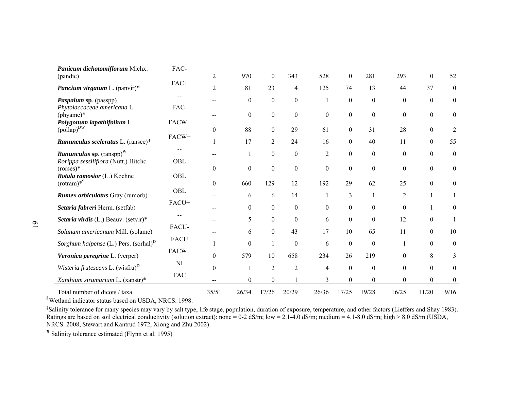| Panicum dichotomiflorum Michx.<br>(pandic)          | FAC-        | $\overline{2}$           | 970              | $\mathbf{0}$     | 343              | 528              | $\boldsymbol{0}$ | 281              | 293              | $\mathbf{0}$     | 52               |
|-----------------------------------------------------|-------------|--------------------------|------------------|------------------|------------------|------------------|------------------|------------------|------------------|------------------|------------------|
| Pancium virgatum L. (panvir)*                       | FAC+        | $\overline{2}$           | 81               | 23               | $\overline{4}$   | 125              | 74               | 13               | 44               | 37               | $\overline{0}$   |
| Paspalum sp. (passpp)                               |             | $\overline{\phantom{a}}$ | $\boldsymbol{0}$ | $\boldsymbol{0}$ | $\boldsymbol{0}$ |                  | $\boldsymbol{0}$ | $\theta$         | $\boldsymbol{0}$ | $\boldsymbol{0}$ | $\boldsymbol{0}$ |
| Phytolaccaceae americana L.<br>$(\text{phyame})^*$  | FAC-        |                          | $\boldsymbol{0}$ | $\boldsymbol{0}$ | $\boldsymbol{0}$ | $\boldsymbol{0}$ | $\boldsymbol{0}$ | $\boldsymbol{0}$ | $\boldsymbol{0}$ | $\boldsymbol{0}$ | $\boldsymbol{0}$ |
| Polygonum lapathifolium L.<br>$(pollap)^{DW}$       | FACW+       | $\boldsymbol{0}$         | 88               | $\boldsymbol{0}$ | 29               | 61               | $\boldsymbol{0}$ | 31               | 28               | $\boldsymbol{0}$ | $\overline{2}$   |
| Ranunculus sceleratus L. (ransce)*                  | FACW+       |                          | 17               | $\overline{2}$   | 24               | 16               | $\boldsymbol{0}$ | 40               | 11               | $\Omega$         | 55               |
| <b>Ranunculus sp.</b> $(\text{ranspp})^W$           | --          |                          |                  | $\boldsymbol{0}$ | $\boldsymbol{0}$ | $\overline{2}$   | $\boldsymbol{0}$ | $\boldsymbol{0}$ | $\boldsymbol{0}$ | $\boldsymbol{0}$ | $\boldsymbol{0}$ |
| Rorippa sessiliflora (Nutt.) Hitchc.<br>(           | OBL         | $\theta$                 | $\overline{0}$   | $\boldsymbol{0}$ | $\boldsymbol{0}$ | $\boldsymbol{0}$ | $\boldsymbol{0}$ | $\mathbf{0}$     | $\mathbf{0}$     | $\boldsymbol{0}$ | $\mathbf{0}$     |
| Rotala ramosior (L.) Koehne<br>$(rotram)*^{\P}$     | OBL         | $\theta$                 | 660              | 129              | 12               | 192              | 29               | 62               | 25               | $\Omega$         | $\overline{0}$   |
| Rumex orbiculatus Gray (rumorb)                     | OBL         | $- -$                    | 6                | 6                | 14               | 1                | 3                |                  | $\overline{2}$   | 1                |                  |
| Setaria fabreri Herm. (setfab)                      | FACU+       |                          | $\boldsymbol{0}$ | $\boldsymbol{0}$ | $\boldsymbol{0}$ | $\mathbf{0}$     | $\boldsymbol{0}$ | $\boldsymbol{0}$ | $\boldsymbol{0}$ |                  | $\boldsymbol{0}$ |
| Setaria virdis (L.) Beauv. (setvir)*                |             |                          | 5                | $\boldsymbol{0}$ | $\boldsymbol{0}$ | 6                | $\boldsymbol{0}$ | $\theta$         | 12               | $\Omega$         |                  |
| Solanum americanum Mill. (solame)                   | FACU-       |                          | 6                | $\boldsymbol{0}$ | 43               | 17               | 10               | 65               | 11               | $\mathbf{0}$     | 10               |
| Sorghum halpense $(L)$ Pers. (sorhal) <sup>D</sup>  | <b>FACU</b> |                          | $\boldsymbol{0}$ | $\mathbf{1}$     | $\boldsymbol{0}$ | 6                | $\boldsymbol{0}$ | $\boldsymbol{0}$ |                  | $\mathbf{0}$     | $\boldsymbol{0}$ |
| Veronica peregrine L. (verper)                      | FACW+       | $\boldsymbol{0}$         | 579              | 10               | 658              | 234              | 26               | 219              | $\boldsymbol{0}$ | 8                | 3                |
| <i>Wisteria frutescens</i> L. (wisfru) <sup>D</sup> | NI          | $\mathbf{0}$             |                  | $\overline{2}$   | 2                | 14               | $\boldsymbol{0}$ | $\boldsymbol{0}$ | $\boldsymbol{0}$ | $\boldsymbol{0}$ | $\boldsymbol{0}$ |
| Xanthium strumarium L. (xanstr)*                    | FAC         | $\qquad \qquad -$        | $\boldsymbol{0}$ | $\boldsymbol{0}$ |                  | 3                | $\boldsymbol{0}$ | $\boldsymbol{0}$ | $\overline{0}$   | $\mathbf{0}$     | $\boldsymbol{0}$ |
| Total number of dicots / taxa                       |             | 35/51                    | 26/34            | 17/26            | 20/29            | 26/36            | 17/25            | 19/28            | 16/25            | 11/20            | 9/16             |

§Wetland indicator status based on USDA, NRCS. 1998.

‡Salinity tolerance for many species may vary by salt type, life stage, population, duration of exposure, temperature, and other factors (Lieffers and Shay 1983). Ratings are based on soil electrical conductivity (solution extract): none =  $0-2$  dS/m; low =  $2.1-4.0$  dS/m; medium =  $4.1-8.0$  dS/m; high >  $8.0$  dS/m (USDA, NRCS. 2008, Stewart and Kantrud 1972, Xiong and Zhu 2002)

¶ Salinity tolerance estimated (Flynn et al. 1995)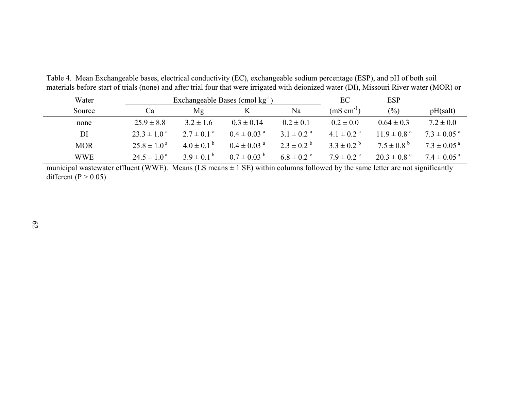| Water      |                           |                            | Exchangeable Bases (cmol $kg^{-1}$ ) | EC                         | <b>ESP</b>                 |                             |                             |
|------------|---------------------------|----------------------------|--------------------------------------|----------------------------|----------------------------|-----------------------------|-----------------------------|
| Source     | Ca                        | Mg                         |                                      | Na                         | $(mS \text{ cm}^{-1})$     | $\frac{0}{0}$               | pH(salt)                    |
| none       | $25.9 \pm 8.8$            | $3.2 \pm 1.6$              | $0.3 \pm 0.14$                       | $0.2 \pm 0.1$              | $0.2 \pm 0.0$              | $0.64 \pm 0.3$              | $7.2 \pm 0.0$               |
| DI         | $23.3 \pm 1.0^{\circ}$    | $2.7 \pm 0.1$ <sup>a</sup> | $0.4 \pm 0.03$ <sup>a</sup>          | $3.1 \pm 0.2$ <sup>a</sup> | $4.1 \pm 0.2$ <sup>a</sup> | $11.9 \pm 0.8$ <sup>a</sup> | $7.3 \pm 0.05$ <sup>a</sup> |
| <b>MOR</b> | $25.8 \pm 1.0^{\text{a}}$ | $4.0 \pm 0.1^{\circ}$      | $0.4 \pm 0.03$ <sup>a</sup>          | $2.3 \pm 0.2^{\circ}$      | $3.3 \pm 0.2^{b}$          | $7.5 \pm 0.8^{\circ}$       | $7.3 \pm 0.05^{\text{a}}$   |
| <b>WWE</b> | $24.5 \pm 1.0^{\text{a}}$ | $3.9 \pm 0.1^{b}$          | $0.7 \pm 0.03^{b}$                   | $6.8 \pm 0.2$ °            | $7.9 \pm 0.2$ <sup>c</sup> | $20.3 \pm 0.8$ <sup>c</sup> | $7.4 \pm 0.05$ <sup>a</sup> |

Table 4. Mean Exchangeable bases, electrical conductivity (EC), exchangeable sodium percentage (ESP), and pH of both soil materials before start of trials (none) and after trial four that were irrigated with deionized water (DI), Missouri River water (MOR) or

municipal wastewater effluent (WWE). Means  $(LS \text{ means } \pm 1 \text{ SE})$  within columns followed by the same letter are not significantly different ( $P > 0.05$ ).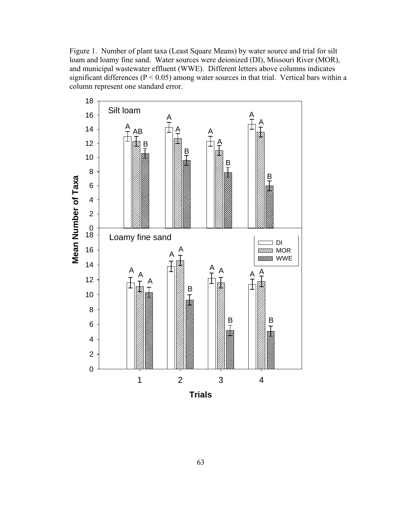Figure 1. Number of plant taxa (Least Square Means) by water source and trial for silt loam and loamy fine sand. Water sources were deionized (DI), Missouri River (MOR), and municipal wastewater effluent (WWE). Different letters above columns indicates significant differences ( $P < 0.05$ ) among water sources in that trial. Vertical bars within a column represent one standard error.

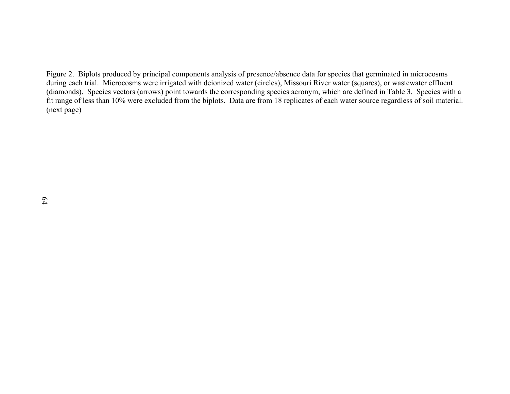Figure 2. Biplots produced by principal components analysis of presence/absence data for species that germinated in microcosms during each trial. Microcosms were irrigated with deionized water (circles), Missouri River water (squares), or wastewater effluent (diamonds). Species vectors (arrows) point towards the corresponding species acronym, which are defined in Table 3. Species with a fit range of less than 10% were excluded from the biplots. Data are from 18 replicates of each water source regardless of soil material. (next page)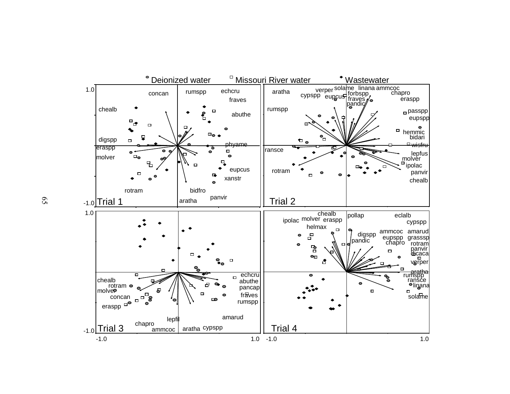

65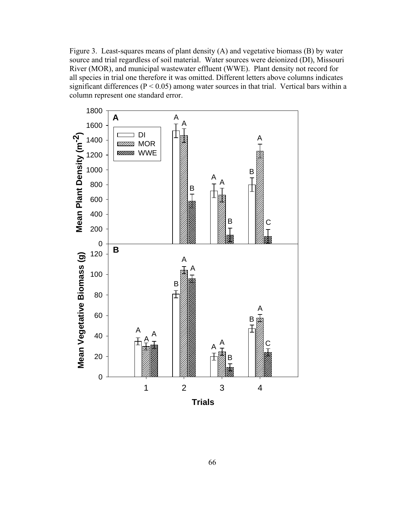Figure 3. Least-squares means of plant density (A) and vegetative biomass (B) by water source and trial regardless of soil material. Water sources were deionized (DI), Missouri River (MOR), and municipal wastewater effluent (WWE). Plant density not record for all species in trial one therefore it was omitted. Different letters above columns indicates significant differences ( $P < 0.05$ ) among water sources in that trial. Vertical bars within a column represent one standard error.

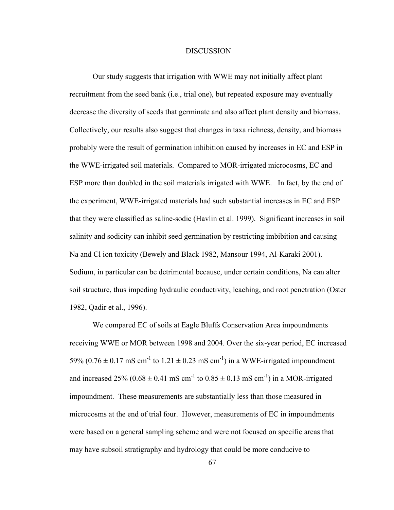## DISCUSSION

Our study suggests that irrigation with WWE may not initially affect plant recruitment from the seed bank (i.e., trial one), but repeated exposure may eventually decrease the diversity of seeds that germinate and also affect plant density and biomass. Collectively, our results also suggest that changes in taxa richness, density, and biomass probably were the result of germination inhibition caused by increases in EC and ESP in the WWE-irrigated soil materials. Compared to MOR-irrigated microcosms, EC and ESP more than doubled in the soil materials irrigated with WWE. In fact, by the end of the experiment, WWE-irrigated materials had such substantial increases in EC and ESP that they were classified as saline-sodic (Havlin et al. 1999). Significant increases in soil salinity and sodicity can inhibit seed germination by restricting imbibition and causing Na and Cl ion toxicity (Bewely and Black 1982, Mansour 1994, Al-Karaki 2001). Sodium, in particular can be detrimental because, under certain conditions, Na can alter soil structure, thus impeding hydraulic conductivity, leaching, and root penetration (Oster 1982, Qadir et al., 1996).

We compared EC of soils at Eagle Bluffs Conservation Area impoundments receiving WWE or MOR between 1998 and 2004. Over the six-year period, EC increased 59% (0.76  $\pm$  0.17 mS cm<sup>-1</sup> to 1.21  $\pm$  0.23 mS cm<sup>-1</sup>) in a WWE-irrigated impoundment and increased 25% ( $0.68 \pm 0.41$  mS cm<sup>-1</sup> to  $0.85 \pm 0.13$  mS cm<sup>-1</sup>) in a MOR-irrigated impoundment. These measurements are substantially less than those measured in microcosms at the end of trial four. However, measurements of EC in impoundments were based on a general sampling scheme and were not focused on specific areas that may have subsoil stratigraphy and hydrology that could be more conducive to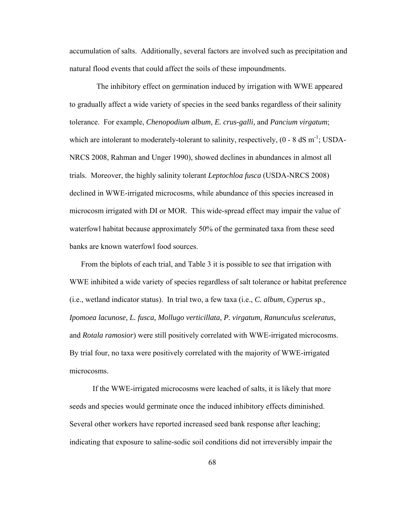accumulation of salts. Additionally, several factors are involved such as precipitation and natural flood events that could affect the soils of these impoundments.

 The inhibitory effect on germination induced by irrigation with WWE appeared to gradually affect a wide variety of species in the seed banks regardless of their salinity tolerance. For example, *Chenopodium album, E. crus-galli,* and *Pancium virgatum*; which are intolerant to moderately-tolerant to salinity, respectively,  $(0 - 8 \text{ dS m}^{-1})$ ; USDA-NRCS 2008, Rahman and Unger 1990), showed declines in abundances in almost all trials. Moreover, the highly salinity tolerant *Leptochloa fusca* (USDA-NRCS 2008) declined in WWE-irrigated microcosms, while abundance of this species increased in microcosm irrigated with DI or MOR. This wide-spread effect may impair the value of waterfowl habitat because approximately 50% of the germinated taxa from these seed banks are known waterfowl food sources.

 From the biplots of each trial, and Table 3 it is possible to see that irrigation with WWE inhibited a wide variety of species regardless of salt tolerance or habitat preference (i.e., wetland indicator status). In trial two, a few taxa (i.e., *C. album, Cyperus* sp.*, Ipomoea lacunose, L. fusca, Mollugo verticillata, P. virgatum, Ranunculus sceleratus,*  and *Rotala ramosior*) were still positively correlated with WWE-irrigated microcosms. By trial four, no taxa were positively correlated with the majority of WWE-irrigated microcosms.

 If the WWE-irrigated microcosms were leached of salts, it is likely that more seeds and species would germinate once the induced inhibitory effects diminished. Several other workers have reported increased seed bank response after leaching; indicating that exposure to saline-sodic soil conditions did not irreversibly impair the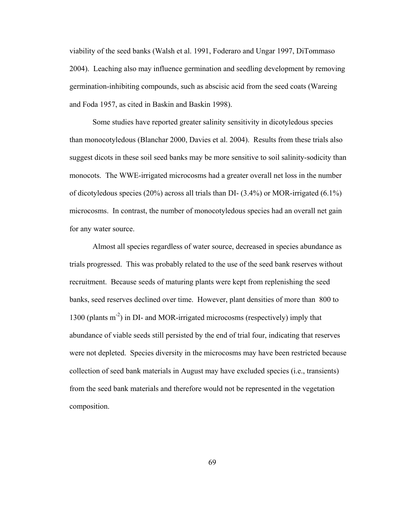viability of the seed banks (Walsh et al. 1991, Foderaro and Ungar 1997, DiTommaso 2004). Leaching also may influence germination and seedling development by removing germination-inhibiting compounds, such as abscisic acid from the seed coats (Wareing and Foda 1957, as cited in Baskin and Baskin 1998).

Some studies have reported greater salinity sensitivity in dicotyledous species than monocotyledous (Blanchar 2000, Davies et al. 2004). Results from these trials also suggest dicots in these soil seed banks may be more sensitive to soil salinity-sodicity than monocots. The WWE-irrigated microcosms had a greater overall net loss in the number of dicotyledous species (20%) across all trials than DI- (3.4%) or MOR-irrigated (6.1%) microcosms. In contrast, the number of monocotyledous species had an overall net gain for any water source.

Almost all species regardless of water source, decreased in species abundance as trials progressed. This was probably related to the use of the seed bank reserves without recruitment. Because seeds of maturing plants were kept from replenishing the seed banks, seed reserves declined over time. However, plant densities of more than 800 to 1300 (plants  $m<sup>2</sup>$ ) in DI- and MOR-irrigated microcosms (respectively) imply that abundance of viable seeds still persisted by the end of trial four, indicating that reserves were not depleted. Species diversity in the microcosms may have been restricted because collection of seed bank materials in August may have excluded species (i.e., transients) from the seed bank materials and therefore would not be represented in the vegetation composition.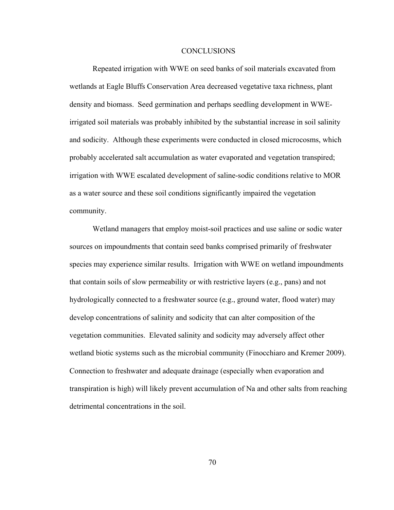## CONCLUSIONS

Repeated irrigation with WWE on seed banks of soil materials excavated from wetlands at Eagle Bluffs Conservation Area decreased vegetative taxa richness, plant density and biomass. Seed germination and perhaps seedling development in WWEirrigated soil materials was probably inhibited by the substantial increase in soil salinity and sodicity. Although these experiments were conducted in closed microcosms, which probably accelerated salt accumulation as water evaporated and vegetation transpired; irrigation with WWE escalated development of saline-sodic conditions relative to MOR as a water source and these soil conditions significantly impaired the vegetation community.

Wetland managers that employ moist-soil practices and use saline or sodic water sources on impoundments that contain seed banks comprised primarily of freshwater species may experience similar results. Irrigation with WWE on wetland impoundments that contain soils of slow permeability or with restrictive layers (e.g., pans) and not hydrologically connected to a freshwater source (e.g., ground water, flood water) may develop concentrations of salinity and sodicity that can alter composition of the vegetation communities. Elevated salinity and sodicity may adversely affect other wetland biotic systems such as the microbial community (Finocchiaro and Kremer 2009). Connection to freshwater and adequate drainage (especially when evaporation and transpiration is high) will likely prevent accumulation of Na and other salts from reaching detrimental concentrations in the soil.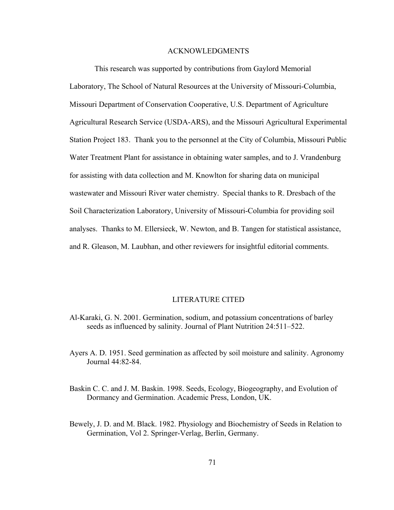## ACKNOWLEDGMENTS

This research was supported by contributions from Gaylord Memorial Laboratory, The School of Natural Resources at the University of Missouri-Columbia, Missouri Department of Conservation Cooperative, U.S. Department of Agriculture Agricultural Research Service (USDA-ARS), and the Missouri Agricultural Experimental Station Project 183. Thank you to the personnel at the City of Columbia, Missouri Public Water Treatment Plant for assistance in obtaining water samples, and to J. Vrandenburg for assisting with data collection and M. Knowlton for sharing data on municipal wastewater and Missouri River water chemistry. Special thanks to R. Dresbach of the Soil Characterization Laboratory, University of Missouri-Columbia for providing soil analyses. Thanks to M. Ellersieck, W. Newton, and B. Tangen for statistical assistance, and R. Gleason, M. Laubhan, and other reviewers for insightful editorial comments.

# LITERATURE CITED

- Al-Karaki, G. N. 2001. Germination, sodium, and potassium concentrations of barley seeds as influenced by salinity. Journal of Plant Nutrition 24:511–522.
- Ayers A. D. 1951. Seed germination as affected by soil moisture and salinity. Agronomy Journal 44:82-84.
- Baskin C. C. and J. M. Baskin. 1998. Seeds, Ecology, Biogeography, and Evolution of Dormancy and Germination. Academic Press, London, UK.
- Bewely, J. D. and M. Black. 1982. Physiology and Biochemistry of Seeds in Relation to Germination, Vol 2. Springer-Verlag, Berlin, Germany.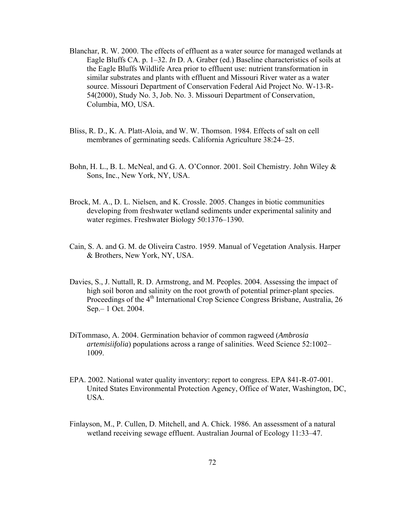- Blanchar, R. W. 2000. The effects of effluent as a water source for managed wetlands at Eagle Bluffs CA. p. 1–32. *In* D. A. Graber (ed.) Baseline characteristics of soils at the Eagle Bluffs Wildlife Area prior to effluent use: nutrient transformation in similar substrates and plants with effluent and Missouri River water as a water source. Missouri Department of Conservation Federal Aid Project No. W-13-R-54(2000), Study No. 3, Job. No. 3. Missouri Department of Conservation, Columbia, MO, USA.
- Bliss, R. D., K. A. Platt-Aloia, and W. W. Thomson. 1984. Effects of salt on cell membranes of germinating seeds. California Agriculture 38:24–25.
- Bohn, H. L., B. L. McNeal, and G. A. O'Connor. 2001. Soil Chemistry. John Wiley & Sons, Inc., New York, NY, USA.
- Brock, M. A., D. L. Nielsen, and K. Crossle. 2005. Changes in biotic communities developing from freshwater wetland sediments under experimental salinity and water regimes. Freshwater Biology 50:1376–1390.
- Cain, S. A. and G. M. de Oliveira Castro. 1959. Manual of Vegetation Analysis. Harper & Brothers, New York, NY, USA.
- Davies, S., J. Nuttall, R. D. Armstrong, and M. Peoples. 2004. Assessing the impact of high soil boron and salinity on the root growth of potential primer-plant species. Proceedings of the 4<sup>th</sup> International Crop Science Congress Brisbane, Australia, 26 Sep.– 1 Oct. 2004.
- DiTommaso, A. 2004. Germination behavior of common ragweed (*Ambrosia artemisiifolia*) populations across a range of salinities. Weed Science 52:1002– 1009.
- EPA. 2002. National water quality inventory: report to congress. EPA 841-R-07-001. United States Environmental Protection Agency, Office of Water, Washington, DC, USA.
- Finlayson, M., P. Cullen, D. Mitchell, and A. Chick. 1986. An assessment of a natural wetland receiving sewage effluent. Australian Journal of Ecology 11:33–47.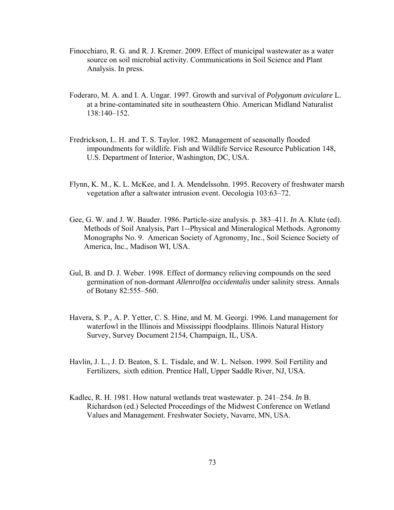- Finocchiaro, R. G. and R. J. Kremer. 2009. Effect of municipal wastewater as a water source on soil microbial activity. Communications in Soil Science and Plant Analysis. In press.
- Foderaro, M. A. and I. A. Ungar. 1997. Growth and survival of *Polygonum aviculare* L. at a brine-contaminated site in southeastern Ohio. American Midland Naturalist 138:140–152.
- Fredrickson, L. H. and T. S. Taylor. 1982. Management of seasonally flooded impoundments for wildlife. Fish and Wildlife Service Resource Publication 148, U.S. Department of Interior, Washington, DC, USA.
- Flynn, K. M., K. L. McKee, and I. A. Mendelssohn. 1995. Recovery of freshwater marsh vegetation after a saltwater intrusion event. Oecologia 103:63–72.
- Gee, G. W. and J. W. Bauder. 1986. Particle-size analysis. p. 383–411. *In* A. Klute (ed). Methods of Soil Analysis, Part 1--Physical and Mineralogical Methods. Agronomy Monographs No. 9. American Society of Agronomy, Inc., Soil Science Society of America, Inc., Madison WI, USA.
- Gul, B. and D. J. Weber. 1998. Effect of dormancy relieving compounds on the seed germination of non-dormant *Allenrolfea occidentalis* under salinity stress. Annals of Botany 82:555–560.
- Havera, S. P., A. P. Yetter, C. S. Hine, and M. M. Georgi. 1996. Land management for waterfowl in the Illinois and Mississippi floodplains. Illinois Natural History Survey, Survey Document 2154, Champaign, IL, USA.
- Havlin, J. L., J. D. Beaton, S. L. Tisdale, and W. L. Nelson. 1999. Soil Fertility and Fertilizers, sixth edition. Prentice Hall, Upper Saddle River, NJ, USA.
- Kadlec, R. H. 1981. How natural wetlands treat wastewater. p. 241–254. *In* B. Richardson (ed.) Selected Proceedings of the Midwest Conference on Wetland Values and Management. Freshwater Society, Navarre, MN, USA.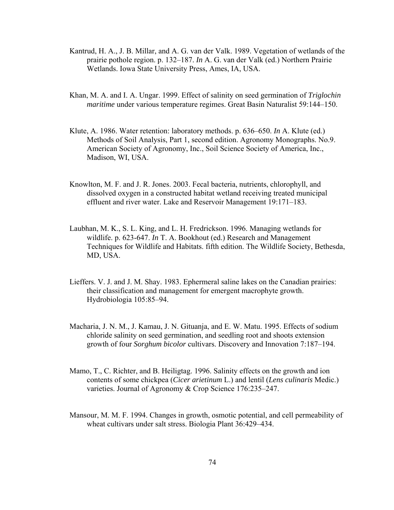- Kantrud, H. A., J. B. Millar, and A. G. van der Valk. 1989. Vegetation of wetlands of the prairie pothole region. p. 132–187. *In* A. G. van der Valk (ed.) Northern Prairie Wetlands. Iowa State University Press, Ames, IA, USA.
- Khan, M. A. and I. A. Ungar. 1999. Effect of salinity on seed germination of *Triglochin maritime* under various temperature regimes. Great Basin Naturalist 59:144–150.
- Klute, A. 1986. Water retention: laboratory methods. p. 636–650. *In* A. Klute (ed.) Methods of Soil Analysis, Part 1, second edition. Agronomy Monographs. No.9. American Society of Agronomy, Inc., Soil Science Society of America, Inc., Madison, WI, USA.
- Knowlton, M. F. and J. R. Jones. 2003. Fecal bacteria, nutrients, chlorophyll, and dissolved oxygen in a constructed habitat wetland receiving treated municipal effluent and river water. Lake and Reservoir Management 19:171–183.
- Laubhan, M. K., S. L. King, and L. H. Fredrickson. 1996. Managing wetlands for wildlife. p. 623-647. *In* T. A. Bookhout (ed.) Research and Management Techniques for Wildlife and Habitats. fifth edition. The Wildlife Society, Bethesda, MD, USA.
- Lieffers. V. J. and J. M. Shay. 1983. Ephermeral saline lakes on the Canadian prairies: their classification and management for emergent macrophyte growth. Hydrobiologia 105:85–94.
- Macharia, J. N. M., J. Kamau, J. N. Gituanja, and E. W. Matu. 1995. Effects of sodium chloride salinity on seed germination, and seedling root and shoots extension growth of four *Sorghum bicolor* cultivars. Discovery and Innovation 7:187–194.
- Mamo, T., C. Richter, and B. Heiligtag. 1996. Salinity effects on the growth and ion contents of some chickpea (*Cicer arietinum* L.) and lentil (*Lens culinaris* Medic.) varieties. Journal of Agronomy & Crop Science 176:235–247.
- Mansour, M. M. F. 1994. Changes in growth, osmotic potential, and cell permeability of wheat cultivars under salt stress. Biologia Plant 36:429–434.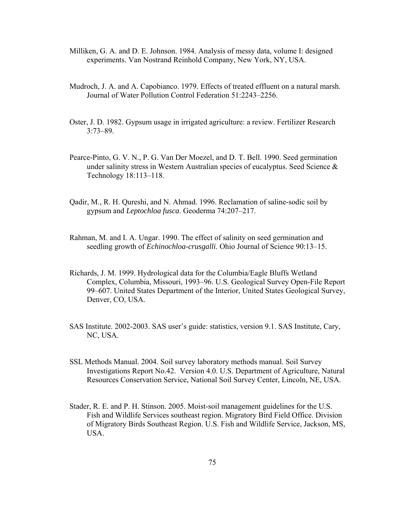- Milliken, G. A. and D. E. Johnson. 1984. Analysis of messy data, volume I: designed experiments. Van Nostrand Reinhold Company, New York, NY, USA.
- Mudroch, J. A. and A. Capobianco. 1979. Effects of treated effluent on a natural marsh. Journal of Water Pollution Control Federation 51:2243–2256.
- Oster, J. D. 1982. Gypsum usage in irrigated agriculture: a review. Fertilizer Research 3:73–89.
- Pearce-Pinto, G. V. N., P. G. Van Der Moezel, and D. T. Bell. 1990. Seed germination under salinity stress in Western Australian species of eucalyptus. Seed Science & Technology 18:113–118.
- Qadir, M., R. H. Qureshi, and N. Ahmad. 1996. Reclamation of saline-sodic soil by gypsum and *Leptochloa fusca*. Geoderma 74:207–217.
- Rahman, M. and I. A. Ungar. 1990. The effect of salinity on seed germination and seedling growth of *Echinochloa-crusgalli*. Ohio Journal of Science 90:13–15.
- Richards, J. M. 1999. Hydrological data for the Columbia/Eagle Bluffs Wetland Complex, Columbia, Missouri, 1993–96. U.S. Geological Survey Open-File Report 99–607. United States Department of the Interior, United States Geological Survey, Denver, CO, USA.
- SAS Institute. 2002-2003. SAS user's guide: statistics, version 9.1. SAS Institute, Cary, NC, USA.
- SSL Methods Manual. 2004. Soil survey laboratory methods manual. Soil Survey Investigations Report No.42. Version 4.0. U.S. Department of Agriculture, Natural Resources Conservation Service, National Soil Survey Center, Lincoln, NE, USA.
- Stader, R. E. and P. H. Stinson. 2005. Moist-soil management guidelines for the U.S. Fish and Wildlife Services southeast region. Migratory Bird Field Office. Division of Migratory Birds Southeast Region. U.S. Fish and Wildlife Service, Jackson, MS, USA.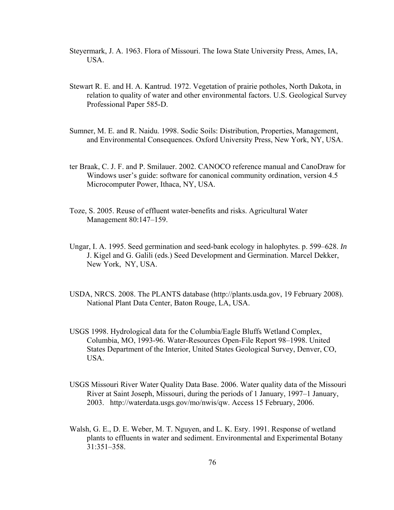- Steyermark, J. A. 1963. Flora of Missouri. The Iowa State University Press, Ames, IA, USA.
- Stewart R. E. and H. A. Kantrud. 1972. Vegetation of prairie potholes, North Dakota, in relation to quality of water and other environmental factors. U.S. Geological Survey Professional Paper 585-D.
- Sumner, M. E. and R. Naidu. 1998. Sodic Soils: Distribution, Properties, Management, and Environmental Consequences. Oxford University Press, New York, NY, USA.
- ter Braak, C. J. F. and P. Smilauer. 2002. CANOCO reference manual and CanoDraw for Windows user's guide: software for canonical community ordination, version 4.5 Microcomputer Power, Ithaca, NY, USA.
- Toze, S. 2005. Reuse of effluent water-benefits and risks. Agricultural Water Management 80:147–159.
- Ungar, I. A. 1995. Seed germination and seed-bank ecology in halophytes. p. 599–628. *In* J. Kigel and G. Galili (eds.) Seed Development and Germination. Marcel Dekker, New York, NY, USA.
- USDA, NRCS. 2008. The PLANTS database (http://plants.usda.gov, 19 February 2008). National Plant Data Center, Baton Rouge, LA, USA.
- USGS 1998. Hydrological data for the Columbia/Eagle Bluffs Wetland Complex, Columbia, MO, 1993-96. Water-Resources Open-File Report 98–1998. United States Department of the Interior, United States Geological Survey, Denver, CO, USA.
- USGS Missouri River Water Quality Data Base. 2006. Water quality data of the Missouri River at Saint Joseph, Missouri, during the periods of 1 January, 1997–1 January, 2003. http://waterdata.usgs.gov/mo/nwis/qw. Access 15 February, 2006.
- Walsh, G. E., D. E. Weber, M. T. Nguyen, and L. K. Esry. 1991. Response of wetland plants to effluents in water and sediment. Environmental and Experimental Botany 31:351–358.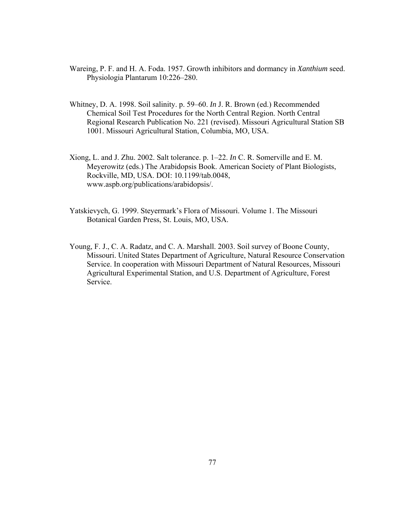- Wareing, P. F. and H. A. Foda. 1957. Growth inhibitors and dormancy in *Xanthium* seed. Physiologia Plantarum 10:226–280.
- Whitney, D. A. 1998. Soil salinity. p. 59–60. *In* J. R. Brown (ed.) Recommended Chemical Soil Test Procedures for the North Central Region. North Central Regional Research Publication No. 221 (revised). Missouri Agricultural Station SB 1001. Missouri Agricultural Station, Columbia, MO, USA.
- Xiong, L. and J. Zhu. 2002. Salt tolerance. p. 1–22. *In* C. R. Somerville and E. M. Meyerowitz (eds.) The Arabidopsis Book. American Society of Plant Biologists, Rockville, MD, USA. DOI: 10.1199/tab.0048, www.aspb.org/publications/arabidopsis/.
- Yatskievych, G. 1999. Steyermark's Flora of Missouri. Volume 1. The Missouri Botanical Garden Press, St. Louis, MO, USA.
- Young, F. J., C. A. Radatz, and C. A. Marshall. 2003. Soil survey of Boone County, Missouri. United States Department of Agriculture, Natural Resource Conservation Service. In cooperation with Missouri Department of Natural Resources, Missouri Agricultural Experimental Station, and U.S. Department of Agriculture, Forest Service.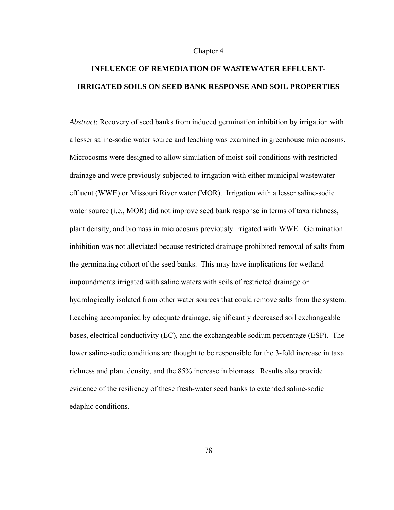#### Chapter 4

# **INFLUENCE OF REMEDIATION OF WASTEWATER EFFLUENT-IRRIGATED SOILS ON SEED BANK RESPONSE AND SOIL PROPERTIES**

*Abstract*: Recovery of seed banks from induced germination inhibition by irrigation with a lesser saline-sodic water source and leaching was examined in greenhouse microcosms. Microcosms were designed to allow simulation of moist-soil conditions with restricted drainage and were previously subjected to irrigation with either municipal wastewater effluent (WWE) or Missouri River water (MOR). Irrigation with a lesser saline-sodic water source (i.e., MOR) did not improve seed bank response in terms of taxa richness, plant density, and biomass in microcosms previously irrigated with WWE. Germination inhibition was not alleviated because restricted drainage prohibited removal of salts from the germinating cohort of the seed banks. This may have implications for wetland impoundments irrigated with saline waters with soils of restricted drainage or hydrologically isolated from other water sources that could remove salts from the system. Leaching accompanied by adequate drainage, significantly decreased soil exchangeable bases, electrical conductivity (EC), and the exchangeable sodium percentage (ESP). The lower saline-sodic conditions are thought to be responsible for the 3-fold increase in taxa richness and plant density, and the 85% increase in biomass. Results also provide evidence of the resiliency of these fresh-water seed banks to extended saline-sodic edaphic conditions.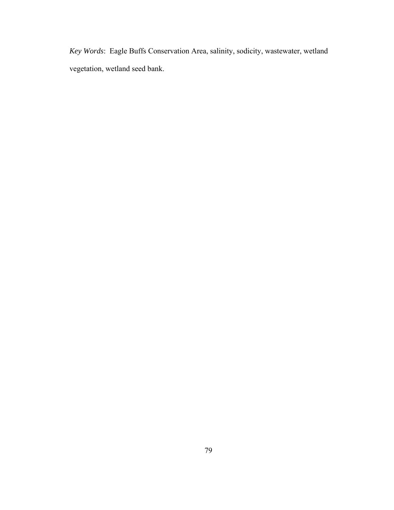*Key Words*: Eagle Buffs Conservation Area, salinity, sodicity, wastewater, wetland vegetation, wetland seed bank.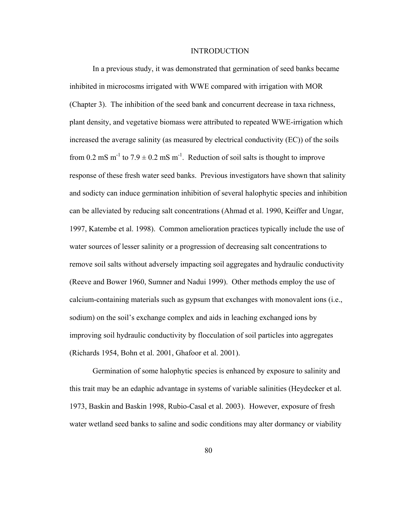#### INTRODUCTION

In a previous study, it was demonstrated that germination of seed banks became inhibited in microcosms irrigated with WWE compared with irrigation with MOR (Chapter 3). The inhibition of the seed bank and concurrent decrease in taxa richness, plant density, and vegetative biomass were attributed to repeated WWE-irrigation which increased the average salinity (as measured by electrical conductivity (EC)) of the soils from 0.2 mS m<sup>-1</sup> to 7.9  $\pm$  0.2 mS m<sup>-1</sup>. Reduction of soil salts is thought to improve response of these fresh water seed banks. Previous investigators have shown that salinity and sodicty can induce germination inhibition of several halophytic species and inhibition can be alleviated by reducing salt concentrations (Ahmad et al. 1990, Keiffer and Ungar, 1997, Katembe et al. 1998). Common amelioration practices typically include the use of water sources of lesser salinity or a progression of decreasing salt concentrations to remove soil salts without adversely impacting soil aggregates and hydraulic conductivity (Reeve and Bower 1960, Sumner and Nadui 1999). Other methods employ the use of calcium-containing materials such as gypsum that exchanges with monovalent ions (i.e., sodium) on the soil's exchange complex and aids in leaching exchanged ions by improving soil hydraulic conductivity by flocculation of soil particles into aggregates (Richards 1954, Bohn et al. 2001, Ghafoor et al. 2001).

Germination of some halophytic species is enhanced by exposure to salinity and this trait may be an edaphic advantage in systems of variable salinities (Heydecker et al. 1973, Baskin and Baskin 1998, Rubio-Casal et al. 2003). However, exposure of fresh water wetland seed banks to saline and sodic conditions may alter dormancy or viability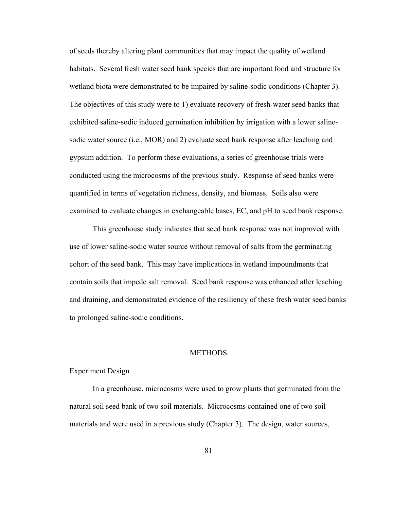of seeds thereby altering plant communities that may impact the quality of wetland habitats. Several fresh water seed bank species that are important food and structure for wetland biota were demonstrated to be impaired by saline-sodic conditions (Chapter 3). The objectives of this study were to 1) evaluate recovery of fresh-water seed banks that exhibited saline-sodic induced germination inhibition by irrigation with a lower salinesodic water source (i.e., MOR) and 2) evaluate seed bank response after leaching and gypsum addition. To perform these evaluations, a series of greenhouse trials were conducted using the microcosms of the previous study. Response of seed banks were quantified in terms of vegetation richness, density, and biomass. Soils also were examined to evaluate changes in exchangeable bases, EC, and pH to seed bank response.

 This greenhouse study indicates that seed bank response was not improved with use of lower saline-sodic water source without removal of salts from the germinating cohort of the seed bank. This may have implications in wetland impoundments that contain soils that impede salt removal. Seed bank response was enhanced after leaching and draining, and demonstrated evidence of the resiliency of these fresh water seed banks to prolonged saline-sodic conditions.

#### **METHODS**

## Experiment Design

In a greenhouse, microcosms were used to grow plants that germinated from the natural soil seed bank of two soil materials. Microcosms contained one of two soil materials and were used in a previous study (Chapter 3). The design, water sources,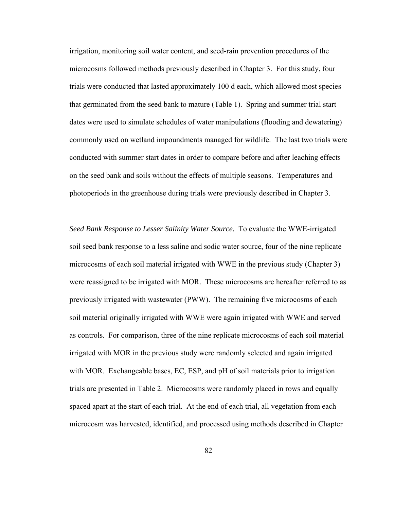irrigation, monitoring soil water content, and seed-rain prevention procedures of the microcosms followed methods previously described in Chapter 3. For this study, four trials were conducted that lasted approximately 100 d each, which allowed most species that germinated from the seed bank to mature (Table 1). Spring and summer trial start dates were used to simulate schedules of water manipulations (flooding and dewatering) commonly used on wetland impoundments managed for wildlife. The last two trials were conducted with summer start dates in order to compare before and after leaching effects on the seed bank and soils without the effects of multiple seasons. Temperatures and photoperiods in the greenhouse during trials were previously described in Chapter 3.

*Seed Bank Response to Lesser Salinity Water Source.* To evaluate the WWE-irrigated soil seed bank response to a less saline and sodic water source, four of the nine replicate microcosms of each soil material irrigated with WWE in the previous study (Chapter 3) were reassigned to be irrigated with MOR. These microcosms are hereafter referred to as previously irrigated with wastewater (PWW). The remaining five microcosms of each soil material originally irrigated with WWE were again irrigated with WWE and served as controls. For comparison, three of the nine replicate microcosms of each soil material irrigated with MOR in the previous study were randomly selected and again irrigated with MOR. Exchangeable bases, EC, ESP, and pH of soil materials prior to irrigation trials are presented in Table 2. Microcosms were randomly placed in rows and equally spaced apart at the start of each trial. At the end of each trial, all vegetation from each microcosm was harvested, identified, and processed using methods described in Chapter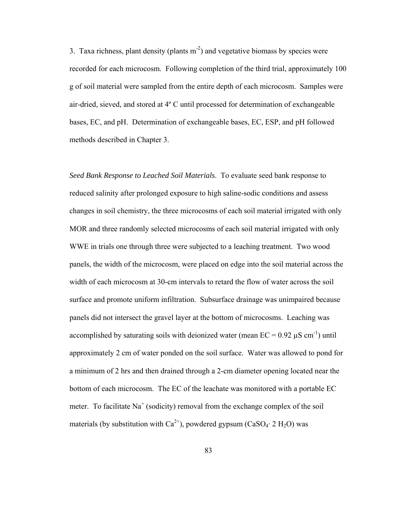3. Taxa richness, plant density (plants  $m<sup>-2</sup>$ ) and vegetative biomass by species were recorded for each microcosm. Following completion of the third trial, approximately 100 g of soil material were sampled from the entire depth of each microcosm. Samples were air-dried, sieved, and stored at 4º C until processed for determination of exchangeable bases, EC, and pH. Determination of exchangeable bases, EC, ESP, and pH followed methods described in Chapter 3.

*Seed Bank Response to Leached Soil Materials*. To evaluate seed bank response to reduced salinity after prolonged exposure to high saline-sodic conditions and assess changes in soil chemistry, the three microcosms of each soil material irrigated with only MOR and three randomly selected microcosms of each soil material irrigated with only WWE in trials one through three were subjected to a leaching treatment. Two wood panels, the width of the microcosm, were placed on edge into the soil material across the width of each microcosm at 30-cm intervals to retard the flow of water across the soil surface and promote uniform infiltration. Subsurface drainage was unimpaired because panels did not intersect the gravel layer at the bottom of microcosms. Leaching was accomplished by saturating soils with deionized water (mean  $EC = 0.92 \mu S \text{ cm}^{-1}$ ) until approximately 2 cm of water ponded on the soil surface. Water was allowed to pond for a minimum of 2 hrs and then drained through a 2-cm diameter opening located near the bottom of each microcosm. The EC of the leachate was monitored with a portable EC meter. To facilitate  $Na<sup>+</sup>$  (sodicity) removal from the exchange complex of the soil materials (by substitution with  $Ca^{2+}$ ), powdered gypsum (CaSO<sub>4</sub>· 2 H<sub>2</sub>O) was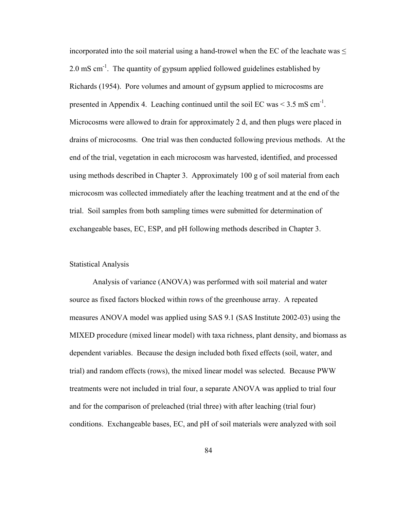incorporated into the soil material using a hand-trowel when the EC of the leachate was  $\leq$ 2.0 mS cm<sup>-1</sup>. The quantity of gypsum applied followed guidelines established by Richards (1954). Pore volumes and amount of gypsum applied to microcosms are presented in Appendix 4. Leaching continued until the soil EC was  $\leq$  3.5 mS cm<sup>-1</sup>. Microcosms were allowed to drain for approximately 2 d, and then plugs were placed in drains of microcosms. One trial was then conducted following previous methods. At the end of the trial, vegetation in each microcosm was harvested, identified, and processed using methods described in Chapter 3. Approximately 100 g of soil material from each microcosm was collected immediately after the leaching treatment and at the end of the trial. Soil samples from both sampling times were submitted for determination of exchangeable bases, EC, ESP, and pH following methods described in Chapter 3.

# Statistical Analysis

Analysis of variance (ANOVA) was performed with soil material and water source as fixed factors blocked within rows of the greenhouse array. A repeated measures ANOVA model was applied using SAS 9.1 (SAS Institute 2002-03) using the MIXED procedure (mixed linear model) with taxa richness, plant density, and biomass as dependent variables. Because the design included both fixed effects (soil, water, and trial) and random effects (rows), the mixed linear model was selected. Because PWW treatments were not included in trial four, a separate ANOVA was applied to trial four and for the comparison of preleached (trial three) with after leaching (trial four) conditions. Exchangeable bases, EC, and pH of soil materials were analyzed with soil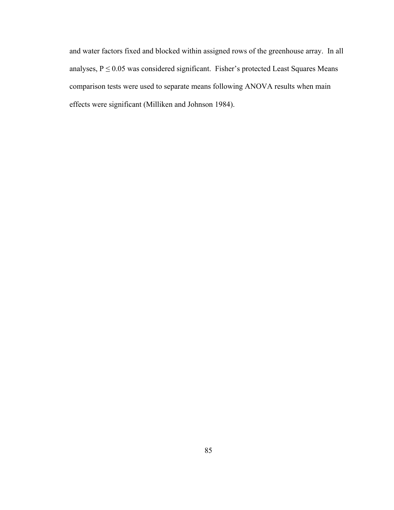and water factors fixed and blocked within assigned rows of the greenhouse array. In all analyses,  $P \le 0.05$  was considered significant. Fisher's protected Least Squares Means comparison tests were used to separate means following ANOVA results when main effects were significant (Milliken and Johnson 1984).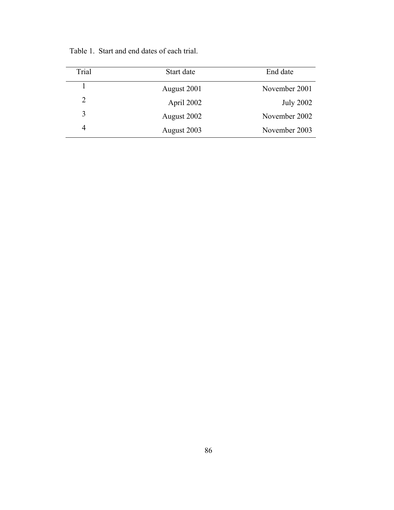| Trial | Start date  | End date         |
|-------|-------------|------------------|
|       | August 2001 | November 2001    |
| 2     | April 2002  | <b>July 2002</b> |
| 3     | August 2002 | November 2002    |
| 4     | August 2003 | November 2003    |

Table 1. Start and end dates of each trial.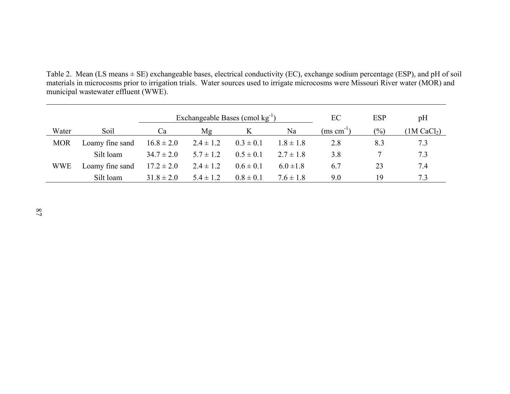Table 2. Mean (LS means ± SE) exchangeable bases, electrical conductivity (EC), exchange sodium percentage (ESP), and pH of soil materials in microcosms prior to irrigation trials. Water sources used to irrigate microcosms were Missouri River water (MOR) and municipal wastewater effluent (WWE).

|            |                 |                | Exchangeable Bases (cmol $kg^{-1}$ ) |               | EC            | <b>ESP</b>             | pH            |                         |
|------------|-----------------|----------------|--------------------------------------|---------------|---------------|------------------------|---------------|-------------------------|
| Water      | Soil            | Ca             | Mg                                   | K             | Na            | $(ms \text{ cm}^{-1})$ | $\frac{1}{2}$ | (1M CaCl <sub>2</sub> ) |
| <b>MOR</b> | Loamy fine sand | $16.8 \pm 2.0$ | $2.4 \pm 1.2$                        | $0.3 \pm 0.1$ | $1.8 \pm 1.8$ | 2.8                    | 8.3           | 7.3                     |
|            | Silt loam       | $34.7 \pm 2.0$ | $5.7 \pm 1.2$                        | $0.5 \pm 0.1$ | $2.7 \pm 1.8$ | 3.8                    |               | 7.3                     |
| WWE        | Loamy fine sand | $17.2 \pm 2.0$ | $2.4 \pm 1.2$                        | $0.6 \pm 0.1$ | $6.0 \pm 1.8$ | 6.7                    | 23            | 7.4                     |
|            | Silt loam       | $31.8 \pm 2.0$ | $5.4 \pm 1.2$                        | $0.8 \pm 0.1$ | $7.6 \pm 1.8$ | 9.0                    | 19            | 73                      |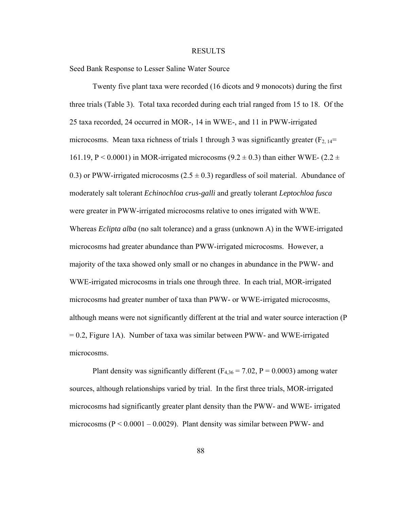#### RESULTS

Seed Bank Response to Lesser Saline Water Source

Twenty five plant taxa were recorded (16 dicots and 9 monocots) during the first three trials (Table 3). Total taxa recorded during each trial ranged from 15 to 18. Of the 25 taxa recorded, 24 occurred in MOR-, 14 in WWE-, and 11 in PWW-irrigated microcosms. Mean taxa richness of trials 1 through 3 was significantly greater  $(F_{2, 14}$ = 161.19, P < 0.0001) in MOR-irrigated microcosms (9.2  $\pm$  0.3) than either WWE- (2.2  $\pm$ 0.3) or PWW-irrigated microcosms  $(2.5 \pm 0.3)$  regardless of soil material. Abundance of moderately salt tolerant *Echinochloa crus-galli* and greatly tolerant *Leptochloa fusca* were greater in PWW-irrigated microcosms relative to ones irrigated with WWE. Whereas *Eclipta alba* (no salt tolerance) and a grass (unknown A) in the WWE-irrigated microcosms had greater abundance than PWW-irrigated microcosms. However, a majority of the taxa showed only small or no changes in abundance in the PWW- and WWE-irrigated microcosms in trials one through three. In each trial, MOR-irrigated microcosms had greater number of taxa than PWW- or WWE-irrigated microcosms, although means were not significantly different at the trial and water source interaction (P  $= 0.2$ , Figure 1A). Number of taxa was similar between PWW- and WWE-irrigated microcosms.

Plant density was significantly different ( $F_{4,36} = 7.02$ ,  $P = 0.0003$ ) among water sources, although relationships varied by trial. In the first three trials, MOR-irrigated microcosms had significantly greater plant density than the PWW- and WWE- irrigated microcosms ( $P < 0.0001 - 0.0029$ ). Plant density was similar between PWW- and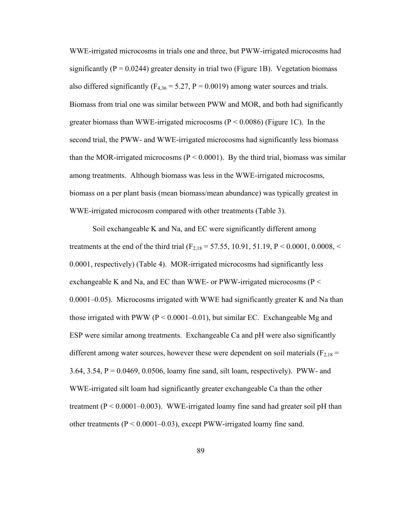WWE-irrigated microcosms in trials one and three, but PWW-irrigated microcosms had significantly ( $P = 0.0244$ ) greater density in trial two (Figure 1B). Vegetation biomass also differed significantly ( $F_{4,36} = 5.27$ ,  $P = 0.0019$ ) among water sources and trials. Biomass from trial one was similar between PWW and MOR, and both had significantly greater biomass than WWE-irrigated microcosms ( $P \le 0.0086$ ) (Figure 1C). In the second trial, the PWW- and WWE-irrigated microcosms had significantly less biomass than the MOR-irrigated microcosms ( $P < 0.0001$ ). By the third trial, biomass was similar among treatments. Although biomass was less in the WWE-irrigated microcosms, biomass on a per plant basis (mean biomass/mean abundance) was typically greatest in WWE-irrigated microcosm compared with other treatments (Table 3).

Soil exchangeable K and Na, and EC were significantly different among treatments at the end of the third trial ( $F_{2,18} = 57.55$ , 10.91, 51.19, P < 0.0001, 0.0008, < 0.0001, respectively) (Table 4). MOR-irrigated microcosms had significantly less exchangeable K and Na, and EC than WWE- or PWW-irrigated microcosms ( $P \le$ 0.0001–0.05). Microcosms irrigated with WWE had significantly greater K and Na than those irrigated with PWW ( $P < 0.0001 - 0.01$ ), but similar EC. Exchangeable Mg and ESP were similar among treatments. Exchangeable Ca and pH were also significantly different among water sources, however these were dependent on soil materials ( $F_{2,18}$  = 3.64, 3.54,  $P = 0.0469$ , 0.0506, loamy fine sand, silt loam, respectively). PWW- and WWE-irrigated silt loam had significantly greater exchangeable Ca than the other treatment ( $P < 0.0001 - 0.003$ ). WWE-irrigated loamy fine sand had greater soil pH than other treatments  $(P < 0.0001 - 0.03)$ , except PWW-irrigated loamy fine sand.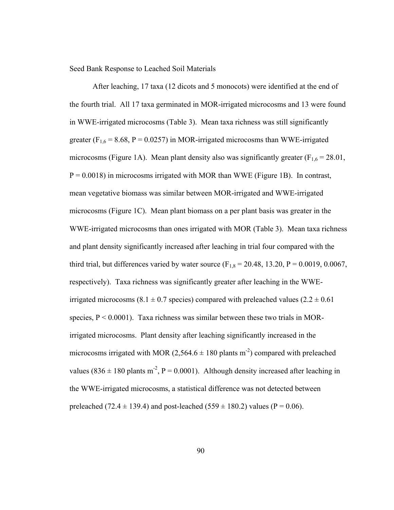Seed Bank Response to Leached Soil Materials

After leaching, 17 taxa (12 dicots and 5 monocots) were identified at the end of the fourth trial. All 17 taxa germinated in MOR-irrigated microcosms and 13 were found in WWE-irrigated microcosms (Table 3). Mean taxa richness was still significantly greater ( $F_{1,6}$  = 8.68, P = 0.0257) in MOR-irrigated microcosms than WWE-irrigated microcosms (Figure 1A). Mean plant density also was significantly greater ( $F_{1,6} = 28.01$ ,  $P = 0.0018$ ) in microcosms irrigated with MOR than WWE (Figure 1B). In contrast, mean vegetative biomass was similar between MOR-irrigated and WWE-irrigated microcosms (Figure 1C). Mean plant biomass on a per plant basis was greater in the WWE-irrigated microcosms than ones irrigated with MOR (Table 3). Mean taxa richness and plant density significantly increased after leaching in trial four compared with the third trial, but differences varied by water source  $(F_{1,8} = 20.48, 13.20, P = 0.0019, 0.0067,$ respectively). Taxa richness was significantly greater after leaching in the WWEirrigated microcosms (8.1  $\pm$  0.7 species) compared with preleached values (2.2  $\pm$  0.61 species,  $P < 0.0001$ ). Taxa richness was similar between these two trials in MORirrigated microcosms. Plant density after leaching significantly increased in the microcosms irrigated with MOR (2,564.6  $\pm$  180 plants m<sup>-2</sup>) compared with preleached values (836  $\pm$  180 plants m<sup>-2</sup>, P = 0.0001). Although density increased after leaching in the WWE-irrigated microcosms, a statistical difference was not detected between preleached (72.4  $\pm$  139.4) and post-leached (559  $\pm$  180.2) values (P = 0.06).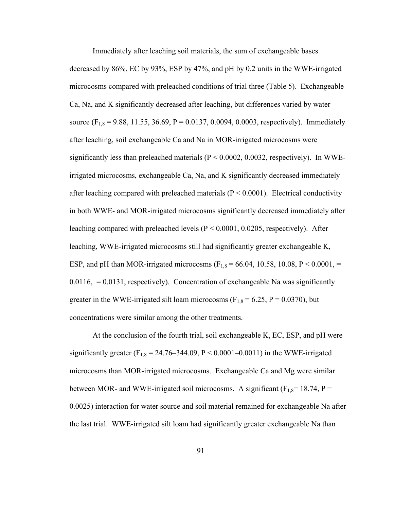Immediately after leaching soil materials, the sum of exchangeable bases decreased by 86%, EC by 93%, ESP by 47%, and pH by 0.2 units in the WWE-irrigated microcosms compared with preleached conditions of trial three (Table 5). Exchangeable Ca, Na, and K significantly decreased after leaching, but differences varied by water source ( $F_{1,8} = 9.88$ , 11.55, 36.69, P = 0.0137, 0.0094, 0.0003, respectively). Immediately after leaching, soil exchangeable Ca and Na in MOR-irrigated microcosms were significantly less than preleached materials  $(P < 0.0002, 0.0032,$  respectively). In WWEirrigated microcosms, exchangeable Ca, Na, and K significantly decreased immediately after leaching compared with preleached materials ( $P \le 0.0001$ ). Electrical conductivity in both WWE- and MOR-irrigated microcosms significantly decreased immediately after leaching compared with preleached levels ( $P \le 0.0001$ , 0.0205, respectively). After leaching, WWE-irrigated microcosms still had significantly greater exchangeable K, ESP, and pH than MOR-irrigated microcosms ( $F_{1,8} = 66.04$ , 10.58, 10.08, P < 0.0001, =  $0.0116$ ,  $= 0.0131$ , respectively). Concentration of exchangeable Na was significantly greater in the WWE-irrigated silt loam microcosms ( $F_{1,8} = 6.25$ ,  $P = 0.0370$ ), but concentrations were similar among the other treatments.

 At the conclusion of the fourth trial, soil exchangeable K, EC, ESP, and pH were significantly greater (F<sub>1,8</sub> = 24.76–344.09, P < 0.0001–0.0011) in the WWE-irrigated microcosms than MOR-irrigated microcosms. Exchangeable Ca and Mg were similar between MOR- and WWE-irrigated soil microcosms. A significant ( $F_{1,8}$ = 18.74, P = 0.0025) interaction for water source and soil material remained for exchangeable Na after the last trial. WWE-irrigated silt loam had significantly greater exchangeable Na than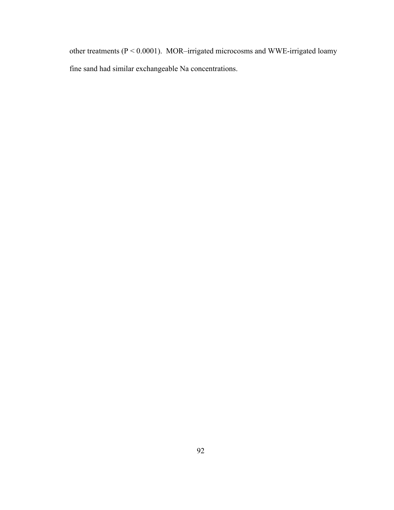other treatments (P < 0.0001). MOR–irrigated microcosms and WWE-irrigated loamy fine sand had similar exchangeable Na concentrations.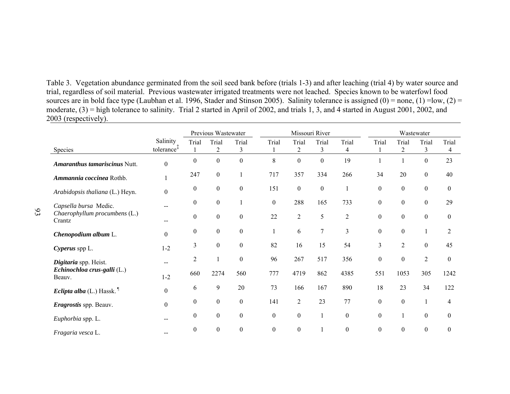Table 3. Vegetation abundance germinated from the soil seed bank before (trials 1-3) and after leaching (trial 4) by water source and trial, regardless of soil material. Previous wastewater irrigated treatments were not leached. Species known to be waterfowl food sources are in bold face type (Laubhan et al. 1996, Stader and Stinson 2005). Salinity tolerance is assigned  $(0)$  = none,  $(1)$  =low,  $(2)$  = moderate, (3) = high tolerance to salinity. Trial 2 started in April of 2002, and trials 1, 3, and 4 started in August 2001, 2002, and 2003 (respectively).

|                                              |                                    | Previous Wastewater |                         |                         |                  | Missouri River          |                  |                  |                  | Wastewater              |                  |                  |  |
|----------------------------------------------|------------------------------------|---------------------|-------------------------|-------------------------|------------------|-------------------------|------------------|------------------|------------------|-------------------------|------------------|------------------|--|
| Species                                      | Salinity<br>tolerance <sup>+</sup> | Trial               | Trial<br>$\overline{2}$ | Trial<br>$\mathfrak{Z}$ | Trial            | Trial<br>$\overline{2}$ | Trial<br>3       | Trial<br>4       | Trial            | Trial<br>$\overline{2}$ | Trial<br>3       | Trial<br>4       |  |
| Amaranthus tamariscinus Nutt.                | $\boldsymbol{0}$                   | $\boldsymbol{0}$    | $\boldsymbol{0}$        | $\boldsymbol{0}$        | 8                | $\boldsymbol{0}$        | $\boldsymbol{0}$ | 19               |                  |                         | $\boldsymbol{0}$ | 23               |  |
| Ammannia coccinea Rothb.                     |                                    | 247                 | $\boldsymbol{0}$        |                         | 717              | 357                     | 334              | 266              | 34               | 20                      | $\boldsymbol{0}$ | 40               |  |
| Arabidopsis thaliana (L.) Heyn.              | $\boldsymbol{0}$                   | $\boldsymbol{0}$    | $\boldsymbol{0}$        | $\boldsymbol{0}$        | 151              | $\boldsymbol{0}$        | $\boldsymbol{0}$ |                  | $\boldsymbol{0}$ | $\boldsymbol{0}$        | $\boldsymbol{0}$ | $\boldsymbol{0}$ |  |
| Capsella bursa Medic.                        |                                    | $\boldsymbol{0}$    | $\mathbf{0}$            |                         | $\mathbf{0}$     | 288                     | 165              | 733              | $\boldsymbol{0}$ | $\boldsymbol{0}$        | $\boldsymbol{0}$ | 29               |  |
| Chaerophyllum procumbens (L.)<br>Crantz      | $-$                                | $\boldsymbol{0}$    | $\boldsymbol{0}$        | $\boldsymbol{0}$        | 22               | $\sqrt{2}$              | 5                | $\overline{c}$   | $\boldsymbol{0}$ | $\boldsymbol{0}$        | $\boldsymbol{0}$ | $\boldsymbol{0}$ |  |
| Chenopodium album L.                         | $\theta$                           | $\boldsymbol{0}$    | $\mathbf{0}$            | $\theta$                |                  | 6                       | $\overline{7}$   | 3                | $\boldsymbol{0}$ | $\boldsymbol{0}$        |                  | $\overline{2}$   |  |
| Cyperus spp L.                               | $1 - 2$                            | 3                   | $\mathbf{0}$            | $\boldsymbol{0}$        | 82               | 16                      | 15               | 54               | 3                | $\overline{2}$          | $\boldsymbol{0}$ | 45               |  |
| Digitaria spp. Heist.                        | $- -$                              | 2                   |                         | $\mathbf{0}$            | 96               | 267                     | 517              | 356              | $\boldsymbol{0}$ | $\boldsymbol{0}$        | $\sqrt{2}$       | $\boldsymbol{0}$ |  |
| Echinochloa crus-galli (L.)<br>Beauv.        | $1 - 2$                            | 660                 | 2274                    | 560                     | 777              | 4719                    | 862              | 4385             | 551              | 1053                    | 305              | 1242             |  |
| <i>Eclipta alba</i> (L.) Hassk. <sup>1</sup> | $\boldsymbol{0}$                   | 6                   | 9                       | 20                      | 73               | 166                     | 167              | 890              | 18               | 23                      | 34               | 122              |  |
| Eragrostis spp. Beauv.                       | $\boldsymbol{0}$                   | $\boldsymbol{0}$    | $\boldsymbol{0}$        | $\boldsymbol{0}$        | 141              | $\overline{2}$          | 23               | 77               | $\boldsymbol{0}$ | $\boldsymbol{0}$        |                  | 4                |  |
| Euphorbia spp. L.                            | --                                 | $\boldsymbol{0}$    | $\boldsymbol{0}$        | $\boldsymbol{0}$        | $\boldsymbol{0}$ | $\boldsymbol{0}$        | $\mathbf{1}$     | $\boldsymbol{0}$ | $\boldsymbol{0}$ | $\mathbf{1}$            | $\boldsymbol{0}$ | $\boldsymbol{0}$ |  |
| Fragaria vesca L.                            |                                    | $\theta$            | $\theta$                | $\boldsymbol{0}$        | $\boldsymbol{0}$ | $\boldsymbol{0}$        |                  | $\boldsymbol{0}$ | $\boldsymbol{0}$ | $\boldsymbol{0}$        | $\boldsymbol{0}$ | $\boldsymbol{0}$ |  |

93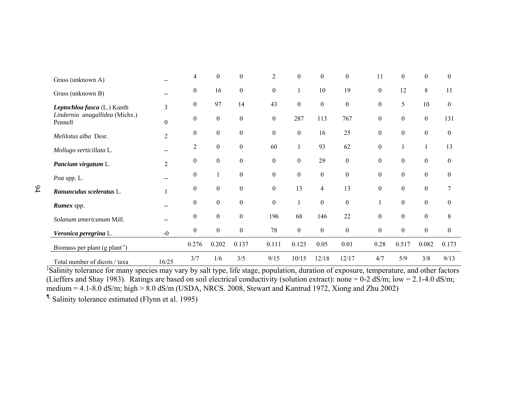| Grass (unknown A)                          |                  | 4                | $\boldsymbol{0}$ | $\mathbf{0}$     | 2                | $\mathbf{0}$     | $\boldsymbol{0}$ | $\boldsymbol{0}$ | 11               | $\boldsymbol{0}$ | $\boldsymbol{0}$ | $\mathbf{0}$     |
|--------------------------------------------|------------------|------------------|------------------|------------------|------------------|------------------|------------------|------------------|------------------|------------------|------------------|------------------|
| Grass (unknown B)                          | --               | $\mathbf{0}$     | 16               | $\boldsymbol{0}$ | $\boldsymbol{0}$ |                  | 10               | 19               | $\boldsymbol{0}$ | 12               | 8                | 11               |
| Leptochloa fusca (L.) Kunth                | 3                | $\boldsymbol{0}$ | 97               | 14               | 43               | $\boldsymbol{0}$ | $\boldsymbol{0}$ | $\boldsymbol{0}$ | $\boldsymbol{0}$ | 5                | 10               | $\overline{0}$   |
| Lindernia anagallidea (Michx.)<br>Pennell  | $\boldsymbol{0}$ | $\mathbf{0}$     | $\boldsymbol{0}$ | $\boldsymbol{0}$ | $\boldsymbol{0}$ | 287              | 113              | 767              | $\boldsymbol{0}$ | $\boldsymbol{0}$ | $\boldsymbol{0}$ | 131              |
| Melilotus alba Desr.                       | $\overline{2}$   | $\boldsymbol{0}$ | $\boldsymbol{0}$ | $\boldsymbol{0}$ | $\boldsymbol{0}$ | $\boldsymbol{0}$ | 16               | 25               | $\boldsymbol{0}$ | $\boldsymbol{0}$ | $\boldsymbol{0}$ | $\boldsymbol{0}$ |
| Mollugo verticillata L.                    | --               | 2                | $\boldsymbol{0}$ | $\boldsymbol{0}$ | 60               |                  | 93               | 62               | $\boldsymbol{0}$ |                  |                  | 13               |
| Pancium virgatum L.                        | $\overline{2}$   | $\mathbf{0}$     | $\boldsymbol{0}$ | $\mathbf{0}$     | $\boldsymbol{0}$ | $\boldsymbol{0}$ | 29               | $\boldsymbol{0}$ | $\boldsymbol{0}$ | $\boldsymbol{0}$ | $\boldsymbol{0}$ | $\overline{0}$   |
| Poa spp. L.                                |                  | $\boldsymbol{0}$ |                  | $\mathbf{0}$     | $\boldsymbol{0}$ | $\boldsymbol{0}$ | $\boldsymbol{0}$ | $\boldsymbol{0}$ | $\boldsymbol{0}$ | $\boldsymbol{0}$ | $\boldsymbol{0}$ | $\overline{0}$   |
| Ranunculus sceleratus L.                   |                  | $\boldsymbol{0}$ | $\boldsymbol{0}$ | $\boldsymbol{0}$ | $\overline{0}$   | 13               | $\overline{4}$   | 13               | $\boldsymbol{0}$ | $\boldsymbol{0}$ | $\boldsymbol{0}$ | 7                |
| <b>Rumex</b> spp.                          |                  | $\boldsymbol{0}$ | $\mathbf{0}$     | $\boldsymbol{0}$ | $\boldsymbol{0}$ |                  | $\boldsymbol{0}$ | $\boldsymbol{0}$ |                  | $\boldsymbol{0}$ | $\boldsymbol{0}$ | $\boldsymbol{0}$ |
| Solanum americanum Mill.                   | --               | $\boldsymbol{0}$ | $\mathbf{0}$     | $\overline{0}$   | 196              | 68               | 146              | 22               | $\boldsymbol{0}$ | $\boldsymbol{0}$ | $\boldsymbol{0}$ | 8                |
| Veronica peregrina L.                      | $-0$             | $\boldsymbol{0}$ | $\boldsymbol{0}$ | $\boldsymbol{0}$ | 78               | $\boldsymbol{0}$ | $\boldsymbol{0}$ | $\boldsymbol{0}$ | $\boldsymbol{0}$ | $\boldsymbol{0}$ | $\boldsymbol{0}$ | $\boldsymbol{0}$ |
| Biomass per plant (g plant <sup>-1</sup> ) |                  | 0.276            | 0.202            | 0.137            | 0.111            | 0.123            | 0.05             | 0.01             | 0.28             | 0.517            | 0.082            | 0.173            |
| Total number of dicots / taxa              | 16/25            | 3/7              | 1/6              | 3/5              | 9/15             | 10/15            | 12/18            | 12/17            | 4/7              | 5/9              | 3/8              | 9/13             |

‡Salinity tolerance for many species may vary by salt type, life stage, population, duration of exposure, temperature, and other factors (Lieffers and Shay 1983). Ratings are based on soil electrical conductivity (solution extract): none = 0-2 dS/m; low = 2.1-4.0 dS/m; medium =  $4.1$ -8.0 dS/m; high >  $8.0$  dS/m (USDA, NRCS. 2008, Stewart and Kantrud 1972, Xiong and Zhu 2002)

¶ Salinity tolerance estimated (Flynn et al. 1995)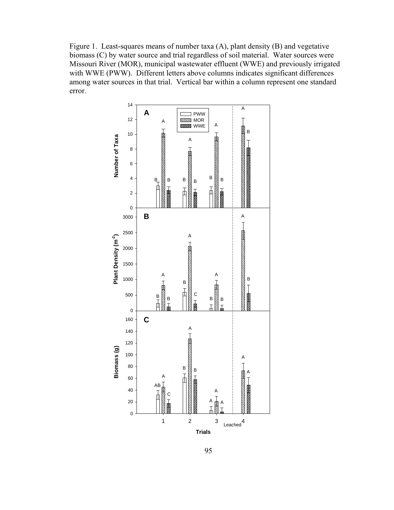Figure 1. Least-squares means of number taxa (A), plant density (B) and vegetative biomass (C) by water source and trial regardless of soil material. Water sources were Missouri River (MOR), municipal wastewater effluent (WWE) and previously irrigated with WWE (PWW). Different letters above columns indicates significant differences among water sources in that trial. Vertical bar within a column represent one standard error.

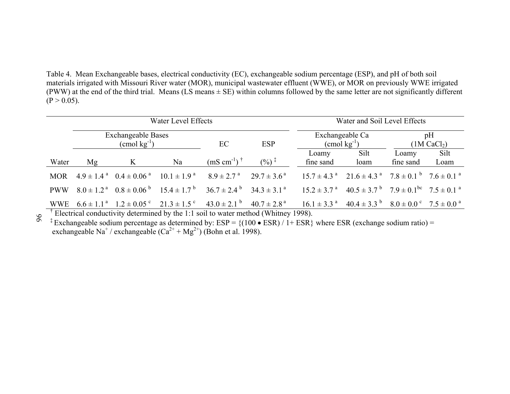Table 4. Mean Exchangeable bases, electrical conductivity (EC), exchangeable sodium percentage (ESP), and pH of both soil materials irrigated with Missouri River water (MOR), municipal wastewater effluent (WWE), or MOR on previously WWE irrigated (PWW) at the end of the third trial. Means  $(LS \text{ means} \pm SE)$  within columns followed by the same letter are not significantly different  $(P > 0.05)$ .

|            |                                                      |  | Water Level Effects | Water and Soil Level Effects                                                                                                                                                                                                                                                                                                                                                                                                            |                  |                                     |                                                                                                               |                               |      |  |
|------------|------------------------------------------------------|--|---------------------|-----------------------------------------------------------------------------------------------------------------------------------------------------------------------------------------------------------------------------------------------------------------------------------------------------------------------------------------------------------------------------------------------------------------------------------------|------------------|-------------------------------------|---------------------------------------------------------------------------------------------------------------|-------------------------------|------|--|
|            | <b>Exchangeable Bases</b><br>$(\text{cmol kg}^{-1})$ |  |                     | EC                                                                                                                                                                                                                                                                                                                                                                                                                                      | <b>ESP</b>       |                                     | Exchangeable Ca<br>$\text{(cmol kg}^{-1})$                                                                    | pH<br>(1M CaCl <sub>2</sub> ) |      |  |
|            |                                                      |  |                     |                                                                                                                                                                                                                                                                                                                                                                                                                                         |                  | Loamy                               | Silt                                                                                                          | Loamy                         | Silt |  |
| Water      | Mg                                                   |  | Na                  | $(mS \text{ cm}^{-1})$ <sup>†</sup>                                                                                                                                                                                                                                                                                                                                                                                                     | $(%)^{\ddagger}$ | fine sand                           | loam                                                                                                          | fine sand                     | Loam |  |
| <b>MOR</b> |                                                      |  |                     | $4.9 \pm 1.4^{a}$ $0.4 \pm 0.06^{a}$ $10.1 \pm 1.9^{a}$ $8.9 \pm 2.7^{a}$ $29.7 \pm 3.6^{a}$                                                                                                                                                                                                                                                                                                                                            |                  |                                     | $15.7 \pm 4.3$ <sup>a</sup> $21.6 \pm 4.3$ <sup>a</sup> $7.8 \pm 0.1$ <sup>b</sup> $7.6 \pm 0.1$ <sup>a</sup> |                               |      |  |
| <b>PWW</b> |                                                      |  |                     | $8.0 \pm 1.2^{\text{a}}$ $0.8 \pm 0.06^{\text{b}}$ $15.4 \pm 1.7^{\text{b}}$ $36.7 \pm 2.4^{\text{b}}$ $34.3 \pm 3.1^{\text{a}}$                                                                                                                                                                                                                                                                                                        |                  |                                     | $15.2 \pm 3.7^{\text{ a}}$ $40.5 \pm 3.7^{\text{ b}}$ $7.9 \pm 0.1^{\text{ bc}}$ $7.5 \pm 0.1^{\text{ a}}$    |                               |      |  |
|            |                                                      |  |                     | WWE $6.6 \pm 1.1^{\circ}$ $1.2 \pm 0.05^{\circ}$ $21.3 \pm 1.5^{\circ}$ $43.0 \pm 2.1^{\circ}$ $40.7 \pm 2.8^{\circ}$<br>$\frac{1}{2}$ and $\frac{1}{2}$ and $\frac{1}{2}$ and $\frac{1}{2}$ and $\frac{1}{2}$ and $\frac{1}{2}$ and $\frac{1}{2}$ $\frac{1}{2}$ $\frac{1}{2}$ $\frac{1}{2}$ $\frac{1}{2}$ $\frac{1}{2}$ $\frac{1}{2}$ $\frac{1}{2}$ $\frac{1}{2}$ $\frac{1}{2}$ $\frac{1}{2}$ $\frac{1}{2}$ $\frac{1}{2}$ $\frac{1}{2$ |                  | $16.1 \pm 3.3$ <sup>a</sup><br>1000 | $40.4 \pm 3.3^{b}$ $8.0 \pm 0.0^{c}$ $7.5 \pm 0.0^{a}$                                                        |                               |      |  |

96 <sup> $\uparrow$ </sup> Electrical conductivity determined by the 1:1 soil to water method (Whitney 1998).

<sup>‡</sup> Exchangeable sodium percentage as determined by:  $ESP = \{(100 \cdot ESR) / 1 + ESR\}$  where ESR (exchange sodium ratio) = exchangeable Na<sup>+</sup> / exchangeable  $(Ca^{2+} + Mg^{2+})$  (Bohn et al. 1998).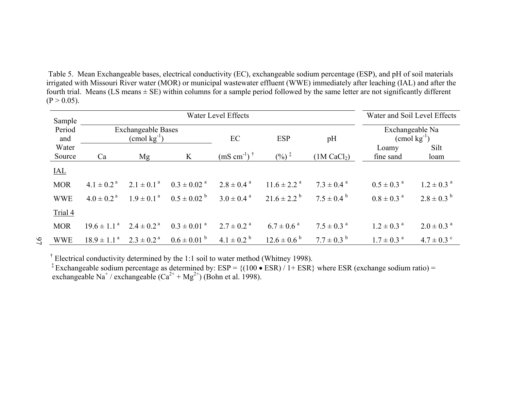Table 5. Mean Exchangeable bases, electrical conductivity (EC), exchangeable sodium percentage (ESP), and pH of soil materials irrigated with Missouri River water (MOR) or municipal wastewater effluent (WWE) immediately after leaching (IAL) and after the fourth trial. Means (LS means ± SE) within columns for a sample period followed by the same letter are not significantly different  $(P > 0.05)$ .

| Sample          |                                                      |                          | Water and Soil Level Effects |                                  |                             |                            |                                            |                            |
|-----------------|------------------------------------------------------|--------------------------|------------------------------|----------------------------------|-----------------------------|----------------------------|--------------------------------------------|----------------------------|
| Period<br>and   | <b>Exchangeable Bases</b><br>$\text{(cmol kg}^{-1})$ |                          |                              | EC                               | <b>ESP</b>                  | pH                         | Exchangeable Na<br>$\text{(cmol kg}^{-1})$ |                            |
| Water<br>Source | Ca                                                   | Mg                       | K                            | $(mS \text{ cm}^{-1})^{\dagger}$ | $($ %) $\frac{1}{1}$        | (1M CaCl <sub>2</sub> )    | Loamy<br>fine sand                         | Silt<br>loam               |
| $IAL$           |                                                      |                          |                              |                                  |                             |                            |                                            |                            |
| <b>MOR</b>      | $4.1 \pm 0.2^{\text{a}}$                             | $2.1 \pm 0.1^{\text{a}}$ | $0.3 \pm 0.02$ <sup>a</sup>  | $2.8 \pm 0.4$ <sup>a</sup>       | $11.6 \pm 2.2$ <sup>a</sup> | $7.3 \pm 0.4$ <sup>a</sup> | $0.5 \pm 0.3$ <sup>a</sup>                 | $1.2 \pm 0.3$ <sup>a</sup> |
| <b>WWE</b>      | $4.0 \pm 0.2$ <sup>a</sup>                           | $1.9 \pm 0.1^{\text{a}}$ | $0.5 \pm 0.02^{\circ}$       | $3.0 \pm 0.4$ <sup>a</sup>       | $21.6 \pm 2.2^{\circ}$      | $7.5 \pm 0.4^{\circ}$      | $0.8 \pm 0.3$ <sup>a</sup>                 | $2.8 \pm 0.3^{b}$          |
| Trial 4         |                                                      |                          |                              |                                  |                             |                            |                                            |                            |
| <b>MOR</b>      | $19.6 \pm 1.1^{a}$                                   | $2.4 \pm 0.2^{\text{a}}$ | $0.3 \pm 0.01$ <sup>a</sup>  | $2.7 \pm 0.2$ <sup>a</sup>       | $6.7 \pm 0.6^{\text{a}}$    | $7.5 \pm 0.3$ <sup>a</sup> | $1.2 \pm 0.3$ <sup>a</sup>                 | $2.0 \pm 0.3$ <sup>a</sup> |
| <b>WWE</b>      | $18.9 \pm 1.1^{\text{a}}$                            | $2.3 \pm 0.2^{\text{a}}$ | $0.6 \pm 0.01$ b             | $4.1 \pm 0.2^{\circ}$            | $12.6 \pm 0.6^{b}$          | $7.7 \pm 0.3^{b}$          | $1.7 \pm 0.3$ <sup>a</sup>                 | $4.7 \pm 0.3$ °            |

† Electrical conductivity determined by the 1:1 soil to water method (Whitney 1998).

<sup>‡</sup> Exchangeable sodium percentage as determined by:  $ESP = \{(100 \bullet \text{ESR}) / 1 + \text{ESR}\}\$  where ESR (exchange sodium ratio) = exchangeable Na<sup>+</sup> / exchangeable  $(Ca^{2+} + Mg^{2+})$  (Bohn et al. 1998).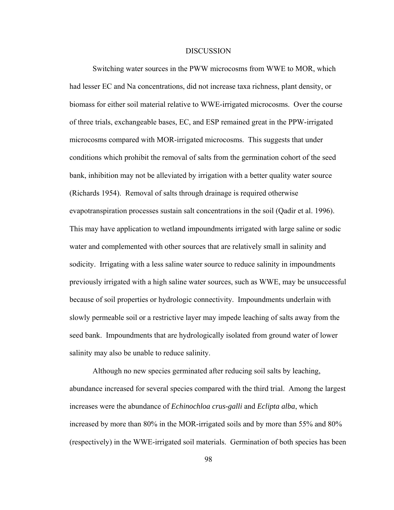#### DISCUSSION

Switching water sources in the PWW microcosms from WWE to MOR, which had lesser EC and Na concentrations, did not increase taxa richness, plant density, or biomass for either soil material relative to WWE-irrigated microcosms. Over the course of three trials, exchangeable bases, EC, and ESP remained great in the PPW-irrigated microcosms compared with MOR-irrigated microcosms. This suggests that under conditions which prohibit the removal of salts from the germination cohort of the seed bank, inhibition may not be alleviated by irrigation with a better quality water source (Richards 1954). Removal of salts through drainage is required otherwise evapotranspiration processes sustain salt concentrations in the soil (Qadir et al. 1996). This may have application to wetland impoundments irrigated with large saline or sodic water and complemented with other sources that are relatively small in salinity and sodicity. Irrigating with a less saline water source to reduce salinity in impoundments previously irrigated with a high saline water sources, such as WWE, may be unsuccessful because of soil properties or hydrologic connectivity. Impoundments underlain with slowly permeable soil or a restrictive layer may impede leaching of salts away from the seed bank. Impoundments that are hydrologically isolated from ground water of lower salinity may also be unable to reduce salinity.

Although no new species germinated after reducing soil salts by leaching, abundance increased for several species compared with the third trial. Among the largest increases were the abundance of *Echinochloa crus-galli* and *Eclipta alba*, which increased by more than 80% in the MOR-irrigated soils and by more than 55% and 80% (respectively) in the WWE-irrigated soil materials. Germination of both species has been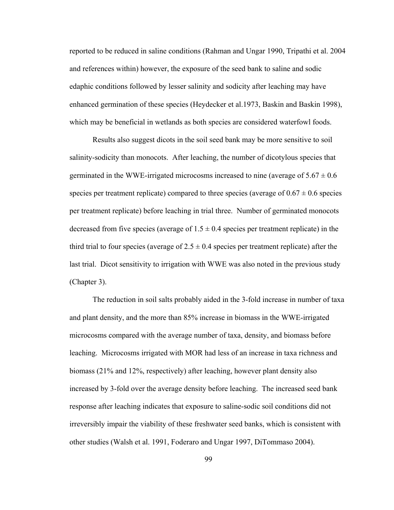reported to be reduced in saline conditions (Rahman and Ungar 1990, Tripathi et al. 2004 and references within) however, the exposure of the seed bank to saline and sodic edaphic conditions followed by lesser salinity and sodicity after leaching may have enhanced germination of these species (Heydecker et al.1973, Baskin and Baskin 1998), which may be beneficial in wetlands as both species are considered waterfowl foods.

Results also suggest dicots in the soil seed bank may be more sensitive to soil salinity-sodicity than monocots. After leaching, the number of dicotylous species that germinated in the WWE-irrigated microcosms increased to nine (average of  $5.67 \pm 0.6$ ) species per treatment replicate) compared to three species (average of  $0.67 \pm 0.6$  species per treatment replicate) before leaching in trial three. Number of germinated monocots decreased from five species (average of  $1.5 \pm 0.4$  species per treatment replicate) in the third trial to four species (average of  $2.5 \pm 0.4$  species per treatment replicate) after the last trial. Dicot sensitivity to irrigation with WWE was also noted in the previous study (Chapter 3).

The reduction in soil salts probably aided in the 3-fold increase in number of taxa and plant density, and the more than 85% increase in biomass in the WWE-irrigated microcosms compared with the average number of taxa, density, and biomass before leaching. Microcosms irrigated with MOR had less of an increase in taxa richness and biomass (21% and 12%, respectively) after leaching, however plant density also increased by 3-fold over the average density before leaching. The increased seed bank response after leaching indicates that exposure to saline-sodic soil conditions did not irreversibly impair the viability of these freshwater seed banks, which is consistent with other studies (Walsh et al. 1991, Foderaro and Ungar 1997, DiTommaso 2004).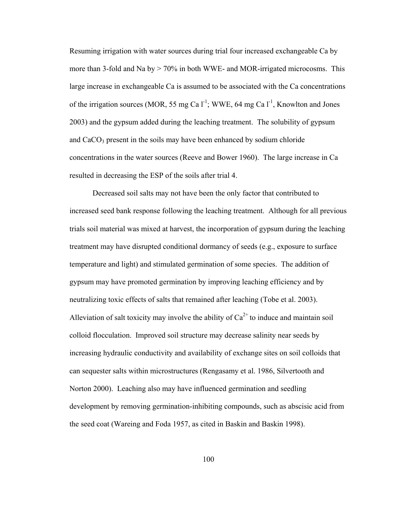Resuming irrigation with water sources during trial four increased exchangeable Ca by more than 3-fold and Na by  $> 70\%$  in both WWE- and MOR-irrigated microcosms. This large increase in exchangeable Ca is assumed to be associated with the Ca concentrations of the irrigation sources (MOR, 55 mg Ca  $1^{-1}$ ; WWE, 64 mg Ca  $1^{-1}$ , Knowlton and Jones 2003) and the gypsum added during the leaching treatment. The solubility of gypsum and  $CaCO<sub>3</sub>$  present in the soils may have been enhanced by sodium chloride concentrations in the water sources (Reeve and Bower 1960). The large increase in Ca resulted in decreasing the ESP of the soils after trial 4.

Decreased soil salts may not have been the only factor that contributed to increased seed bank response following the leaching treatment. Although for all previous trials soil material was mixed at harvest, the incorporation of gypsum during the leaching treatment may have disrupted conditional dormancy of seeds (e.g., exposure to surface temperature and light) and stimulated germination of some species. The addition of gypsum may have promoted germination by improving leaching efficiency and by neutralizing toxic effects of salts that remained after leaching (Tobe et al. 2003). Alleviation of salt toxicity may involve the ability of  $Ca^{2+}$  to induce and maintain soil colloid flocculation. Improved soil structure may decrease salinity near seeds by increasing hydraulic conductivity and availability of exchange sites on soil colloids that can sequester salts within microstructures (Rengasamy et al. 1986, Silvertooth and Norton 2000). Leaching also may have influenced germination and seedling development by removing germination-inhibiting compounds, such as abscisic acid from the seed coat (Wareing and Foda 1957, as cited in Baskin and Baskin 1998).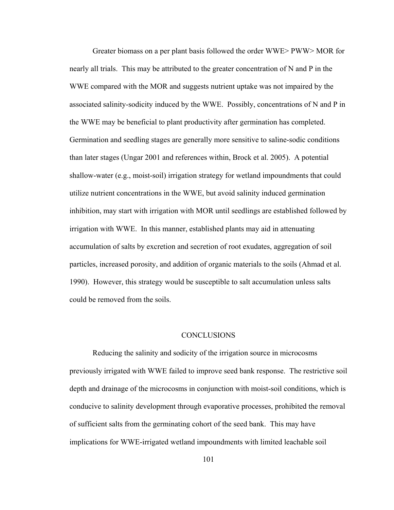Greater biomass on a per plant basis followed the order WWE> PWW> MOR for nearly all trials. This may be attributed to the greater concentration of N and P in the WWE compared with the MOR and suggests nutrient uptake was not impaired by the associated salinity-sodicity induced by the WWE. Possibly, concentrations of N and P in the WWE may be beneficial to plant productivity after germination has completed. Germination and seedling stages are generally more sensitive to saline-sodic conditions than later stages (Ungar 2001 and references within, Brock et al. 2005). A potential shallow-water (e.g., moist-soil) irrigation strategy for wetland impoundments that could utilize nutrient concentrations in the WWE, but avoid salinity induced germination inhibition, may start with irrigation with MOR until seedlings are established followed by irrigation with WWE. In this manner, established plants may aid in attenuating accumulation of salts by excretion and secretion of root exudates, aggregation of soil particles, increased porosity, and addition of organic materials to the soils (Ahmad et al. 1990). However, this strategy would be susceptible to salt accumulation unless salts could be removed from the soils.

#### CONCLUSIONS

Reducing the salinity and sodicity of the irrigation source in microcosms previously irrigated with WWE failed to improve seed bank response. The restrictive soil depth and drainage of the microcosms in conjunction with moist-soil conditions, which is conducive to salinity development through evaporative processes, prohibited the removal of sufficient salts from the germinating cohort of the seed bank. This may have implications for WWE-irrigated wetland impoundments with limited leachable soil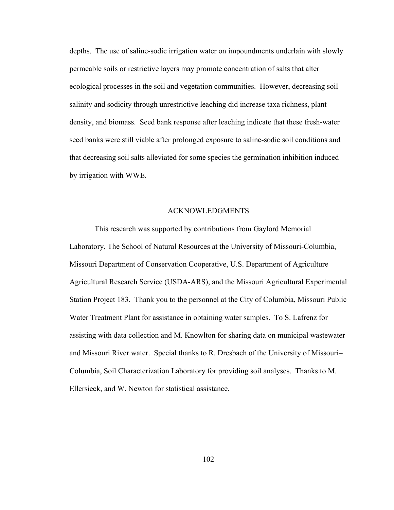depths. The use of saline-sodic irrigation water on impoundments underlain with slowly permeable soils or restrictive layers may promote concentration of salts that alter ecological processes in the soil and vegetation communities. However, decreasing soil salinity and sodicity through unrestrictive leaching did increase taxa richness, plant density, and biomass. Seed bank response after leaching indicate that these fresh-water seed banks were still viable after prolonged exposure to saline-sodic soil conditions and that decreasing soil salts alleviated for some species the germination inhibition induced by irrigation with WWE.

#### ACKNOWLEDGMENTS

This research was supported by contributions from Gaylord Memorial Laboratory, The School of Natural Resources at the University of Missouri-Columbia, Missouri Department of Conservation Cooperative, U.S. Department of Agriculture Agricultural Research Service (USDA-ARS), and the Missouri Agricultural Experimental Station Project 183. Thank you to the personnel at the City of Columbia, Missouri Public Water Treatment Plant for assistance in obtaining water samples. To S. Lafrenz for assisting with data collection and M. Knowlton for sharing data on municipal wastewater and Missouri River water. Special thanks to R. Dresbach of the University of Missouri– Columbia, Soil Characterization Laboratory for providing soil analyses. Thanks to M. Ellersieck, and W. Newton for statistical assistance.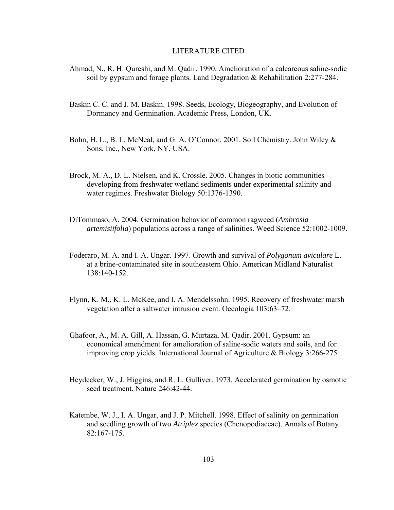#### LITERATURE CITED

- Ahmad, N., R. H. Qureshi, and M. Qadir. 1990. Amelioration of a calcareous saline-sodic soil by gypsum and forage plants. Land Degradation & Rehabilitation 2:277-284.
- Baskin C. C. and J. M. Baskin. 1998. Seeds, Ecology, Biogeography, and Evolution of Dormancy and Germination. Academic Press, London, UK.
- Bohn, H. L., B. L. McNeal, and G. A. O'Connor. 2001. Soil Chemistry. John Wiley & Sons, Inc., New York, NY, USA.
- Brock, M. A., D. L. Nielsen, and K. Crossle. 2005. Changes in biotic communities developing from freshwater wetland sediments under experimental salinity and water regimes. Freshwater Biology 50:1376-1390.
- DiTommaso, A. 2004. Germination behavior of common ragweed (*Ambrosia artemisiifolia*) populations across a range of salinities. Weed Science 52:1002-1009.
- Foderaro, M. A. and I. A. Ungar. 1997. Growth and survival of *Polygonum aviculare* L. at a brine-contaminated site in southeastern Ohio. American Midland Naturalist 138:140-152.
- Flynn, K. M., K. L. McKee, and I. A. Mendelssohn. 1995. Recovery of freshwater marsh vegetation after a saltwater intrusion event. Oecologia 103:63–72.
- Ghafoor, A., M. A. Gill, A. Hassan, G. Murtaza, M. Qadir. 2001. Gypsum: an economical amendment for amelioration of saline-sodic waters and soils, and for improving crop yields. International Journal of Agriculture & Biology 3:266-275
- Heydecker, W., J. Higgins, and R. L. Gulliver. 1973. Accelerated germination by osmotic seed treatment. Nature 246:42-44.
- Katembe, W. J., I. A. Ungar, and J. P. Mitchell. 1998. Effect of salinity on germination and seedling growth of two *Atriplex* species (Chenopodiaceae). Annals of Botany 82:167-175.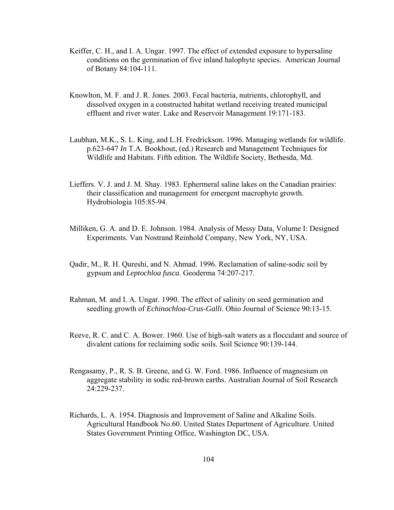- Keiffer, C. H., and I. A. Ungar. 1997. The effect of extended exposure to hypersaline conditions on the germination of five inland halophyte species. American Journal of Botany 84:104-111.
- Knowlton, M. F. and J. R. Jones. 2003. Fecal bacteria, nutrients, chlorophyll, and dissolved oxygen in a constructed habitat wetland receiving treated municipal effluent and river water. Lake and Reservoir Management 19:171-183.
- Laubhan, M.K., S. L. King, and L.H. Fredrickson. 1996. Managing wetlands for wildlife. p.623-647 *In* T.A. Bookhout, (ed.) Research and Management Techniques for Wildlife and Habitats. Fifth edition. The Wildlife Society, Bethesda, Md.
- Lieffers. V. J. and J. M. Shay. 1983. Ephermeral saline lakes on the Canadian prairies: their classification and management for emergent macrophyte growth. Hydrobiologia 105:85-94.
- Milliken, G. A. and D. E. Johnson. 1984. Analysis of Messy Data, Volume I: Designed Experiments. Van Nostrand Reinhold Company, New York, NY, USA.
- Qadir, M., R. H. Qureshi, and N. Ahmad. 1996. Reclamation of saline-sodic soil by gypsum and *Leptochloa fusca*. Geoderma 74:207-217.
- Rahman, M. and I. A. Ungar. 1990. The effect of salinity on seed germination and seedling growth of *Echinochloa-Crus-Galli*. Ohio Journal of Science 90:13-15.
- Reeve, R. C. and C. A. Bower. 1960. Use of high-salt waters as a flocculant and source of divalent cations for reclaiming sodic soils. Soil Science 90:139-144.
- Rengasamy, P., R. S. B. Greene, and G. W. Ford. 1986. Influence of magnesium on aggregate stability in sodic red-brown earths. Australian Journal of Soil Research 24:229-237.
- Richards, L. A. 1954. Diagnosis and Improvement of Saline and Alkaline Soils. Agricultural Handbook No.60. United States Department of Agriculture. United States Government Printing Office, Washington DC, USA.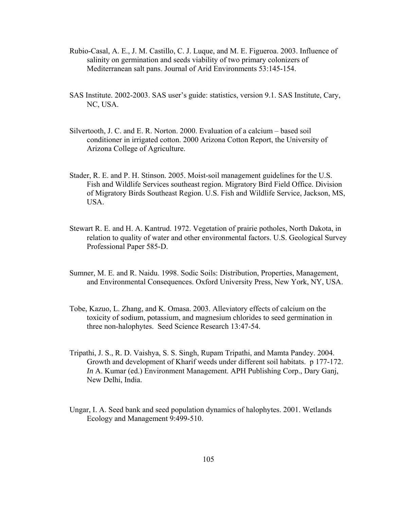- Rubio-Casal, A. E., J. M. Castillo, C. J. Luque, and M. E. Figueroa. 2003. Influence of salinity on germination and seeds viability of two primary colonizers of Mediterranean salt pans. Journal of Arid Environments 53:145-154.
- SAS Institute. 2002-2003. SAS user's guide: statistics, version 9.1. SAS Institute, Cary, NC, USA.
- Silvertooth, J. C. and E. R. Norton. 2000. Evaluation of a calcium based soil conditioner in irrigated cotton. 2000 Arizona Cotton Report, the University of Arizona College of Agriculture.
- Stader, R. E. and P. H. Stinson. 2005. Moist-soil management guidelines for the U.S. Fish and Wildlife Services southeast region. Migratory Bird Field Office. Division of Migratory Birds Southeast Region. U.S. Fish and Wildlife Service, Jackson, MS, USA.
- Stewart R. E. and H. A. Kantrud. 1972. Vegetation of prairie potholes, North Dakota, in relation to quality of water and other environmental factors. U.S. Geological Survey Professional Paper 585-D.
- Sumner, M. E. and R. Naidu. 1998. Sodic Soils: Distribution, Properties, Management, and Environmental Consequences. Oxford University Press, New York, NY, USA.
- Tobe, Kazuo, L. Zhang, and K. Omasa. 2003. Alleviatory effects of calcium on the toxicity of sodium, potassium, and magnesium chlorides to seed germination in three non-halophytes. Seed Science Research 13:47-54.
- Tripathi, J. S., R. D. Vaishya, S. S. Singh, Rupam Tripathi, and Mamta Pandey. 2004. Growth and development of Kharif weeds under different soil habitats. p 177-172. *In* A. Kumar (ed.) Environment Management. APH Publishing Corp., Dary Ganj, New Delhi, India.
- Ungar, I. A. Seed bank and seed population dynamics of halophytes. 2001. Wetlands Ecology and Management 9:499-510.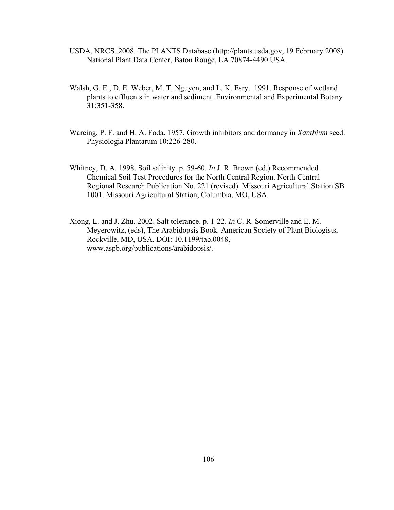- USDA, NRCS. 2008. The PLANTS Database (http://plants.usda.gov, 19 February 2008). National Plant Data Center, Baton Rouge, LA 70874-4490 USA.
- Walsh, G. E., D. E. Weber, M. T. Nguyen, and L. K. Esry. 1991. Response of wetland plants to effluents in water and sediment. Environmental and Experimental Botany 31:351-358.
- Wareing, P. F. and H. A. Foda. 1957. Growth inhibitors and dormancy in *Xanthium* seed. Physiologia Plantarum 10:226-280.
- Whitney, D. A. 1998. Soil salinity. p. 59-60. *In* J. R. Brown (ed.) Recommended Chemical Soil Test Procedures for the North Central Region. North Central Regional Research Publication No. 221 (revised). Missouri Agricultural Station SB 1001. Missouri Agricultural Station, Columbia, MO, USA.
- Xiong, L. and J. Zhu. 2002. Salt tolerance. p. 1-22. *In* C. R. Somerville and E. M. Meyerowitz, (eds), The Arabidopsis Book. American Society of Plant Biologists, Rockville, MD, USA. DOI: 10.1199/tab.0048, www.aspb.org/publications/arabidopsis/.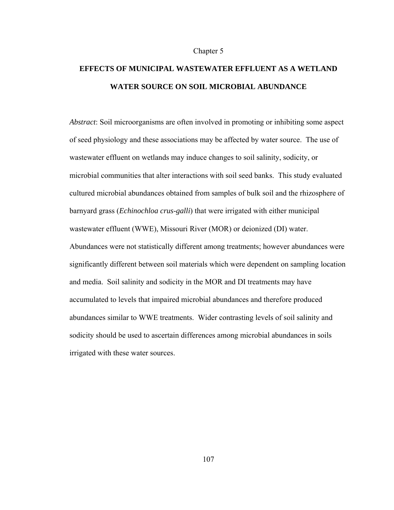#### Chapter 5

# **EFFECTS OF MUNICIPAL WASTEWATER EFFLUENT AS A WETLAND WATER SOURCE ON SOIL MICROBIAL ABUNDANCE**

*Abstract*: Soil microorganisms are often involved in promoting or inhibiting some aspect of seed physiology and these associations may be affected by water source. The use of wastewater effluent on wetlands may induce changes to soil salinity, sodicity, or microbial communities that alter interactions with soil seed banks. This study evaluated cultured microbial abundances obtained from samples of bulk soil and the rhizosphere of barnyard grass (*Echinochloa crus-galli*) that were irrigated with either municipal wastewater effluent (WWE), Missouri River (MOR) or deionized (DI) water. Abundances were not statistically different among treatments; however abundances were significantly different between soil materials which were dependent on sampling location and media. Soil salinity and sodicity in the MOR and DI treatments may have accumulated to levels that impaired microbial abundances and therefore produced abundances similar to WWE treatments. Wider contrasting levels of soil salinity and sodicity should be used to ascertain differences among microbial abundances in soils irrigated with these water sources.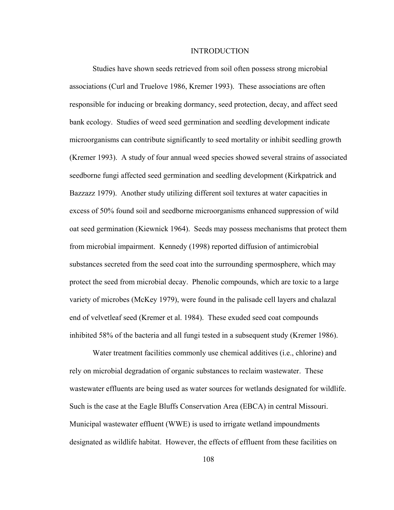#### INTRODUCTION

Studies have shown seeds retrieved from soil often possess strong microbial associations (Curl and Truelove 1986, Kremer 1993). These associations are often responsible for inducing or breaking dormancy, seed protection, decay, and affect seed bank ecology. Studies of weed seed germination and seedling development indicate microorganisms can contribute significantly to seed mortality or inhibit seedling growth (Kremer 1993). A study of four annual weed species showed several strains of associated seedborne fungi affected seed germination and seedling development (Kirkpatrick and Bazzazz 1979). Another study utilizing different soil textures at water capacities in excess of 50% found soil and seedborne microorganisms enhanced suppression of wild oat seed germination (Kiewnick 1964). Seeds may possess mechanisms that protect them from microbial impairment. Kennedy (1998) reported diffusion of antimicrobial substances secreted from the seed coat into the surrounding spermosphere, which may protect the seed from microbial decay. Phenolic compounds, which are toxic to a large variety of microbes (McKey 1979), were found in the palisade cell layers and chalazal end of velvetleaf seed (Kremer et al. 1984). These exuded seed coat compounds inhibited 58% of the bacteria and all fungi tested in a subsequent study (Kremer 1986).

Water treatment facilities commonly use chemical additives (i.e., chlorine) and rely on microbial degradation of organic substances to reclaim wastewater. These wastewater effluents are being used as water sources for wetlands designated for wildlife. Such is the case at the Eagle Bluffs Conservation Area (EBCA) in central Missouri. Municipal wastewater effluent (WWE) is used to irrigate wetland impoundments designated as wildlife habitat. However, the effects of effluent from these facilities on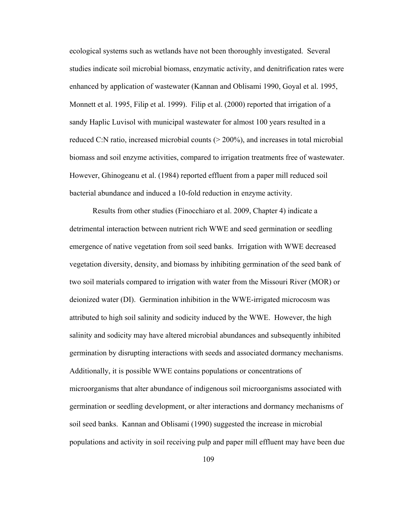ecological systems such as wetlands have not been thoroughly investigated. Several studies indicate soil microbial biomass, enzymatic activity, and denitrification rates were enhanced by application of wastewater (Kannan and Oblisami 1990, Goyal et al. 1995, Monnett et al. 1995, Filip et al. 1999). Filip et al. (2000) reported that irrigation of a sandy Haplic Luvisol with municipal wastewater for almost 100 years resulted in a reduced C:N ratio, increased microbial counts  $(> 200\%)$ , and increases in total microbial biomass and soil enzyme activities, compared to irrigation treatments free of wastewater. However, Ghinogeanu et al. (1984) reported effluent from a paper mill reduced soil bacterial abundance and induced a 10-fold reduction in enzyme activity.

Results from other studies (Finocchiaro et al. 2009, Chapter 4) indicate a detrimental interaction between nutrient rich WWE and seed germination or seedling emergence of native vegetation from soil seed banks. Irrigation with WWE decreased vegetation diversity, density, and biomass by inhibiting germination of the seed bank of two soil materials compared to irrigation with water from the Missouri River (MOR) or deionized water (DI). Germination inhibition in the WWE-irrigated microcosm was attributed to high soil salinity and sodicity induced by the WWE. However, the high salinity and sodicity may have altered microbial abundances and subsequently inhibited germination by disrupting interactions with seeds and associated dormancy mechanisms. Additionally, it is possible WWE contains populations or concentrations of microorganisms that alter abundance of indigenous soil microorganisms associated with germination or seedling development, or alter interactions and dormancy mechanisms of soil seed banks. Kannan and Oblisami (1990) suggested the increase in microbial populations and activity in soil receiving pulp and paper mill effluent may have been due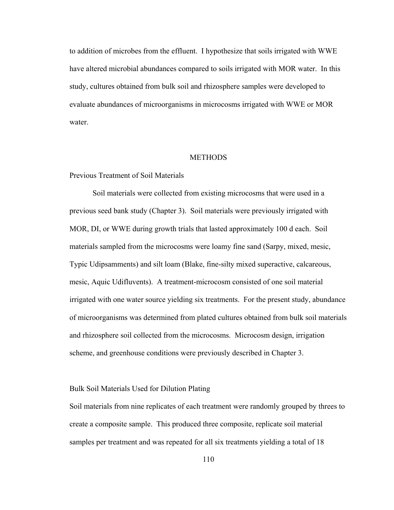to addition of microbes from the effluent. I hypothesize that soils irrigated with WWE have altered microbial abundances compared to soils irrigated with MOR water. In this study, cultures obtained from bulk soil and rhizosphere samples were developed to evaluate abundances of microorganisms in microcosms irrigated with WWE or MOR water.

### **METHODS**

## Previous Treatment of Soil Materials

Soil materials were collected from existing microcosms that were used in a previous seed bank study (Chapter 3). Soil materials were previously irrigated with MOR, DI, or WWE during growth trials that lasted approximately 100 d each. Soil materials sampled from the microcosms were loamy fine sand (Sarpy, mixed, mesic, Typic Udipsamments) and silt loam (Blake, fine-silty mixed superactive, calcareous, mesic, Aquic Udifluvents). A treatment-microcosm consisted of one soil material irrigated with one water source yielding six treatments. For the present study, abundance of microorganisms was determined from plated cultures obtained from bulk soil materials and rhizosphere soil collected from the microcosms. Microcosm design, irrigation scheme, and greenhouse conditions were previously described in Chapter 3.

## Bulk Soil Materials Used for Dilution Plating

Soil materials from nine replicates of each treatment were randomly grouped by threes to create a composite sample. This produced three composite, replicate soil material samples per treatment and was repeated for all six treatments yielding a total of 18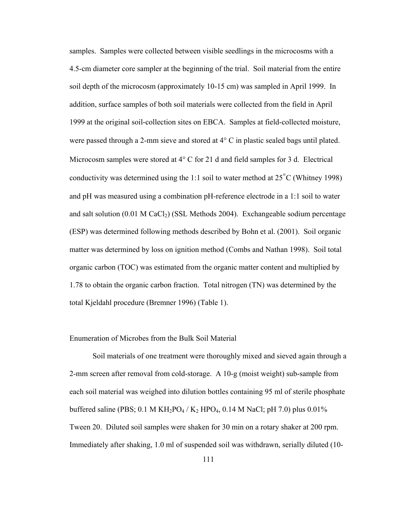samples. Samples were collected between visible seedlings in the microcosms with a 4.5-cm diameter core sampler at the beginning of the trial. Soil material from the entire soil depth of the microcosm (approximately 10-15 cm) was sampled in April 1999. In addition, surface samples of both soil materials were collected from the field in April 1999 at the original soil-collection sites on EBCA. Samples at field-collected moisture, were passed through a 2-mm sieve and stored at  $4^{\circ}$  C in plastic sealed bags until plated. Microcosm samples were stored at  $4^{\circ}$  C for 21 d and field samples for 3 d. Electrical conductivity was determined using the 1:1 soil to water method at 25<sup>º</sup> C (Whitney 1998) and pH was measured using a combination pH-reference electrode in a 1:1 soil to water and salt solution  $(0.01 \text{ M } CaCl<sub>2</sub>)$  (SSL Methods 2004). Exchangeable sodium percentage (ESP) was determined following methods described by Bohn et al. (2001). Soil organic matter was determined by loss on ignition method (Combs and Nathan 1998). Soil total organic carbon (TOC) was estimated from the organic matter content and multiplied by 1.78 to obtain the organic carbon fraction. Total nitrogen (TN) was determined by the total Kjeldahl procedure (Bremner 1996) (Table 1).

# Enumeration of Microbes from the Bulk Soil Material

Soil materials of one treatment were thoroughly mixed and sieved again through a 2-mm screen after removal from cold-storage. A 10-g (moist weight) sub-sample from each soil material was weighed into dilution bottles containing 95 ml of sterile phosphate buffered saline (PBS;  $0.1 \text{ M } \text{KH}_2\text{PO}_4$  / K<sub>2</sub> HPO<sub>4</sub>,  $0.14 \text{ M } \text{NaCl}$ ; pH 7.0) plus  $0.01\%$ Tween 20. Diluted soil samples were shaken for 30 min on a rotary shaker at 200 rpm. Immediately after shaking, 1.0 ml of suspended soil was withdrawn, serially diluted (10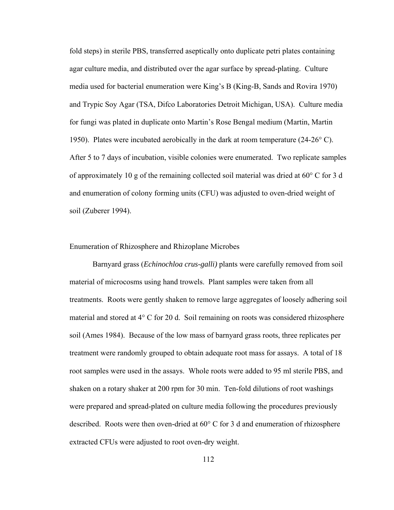fold steps) in sterile PBS, transferred aseptically onto duplicate petri plates containing agar culture media, and distributed over the agar surface by spread-plating. Culture media used for bacterial enumeration were King's B (King-B, Sands and Rovira 1970) and Trypic Soy Agar (TSA, Difco Laboratories Detroit Michigan, USA). Culture media for fungi was plated in duplicate onto Martin's Rose Bengal medium (Martin, Martin 1950). Plates were incubated aerobically in the dark at room temperature (24-26° C). After 5 to 7 days of incubation, visible colonies were enumerated. Two replicate samples of approximately 10 g of the remaining collected soil material was dried at 60° C for 3 d and enumeration of colony forming units (CFU) was adjusted to oven-dried weight of soil (Zuberer 1994).

#### Enumeration of Rhizosphere and Rhizoplane Microbes

Barnyard grass (*Echinochloa crus-galli)* plants were carefully removed from soil material of microcosms using hand trowels. Plant samples were taken from all treatments. Roots were gently shaken to remove large aggregates of loosely adhering soil material and stored at 4° C for 20 d. Soil remaining on roots was considered rhizosphere soil (Ames 1984). Because of the low mass of barnyard grass roots, three replicates per treatment were randomly grouped to obtain adequate root mass for assays. A total of 18 root samples were used in the assays. Whole roots were added to 95 ml sterile PBS, and shaken on a rotary shaker at 200 rpm for 30 min. Ten-fold dilutions of root washings were prepared and spread-plated on culture media following the procedures previously described. Roots were then oven-dried at 60° C for 3 d and enumeration of rhizosphere extracted CFUs were adjusted to root oven-dry weight.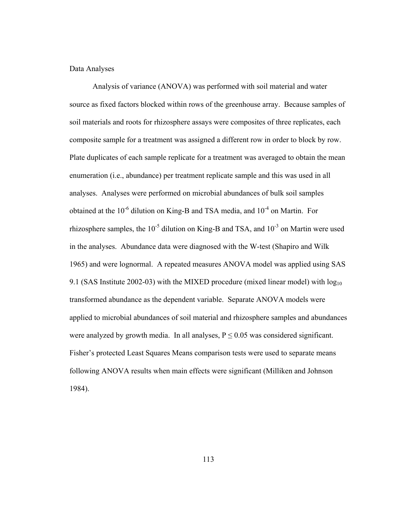# Data Analyses

Analysis of variance (ANOVA) was performed with soil material and water source as fixed factors blocked within rows of the greenhouse array. Because samples of soil materials and roots for rhizosphere assays were composites of three replicates, each composite sample for a treatment was assigned a different row in order to block by row. Plate duplicates of each sample replicate for a treatment was averaged to obtain the mean enumeration (i.e., abundance) per treatment replicate sample and this was used in all analyses. Analyses were performed on microbial abundances of bulk soil samples obtained at the  $10^{-6}$  dilution on King-B and TSA media, and  $10^{-4}$  on Martin. For rhizosphere samples, the  $10^{-5}$  dilution on King-B and TSA, and  $10^{-3}$  on Martin were used in the analyses. Abundance data were diagnosed with the W-test (Shapiro and Wilk 1965) and were lognormal. A repeated measures ANOVA model was applied using SAS 9.1 (SAS Institute 2002-03) with the MIXED procedure (mixed linear model) with  $log_{10}$ transformed abundance as the dependent variable. Separate ANOVA models were applied to microbial abundances of soil material and rhizosphere samples and abundances were analyzed by growth media. In all analyses,  $P \le 0.05$  was considered significant. Fisher's protected Least Squares Means comparison tests were used to separate means following ANOVA results when main effects were significant (Milliken and Johnson 1984).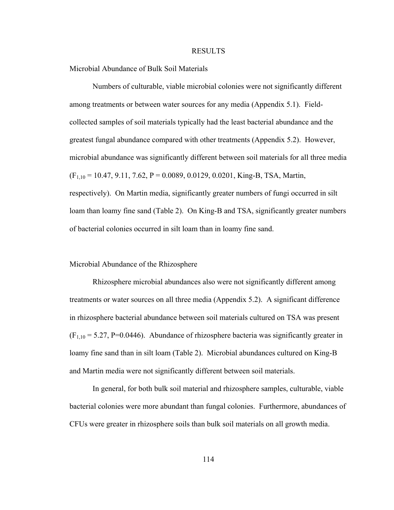#### RESULTS

Microbial Abundance of Bulk Soil Materials

Numbers of culturable, viable microbial colonies were not significantly different among treatments or between water sources for any media (Appendix 5.1). Fieldcollected samples of soil materials typically had the least bacterial abundance and the greatest fungal abundance compared with other treatments (Appendix 5.2). However, microbial abundance was significantly different between soil materials for all three media  $(F<sub>1,10</sub> = 10.47, 9.11, 7.62, P = 0.0089, 0.0129, 0.0201, King-B, TSA, Martin,$ respectively). On Martin media, significantly greater numbers of fungi occurred in silt loam than loamy fine sand (Table 2). On King-B and TSA, significantly greater numbers of bacterial colonies occurred in silt loam than in loamy fine sand.

## Microbial Abundance of the Rhizosphere

Rhizosphere microbial abundances also were not significantly different among treatments or water sources on all three media (Appendix 5.2). A significant difference in rhizosphere bacterial abundance between soil materials cultured on TSA was present  $(F<sub>1,10</sub> = 5.27, P=0.0446)$ . Abundance of rhizosphere bacteria was significantly greater in loamy fine sand than in silt loam (Table 2). Microbial abundances cultured on King-B and Martin media were not significantly different between soil materials.

In general, for both bulk soil material and rhizosphere samples, culturable, viable bacterial colonies were more abundant than fungal colonies. Furthermore, abundances of CFUs were greater in rhizosphere soils than bulk soil materials on all growth media.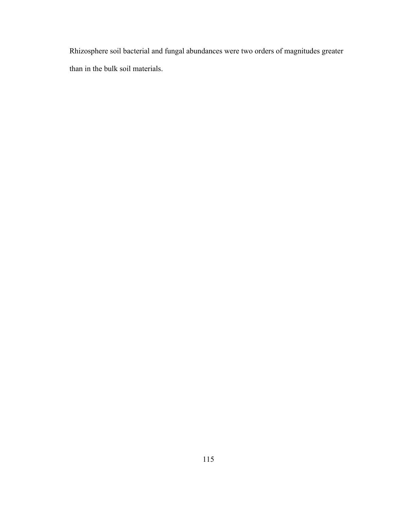Rhizosphere soil bacterial and fungal abundances were two orders of magnitudes greater than in the bulk soil materials.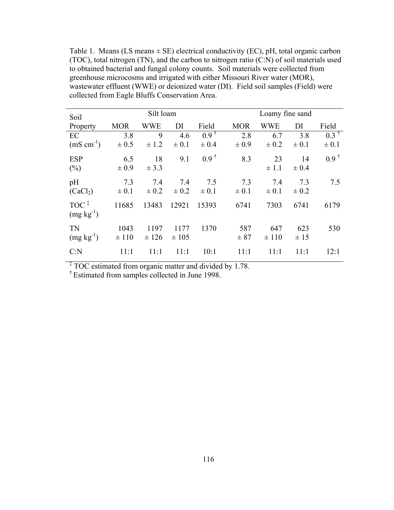Table 1. Means (LS means  $\pm$  SE) electrical conductivity (EC), pH, total organic carbon (TOC), total nitrogen (TN), and the carbon to nitrogen ratio (C:N) of soil materials used to obtained bacterial and fungal colony counts. Soil materials were collected from greenhouse microcosms and irrigated with either Missouri River water (MOR), wastewater effluent (WWE) or deionized water (DI). Field soil samples (Field) were collected from Eagle Bluffs Conservation Area.

| Soil                                                     | Silt loam         |                  |                   |                              | Loamy fine sand  |                  |                  |                              |
|----------------------------------------------------------|-------------------|------------------|-------------------|------------------------------|------------------|------------------|------------------|------------------------------|
| Property                                                 | <b>MOR</b>        | <b>WWE</b>       | DI                | Field                        | <b>MOR</b>       | <b>WWE</b>       | DI               | Field                        |
| EC<br>$(mS cm^{-1})$                                     | 3.8<br>$\pm 0.5$  | 9<br>$\pm$ 1.2   | 4.6<br>$\pm 0.1$  | $0.9^{\dagger}$<br>$\pm 0.4$ | 2.8<br>$\pm 0.9$ | 6.7<br>$\pm 0.2$ | 3.8<br>$\pm 0.1$ | $0.3^{\dagger}$<br>$\pm 0.1$ |
| <b>ESP</b><br>$(\% )$                                    | 6.5<br>$\pm 0.9$  | 18<br>$\pm$ 3.3  | 9.1               | $0.9^{\dagger}$              | 8.3              | 23<br>$\pm 1.1$  | 14<br>$\pm 0.4$  | $0.9^{\dagger}$              |
| pH<br>(CaCl <sub>2</sub> )                               | 7.3<br>$\pm 0.1$  | 7.4<br>$\pm 0.2$ | 7.4<br>$\pm 0.2$  | 7.5<br>$\pm 0.1$             | 7.3<br>$\pm 0.1$ | 7.4<br>$\pm 0.1$ | 7.3<br>$\pm 0.2$ | 7.5                          |
| $TOC$ <sup><math>\ddagger</math></sup><br>$(mg kg^{-1})$ | 11685             | 13483            | 12921             | 15393                        | 6741             | 7303             | 6741             | 6179                         |
| TN<br>$(mg kg^{-1})$                                     | 1043<br>$\pm 110$ | 1197<br>± 126    | 1177<br>$\pm 105$ | 1370                         | 587<br>± 87      | 647<br>$\pm 110$ | 623<br>$\pm 15$  | 530                          |
| C: N                                                     | 11:1              | 11:1             | 11:1              | 10:1                         | 11:1             | 11:1             | 11:1             | 12:1                         |

<sup>‡</sup> TOC estimated from organic matter and divided by 1.78.

† Estimated from samples collected in June 1998.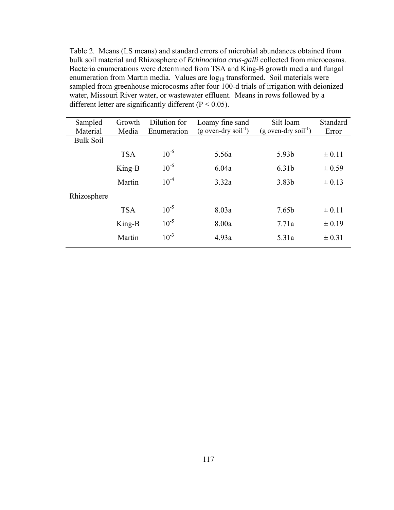Table 2. Means (LS means) and standard errors of microbial abundances obtained from bulk soil material and Rhizosphere of *Echinochloa crus-galli* collected from microcosms. Bacteria enumerations were determined from TSA and King-B growth media and fungal enumeration from Martin media. Values are log<sub>10</sub> transformed. Soil materials were sampled from greenhouse microcosms after four 100-d trials of irrigation with deionized water, Missouri River water, or wastewater effluent. Means in rows followed by a different letter are significantly different ( $P < 0.05$ ).

| Sampled          | Growth     | Dilution for | Loamy fine sand                    | Silt loam                          | Standard   |
|------------------|------------|--------------|------------------------------------|------------------------------------|------------|
| Material         | Media      | Enumeration  | $(g$ oven-dry soil <sup>-1</sup> ) | $(g$ oven-dry soil <sup>-1</sup> ) | Error      |
| <b>Bulk Soil</b> |            |              |                                    |                                    |            |
|                  | <b>TSA</b> | $10^{-6}$    | 5.56a                              | 5.93b                              | $\pm 0.11$ |
|                  | King-B     | $10^{-6}$    | 6.04a                              | 6.31b                              | $\pm 0.59$ |
|                  | Martin     | $10^{-4}$    | 3.32a                              | 3.83b                              | $\pm 0.13$ |
| Rhizosphere      |            |              |                                    |                                    |            |
|                  | <b>TSA</b> | $10^{-5}$    | 8.03a                              | 7.65b                              | $\pm 0.11$ |
|                  | King-B     | $10^{-5}$    | 8.00a                              | 7.71a                              | $\pm 0.19$ |
|                  | Martin     | $10^{-3}$    | 4.93a                              | 5.31a                              | $\pm 0.31$ |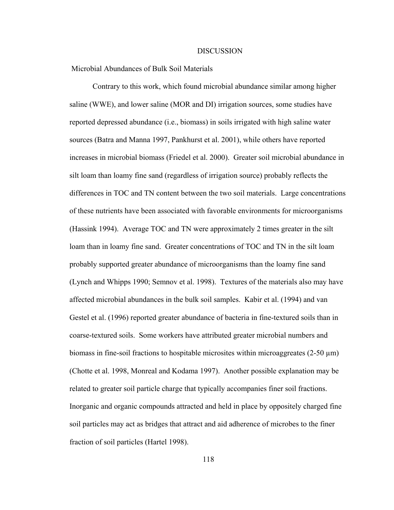#### DISCUSSION

Microbial Abundances of Bulk Soil Materials

Contrary to this work, which found microbial abundance similar among higher saline (WWE), and lower saline (MOR and DI) irrigation sources, some studies have reported depressed abundance (i.e., biomass) in soils irrigated with high saline water sources (Batra and Manna 1997, Pankhurst et al. 2001), while others have reported increases in microbial biomass (Friedel et al. 2000). Greater soil microbial abundance in silt loam than loamy fine sand (regardless of irrigation source) probably reflects the differences in TOC and TN content between the two soil materials. Large concentrations of these nutrients have been associated with favorable environments for microorganisms (Hassink 1994). Average TOC and TN were approximately 2 times greater in the silt loam than in loamy fine sand. Greater concentrations of TOC and TN in the silt loam probably supported greater abundance of microorganisms than the loamy fine sand (Lynch and Whipps 1990; Semnov et al. 1998). Textures of the materials also may have affected microbial abundances in the bulk soil samples. Kabir et al. (1994) and van Gestel et al. (1996) reported greater abundance of bacteria in fine-textured soils than in coarse-textured soils. Some workers have attributed greater microbial numbers and biomass in fine-soil fractions to hospitable microsites within microaggreates  $(2-50 \mu m)$ (Chotte et al. 1998, Monreal and Kodama 1997). Another possible explanation may be related to greater soil particle charge that typically accompanies finer soil fractions. Inorganic and organic compounds attracted and held in place by oppositely charged fine soil particles may act as bridges that attract and aid adherence of microbes to the finer fraction of soil particles (Hartel 1998).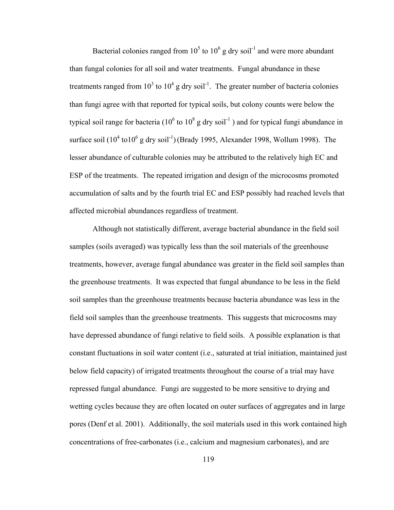Bacterial colonies ranged from  $10^5$  to  $10^6$  g dry soil<sup>-1</sup> and were more abundant than fungal colonies for all soil and water treatments. Fungal abundance in these treatments ranged from  $10^3$  to  $10^4$  g dry soil<sup>-1</sup>. The greater number of bacteria colonies than fungi agree with that reported for typical soils, but colony counts were below the typical soil range for bacteria (10<sup>6</sup> to 10<sup>8</sup> g dry soil<sup>-1</sup>) and for typical fungi abundance in surface soil  $(10^4 \text{ to } 10^6 \text{ g dry soil}^{-1})$  (Brady 1995, Alexander 1998, Wollum 1998). The lesser abundance of culturable colonies may be attributed to the relatively high EC and ESP of the treatments. The repeated irrigation and design of the microcosms promoted accumulation of salts and by the fourth trial EC and ESP possibly had reached levels that affected microbial abundances regardless of treatment.

Although not statistically different, average bacterial abundance in the field soil samples (soils averaged) was typically less than the soil materials of the greenhouse treatments, however, average fungal abundance was greater in the field soil samples than the greenhouse treatments. It was expected that fungal abundance to be less in the field soil samples than the greenhouse treatments because bacteria abundance was less in the field soil samples than the greenhouse treatments. This suggests that microcosms may have depressed abundance of fungi relative to field soils. A possible explanation is that constant fluctuations in soil water content (i.e., saturated at trial initiation, maintained just below field capacity) of irrigated treatments throughout the course of a trial may have repressed fungal abundance. Fungi are suggested to be more sensitive to drying and wetting cycles because they are often located on outer surfaces of aggregates and in large pores (Denf et al. 2001). Additionally, the soil materials used in this work contained high concentrations of free-carbonates (i.e., calcium and magnesium carbonates), and are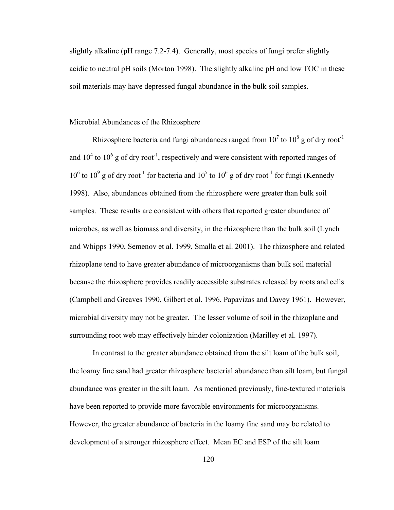slightly alkaline (pH range 7.2-7.4). Generally, most species of fungi prefer slightly acidic to neutral pH soils (Morton 1998). The slightly alkaline pH and low TOC in these soil materials may have depressed fungal abundance in the bulk soil samples.

# Microbial Abundances of the Rhizosphere

Rhizosphere bacteria and fungi abundances ranged from  $10^7$  to  $10^8$  g of dry root<sup>-1</sup> and  $10^4$  to  $10^6$  g of dry root<sup>-1</sup>, respectively and were consistent with reported ranges of  $10^6$  to  $10^9$  g of dry root<sup>-1</sup> for bacteria and  $10^5$  to  $10^6$  g of dry root<sup>-1</sup> for fungi (Kennedy 1998). Also, abundances obtained from the rhizosphere were greater than bulk soil samples. These results are consistent with others that reported greater abundance of microbes, as well as biomass and diversity, in the rhizosphere than the bulk soil (Lynch and Whipps 1990, Semenov et al. 1999, Smalla et al. 2001). The rhizosphere and related rhizoplane tend to have greater abundance of microorganisms than bulk soil material because the rhizosphere provides readily accessible substrates released by roots and cells (Campbell and Greaves 1990, Gilbert et al. 1996, Papavizas and Davey 1961). However, microbial diversity may not be greater. The lesser volume of soil in the rhizoplane and surrounding root web may effectively hinder colonization (Marilley et al. 1997).

In contrast to the greater abundance obtained from the silt loam of the bulk soil, the loamy fine sand had greater rhizosphere bacterial abundance than silt loam, but fungal abundance was greater in the silt loam. As mentioned previously, fine-textured materials have been reported to provide more favorable environments for microorganisms. However, the greater abundance of bacteria in the loamy fine sand may be related to development of a stronger rhizosphere effect. Mean EC and ESP of the silt loam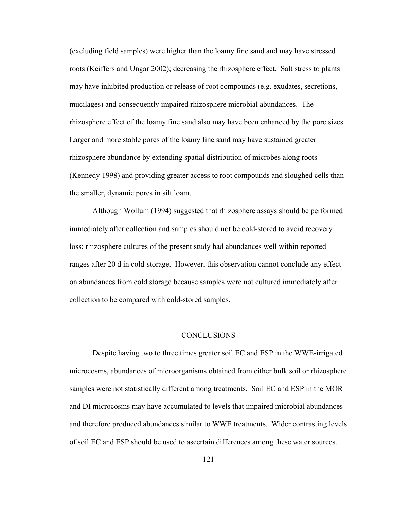(excluding field samples) were higher than the loamy fine sand and may have stressed roots (Keiffers and Ungar 2002); decreasing the rhizosphere effect. Salt stress to plants may have inhibited production or release of root compounds (e.g. exudates, secretions, mucilages) and consequently impaired rhizosphere microbial abundances. The rhizosphere effect of the loamy fine sand also may have been enhanced by the pore sizes. Larger and more stable pores of the loamy fine sand may have sustained greater rhizosphere abundance by extending spatial distribution of microbes along roots (Kennedy 1998) and providing greater access to root compounds and sloughed cells than the smaller, dynamic pores in silt loam.

Although Wollum (1994) suggested that rhizosphere assays should be performed immediately after collection and samples should not be cold-stored to avoid recovery loss; rhizosphere cultures of the present study had abundances well within reported ranges after 20 d in cold-storage. However, this observation cannot conclude any effect on abundances from cold storage because samples were not cultured immediately after collection to be compared with cold-stored samples.

#### **CONCLUSIONS**

Despite having two to three times greater soil EC and ESP in the WWE-irrigated microcosms, abundances of microorganisms obtained from either bulk soil or rhizosphere samples were not statistically different among treatments. Soil EC and ESP in the MOR and DI microcosms may have accumulated to levels that impaired microbial abundances and therefore produced abundances similar to WWE treatments. Wider contrasting levels of soil EC and ESP should be used to ascertain differences among these water sources.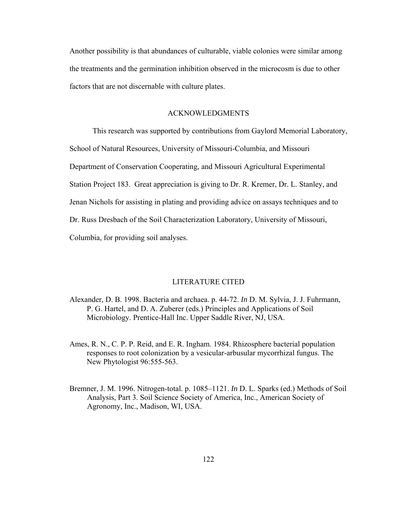Another possibility is that abundances of culturable, viable colonies were similar among the treatments and the germination inhibition observed in the microcosm is due to other factors that are not discernable with culture plates.

# ACKNOWLEDGMENTS

This research was supported by contributions from Gaylord Memorial Laboratory, School of Natural Resources, University of Missouri-Columbia, and Missouri Department of Conservation Cooperating, and Missouri Agricultural Experimental Station Project 183. Great appreciation is giving to Dr. R. Kremer, Dr. L. Stanley, and Jenan Nichols for assisting in plating and providing advice on assays techniques and to Dr. Russ Dresbach of the Soil Characterization Laboratory, University of Missouri, Columbia, for providing soil analyses.

### LITERATURE CITED

- Alexander, D. B. 1998. Bacteria and archaea. p. 44-72. *In* D. M. Sylvia, J. J. Fuhrmann, P. G. Hartel, and D. A. Zuberer (eds.) Principles and Applications of Soil Microbiology. Prentice-Hall Inc. Upper Saddle River, NJ, USA.
- Ames, R. N., C. P. P. Reid, and E. R. Ingham. 1984. Rhizosphere bacterial population responses to root colonization by a vesicular-arbusular mycorrhizal fungus. The New Phytologist 96:555-563.
- Bremner, J. M. 1996. Nitrogen-total. p. 1085–1121. *In* D. L. Sparks (ed.) Methods of Soil Analysis, Part 3. Soil Science Society of America, Inc., American Society of Agronomy, Inc., Madison, WI, USA.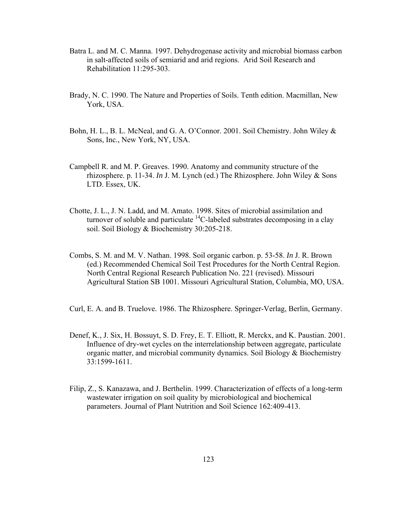- Batra L. and M. C. Manna. 1997. Dehydrogenase activity and microbial biomass carbon in salt-affected soils of semiarid and arid regions. Arid Soil Research and Rehabilitation 11:295-303.
- Brady, N. C. 1990. The Nature and Properties of Soils. Tenth edition. Macmillan, New York, USA.
- Bohn, H. L., B. L. McNeal, and G. A. O'Connor. 2001. Soil Chemistry. John Wiley & Sons, Inc., New York, NY, USA.
- Campbell R. and M. P. Greaves. 1990. Anatomy and community structure of the rhizosphere. p. 11-34. *In* J. M. Lynch (ed.) The Rhizosphere. John Wiley & Sons LTD. Essex, UK.
- Chotte, J. L., J. N. Ladd, and M. Amato. 1998. Sites of microbial assimilation and turnover of soluble and particulate  ${}^{14}$ C-labeled substrates decomposing in a clay soil. Soil Biology & Biochemistry 30:205-218.
- Combs, S. M. and M. V. Nathan. 1998. Soil organic carbon. p. 53-58. *In* J. R. Brown (ed.) Recommended Chemical Soil Test Procedures for the North Central Region. North Central Regional Research Publication No. 221 (revised). Missouri Agricultural Station SB 1001. Missouri Agricultural Station, Columbia, MO, USA.
- Curl, E. A. and B. Truelove. 1986. The Rhizosphere. Springer-Verlag, Berlin, Germany.
- Denef, K., J. Six, H. Bossuyt, S. D. Frey, E. T. Elliott, R. Merckx, and K. Paustian. 2001. Influence of dry-wet cycles on the interrelationship between aggregate, particulate organic matter, and microbial community dynamics. Soil Biology & Biochemistry 33:1599-1611.
- Filip, Z., S. Kanazawa, and J. Berthelin. 1999. Characterization of effects of a long-term wastewater irrigation on soil quality by microbiological and biochemical parameters. Journal of Plant Nutrition and Soil Science 162:409-413.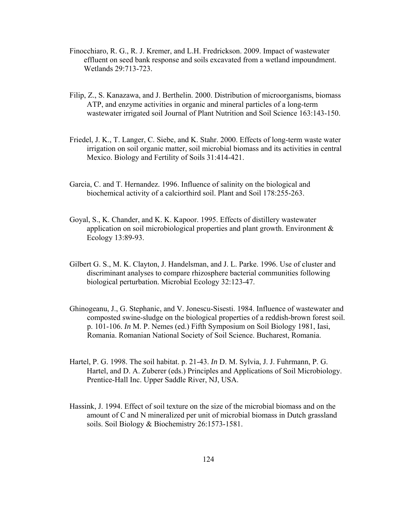- Finocchiaro, R. G., R. J. Kremer, and L.H. Fredrickson. 2009. Impact of wastewater effluent on seed bank response and soils excavated from a wetland impoundment. Wetlands 29:713-723.
- Filip, Z., S. Kanazawa, and J. Berthelin. 2000. Distribution of microorganisms, biomass ATP, and enzyme activities in organic and mineral particles of a long-term wastewater irrigated soil Journal of Plant Nutrition and Soil Science 163:143-150.
- Friedel, J. K., T. Langer, C. Siebe, and K. Stahr. 2000. Effects of long-term waste water irrigation on soil organic matter, soil microbial biomass and its activities in central Mexico. Biology and Fertility of Soils 31:414-421.
- Garcia, C. and T. Hernandez. 1996. Influence of salinity on the biological and biochemical activity of a calciorthird soil. Plant and Soil 178:255-263.
- Goyal, S., K. Chander, and K. K. Kapoor. 1995. Effects of distillery wastewater application on soil microbiological properties and plant growth. Environment & Ecology 13:89-93.
- Gilbert G. S., M. K. Clayton, J. Handelsman, and J. L. Parke. 1996. Use of cluster and discriminant analyses to compare rhizosphere bacterial communities following biological perturbation. Microbial Ecology 32:123-47.
- Ghinogeanu, J., G. Stephanic, and V. Jonescu-Sisesti. 1984. Influence of wastewater and composted swine-sludge on the biological properties of a reddish-brown forest soil. p. 101-106. *In* M. P. Nemes (ed.) Fifth Symposium on Soil Biology 1981, Iasi, Romania. Romanian National Society of Soil Science. Bucharest, Romania.
- Hartel, P. G. 1998. The soil habitat. p. 21-43. *In* D. M. Sylvia, J. J. Fuhrmann, P. G. Hartel, and D. A. Zuberer (eds.) Principles and Applications of Soil Microbiology. Prentice-Hall Inc. Upper Saddle River, NJ, USA.
- Hassink, J. 1994. Effect of soil texture on the size of the microbial biomass and on the amount of C and N mineralized per unit of microbial biomass in Dutch grassland soils. Soil Biology & Biochemistry 26:1573-1581.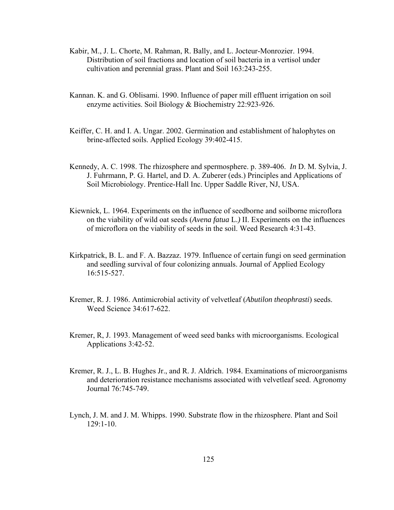- Kabir, M., J. L. Chorte, M. Rahman, R. Bally, and L. Jocteur-Monrozier. 1994. Distribution of soil fractions and location of soil bacteria in a vertisol under cultivation and perennial grass. Plant and Soil 163:243-255.
- Kannan. K. and G. Oblisami. 1990. Influence of paper mill effluent irrigation on soil enzyme activities. Soil Biology & Biochemistry 22:923-926.
- Keiffer, C. H. and I. A. Ungar. 2002. Germination and establishment of halophytes on brine-affected soils. Applied Ecology 39:402-415.
- Kennedy, A. C. 1998. The rhizosphere and spermosphere. p. 389-406. *In* D. M. Sylvia, J. J. Fuhrmann, P. G. Hartel, and D. A. Zuberer (eds.) Principles and Applications of Soil Microbiology. Prentice-Hall Inc. Upper Saddle River, NJ, USA.
- Kiewnick, L. 1964. Experiments on the influence of seedborne and soilborne microflora on the viability of wild oat seeds (*Avena fatua* L.*)* II. Experiments on the influences of microflora on the viability of seeds in the soil. Weed Research 4:31-43.
- Kirkpatrick, B. L. and F. A. Bazzaz. 1979. Influence of certain fungi on seed germination and seedling survival of four colonizing annuals. Journal of Applied Ecology 16:515-527.
- Kremer, R. J. 1986. Antimicrobial activity of velvetleaf (*Abutilon theophrasti*) seeds. Weed Science 34:617-622.
- Kremer, R, J. 1993. Management of weed seed banks with microorganisms. Ecological Applications 3:42-52.
- Kremer, R. J., L. B. Hughes Jr., and R. J. Aldrich. 1984. Examinations of microorganisms and deterioration resistance mechanisms associated with velvetleaf seed. Agronomy Journal 76:745-749.
- Lynch, J. M. and J. M. Whipps. 1990. Substrate flow in the rhizosphere. Plant and Soil 129:1-10.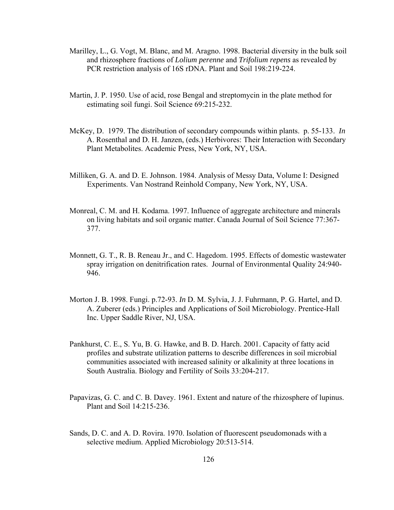- Marilley, L., G. Vogt, M. Blanc, and M. Aragno. 1998. Bacterial diversity in the bulk soil and rhizosphere fractions of *Lolium perenne* and *Trifolium repens* as revealed by PCR restriction analysis of 16S rDNA. Plant and Soil 198:219-224.
- Martin, J. P. 1950. Use of acid, rose Bengal and streptomycin in the plate method for estimating soil fungi. Soil Science 69:215-232.
- McKey, D. 1979. The distribution of secondary compounds within plants. p. 55-133. *In* A. Rosenthal and D. H. Janzen, (eds.) Herbivores: Their Interaction with Secondary Plant Metabolites. Academic Press, New York, NY, USA.
- Milliken, G. A. and D. E. Johnson. 1984. Analysis of Messy Data, Volume I: Designed Experiments. Van Nostrand Reinhold Company, New York, NY, USA.
- Monreal, C. M. and H. Kodama. 1997. Influence of aggregate architecture and minerals on living habitats and soil organic matter. Canada Journal of Soil Science 77:367- 377.
- Monnett, G. T., R. B. Reneau Jr., and C. Hagedom. 1995. Effects of domestic wastewater spray irrigation on denitrification rates. Journal of Environmental Quality 24:940- 946.
- Morton J. B. 1998. Fungi. p.72-93. *In* D. M. Sylvia, J. J. Fuhrmann, P. G. Hartel, and D. A. Zuberer (eds.) Principles and Applications of Soil Microbiology. Prentice-Hall Inc. Upper Saddle River, NJ, USA.
- Pankhurst, C. E., S. Yu, B. G. Hawke, and B. D. Harch. 2001. Capacity of fatty acid profiles and substrate utilization patterns to describe differences in soil microbial communities associated with increased salinity or alkalinity at three locations in South Australia. Biology and Fertility of Soils 33:204-217.
- Papavizas, G. C. and C. B. Davey. 1961. Extent and nature of the rhizosphere of lupinus. Plant and Soil 14:215-236.
- Sands, D. C. and A. D. Rovira. 1970. Isolation of fluorescent pseudomonads with a selective medium. Applied Microbiology 20:513-514.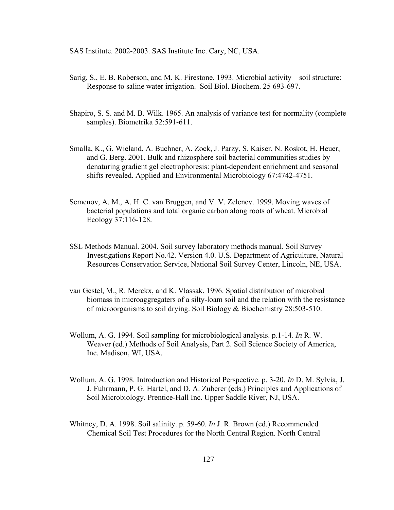SAS Institute. 2002-2003. SAS Institute Inc. Cary, NC, USA.

- Sarig, S., E. B. Roberson, and M. K. Firestone. 1993. Microbial activity soil structure: Response to saline water irrigation. Soil Biol. Biochem. 25 693-697.
- Shapiro, S. S. and M. B. Wilk. 1965. An analysis of variance test for normality (complete samples). Biometrika 52:591-611.
- Smalla, K., G. Wieland, A. Buchner, A. Zock, J. Parzy, S. Kaiser, N. Roskot, H. Heuer, and G. Berg. 2001. Bulk and rhizosphere soil bacterial communities studies by denaturing gradient gel electrophoresis: plant-dependent enrichment and seasonal shifts revealed. Applied and Environmental Microbiology 67:4742-4751.
- Semenov, A. M., A. H. C. van Bruggen, and V. V. Zelenev. 1999. Moving waves of bacterial populations and total organic carbon along roots of wheat. Microbial Ecology 37:116-128.
- SSL Methods Manual. 2004. Soil survey laboratory methods manual. Soil Survey Investigations Report No.42. Version 4.0. U.S. Department of Agriculture, Natural Resources Conservation Service, National Soil Survey Center, Lincoln, NE, USA.
- van Gestel, M., R. Merckx, and K. Vlassak. 1996. Spatial distribution of microbial biomass in microaggregaters of a silty-loam soil and the relation with the resistance of microorganisms to soil drying. Soil Biology & Biochemistry 28:503-510.
- Wollum, A. G. 1994. Soil sampling for microbiological analysis. p.1-14. *In* R. W. Weaver (ed.) Methods of Soil Analysis, Part 2. Soil Science Society of America, Inc. Madison, WI, USA.
- Wollum, A. G. 1998. Introduction and Historical Perspective. p. 3-20. *In* D. M. Sylvia, J. J. Fuhrmann, P. G. Hartel, and D. A. Zuberer (eds.) Principles and Applications of Soil Microbiology. Prentice-Hall Inc. Upper Saddle River, NJ, USA.
- Whitney, D. A. 1998. Soil salinity. p. 59-60. *In* J. R. Brown (ed.) Recommended Chemical Soil Test Procedures for the North Central Region. North Central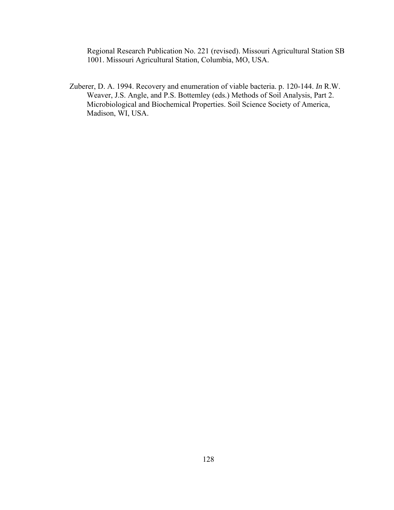Regional Research Publication No. 221 (revised). Missouri Agricultural Station SB 1001. Missouri Agricultural Station, Columbia, MO, USA.

Zuberer, D. A. 1994. Recovery and enumeration of viable bacteria. p. 120-144. *In* R.W. Weaver, J.S. Angle, and P.S. Bottemley (eds.) Methods of Soil Analysis, Part 2. Microbiological and Biochemical Properties. Soil Science Society of America, Madison, WI, USA.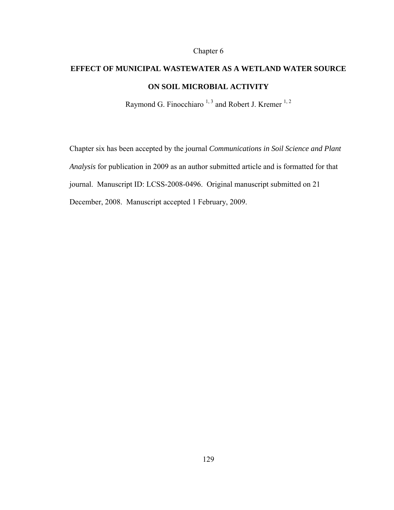# Chapter 6

# **EFFECT OF MUNICIPAL WASTEWATER AS A WETLAND WATER SOURCE ON SOIL MICROBIAL ACTIVITY**

Raymond G. Finocchiaro  $1, 3$  and Robert J. Kremer  $1, 2$ 

Chapter six has been accepted by the journal *Communications in Soil Science and Plant Analysis* for publication in 2009 as an author submitted article and is formatted for that journal. Manuscript ID: LCSS-2008-0496. Original manuscript submitted on 21 December, 2008. Manuscript accepted 1 February, 2009.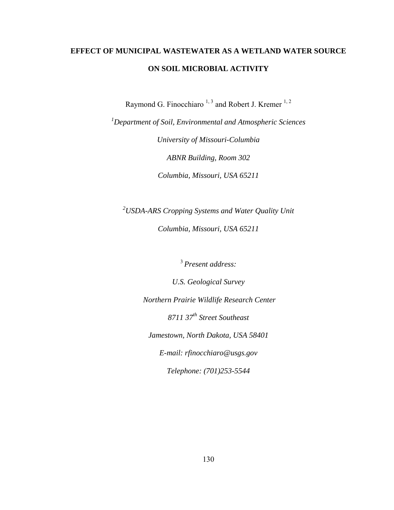# **EFFECT OF MUNICIPAL WASTEWATER AS A WETLAND WATER SOURCE ON SOIL MICROBIAL ACTIVITY**

Raymond G. Finocchiaro  $1, 3$  and Robert J. Kremer  $1, 2$ 

*1 Department of Soil, Environmental and Atmospheric Sciences* 

*University of Missouri-Columbia ABNR Building, Room 302 Columbia, Missouri, USA 65211* 

*2 USDA-ARS Cropping Systems and Water Quality Unit* 

*Columbia, Missouri, USA 65211* 

<sup>3</sup> *Present address:*

*U.S. Geological Survey* 

 *Northern Prairie Wildlife Research Center* 

*8711 37th Street Southeast* 

*Jamestown, North Dakota, USA 58401*

*E-mail: rfinocchiaro@usgs.gov* 

*Telephone: (701)253-5544*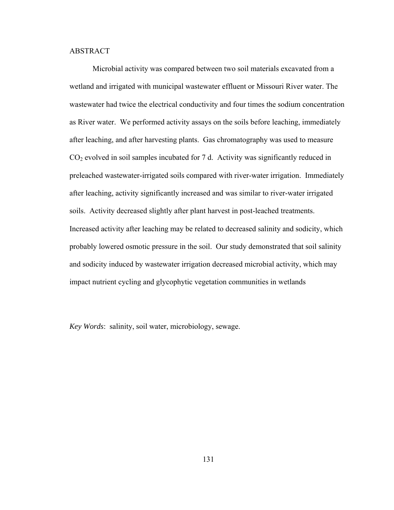# ABSTRACT

Microbial activity was compared between two soil materials excavated from a wetland and irrigated with municipal wastewater effluent or Missouri River water. The wastewater had twice the electrical conductivity and four times the sodium concentration as River water. We performed activity assays on the soils before leaching, immediately after leaching, and after harvesting plants. Gas chromatography was used to measure  $CO<sub>2</sub>$  evolved in soil samples incubated for 7 d. Activity was significantly reduced in preleached wastewater-irrigated soils compared with river-water irrigation. Immediately after leaching, activity significantly increased and was similar to river-water irrigated soils. Activity decreased slightly after plant harvest in post-leached treatments. Increased activity after leaching may be related to decreased salinity and sodicity, which probably lowered osmotic pressure in the soil. Our study demonstrated that soil salinity and sodicity induced by wastewater irrigation decreased microbial activity, which may impact nutrient cycling and glycophytic vegetation communities in wetlands

*Key Words*: salinity, soil water, microbiology, sewage.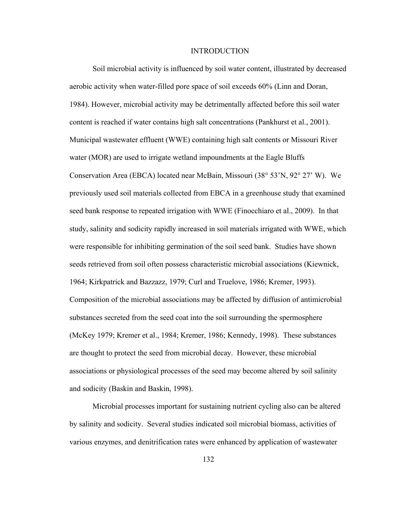#### INTRODUCTION

Soil microbial activity is influenced by soil water content, illustrated by decreased aerobic activity when water-filled pore space of soil exceeds 60% (Linn and Doran, 1984). However, microbial activity may be detrimentally affected before this soil water content is reached if water contains high salt concentrations (Pankhurst et al., 2001). Municipal wastewater effluent (WWE) containing high salt contents or Missouri River water (MOR) are used to irrigate wetland impoundments at the Eagle Bluffs Conservation Area (EBCA) located near McBain, Missouri (38° 53'N, 92° 27' W). We previously used soil materials collected from EBCA in a greenhouse study that examined seed bank response to repeated irrigation with WWE (Finocchiaro et al., 2009). In that study, salinity and sodicity rapidly increased in soil materials irrigated with WWE, which were responsible for inhibiting germination of the soil seed bank. Studies have shown seeds retrieved from soil often possess characteristic microbial associations (Kiewnick, 1964; Kirkpatrick and Bazzazz, 1979; Curl and Truelove, 1986; Kremer, 1993). Composition of the microbial associations may be affected by diffusion of antimicrobial substances secreted from the seed coat into the soil surrounding the spermosphere (McKey 1979; Kremer et al., 1984; Kremer, 1986; Kennedy, 1998). These substances are thought to protect the seed from microbial decay. However, these microbial associations or physiological processes of the seed may become altered by soil salinity and sodicity (Baskin and Baskin, 1998).

Microbial processes important for sustaining nutrient cycling also can be altered by salinity and sodicity. Several studies indicated soil microbial biomass, activities of various enzymes, and denitrification rates were enhanced by application of wastewater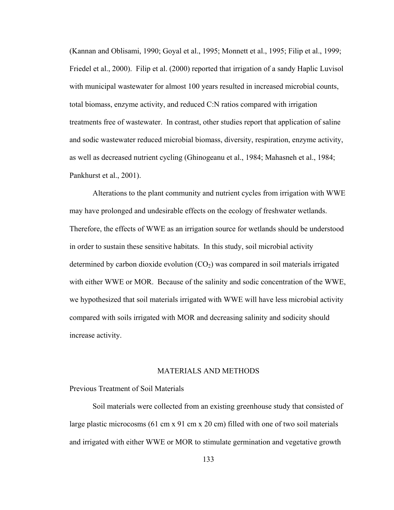(Kannan and Oblisami, 1990; Goyal et al., 1995; Monnett et al., 1995; Filip et al., 1999; Friedel et al., 2000). Filip et al. (2000) reported that irrigation of a sandy Haplic Luvisol with municipal wastewater for almost 100 years resulted in increased microbial counts, total biomass, enzyme activity, and reduced C:N ratios compared with irrigation treatments free of wastewater. In contrast, other studies report that application of saline and sodic wastewater reduced microbial biomass, diversity, respiration, enzyme activity, as well as decreased nutrient cycling (Ghinogeanu et al., 1984; Mahasneh et al., 1984; Pankhurst et al., 2001).

Alterations to the plant community and nutrient cycles from irrigation with WWE may have prolonged and undesirable effects on the ecology of freshwater wetlands. Therefore, the effects of WWE as an irrigation source for wetlands should be understood in order to sustain these sensitive habitats. In this study, soil microbial activity determined by carbon dioxide evolution  $(CO<sub>2</sub>)$  was compared in soil materials irrigated with either WWE or MOR. Because of the salinity and sodic concentration of the WWE, we hypothesized that soil materials irrigated with WWE will have less microbial activity compared with soils irrigated with MOR and decreasing salinity and sodicity should increase activity.

# MATERIALS AND METHODS

# Previous Treatment of Soil Materials

Soil materials were collected from an existing greenhouse study that consisted of large plastic microcosms (61 cm x 91 cm x 20 cm) filled with one of two soil materials and irrigated with either WWE or MOR to stimulate germination and vegetative growth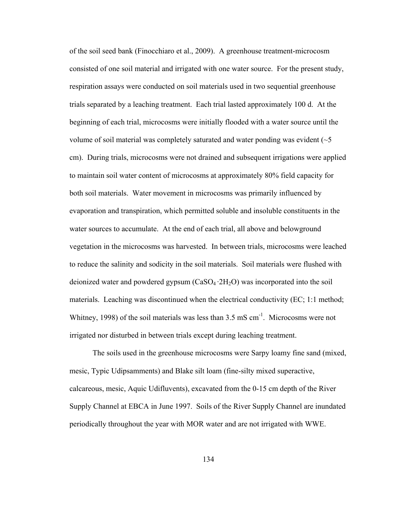of the soil seed bank (Finocchiaro et al., 2009). A greenhouse treatment-microcosm consisted of one soil material and irrigated with one water source. For the present study, respiration assays were conducted on soil materials used in two sequential greenhouse trials separated by a leaching treatment. Each trial lasted approximately 100 d. At the beginning of each trial, microcosms were initially flooded with a water source until the volume of soil material was completely saturated and water ponding was evident  $(\sim 5$ cm). During trials, microcosms were not drained and subsequent irrigations were applied to maintain soil water content of microcosms at approximately 80% field capacity for both soil materials. Water movement in microcosms was primarily influenced by evaporation and transpiration, which permitted soluble and insoluble constituents in the water sources to accumulate. At the end of each trial, all above and belowground vegetation in the microcosms was harvested. In between trials, microcosms were leached to reduce the salinity and sodicity in the soil materials. Soil materials were flushed with deionized water and powdered gypsum  $(CaSO_4 \tcdot 2H_2O)$  was incorporated into the soil materials. Leaching was discontinued when the electrical conductivity (EC; 1:1 method; Whitney, 1998) of the soil materials was less than  $3.5 \text{ mS cm}^{-1}$ . Microcosms were not irrigated nor disturbed in between trials except during leaching treatment.

The soils used in the greenhouse microcosms were Sarpy loamy fine sand (mixed, mesic, Typic Udipsamments) and Blake silt loam (fine-silty mixed superactive, calcareous, mesic, Aquic Udifluvents), excavated from the 0-15 cm depth of the River Supply Channel at EBCA in June 1997. Soils of the River Supply Channel are inundated periodically throughout the year with MOR water and are not irrigated with WWE.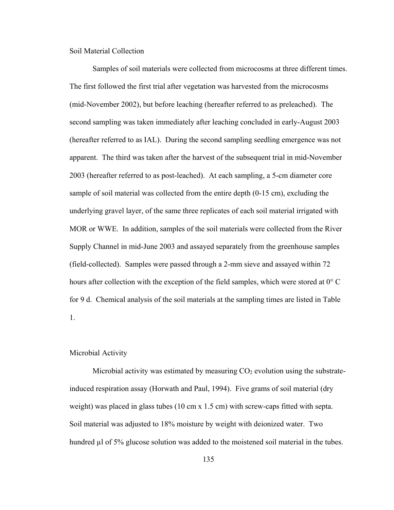Soil Material Collection

Samples of soil materials were collected from microcosms at three different times. The first followed the first trial after vegetation was harvested from the microcosms (mid-November 2002), but before leaching (hereafter referred to as preleached). The second sampling was taken immediately after leaching concluded in early-August 2003 (hereafter referred to as IAL). During the second sampling seedling emergence was not apparent. The third was taken after the harvest of the subsequent trial in mid-November 2003 (hereafter referred to as post-leached). At each sampling, a 5-cm diameter core sample of soil material was collected from the entire depth (0-15 cm), excluding the underlying gravel layer, of the same three replicates of each soil material irrigated with MOR or WWE. In addition, samples of the soil materials were collected from the River Supply Channel in mid-June 2003 and assayed separately from the greenhouse samples (field-collected). Samples were passed through a 2-mm sieve and assayed within 72 hours after collection with the exception of the field samples, which were stored at 0° C for 9 d. Chemical analysis of the soil materials at the sampling times are listed in Table 1.

# Microbial Activity

Microbial activity was estimated by measuring  $CO<sub>2</sub>$  evolution using the substrateinduced respiration assay (Horwath and Paul, 1994). Five grams of soil material (dry weight) was placed in glass tubes (10 cm x 1.5 cm) with screw-caps fitted with septa. Soil material was adjusted to 18% moisture by weight with deionized water. Two hundred µl of 5% glucose solution was added to the moistened soil material in the tubes.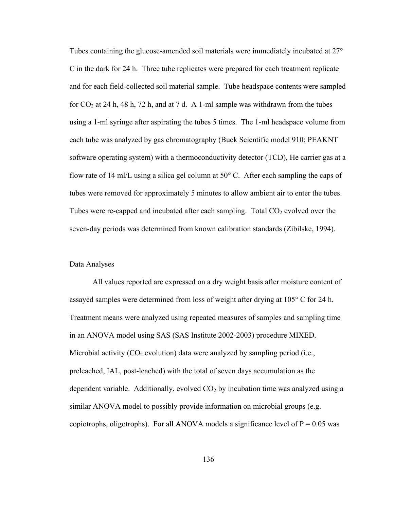Tubes containing the glucose-amended soil materials were immediately incubated at 27° C in the dark for 24 h. Three tube replicates were prepared for each treatment replicate and for each field-collected soil material sample. Tube headspace contents were sampled for  $CO_2$  at 24 h, 48 h, 72 h, and at 7 d. A 1-ml sample was withdrawn from the tubes using a 1-ml syringe after aspirating the tubes 5 times. The 1-ml headspace volume from each tube was analyzed by gas chromatography (Buck Scientific model 910; PEAKNT software operating system) with a thermoconductivity detector (TCD), He carrier gas at a flow rate of 14 ml/L using a silica gel column at  $50^{\circ}$  C. After each sampling the caps of tubes were removed for approximately 5 minutes to allow ambient air to enter the tubes. Tubes were re-capped and incubated after each sampling. Total  $CO<sub>2</sub>$  evolved over the seven-day periods was determined from known calibration standards (Zibilske, 1994).

### Data Analyses

All values reported are expressed on a dry weight basis after moisture content of assayed samples were determined from loss of weight after drying at 105° C for 24 h. Treatment means were analyzed using repeated measures of samples and sampling time in an ANOVA model using SAS (SAS Institute 2002-2003) procedure MIXED. Microbial activity  $(CO_2$  evolution) data were analyzed by sampling period (i.e., preleached, IAL, post-leached) with the total of seven days accumulation as the dependent variable. Additionally, evolved  $CO<sub>2</sub>$  by incubation time was analyzed using a similar ANOVA model to possibly provide information on microbial groups (e.g. copiotrophs, oligotrophs). For all ANOVA models a significance level of  $P = 0.05$  was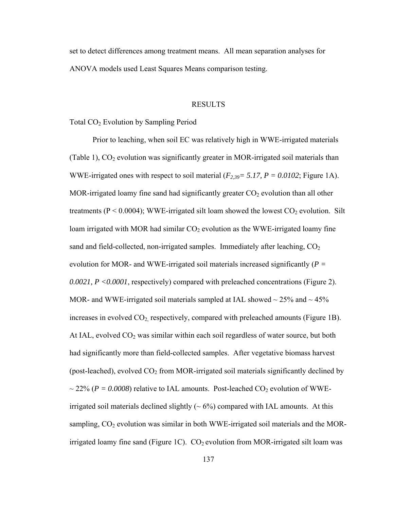set to detect differences among treatment means. All mean separation analyses for ANOVA models used Least Squares Means comparison testing.

#### RESULTS

Total CO<sub>2</sub> Evolution by Sampling Period

Prior to leaching, when soil EC was relatively high in WWE-irrigated materials (Table 1),  $CO<sub>2</sub>$  evolution was significantly greater in MOR-irrigated soil materials than WWE-irrigated ones with respect to soil material  $(F_{2,39} = 5.17, P = 0.0102;$  Figure 1A). MOR-irrigated loamy fine sand had significantly greater  $CO<sub>2</sub>$  evolution than all other treatments ( $P < 0.0004$ ); WWE-irrigated silt loam showed the lowest  $CO<sub>2</sub>$  evolution. Silt loam irrigated with MOR had similar  $CO<sub>2</sub>$  evolution as the WWE-irrigated loamy fine sand and field-collected, non-irrigated samples. Immediately after leaching,  $CO<sub>2</sub>$ evolution for MOR- and WWE-irrigated soil materials increased significantly (*P = 0.0021, P <0.0001*, respectively) compared with preleached concentrations (Figure 2). MOR- and WWE-irrigated soil materials sampled at IAL showed  $\sim$  25% and  $\sim$  45% increases in evolved  $CO_2$  respectively, compared with preleached amounts (Figure 1B). At IAL, evolved  $CO<sub>2</sub>$  was similar within each soil regardless of water source, but both had significantly more than field-collected samples. After vegetative biomass harvest (post-leached), evolved  $CO<sub>2</sub>$  from MOR-irrigated soil materials significantly declined by  $\sim$  22% ( $P = 0.0008$ ) relative to IAL amounts. Post-leached CO<sub>2</sub> evolution of WWEirrigated soil materials declined slightly  $({\sim}6\%)$  compared with IAL amounts. At this sampling,  $CO<sub>2</sub>$  evolution was similar in both WWE-irrigated soil materials and the MORirrigated loamy fine sand (Figure 1C).  $CO<sub>2</sub>$  evolution from MOR-irrigated silt loam was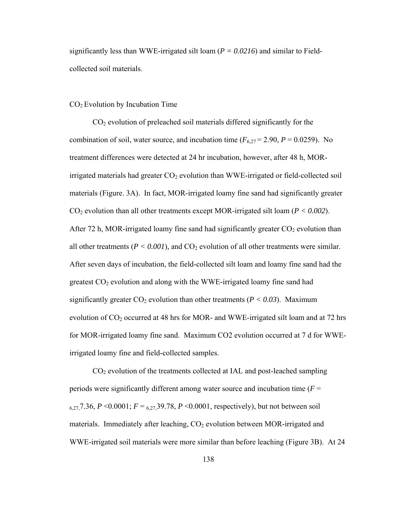significantly less than WWE-irrigated silt loam (*P = 0.0216*) and similar to Fieldcollected soil materials.

# CO2 Evolution by Incubation Time

 $CO<sub>2</sub>$  evolution of preleached soil materials differed significantly for the combination of soil, water source, and incubation time  $(F_{6,27} = 2.90, P = 0.0259)$ . No treatment differences were detected at 24 hr incubation, however, after 48 h, MORirrigated materials had greater  $CO<sub>2</sub>$  evolution than WWE-irrigated or field-collected soil materials (Figure. 3A). In fact, MOR-irrigated loamy fine sand had significantly greater  $CO<sub>2</sub>$  evolution than all other treatments except MOR-irrigated silt loam ( $P < 0.002$ ). After 72 h, MOR-irrigated loamy fine sand had significantly greater  $CO<sub>2</sub>$  evolution than all other treatments ( $P < 0.001$ ), and  $CO<sub>2</sub>$  evolution of all other treatments were similar. After seven days of incubation, the field-collected silt loam and loamy fine sand had the greatest  $CO<sub>2</sub>$  evolution and along with the WWE-irrigated loamy fine sand had significantly greater  $CO_2$  evolution than other treatments ( $P < 0.03$ ). Maximum evolution of  $CO<sub>2</sub>$  occurred at 48 hrs for MOR- and WWE-irrigated silt loam and at 72 hrs for MOR-irrigated loamy fine sand. Maximum CO2 evolution occurred at 7 d for WWEirrigated loamy fine and field-collected samples.

 $CO<sub>2</sub>$  evolution of the treatments collected at IAL and post-leached sampling periods were significantly different among water source and incubation time (*F* = 6,27,7.36, *P* < 0.0001;  $F = 6,27,39.78$ , *P* < 0.0001, respectively), but not between soil materials. Immediately after leaching,  $CO<sub>2</sub>$  evolution between MOR-irrigated and WWE-irrigated soil materials were more similar than before leaching (Figure 3B). At 24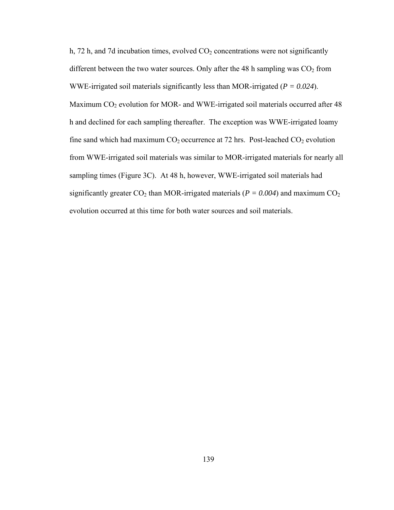h, 72 h, and 7d incubation times, evolved  $CO<sub>2</sub>$  concentrations were not significantly different between the two water sources. Only after the 48 h sampling was  $CO<sub>2</sub>$  from WWE-irrigated soil materials significantly less than MOR-irrigated (*P = 0.024*). Maximum CO<sub>2</sub> evolution for MOR- and WWE-irrigated soil materials occurred after 48 h and declined for each sampling thereafter. The exception was WWE-irrigated loamy fine sand which had maximum  $CO_2$  occurrence at 72 hrs. Post-leached  $CO_2$  evolution from WWE-irrigated soil materials was similar to MOR-irrigated materials for nearly all sampling times (Figure 3C). At 48 h, however, WWE-irrigated soil materials had significantly greater  $CO_2$  than MOR-irrigated materials ( $P = 0.004$ ) and maximum  $CO_2$ evolution occurred at this time for both water sources and soil materials.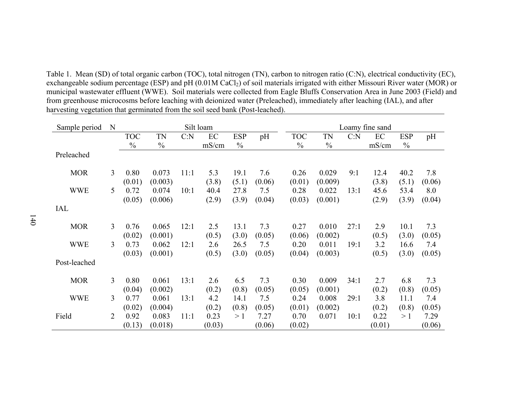Table 1. Mean (SD) of total organic carbon (TOC), total nitrogen (TN), carbon to nitrogen ratio (C:N), electrical conductivity (EC), exchangeable sodium percentage (ESP) and pH (0.01M CaCl<sub>2</sub>) of soil materials irrigated with either Missouri River water (MOR) or municipal wastewater effluent (WWE). Soil materials were collected from Eagle Bluffs Conservation Area in June 2003 (Field) and from greenhouse microcosms before leaching with deionized water (Preleached), immediately after leaching (IAL), and after harvesting vegetation that germinated from the soil seed bank (Post-leached).

| Sample period | N |                          |                             |      | Silt loam             |                        |                         | Loamy fine sand          |                             |      |                       |                        |                         |  |
|---------------|---|--------------------------|-----------------------------|------|-----------------------|------------------------|-------------------------|--------------------------|-----------------------------|------|-----------------------|------------------------|-------------------------|--|
|               |   | <b>TOC</b>               | TN                          | C: N | EC                    | <b>ESP</b>             | pH                      | <b>TOC</b>               | TN                          | C: N | EC                    | <b>ESP</b>             | pH                      |  |
|               |   | $\frac{0}{0}$            | $\frac{0}{0}$               |      | mS/cm                 | $\frac{0}{0}$          |                         | $\frac{0}{0}$            | $\frac{0}{0}$               |      | mS/cm                 | $\frac{0}{0}$          |                         |  |
| Preleached    |   |                          |                             |      |                       |                        |                         |                          |                             |      |                       |                        |                         |  |
| <b>MOR</b>    | 3 | 0.80<br>(0.01)           | 0.073<br>(0.003)            | 11:1 | 5.3<br>(3.8)          | 19.1<br>(5.1)          | 7.6<br>(0.06)           | 0.26<br>(0.01)           | 0.029<br>(0.009)            | 9:1  | 12.4<br>(3.8)         | 40.2<br>(5.1)          | 7.8<br>(0.06)           |  |
| <b>WWE</b>    | 5 | 0.72<br>(0.05)           | 0.074<br>(0.006)            | 10:1 | 40.4<br>(2.9)         | 27.8<br>(3.9)          | 7.5<br>(0.04)           | 0.28<br>(0.03)           | 0.022<br>(0.001)            | 13:1 | 45.6<br>(2.9)         | 53.4<br>(3.9)          | 8.0<br>(0.04)           |  |
| <b>IAL</b>    |   |                          |                             |      |                       |                        |                         |                          |                             |      |                       |                        |                         |  |
| <b>MOR</b>    | 3 | 0.76                     | 0.065                       | 12:1 | 2.5                   | 13.1                   | 7.3                     | 0.27                     | 0.010                       | 27:1 | 2.9                   | 10.1                   | 7.3                     |  |
| <b>WWE</b>    | 3 | (0.02)<br>0.73<br>(0.03) | (0.001)<br>0.062<br>(0.001) | 12:1 | (0.5)<br>2.6<br>(0.5) | (3.0)<br>26.5<br>(3.0) | (0.05)<br>7.5<br>(0.05) | (0.06)<br>0.20<br>(0.04) | (0.002)<br>0.011<br>(0.003) | 19:1 | (0.5)<br>3.2<br>(0.5) | (3.0)<br>16.6<br>(3.0) | (0.05)<br>7.4<br>(0.05) |  |
| Post-leached  |   |                          |                             |      |                       |                        |                         |                          |                             |      |                       |                        |                         |  |
| <b>MOR</b>    | 3 | 0.80                     | 0.061                       | 13:1 | 2.6                   | 6.5                    | 7.3                     | 0.30                     | 0.009                       | 34:1 | 2.7                   | 6.8                    | 7.3                     |  |
| <b>WWE</b>    | 3 | (0.04)<br>0.77           | (0.002)<br>0.061            | 13:1 | (0.2)<br>4.2          | (0.8)<br>14.1          | (0.05)<br>7.5           | (0.05)<br>0.24           | (0.001)<br>0.008            | 29:1 | (0.2)<br>3.8          | (0.8)<br>11.1          | (0.05)<br>7.4           |  |
| Field         | 2 | (0.02)<br>0.92           | (0.004)<br>0.083            | 11:1 | (0.2)<br>0.23         | (0.8)<br>>1            | (0.05)<br>7.27          | (0.01)<br>0.70           | (0.002)<br>0.071            | 10:1 | (0.2)<br>0.22         | (0.8)<br>>1            | (0.05)<br>7.29          |  |
|               |   | (0.13)                   | (0.018)                     |      | (0.03)                |                        | (0.06)                  | (0.02)                   |                             |      | (0.01)                |                        | (0.06)                  |  |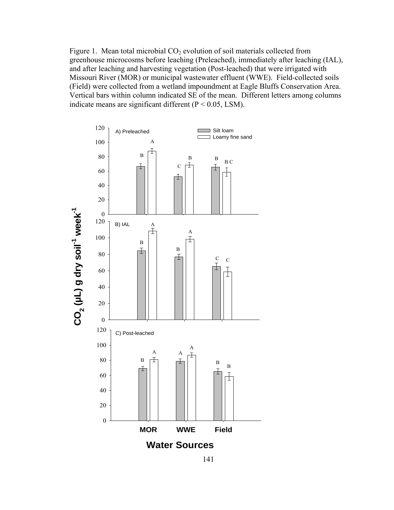Figure 1. Mean total microbial  $CO<sub>2</sub>$  evolution of soil materials collected from greenhouse microcosms before leaching (Preleached), immediately after leaching (IAL), and after leaching and harvesting vegetation (Post-leached) that were irrigated with Missouri River (MOR) or municipal wastewater effluent (WWE). Field-collected soils (Field) were collected from a wetland impoundment at Eagle Bluffs Conservation Area. Vertical bars within column indicated SE of the mean. Different letters among columns indicate means are significant different (P < 0.05, LSM).

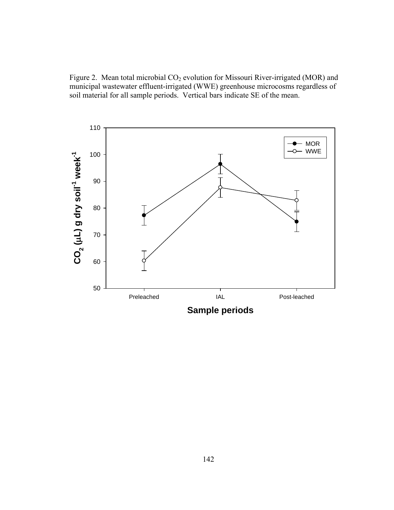Figure 2. Mean total microbial CO<sub>2</sub> evolution for Missouri River-irrigated (MOR) and municipal wastewater effluent-irrigated (WWE) greenhouse microcosms regardless of soil material for all sample periods. Vertical bars indicate SE of the mean.



**Sample periods**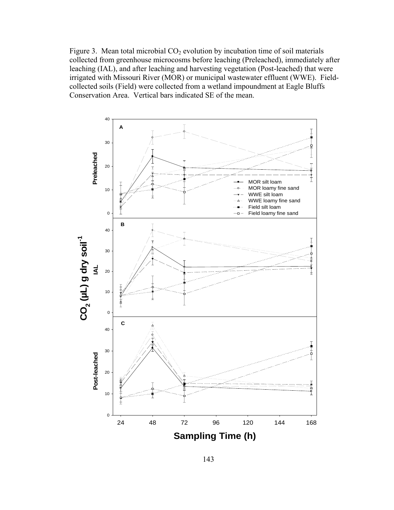Figure 3. Mean total microbial  $CO<sub>2</sub>$  evolution by incubation time of soil materials collected from greenhouse microcosms before leaching (Preleached), immediately after leaching (IAL), and after leaching and harvesting vegetation (Post-leached) that were irrigated with Missouri River (MOR) or municipal wastewater effluent (WWE). Fieldcollected soils (Field) were collected from a wetland impoundment at Eagle Bluffs Conservation Area. Vertical bars indicated SE of the mean.

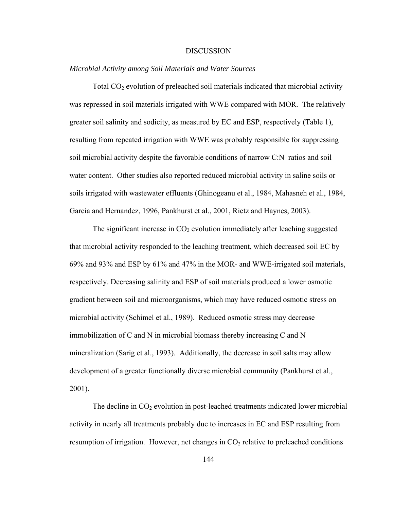#### DISCUSSION

# *Microbial Activity among Soil Materials and Water Sources*

Total  $CO<sub>2</sub>$  evolution of preleached soil materials indicated that microbial activity was repressed in soil materials irrigated with WWE compared with MOR. The relatively greater soil salinity and sodicity, as measured by EC and ESP, respectively (Table 1), resulting from repeated irrigation with WWE was probably responsible for suppressing soil microbial activity despite the favorable conditions of narrow C:N ratios and soil water content. Other studies also reported reduced microbial activity in saline soils or soils irrigated with wastewater effluents (Ghinogeanu et al., 1984, Mahasneh et al., 1984, Garcia and Hernandez, 1996, Pankhurst et al., 2001, Rietz and Haynes, 2003).

The significant increase in  $CO<sub>2</sub>$  evolution immediately after leaching suggested that microbial activity responded to the leaching treatment, which decreased soil EC by 69% and 93% and ESP by 61% and 47% in the MOR- and WWE-irrigated soil materials, respectively. Decreasing salinity and ESP of soil materials produced a lower osmotic gradient between soil and microorganisms, which may have reduced osmotic stress on microbial activity (Schimel et al., 1989). Reduced osmotic stress may decrease immobilization of C and N in microbial biomass thereby increasing C and N mineralization (Sarig et al., 1993). Additionally, the decrease in soil salts may allow development of a greater functionally diverse microbial community (Pankhurst et al., 2001).

The decline in  $CO<sub>2</sub>$  evolution in post-leached treatments indicated lower microbial activity in nearly all treatments probably due to increases in EC and ESP resulting from resumption of irrigation. However, net changes in  $CO<sub>2</sub>$  relative to preleached conditions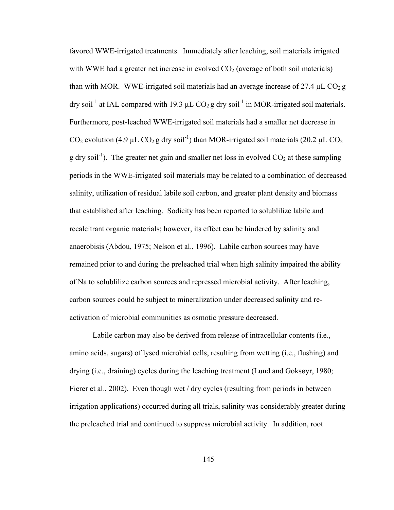favored WWE-irrigated treatments. Immediately after leaching, soil materials irrigated with WWE had a greater net increase in evolved  $CO<sub>2</sub>$  (average of both soil materials) than with MOR. WWE-irrigated soil materials had an average increase of 27.4  $\mu$ L CO<sub>2</sub> g dry soil<sup>-1</sup> at IAL compared with 19.3  $\mu$ L CO<sub>2</sub> g dry soil<sup>-1</sup> in MOR-irrigated soil materials. Furthermore, post-leached WWE-irrigated soil materials had a smaller net decrease in  $CO_2$  evolution (4.9 µL  $CO_2$  g dry soil<sup>-1</sup>) than MOR-irrigated soil materials (20.2 µL  $CO_2$ ) g dry soil<sup>-1</sup>). The greater net gain and smaller net loss in evolved  $CO<sub>2</sub>$  at these sampling periods in the WWE-irrigated soil materials may be related to a combination of decreased salinity, utilization of residual labile soil carbon, and greater plant density and biomass that established after leaching. Sodicity has been reported to solublilize labile and recalcitrant organic materials; however, its effect can be hindered by salinity and anaerobisis (Abdou, 1975; Nelson et al., 1996). Labile carbon sources may have remained prior to and during the preleached trial when high salinity impaired the ability of Na to solublilize carbon sources and repressed microbial activity. After leaching, carbon sources could be subject to mineralization under decreased salinity and reactivation of microbial communities as osmotic pressure decreased.

Labile carbon may also be derived from release of intracellular contents (i.e., amino acids, sugars) of lysed microbial cells, resulting from wetting (i.e., flushing) and drying (i.e., draining) cycles during the leaching treatment (Lund and Goksøyr, 1980; Fierer et al., 2002). Even though wet / dry cycles (resulting from periods in between irrigation applications) occurred during all trials, salinity was considerably greater during the preleached trial and continued to suppress microbial activity. In addition, root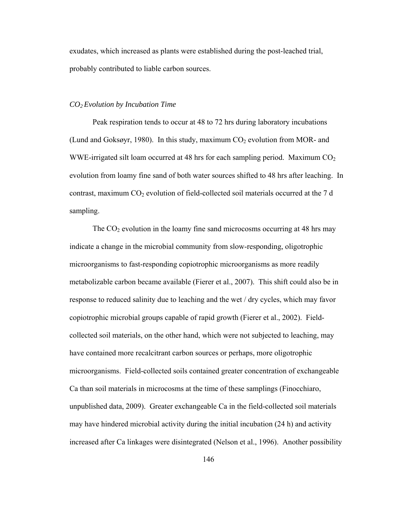exudates, which increased as plants were established during the post-leached trial, probably contributed to liable carbon sources.

# *CO2 Evolution by Incubation Time*

Peak respiration tends to occur at 48 to 72 hrs during laboratory incubations (Lund and Goksøyr, 1980). In this study, maximum  $CO<sub>2</sub>$  evolution from MOR- and WWE-irrigated silt loam occurred at 48 hrs for each sampling period. Maximum  $CO<sub>2</sub>$ evolution from loamy fine sand of both water sources shifted to 48 hrs after leaching. In contrast, maximum  $CO<sub>2</sub>$  evolution of field-collected soil materials occurred at the 7 d sampling.

The  $CO<sub>2</sub>$  evolution in the loamy fine sand microcosms occurring at 48 hrs may indicate a change in the microbial community from slow-responding, oligotrophic microorganisms to fast-responding copiotrophic microorganisms as more readily metabolizable carbon became available (Fierer et al., 2007). This shift could also be in response to reduced salinity due to leaching and the wet / dry cycles, which may favor copiotrophic microbial groups capable of rapid growth (Fierer et al., 2002). Fieldcollected soil materials, on the other hand, which were not subjected to leaching, may have contained more recalcitrant carbon sources or perhaps, more oligotrophic microorganisms. Field-collected soils contained greater concentration of exchangeable Ca than soil materials in microcosms at the time of these samplings (Finocchiaro, unpublished data, 2009). Greater exchangeable Ca in the field-collected soil materials may have hindered microbial activity during the initial incubation (24 h) and activity increased after Ca linkages were disintegrated (Nelson et al., 1996). Another possibility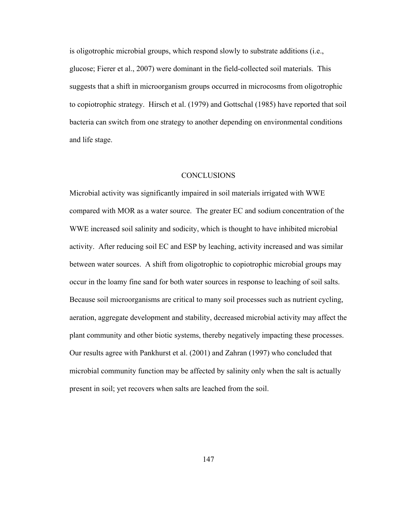is oligotrophic microbial groups, which respond slowly to substrate additions (i.e., glucose; Fierer et al., 2007) were dominant in the field-collected soil materials. This suggests that a shift in microorganism groups occurred in microcosms from oligotrophic to copiotrophic strategy. Hirsch et al. (1979) and Gottschal (1985) have reported that soil bacteria can switch from one strategy to another depending on environmental conditions and life stage.

# CONCLUSIONS

Microbial activity was significantly impaired in soil materials irrigated with WWE compared with MOR as a water source. The greater EC and sodium concentration of the WWE increased soil salinity and sodicity, which is thought to have inhibited microbial activity. After reducing soil EC and ESP by leaching, activity increased and was similar between water sources. A shift from oligotrophic to copiotrophic microbial groups may occur in the loamy fine sand for both water sources in response to leaching of soil salts. Because soil microorganisms are critical to many soil processes such as nutrient cycling, aeration, aggregate development and stability, decreased microbial activity may affect the plant community and other biotic systems, thereby negatively impacting these processes. Our results agree with Pankhurst et al. (2001) and Zahran (1997) who concluded that microbial community function may be affected by salinity only when the salt is actually present in soil; yet recovers when salts are leached from the soil.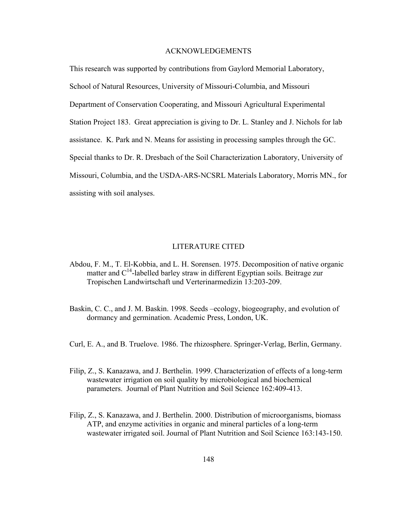# ACKNOWLEDGEMENTS

This research was supported by contributions from Gaylord Memorial Laboratory, School of Natural Resources, University of Missouri-Columbia, and Missouri Department of Conservation Cooperating, and Missouri Agricultural Experimental Station Project 183. Great appreciation is giving to Dr. L. Stanley and J. Nichols for lab assistance. K. Park and N. Means for assisting in processing samples through the GC. Special thanks to Dr. R. Dresbach of the Soil Characterization Laboratory, University of Missouri, Columbia, and the USDA-ARS-NCSRL Materials Laboratory, Morris MN., for assisting with soil analyses.

#### LITERATURE CITED

- Abdou, F. M., T. El-Kobbia, and L. H. Sorensen. 1975. Decomposition of native organic matter and  $C^{14}$ -labelled barley straw in different Egyptian soils. Beitrage zur Tropischen Landwirtschaft und Verterinarmedizin 13:203-209.
- Baskin, C. C., and J. M. Baskin. 1998. Seeds –ecology, biogeography, and evolution of dormancy and germination. Academic Press, London, UK.
- Curl, E. A., and B. Truelove. 1986. The rhizosphere. Springer-Verlag, Berlin, Germany.
- Filip, Z., S. Kanazawa, and J. Berthelin. 1999. Characterization of effects of a long-term wastewater irrigation on soil quality by microbiological and biochemical parameters. Journal of Plant Nutrition and Soil Science 162:409-413.
- Filip, Z., S. Kanazawa, and J. Berthelin. 2000. Distribution of microorganisms, biomass ATP, and enzyme activities in organic and mineral particles of a long-term wastewater irrigated soil. Journal of Plant Nutrition and Soil Science 163:143-150.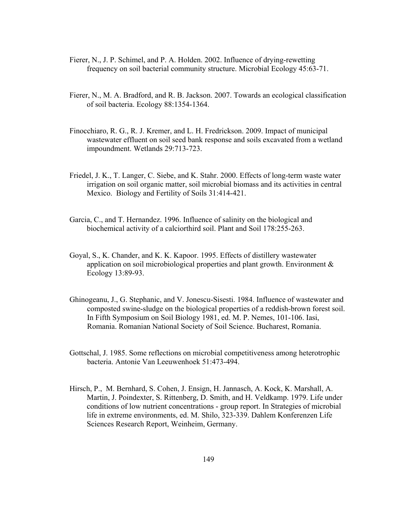- Fierer, N., J. P. Schimel, and P. A. Holden. 2002. Influence of drying-rewetting frequency on soil bacterial community structure. Microbial Ecology 45:63-71.
- Fierer, N., M. A. Bradford, and R. B. Jackson. 2007. Towards an ecological classification of soil bacteria. Ecology 88:1354-1364.
- Finocchiaro, R. G., R. J. Kremer, and L. H. Fredrickson. 2009. Impact of municipal wastewater effluent on soil seed bank response and soils excavated from a wetland impoundment. Wetlands 29:713-723.
- Friedel, J. K., T. Langer, C. Siebe, and K. Stahr. 2000. Effects of long-term waste water irrigation on soil organic matter, soil microbial biomass and its activities in central Mexico. Biology and Fertility of Soils 31:414-421.
- Garcia, C., and T. Hernandez. 1996. Influence of salinity on the biological and biochemical activity of a calciorthird soil. Plant and Soil 178:255-263.
- Goyal, S., K. Chander, and K. K. Kapoor. 1995. Effects of distillery wastewater application on soil microbiological properties and plant growth. Environment & Ecology 13:89-93.
- Ghinogeanu, J., G. Stephanic, and V. Jonescu-Sisesti. 1984. Influence of wastewater and composted swine-sludge on the biological properties of a reddish-brown forest soil. In Fifth Symposium on Soil Biology 1981, ed. M. P. Nemes, 101-106. Iasi, Romania. Romanian National Society of Soil Science. Bucharest, Romania.
- Gottschal, J. 1985. Some reflections on microbial competitiveness among heterotrophic bacteria. Antonie Van Leeuwenhoek 51:473-494.
- Hirsch, P., M. Bernhard, S. Cohen, J. Ensign, H. Jannasch, A. Kock, K. Marshall, A. Martin, J. Poindexter, S. Rittenberg, D. Smith, and H. Veldkamp. 1979. Life under conditions of low nutrient concentrations - group report. In Strategies of microbial life in extreme environments, ed. M. Shilo, 323-339. Dahlem Konferenzen Life Sciences Research Report, Weinheim, Germany.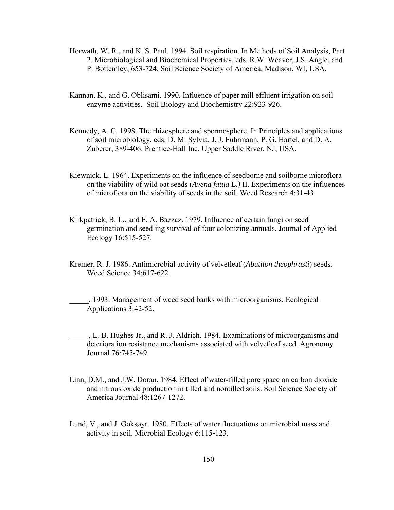- Horwath, W. R., and K. S. Paul. 1994. Soil respiration. In Methods of Soil Analysis, Part 2. Microbiological and Biochemical Properties, eds. R.W. Weaver, J.S. Angle, and P. Bottemley, 653-724. Soil Science Society of America, Madison, WI, USA.
- Kannan. K., and G. Oblisami. 1990. Influence of paper mill effluent irrigation on soil enzyme activities. Soil Biology and Biochemistry 22:923-926.
- Kennedy, A. C. 1998. The rhizosphere and spermosphere. In Principles and applications of soil microbiology, eds. D. M. Sylvia, J. J. Fuhrmann, P. G. Hartel, and D. A. Zuberer, 389-406. Prentice-Hall Inc. Upper Saddle River, NJ, USA.
- Kiewnick, L. 1964. Experiments on the influence of seedborne and soilborne microflora on the viability of wild oat seeds (*Avena fatua* L.*)* II. Experiments on the influences of microflora on the viability of seeds in the soil. Weed Research 4:31-43.
- Kirkpatrick, B. L., and F. A. Bazzaz. 1979. Influence of certain fungi on seed germination and seedling survival of four colonizing annuals. Journal of Applied Ecology 16:515-527.
- Kremer, R. J. 1986. Antimicrobial activity of velvetleaf (*Abutilon theophrasti*) seeds. Weed Science 34:617-622.

\_\_\_\_\_. 1993. Management of weed seed banks with microorganisms. Ecological Applications 3:42-52.

- \_\_\_\_\_, L. B. Hughes Jr., and R. J. Aldrich. 1984. Examinations of microorganisms and deterioration resistance mechanisms associated with velvetleaf seed. Agronomy Journal 76:745-749.
- Linn, D.M., and J.W. Doran. 1984. Effect of water-filled pore space on carbon dioxide and nitrous oxide production in tilled and nontilled soils. Soil Science Society of America Journal 48:1267-1272.
- Lund, V., and J. Goksøyr. 1980. Effects of water fluctuations on microbial mass and activity in soil. Microbial Ecology 6:115-123.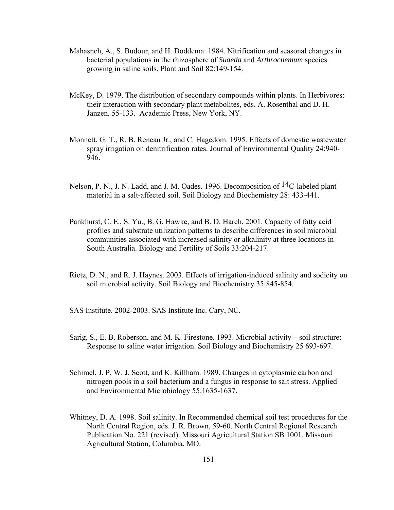- Mahasneh, A., S. Budour, and H. Doddema. 1984. Nitrification and seasonal changes in bacterial populations in the rhizosphere of *Suaeda* and *Arthrocnemum* species growing in saline soils. Plant and Soil 82:149-154.
- McKey, D. 1979. The distribution of secondary compounds within plants. In Herbivores: their interaction with secondary plant metabolites, eds. A. Rosenthal and D. H. Janzen, 55-133. Academic Press, New York, NY.
- Monnett, G. T., R. B. Reneau Jr., and C. Hagedom. 1995. Effects of domestic wastewater spray irrigation on denitrification rates. Journal of Environmental Quality 24:940- 946.
- Nelson, P. N., J. N. Ladd, and J. M. Oades. 1996. Decomposition of <sup>14</sup>C-labeled plant material in a salt-affected soil. Soil Biology and Biochemistry 28: 433-441.
- Pankhurst, C. E., S. Yu., B. G. Hawke, and B. D. Harch. 2001. Capacity of fatty acid profiles and substrate utilization patterns to describe differences in soil microbial communities associated with increased salinity or alkalinity at three locations in South Australia. Biology and Fertility of Soils 33:204-217.
- Rietz, D. N., and R. J. Haynes. 2003. Effects of irrigation-induced salinity and sodicity on soil microbial activity. Soil Biology and Biochemistry 35:845-854.

SAS Institute. 2002-2003. SAS Institute Inc. Cary, NC.

- Sarig, S., E. B. Roberson, and M. K. Firestone. 1993. Microbial activity soil structure: Response to saline water irrigation. Soil Biology and Biochemistry 25 693-697.
- Schimel, J. P, W. J. Scott, and K. Killham. 1989. Changes in cytoplasmic carbon and nitrogen pools in a soil bacterium and a fungus in response to salt stress. Applied and Environmental Microbiology 55:1635-1637.
- Whitney, D. A. 1998. Soil salinity. In Recommended chemical soil test procedures for the North Central Region, eds. J. R. Brown, 59-60. North Central Regional Research Publication No. 221 (revised). Missouri Agricultural Station SB 1001. Missouri Agricultural Station, Columbia, MO.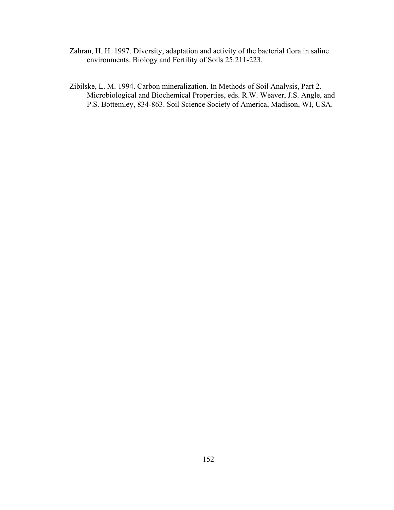- Zahran, H. H. 1997. Diversity, adaptation and activity of the bacterial flora in saline environments. Biology and Fertility of Soils 25:211-223.
- Zibilske, L. M. 1994. Carbon mineralization. In Methods of Soil Analysis, Part 2. Microbiological and Biochemical Properties, eds. R.W. Weaver, J.S. Angle, and P.S. Bottemley, 834-863. Soil Science Society of America, Madison, WI, USA.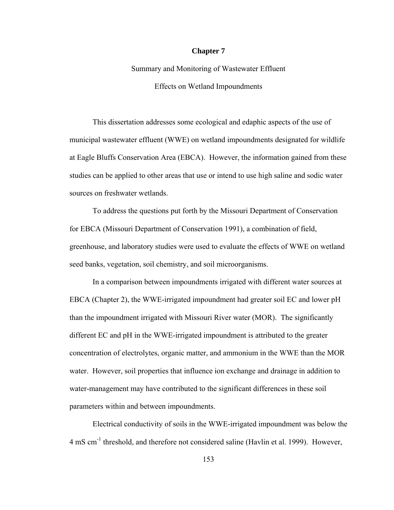### **Chapter 7**

Summary and Monitoring of Wastewater Effluent Effects on Wetland Impoundments

This dissertation addresses some ecological and edaphic aspects of the use of municipal wastewater effluent (WWE) on wetland impoundments designated for wildlife at Eagle Bluffs Conservation Area (EBCA). However, the information gained from these studies can be applied to other areas that use or intend to use high saline and sodic water sources on freshwater wetlands.

To address the questions put forth by the Missouri Department of Conservation for EBCA (Missouri Department of Conservation 1991), a combination of field, greenhouse, and laboratory studies were used to evaluate the effects of WWE on wetland seed banks, vegetation, soil chemistry, and soil microorganisms.

In a comparison between impoundments irrigated with different water sources at EBCA (Chapter 2), the WWE-irrigated impoundment had greater soil EC and lower pH than the impoundment irrigated with Missouri River water (MOR). The significantly different EC and pH in the WWE-irrigated impoundment is attributed to the greater concentration of electrolytes, organic matter, and ammonium in the WWE than the MOR water. However, soil properties that influence ion exchange and drainage in addition to water-management may have contributed to the significant differences in these soil parameters within and between impoundments.

Electrical conductivity of soils in the WWE-irrigated impoundment was below the 4 mS cm-1 threshold, and therefore not considered saline (Havlin et al. 1999). However,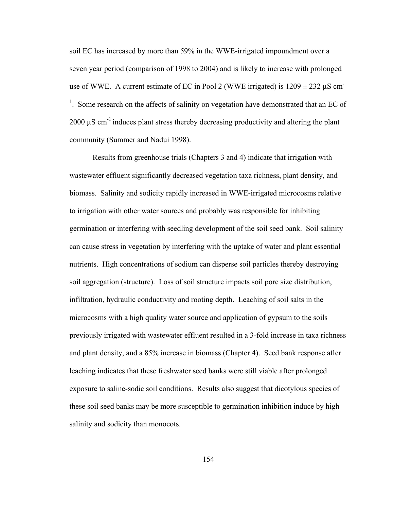soil EC has increased by more than 59% in the WWE-irrigated impoundment over a seven year period (comparison of 1998 to 2004) and is likely to increase with prolonged use of WWE. A current estimate of EC in Pool 2 (WWE irrigated) is  $1209 \pm 232 \mu S$  cm<sup>-</sup>  $1$ . Some research on the affects of salinity on vegetation have demonstrated that an EC of 2000  $\mu$ S cm<sup>-1</sup> induces plant stress thereby decreasing productivity and altering the plant community (Summer and Nadui 1998).

Results from greenhouse trials (Chapters 3 and 4) indicate that irrigation with wastewater effluent significantly decreased vegetation taxa richness, plant density, and biomass. Salinity and sodicity rapidly increased in WWE-irrigated microcosms relative to irrigation with other water sources and probably was responsible for inhibiting germination or interfering with seedling development of the soil seed bank. Soil salinity can cause stress in vegetation by interfering with the uptake of water and plant essential nutrients. High concentrations of sodium can disperse soil particles thereby destroying soil aggregation (structure). Loss of soil structure impacts soil pore size distribution, infiltration, hydraulic conductivity and rooting depth. Leaching of soil salts in the microcosms with a high quality water source and application of gypsum to the soils previously irrigated with wastewater effluent resulted in a 3-fold increase in taxa richness and plant density, and a 85% increase in biomass (Chapter 4). Seed bank response after leaching indicates that these freshwater seed banks were still viable after prolonged exposure to saline-sodic soil conditions. Results also suggest that dicotylous species of these soil seed banks may be more susceptible to germination inhibition induce by high salinity and sodicity than monocots.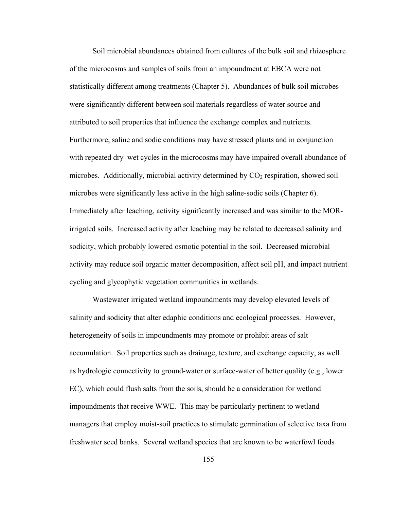Soil microbial abundances obtained from cultures of the bulk soil and rhizosphere of the microcosms and samples of soils from an impoundment at EBCA were not statistically different among treatments (Chapter 5). Abundances of bulk soil microbes were significantly different between soil materials regardless of water source and attributed to soil properties that influence the exchange complex and nutrients. Furthermore, saline and sodic conditions may have stressed plants and in conjunction with repeated dry–wet cycles in the microcosms may have impaired overall abundance of microbes. Additionally, microbial activity determined by  $CO<sub>2</sub>$  respiration, showed soil microbes were significantly less active in the high saline-sodic soils (Chapter 6). Immediately after leaching, activity significantly increased and was similar to the MORirrigated soils. Increased activity after leaching may be related to decreased salinity and sodicity, which probably lowered osmotic potential in the soil. Decreased microbial activity may reduce soil organic matter decomposition, affect soil pH, and impact nutrient cycling and glycophytic vegetation communities in wetlands.

Wastewater irrigated wetland impoundments may develop elevated levels of salinity and sodicity that alter edaphic conditions and ecological processes. However, heterogeneity of soils in impoundments may promote or prohibit areas of salt accumulation. Soil properties such as drainage, texture, and exchange capacity, as well as hydrologic connectivity to ground-water or surface-water of better quality (e.g., lower EC), which could flush salts from the soils, should be a consideration for wetland impoundments that receive WWE. This may be particularly pertinent to wetland managers that employ moist-soil practices to stimulate germination of selective taxa from freshwater seed banks. Several wetland species that are known to be waterfowl foods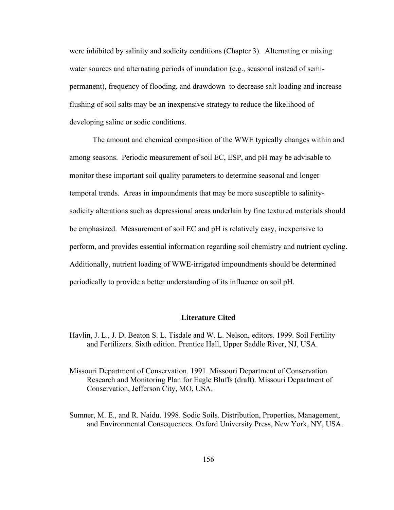were inhibited by salinity and sodicity conditions (Chapter 3). Alternating or mixing water sources and alternating periods of inundation (e.g., seasonal instead of semipermanent), frequency of flooding, and drawdown to decrease salt loading and increase flushing of soil salts may be an inexpensive strategy to reduce the likelihood of developing saline or sodic conditions.

The amount and chemical composition of the WWE typically changes within and among seasons. Periodic measurement of soil EC, ESP, and pH may be advisable to monitor these important soil quality parameters to determine seasonal and longer temporal trends. Areas in impoundments that may be more susceptible to salinitysodicity alterations such as depressional areas underlain by fine textured materials should be emphasized. Measurement of soil EC and pH is relatively easy, inexpensive to perform, and provides essential information regarding soil chemistry and nutrient cycling. Additionally, nutrient loading of WWE-irrigated impoundments should be determined periodically to provide a better understanding of its influence on soil pH.

# **Literature Cited**

- Havlin, J. L., J. D. Beaton S. L. Tisdale and W. L. Nelson, editors. 1999. Soil Fertility and Fertilizers. Sixth edition. Prentice Hall, Upper Saddle River, NJ, USA.
- Missouri Department of Conservation. 1991. Missouri Department of Conservation Research and Monitoring Plan for Eagle Bluffs (draft). Missouri Department of Conservation, Jefferson City, MO, USA.
- Sumner, M. E., and R. Naidu. 1998. Sodic Soils. Distribution, Properties, Management, and Environmental Consequences. Oxford University Press, New York, NY, USA.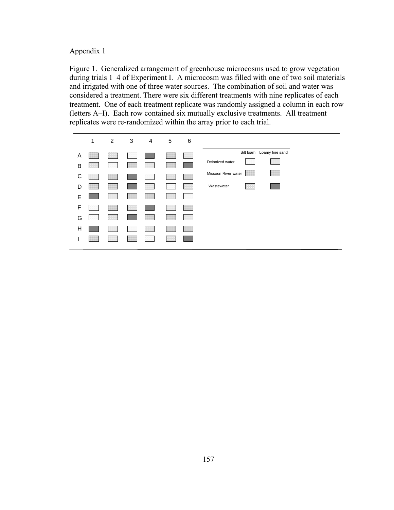Appendix 1

Figure 1. Generalized arrangement of greenhouse microcosms used to grow vegetation during trials 1–4 of Experiment I. A microcosm was filled with one of two soil materials and irrigated with one of three water sources. The combination of soil and water was considered a treatment. There were six different treatments with nine replicates of each treatment. One of each treatment replicate was randomly assigned a column in each row (letters A–I). Each row contained six mutually exclusive treatments. All treatment replicates were re-randomized within the array prior to each trial.

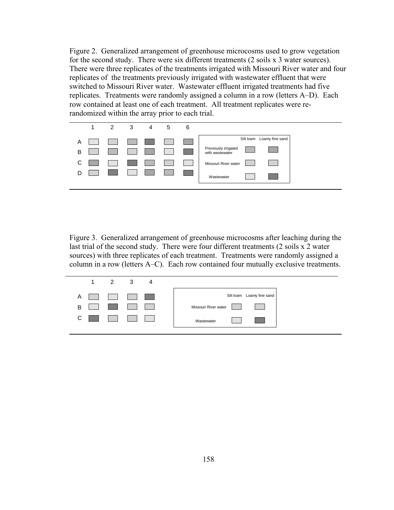Figure 2. Generalized arrangement of greenhouse microcosms used to grow vegetation for the second study. There were six different treatments (2 soils x 3 water sources). There were three replicates of the treatments irrigated with Missouri River water and four replicates of the treatments previously irrigated with wastewater effluent that were switched to Missouri River water. Wastewater effluent irrigated treatments had five replicates. Treatments were randomly assigned a column in a row (letters A–D). Each row contained at least one of each treatment. All treatment replicates were rerandomized within the array prior to each trial.



Figure 3. Generalized arrangement of greenhouse microcosms after leaching during the last trial of the second study. There were four different treatments (2 soils x 2 water sources) with three replicates of each treatment. Treatments were randomly assigned a column in a row (letters A–C). Each row contained four mutually exclusive treatments.

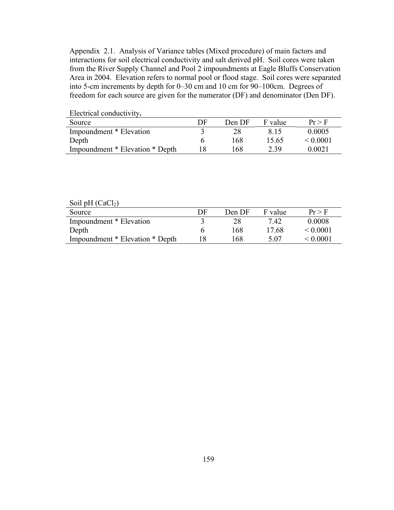Appendix 2.1. Analysis of Variance tables (Mixed procedure) of main factors and interactions for soil electrical conductivity and salt derived pH. Soil cores were taken from the River Supply Channel and Pool 2 impoundments at Eagle Bluffs Conservation Area in 2004. Elevation refers to normal pool or flood stage. Soil cores were separated into 5-cm increments by depth for 0–30 cm and 10 cm for 90–100cm. Degrees of freedom for each source are given for the numerator (DF) and denominator (Den DF).

| Electrical conductivity.        |    |        |         |               |
|---------------------------------|----|--------|---------|---------------|
| Source                          | DF | Den DF | F value | $Pr$ > F      |
| Impoundment * Elevation         |    |        | 8 15    | 0.0005        |
| Depth                           |    | 168    | 15.65   | $\leq 0.0001$ |
| Impoundment * Elevation * Depth |    | 168    | 2.39    | 0.0021        |

Electrical conductivity**.**

Soil pH  $(CaCl<sub>2</sub>)$ 

| Source                          | DF. | Den DF | F value | $Pr$ > F      |
|---------------------------------|-----|--------|---------|---------------|
| Impoundment * Elevation         |     |        | 7.42    | 0.0008        |
| Depth                           |     | 168    | 17.68   | $\leq 0.0001$ |
| Impoundment * Elevation * Depth |     | 168    | 5.07    | $\leq 0.0001$ |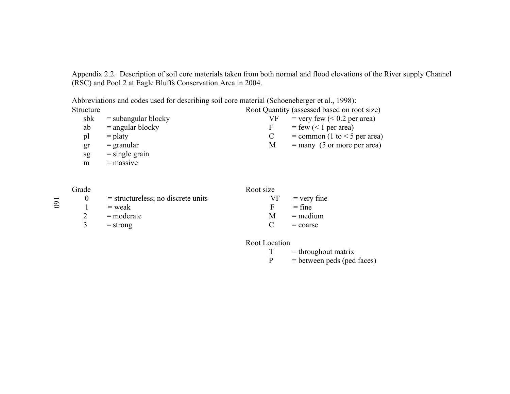Appendix 2.2. Description of soil core materials taken from both normal and flood elevations of the River supply Channel (RSC) and Pool 2 at Eagle Bluffs Conservation Area in 2004.

|           | Abbreviations and codes used for describing soil core material (Schoeneberger et al., 1998): |    |                                             |
|-----------|----------------------------------------------------------------------------------------------|----|---------------------------------------------|
| Structure |                                                                                              |    | Root Quantity (assessed based on root size) |
| sbk       | $=$ subangular blocky                                                                        | VF | $=$ very few ( $< 0.2$ per area)            |
| ab        | $=$ angular blocky                                                                           | F  | $=$ few (< 1 per area)                      |
| pl        | $=$ platy                                                                                    |    | $=$ common (1 to $<$ 5 per area)            |
| gr        | $=$ granular                                                                                 | M  | $=$ many (5 or more per area)               |
| sg        | $=$ single grain                                                                             |    |                                             |
| m         | $=$ massive                                                                                  |    |                                             |

| Grade |                                      | Root size |                  |
|-------|--------------------------------------|-----------|------------------|
|       | $=$ structureless; no discrete units |           | $VF = very fine$ |
|       | $=$ weak                             | F.        | $=$ fine         |
|       | $=$ moderate                         | M         | $=$ medium       |
|       | $=$ strong                           |           | $=$ coarse       |
|       |                                      |           |                  |

Root Location

 $T =$ throughout matrix<br>P = between peds (ped  $=$  between peds (ped faces)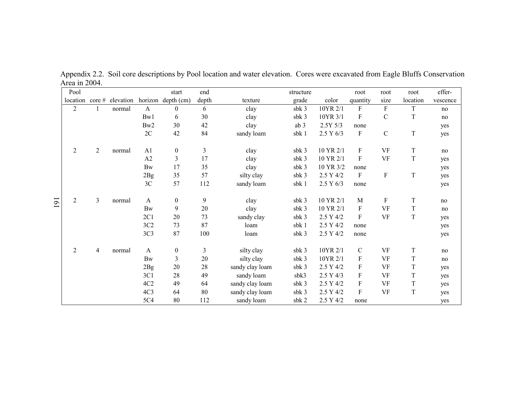|                | Pool           |                |                     |                 | start              | end   |                 | structure        |             | root                      | root          | root        | effer-   |
|----------------|----------------|----------------|---------------------|-----------------|--------------------|-------|-----------------|------------------|-------------|---------------------------|---------------|-------------|----------|
|                | location       |                | $\csc \#$ elevation |                 | horizon depth (cm) | depth | texture         | grade            | color       | quantity                  | size          | location    | vescence |
|                | $\overline{2}$ |                | normal              | $\mathbf{A}$    | $\theta$           | 6     | clay            | sbk 3            | 10YR 2/1    | F                         | F             | T           | no       |
|                |                |                |                     | Bw1             | 6                  | 30    | clay            | sbk 3            | 10YR 3/1    | $\boldsymbol{\mathrm{F}}$ | $\mathcal{C}$ | $\mathbf T$ | no       |
|                |                |                |                     | Bw2             | 30                 | 42    | clay            | ab 3             | $2.5Y\,5/3$ | none                      |               |             | yes      |
|                |                |                |                     | 2C              | 42                 | 84    | sandy loam      | sbk 1            | 2.5 Y 6/3   | $\boldsymbol{\mathrm{F}}$ | $\mathcal{C}$ | $\rm T$     | yes      |
|                | 2              | $\overline{2}$ | normal              | A1              | $\boldsymbol{0}$   | 3     | clay            | sbk 3            | 10 YR 2/1   | F                         | VF            | $\mathbf T$ | no       |
|                |                |                |                     | A2              | 3                  | 17    | clay            | sbk 3            | 10 YR 2/1   | $\boldsymbol{\mathrm{F}}$ | <b>VF</b>     | $\mathbf T$ | yes      |
|                |                |                |                     | <b>Bw</b>       | 17                 | 35    | clay            | sbk 3            | 10 YR 3/2   | none                      |               |             | yes      |
|                |                |                |                     | 2Bg             | 35                 | 57    | silty clay      | sbk 3            | 2.5 Y 4/2   | $\boldsymbol{\mathrm{F}}$ | ${\bf F}$     | $\mathbf T$ | yes      |
|                |                |                |                     | $3\mathrm{C}$   | 57                 | 112   | sandy loam      | sbk 1            | 2.5 Y 6/3   | none                      |               |             | yes      |
| $\overline{5}$ | $\overline{2}$ | 3              | normal              | $\mathbf{A}$    | $\boldsymbol{0}$   | 9     | clay            | sbk 3            | 10 YR 2/1   | M                         | ${\rm F}$     | $\mathbf T$ | no       |
|                |                |                |                     | <b>Bw</b>       | 9                  | 20    | clay            | sbk 3            | 10 YR 2/1   | $\boldsymbol{\mathrm{F}}$ | <b>VF</b>     | $\mathbf T$ | no       |
|                |                |                |                     | 2C1             | 20                 | 73    | sandy clay      | sbk 3            | 2.5 Y 4/2   | $\mathbf{F}$              | <b>VF</b>     | $\mathbf T$ | yes      |
|                |                |                |                     | 3C2             | 73                 | 87    | loam            | sbk 1            | 2.5 Y 4/2   | none                      |               |             | yes      |
|                |                |                |                     | 3C <sub>3</sub> | 87                 | 100   | loam            | sbk 3            | 2.5 Y 4/2   | none                      |               |             | yes      |
|                | 2              | 4              | normal              | $\mathbf{A}$    | $\boldsymbol{0}$   | 3     | silty clay      | sbk 3            | 10YR 2/1    | $\mathbf C$               | <b>VF</b>     | $\mathbf T$ | no       |
|                |                |                |                     | <b>Bw</b>       | $\mathfrak{Z}$     | 20    | silty clay      | sbk <sub>3</sub> | 10YR 2/1    | $\boldsymbol{\mathrm{F}}$ | <b>VF</b>     | $\mathbf T$ | no       |
|                |                |                |                     | 2Bg             | 20                 | 28    | sandy clay loam | sbk 3            | 2.5 Y 4/2   | $\boldsymbol{\mathrm{F}}$ | <b>VF</b>     | $\mathbf T$ | yes      |
|                |                |                |                     | 3C1             | 28                 | 49    | sandy loam      | sbk3             | 2.5 Y 4/3   | ${\bf F}$                 | VF            | $\mathbf T$ | yes      |
|                |                |                |                     | 4C2             | 49                 | 64    | sandy clay loam | sbk 3            | 2.5 Y 4/2   | $\boldsymbol{\mathrm{F}}$ | <b>VF</b>     | $\mathbf T$ | yes      |
|                |                |                |                     | 4C <sub>3</sub> | 64                 | 80    | sandy clay loam | sbk 3            | 2.5 Y 4/2   | $\boldsymbol{\mathrm{F}}$ | <b>VF</b>     | $\mathbf T$ | yes      |
|                |                |                |                     | 5C4             | 80                 | 112   | sandy loam      | sbk 2            | 2.5 Y 4/2   | none                      |               |             | yes      |

Appendix 2.2. Soil core descriptions by Pool location and water elevation. Cores were excavated from Eagle Bluffs Conservation Area in 2004.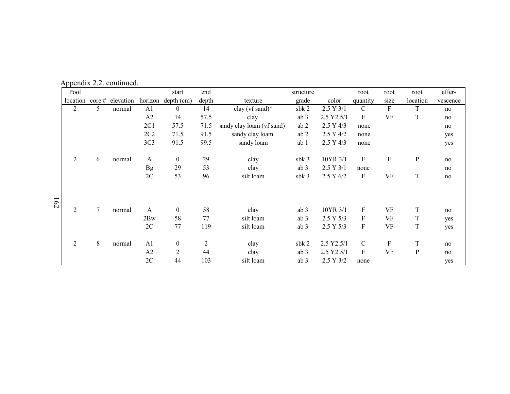| Pool           |                |                           |                 | start              | end            |                                        | structure        |             | root                      | root                      | root         | effer-   |
|----------------|----------------|---------------------------|-----------------|--------------------|----------------|----------------------------------------|------------------|-------------|---------------------------|---------------------------|--------------|----------|
|                |                | location core # elevation |                 | horizon depth (cm) | depth          | texture                                | grade            | color       | quantity                  | size                      | location     | vescence |
| $\overline{2}$ | 5              | normal                    | A <sub>1</sub>  | $\overline{0}$     | 14             | clay ( $vf$ sand)*                     | $s$ b $k$ 2      | 2.5 Y 3/1   | $\mathcal{C}$             | ${\bf F}$                 | $\mathbf T$  | no       |
|                |                |                           | A2              | 14                 | 57.5           | clay                                   | ab 3             | 2.5 Y2.5/1  | $\boldsymbol{\mathrm{F}}$ | <b>VF</b>                 | T            | no       |
|                |                |                           | 2C1             | 57.5               | 71.5           | sandy clay loam (vf sand) <sup>*</sup> | ab2              | 2.5 Y 4/3   | none                      |                           |              | no       |
|                |                |                           | 2C2             | 71.5               | 91.5           | sandy clay loam                        | ab 2             | $2.5$ Y 4/2 | none                      |                           |              | yes      |
|                |                |                           | 3C <sub>3</sub> | 91.5               | 99.5           | sandy loam                             | ab 1             | 2.5 Y 4/3   | none                      |                           |              | yes      |
| $\overline{2}$ | 6              | normal                    | $\mathbf{A}$    | $\overline{0}$     | 29             | clay                                   | $s$ b $k$ 3      | 10YR 3/1    | ${\rm F}$                 | $\boldsymbol{\mathrm{F}}$ | ${\bf P}$    | no       |
|                |                |                           | <b>Bg</b>       | 29                 | 53             | clay                                   | ab <sub>3</sub>  | 2.5 Y 3/1   | none                      |                           |              | no       |
|                |                |                           | 2C              | 53                 | 96             | silt loam                              | sbk <sub>3</sub> | 2.5 Y 6/2   | $\mathbf F$               | <b>VF</b>                 | T            | no       |
|                |                |                           |                 |                    |                |                                        |                  |             |                           |                           |              |          |
| $\overline{2}$ | $\overline{7}$ | normal                    | $\mathbf{A}$    | $\overline{0}$     | 58             | clay                                   | ab 3             | 10YR 3/1    | ${\rm F}$                 | <b>VF</b>                 | T            | no       |
|                |                |                           | 2Bw             | 58                 | 77             | silt loam                              | ab 3             | 2.5 Y 5/3   | F                         | <b>VF</b>                 | $\mathbf T$  | yes      |
|                |                |                           | 2C              | 77                 | 119            | silt loam                              | ab 3             | 2.5 Y 5/3   | ${\rm F}$                 | <b>VF</b>                 | $\mathbf T$  | yes      |
| 2              | 8              | normal                    | A <sub>1</sub>  | $\boldsymbol{0}$   | $\overline{c}$ | clay                                   | $s$ b $k$ 2      | 2.5 Y2.5/1  | $\mathcal{C}$             | $\boldsymbol{\mathrm{F}}$ | $\mathbf T$  | no       |
|                |                |                           | A2              | $\overline{2}$     | 44             | clay                                   | ab 3             | 2.5 Y2.5/1  | ${\rm F}$                 | <b>VF</b>                 | $\mathbf{P}$ | no       |
|                |                |                           | 2C              | 44                 | 103            | silt loam                              | ab 3             | 2.5 Y 3/2   | none                      |                           |              | yes      |

Appendix 2.2. continued.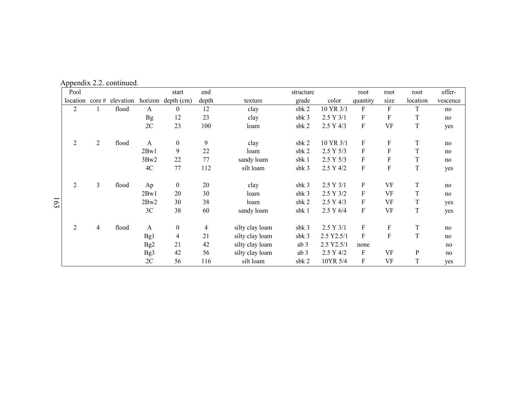| Pool           |                |                         |                 | start              | end            |                 | structure        |            | root                      | root                      | root         | effer-   |
|----------------|----------------|-------------------------|-----------------|--------------------|----------------|-----------------|------------------|------------|---------------------------|---------------------------|--------------|----------|
| location       |                | $\cot \theta$ elevation |                 | horizon depth (cm) | depth          | texture         | grade            | color      | quantity                  | size                      | location     | vescence |
| $\overline{2}$ |                | flood                   | $\mathbf{A}$    | $\overline{0}$     | 12             | clay            | sbk 2            | 10 YR 3/1  | F                         | F                         | T            | no       |
|                |                |                         | <b>Bg</b>       | 12                 | 23             | clay            | sbk 3            | 2.5 Y 3/1  | ${\bf F}$                 | $\boldsymbol{\mathrm{F}}$ | T            | no       |
|                |                |                         | 2C              | 23                 | 100            | loam            | sbk 2            | 2.5 Y 4/3  | $\boldsymbol{\mathrm{F}}$ | <b>VF</b>                 | $\mathbf T$  | yes      |
| 2              | $\overline{2}$ | flood                   | $\mathbf{A}$    | $\mathbf{0}$       | 9              | clay            | sbk 2            | 10 YR 3/1  | F                         | F                         | T            | no       |
|                |                |                         | 2Bw1            | 9                  | 22             | loam            | sbk 2            | 2.5 Y 5/3  | ${\rm F}$                 | F                         | T            | no       |
|                |                |                         | 3Bw2            | 22                 | 77             | sandy loam      | sbk 1            | 2.5 Y 5/3  | $\boldsymbol{F}$          | F                         | T            | no       |
|                |                |                         | 4C              | 77                 | 112            | silt loam       | sbk 3            | 2.5 Y 4/2  | ${\bf F}$                 | $\mathbf F$               | $\mathbf T$  | yes      |
| 2              | 3              | flood                   | Ap              | $\boldsymbol{0}$   | 20             | clay            | sbk <sub>3</sub> | 2.5 Y 3/1  | $\boldsymbol{\mathrm{F}}$ | <b>VF</b>                 | T            | no       |
|                |                |                         | 2Bw1            | 20                 | 30             | loam            | sbk 3            | 2.5 Y 3/2  | F                         | <b>VF</b>                 | T            | no       |
|                |                |                         | 2Bw2            | 30                 | 38             | loam            | sbk 2            | 2.5 Y 4/3  | $\boldsymbol{\mathrm{F}}$ | <b>VF</b>                 | T            | yes      |
|                |                |                         | 3C              | 38                 | 60             | sandy loam      | sbk 1            | 2.5 Y 6/4  | $\boldsymbol{\mathrm{F}}$ | <b>VF</b>                 | $\mathbf T$  | yes      |
| $\overline{2}$ | $\overline{4}$ | flood                   | A               | $\boldsymbol{0}$   | $\overline{4}$ | silty clay loam | sb $k$ 3         | 2.5 Y 3/1  | F                         | F                         | T            | no       |
|                |                |                         | Bg1             | 4                  | 21             | silty clay loam | sbk <sub>3</sub> | 2.5 Y2.5/1 | $\boldsymbol{\mathrm{F}}$ | $\boldsymbol{\mathrm{F}}$ | $\mathbf T$  | no       |
|                |                |                         | Bg <sub>2</sub> | 21                 | 42             | silty clay loam | ab <sub>3</sub>  | 2.5 Y2.5/1 | none                      |                           |              | no       |
|                |                |                         | Bg3             | 42                 | 56             | silty clay loam | ab 3             | 2.5 Y 4/2  | $\boldsymbol{\mathrm{F}}$ | <b>VF</b>                 | $\mathbf{P}$ | no       |
|                |                |                         | 2C              | 56                 | 116            | silt loam       | sb $k2$          | 10YR 5/4   | F                         | <b>VF</b>                 | T            | yes      |

Appendix 2.2. continued.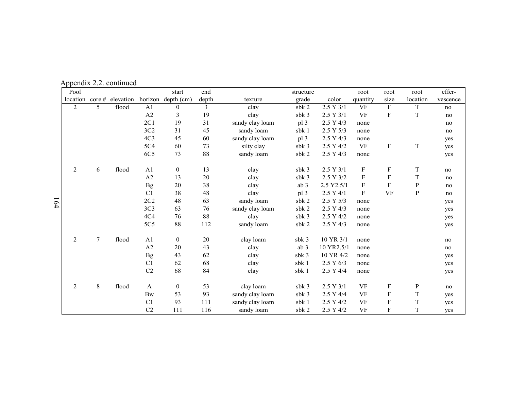| Pool           |              |           |                 | start              | end   |                 | structure       |            | root                      | root                      | root        | effer-   |
|----------------|--------------|-----------|-----------------|--------------------|-------|-----------------|-----------------|------------|---------------------------|---------------------------|-------------|----------|
| location       | $\c{core}$ # | elevation |                 | horizon depth (cm) | depth | texture         | grade           | color      | quantity                  | size                      | location    | vescence |
| $\overline{2}$ | 5            | flood     | A <sub>1</sub>  | $\theta$           | 3     | clay            | sbk 2           | 2.5 Y 3/1  | $\rm{VF}$                 | $\mathbf F$               | $\mathbf T$ | no       |
|                |              |           | A2              | 3                  | 19    | clay            | sbk 3           | 2.5 Y 3/1  | <b>VF</b>                 | F                         | T           | no       |
|                |              |           | 2C1             | 19                 | 31    | sandy clay loam | pl <sub>3</sub> | 2.5 Y 4/3  | none                      |                           |             | no       |
|                |              |           | 3C2             | 31                 | 45    | sandy loam      | sbk 1           | 2.5 Y 5/3  | none                      |                           |             | no       |
|                |              |           | 4C <sub>3</sub> | 45                 | 60    | sandy clay loam | pl 3            | 2.5 Y 4/3  | none                      |                           |             | yes      |
|                |              |           | 5C4             | 60                 | 73    | silty clay      | sbk 3           | 2.5 Y 4/2  | <b>VF</b>                 | ${\bf F}$                 | $\mathbf T$ | yes      |
|                |              |           | 6C5             | 73                 | 88    | sandy loam      | sbk 2           | 2.5 Y 4/3  | none                      |                           |             | yes      |
|                |              |           |                 |                    |       |                 |                 |            |                           |                           |             |          |
| 2              | 6            | flood     | A1              | $\bf{0}$           | 13    | clay            | sb $k3$         | 2.5 Y 3/1  | F                         | $\boldsymbol{\mathrm{F}}$ | $\mathbf T$ | no       |
|                |              |           | A2              | 13                 | 20    | clay            | sbk 3           | 2.5 Y 3/2  | $\boldsymbol{\mathrm{F}}$ | $\boldsymbol{\mathrm{F}}$ | $\mathbf T$ | no       |
|                |              |           | <b>Bg</b>       | 20                 | 38    | clay            | ab <sub>3</sub> | 2.5 Y2.5/1 | F                         | $\mathbf F$               | $\mathbf P$ | no       |
|                |              |           | C1              | 38                 | 48    | clay            | pl 3            | 2.5 Y 4/1  | $\boldsymbol{\mathrm{F}}$ | <b>VF</b>                 | ${\bf P}$   | no       |
|                |              |           | 2C2             | 48                 | 63    | sandy loam      | sbk 2           | 2.5 Y 5/3  | none                      |                           |             | yes      |
|                |              |           | 3C <sub>3</sub> | 63                 | 76    | sandy clay loam | sbk 2           | 2.5 Y 4/3  | none                      |                           |             | yes      |
|                |              |           | 4C <sub>4</sub> | 76                 | 88    | clay            | sbk 3           | 2.5 Y 4/2  | none                      |                           |             | yes      |
|                |              |           | $5C5$           | $88\,$             | 112   | sandy loam      | sbk 2           | 2.5 Y 4/3  | none                      |                           |             | yes      |
|                |              |           |                 |                    |       |                 |                 |            |                           |                           |             |          |
| 2              | $\tau$       | flood     | A1              | $\mathbf{0}$       | 20    | clay loam       | sb $k3$         | 10 YR 3/1  | none                      |                           |             | no       |
|                |              |           | A2              | 20                 | 43    | clay            | ab <sub>3</sub> | 10 YR2.5/1 | none                      |                           |             | no       |
|                |              |           | <b>Bg</b>       | 43                 | 62    | clay            | sbk 3           | 10 YR 4/2  | none                      |                           |             | yes      |
|                |              |           | C1              | 62                 | 68    | clay            | sbk 1           | 2.5 Y 6/3  | none                      |                           |             | yes      |
|                |              |           | C <sub>2</sub>  | 68                 | 84    | clay            | sbk 1           | 2.5 Y 4/4  | none                      |                           |             | yes      |
|                |              |           |                 |                    |       |                 |                 |            |                           |                           |             |          |
| 2              | 8            | flood     | $\mathbf{A}$    | $\boldsymbol{0}$   | 53    | clay loam       | sbk 3           | 2.5 Y 3/1  | <b>VF</b>                 | $\boldsymbol{\mathrm{F}}$ | ${\bf p}$   | no       |
|                |              |           | <b>Bw</b>       | 53                 | 93    | sandy clay loam | sb $k3$         | 2.5 Y 4/4  | <b>VF</b>                 | F                         | T           | yes      |
|                |              |           | C <sub>1</sub>  | 93                 | 111   | sandy clay loam | sbk 1           | 2.5 Y 4/2  | <b>VF</b>                 | F                         | $\mathbf T$ | yes      |
|                |              |           | C <sub>2</sub>  | 111                | 116   | sandy loam      | sbk 2           | 2.5 Y 4/2  | VF                        | F                         | $\mathbf T$ | yes      |

Appendix 2.2. continued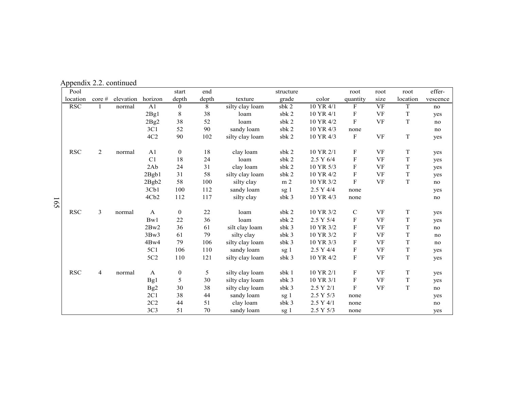| Pool         |                |           |                  | start        | end   |                 | structure      |           | root                      | root                   | root        | effer-   |
|--------------|----------------|-----------|------------------|--------------|-------|-----------------|----------------|-----------|---------------------------|------------------------|-------------|----------|
| location     | core#          | elevation | horizon          | depth        | depth | texture         | grade          | color     | quantity                  | size                   | location    | vescence |
| <b>RSC</b>   |                | normal    | A1               | $\mathbf{0}$ | 8     | silty clay loam | $s$ b $k$ 2    | 10 YR 4/1 | $\mathbf F$               | $\overline{\text{VF}}$ | $\mathbf T$ | no       |
|              |                |           | 2Bg1             | 8            | 38    | loam            | sbk 2          | 10 YR 4/1 | F                         | <b>VF</b>              | T           | yes      |
|              |                |           | 2Bg2             | 38           | 52    | loam            | sbk 2          | 10 YR 4/2 | $\mathbf{F}$              | <b>VF</b>              | $\mathbf T$ | no       |
|              |                |           | 3C1              | 52           | 90    | sandy loam      | sbk 2          | 10 YR 4/3 | none                      |                        |             | no       |
|              |                |           | 4C2              | 90           | 102   | silty clay loam | sbk 2          | 10 YR 4/3 | $\mathbf F$               | <b>VF</b>              | $\mathbf T$ | yes      |
| $_{\rm RSC}$ | $\overline{2}$ | normal    | A <sub>1</sub>   | $\bf{0}$     | 18    | clay loam       | sbk 2          | 10 YR 2/1 | $\boldsymbol{\mathrm{F}}$ | <b>VF</b>              | $\mathbf T$ | yes      |
|              |                |           | C1               | 18           | 24    | loam            | sbk 2          | 2.5 Y 6/4 | $\boldsymbol{\mathrm{F}}$ | <b>VF</b>              | T           | yes      |
|              |                |           | 2Ab              | 24           | 31    | clay loam       | sbk 2          | 10 YR 5/3 | $\boldsymbol{\mathrm{F}}$ | <b>VF</b>              | $\mathbf T$ | yes      |
|              |                |           | 2Bgb1            | 31           | 58    | silty clay loam | sbk 2          | 10 YR 4/2 | $\boldsymbol{\mathrm{F}}$ | <b>VF</b>              | $\mathbf T$ | yes      |
|              |                |           | 2Bgb2            | 58           | 100   | silty clay      | m <sub>2</sub> | 10 YR 3/2 | $\mathbf{F}$              | <b>VF</b>              | $\mathbf T$ | no       |
|              |                |           | 3Cb1             | 100          | 112   | sandy loam      | sg 1           | 2.5 Y 4/4 | none                      |                        |             | yes      |
|              |                |           | 4Cb <sub>2</sub> | 112          | 117   | silty clay      | sbk 3          | 10 YR 4/3 | none                      |                        |             | no       |
| <b>RSC</b>   | 3              | normal    | $\mathbf{A}$     | $\bf{0}$     | 22    | loam            | sbk 2          | 10 YR 3/2 | $\mathbf C$               | VF                     | T           | yes      |
|              |                |           | Bw1              | 22           | 36    | loam            | sbk 2          | 2.5 Y 5/4 | $\mathbf F$               | VF                     | $\mathbf T$ | yes      |
|              |                |           | 2Bw2             | 36           | 61    | silt clay loam  | sbk 3          | 10 YR 3/2 | $\boldsymbol{\mathrm{F}}$ | <b>VF</b>              | $\mathbf T$ | no       |
|              |                |           | 3Bw3             | 61           | 79    | silty clay      | sbk 3          | 10 YR 3/2 | $\mathbf F$               | <b>VF</b>              | $\mathbf T$ | no       |
|              |                |           | 4Bw4             | 79           | 106   | silty clay loam | sbk 3          | 10 YR 3/3 | $\boldsymbol{\mathrm{F}}$ | <b>VF</b>              | $\mathbf T$ | no       |
|              |                |           | 5C1              | 106          | 110   | sandy loam      | sg 1           | 2.5 Y 4/4 | $\mathbf F$               | <b>VF</b>              | $\mathbf T$ | yes      |
|              |                |           | 5C <sub>2</sub>  | 110          | 121   | silty clay loam | sb $k3$        | 10 YR 4/2 | $\boldsymbol{\mathrm{F}}$ | <b>VF</b>              | $\mathbf T$ | yes      |
| <b>RSC</b>   | $\overline{4}$ | normal    | $\mathbf{A}$     | $\bf{0}$     | 5     | silty clay loam | sbk 1          | 10 YR 2/1 | F                         | <b>VF</b>              | T           | yes      |
|              |                |           | Bg1              | 5            | 30    | silty clay loam | sbk 3          | 10 YR 3/1 | $\mathbf{F}$              | <b>VF</b>              | $\mathbf T$ | yes      |
|              |                |           | Bg <sub>2</sub>  | 30           | 38    | silty clay loam | sbk 3          | 2.5 Y 2/1 | ${\bf F}$                 | <b>VF</b>              | $\mathbf T$ | no       |
|              |                |           | 2C1              | 38           | 44    | sandy loam      | sg 1           | 2.5 Y 5/3 | none                      |                        |             | yes      |
|              |                |           | 2C2              | 44           | 51    | clay loam       | sbk 3          | 2.5 Y 4/1 | none                      |                        |             | no       |
|              |                |           | 3C <sub>3</sub>  | 51           | 70    | sandy loam      | sg 1           | 2.5 Y 5/3 | none                      |                        |             | yes      |

Appendix 2.2. continued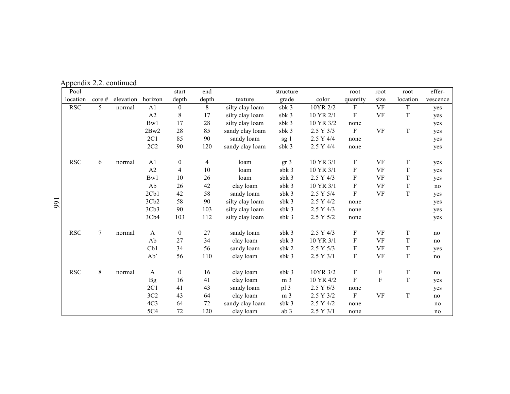Appendix 2.2. continued

| Pool                 |              |           |                  | start            | end            |                 | structure       |           | root                      | root                      | root        | effer-   |
|----------------------|--------------|-----------|------------------|------------------|----------------|-----------------|-----------------|-----------|---------------------------|---------------------------|-------------|----------|
| location             | $\c{core}$ # | elevation | horizon          | depth            | depth          | texture         | grade           | color     | quantity                  | size                      | location    | vescence |
| <b>RSC</b>           | 5            | normal    | A <sub>1</sub>   | $\mathbf{0}$     | 8              | silty clay loam | sbk 3           | 10YR 2/2  | $\boldsymbol{F}$          | <b>VF</b>                 | $\mathbf T$ | yes      |
|                      |              |           | A2               | 8                | 17             | silty clay loam | sbk 3           | 10 YR 2/1 | F                         | <b>VF</b>                 | T           | yes      |
|                      |              |           | Bw1              | 17               | 28             | silty clay loam | sbk 3           | 10 YR 3/2 | none                      |                           |             | yes      |
|                      |              |           | 2Bw2             | 28               | 85             | sandy clay loam | sbk 3           | 2.5 Y 3/3 | $\boldsymbol{F}$          | <b>VF</b>                 | $\mathbf T$ | yes      |
|                      |              |           | 2C1              | 85               | 90             | sandy loam      | sg 1            | 2.5 Y 4/4 | none                      |                           |             | yes      |
|                      |              |           | 2C2              | 90               | 120            | sandy clay loam | sbk 3           | 2.5 Y 4/4 | none                      |                           |             | yes      |
| <b>RSC</b>           | 6            | normal    | A1               | $\boldsymbol{0}$ | $\overline{4}$ | loam            | gr <sub>3</sub> | 10 YR 3/1 | $\mathbf F$               | VF                        | $\mathbf T$ | yes      |
|                      |              |           | A2               | 4                | 10             | loam            | sb $k3$         | 10 YR 3/1 | ${\bf F}$                 | <b>VF</b>                 | T           | yes      |
|                      |              |           | Bw1              | 10               | 26             | loam            | sbk 3           | 2.5 Y 4/3 | ${\bf F}$                 | <b>VF</b>                 | $\mathbf T$ | yes      |
|                      |              |           | Ab               | 26               | 42             | clay loam       | sbk 3           | 10 YR 3/1 | $\boldsymbol{\mathrm{F}}$ | VF                        | $\mathbf T$ | no       |
|                      |              |           | 2Cb1             | 42               | 58             | sandy loam      | sbk 3           | 2.5 Y 5/4 | $\boldsymbol{\mathrm{F}}$ | <b>VF</b>                 | T           | yes      |
|                      |              |           | 3Cb2             | 58               | 90             | silty clay loam | sbk 3           | 2.5 Y 4/2 | none                      |                           |             | yes      |
|                      |              |           | 3Cb <sub>3</sub> | 90               | 103            | silty clay loam | sbk 3           | 2.5 Y 4/3 | none                      |                           |             | yes      |
|                      |              |           | 3Cb4             | 103              | 112            | silty clay loam | sbk 3           | 2.5 Y 5/2 | none                      |                           |             | yes      |
| $\operatorname{RSC}$ | 7            | normal    | $\mathbf{A}$     | $\boldsymbol{0}$ | 27             | sandy loam      | sbk 3           | 2.5 Y 4/3 | $\mathbf F$               | <b>VF</b>                 | $\mathbf T$ | no       |
|                      |              |           | Ab               | 27               | 34             | clay loam       | sbk 3           | 10 YR 3/1 | ${\bf F}$                 | <b>VF</b>                 | T           | no       |
|                      |              |           | Cb1              | 34               | 56             | sandy loam      | sbk 2           | 2.5 Y 5/3 | $\mathbf F$               | <b>VF</b>                 | $\mathbf T$ | yes      |
|                      |              |           | Ab'              | 56               | 110            | clay loam       | sbk 3           | 2.5 Y 3/1 | $\mathbf F$               | <b>VF</b>                 | $\mathbf T$ | no       |
| <b>RSC</b>           | 8            | normal    | A                | $\boldsymbol{0}$ | 16             | clay loam       | sbk 3           | 10YR 3/2  | $\boldsymbol{\mathrm{F}}$ | $\boldsymbol{\mathrm{F}}$ | $\mathbf T$ | no       |
|                      |              |           | <b>Bg</b>        | 16               | 41             | clay loam       | m <sub>3</sub>  | 10 YR 4/2 | $\boldsymbol{\mathrm{F}}$ | $\boldsymbol{\mathrm{F}}$ | $\mathbf T$ | yes      |
|                      |              |           | 2C1              | 41               | 43             | sandy loam      | pl 3            | 2.5 Y 6/3 | none                      |                           |             | yes      |
|                      |              |           | 3C2              | 43               | 64             | clay loam       | m <sub>3</sub>  | 2.5 Y 3/2 | $\boldsymbol{\mathrm{F}}$ | <b>VF</b>                 | $\mathbf T$ | no       |
|                      |              |           | 4C <sub>3</sub>  | 64               | 72             | sandy clay loam | sbk 3           | 2.5 Y 4/2 | none                      |                           |             | no       |
|                      |              |           | 5C4              | 72               | 120            | clay loam       | ab 3            | 2.5 Y 3/1 | none                      |                           |             | no       |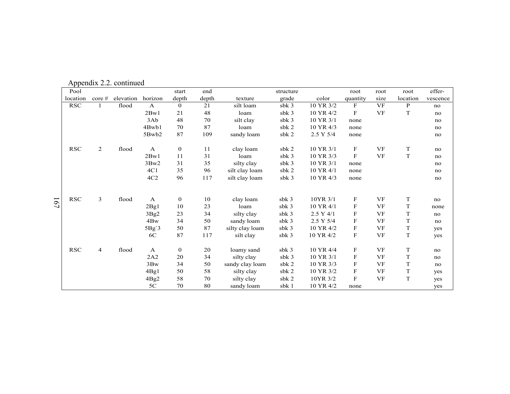| Pool       |        |                   |              | start            | end   |                 | structure        |           | root                      | root      | root        | effer-   |
|------------|--------|-------------------|--------------|------------------|-------|-----------------|------------------|-----------|---------------------------|-----------|-------------|----------|
| location   | core # | elevation horizon |              | depth            | depth | texture         | grade            | color     | quantity                  | size      | location    | vescence |
| <b>RSC</b> | 1      | flood             | A            | $\overline{0}$   | 21    | silt loam       | sbk 3            | 10 YR 3/2 | F                         | VF        | P           | no       |
|            |        |                   | 2Bw1         | 21               | 48    | loam            | sbk 3            | 10 YR 4/2 | F                         | <b>VF</b> | $\mathbf T$ | no       |
|            |        |                   | 3Ab          | 48               | 70    | silt clay       | sb $k3$          | 10 YR 3/1 | none                      |           |             | no       |
|            |        |                   | 4Bwb1        | 70               | 87    | loam            | sbk 2            | 10 YR 4/3 | none                      |           |             | no       |
|            |        |                   | 5Bwb2        | 87               | 109   | sandy loam      | sbk 2            | 2.5 Y 5/4 | none                      |           |             | no       |
| <b>RSC</b> | 2      | flood             | $\mathbf{A}$ | $\mathbf{0}$     | 11    | clay loam       | sbk 2            | 10 YR 3/1 | F                         | VF        | T           | no       |
|            |        |                   | 2Bw1         | 11               | 31    | loam            | sbk 3            | 10 YR 3/3 | F                         | <b>VF</b> | $\mathbf T$ | no       |
|            |        |                   | 3Bw2         | 31               | 35    | silty clay      | sb $k3$          | 10 YR 3/1 | none                      |           |             | no       |
|            |        |                   | 4C1          | 35               | 96    | silt clay loam  | sbk 2            | 10 YR 4/1 | none                      |           |             | no       |
|            |        |                   | 4C2          | 96               | 117   | silt clay loam  | sbk 3            | 10 YR 4/3 | none                      |           |             | no       |
|            |        |                   |              |                  |       |                 |                  |           |                           |           |             |          |
| RSC        | 3      | flood             | $\mathbf{A}$ | $\mathbf{0}$     | 10    | clay loam       | $s$ b $k$ 3      | 10YR 3/1  | F                         | VF        | T           | no       |
|            |        |                   | 2Bg1         | 10               | 23    | loam            | $s$ b $k$ 3      | 10 YR 4/1 | F                         | VF        | T           | none     |
|            |        |                   | 3Bg2         | 23               | 34    | silty clay      | sbk 3            | 2.5 Y 4/1 | F                         | <b>VF</b> | T           | no       |
|            |        |                   | 4Bw          | 34               | 50    | sandy loam      | sbk 3            | 2.5 Y 5/4 | F                         | VF        | T           | no       |
|            |        |                   | 5Bg'3        | 50               | 87    | silty clay loam | sbk <sub>3</sub> | 10 YR 4/2 | F                         | VF        | $\mathbf T$ | yes      |
|            |        |                   | 6C           | 87               | 117   | silt clay       | sbk 3            | 10 YR 4/2 | ${\bf F}$                 | <b>VF</b> | T           | yes      |
| RSC        | 4      | flood             | $\mathbf{A}$ | $\boldsymbol{0}$ | 20    | loamy sand      | sbk 3            | 10 YR 4/4 | F                         | <b>VF</b> | T           | no       |
|            |        |                   | 2A2          | 20               | 34    | silty clay      | sbk 3            | 10 YR 3/1 | F                         | VF        | T           | no       |
|            |        |                   | 3Bw          | 34               | 50    | sandy clay loam | sbk 2            | 10 YR 3/3 | F                         | <b>VF</b> | T           | no       |
|            |        |                   | 4Bg1         | 50               | 58    | silty clay      | $s$ b $k$ 2      | 10 YR 3/2 | ${\rm F}$                 | VF        | $\mathbf T$ | yes      |
|            |        |                   | 4Bg2         | 58               | 70    | silty clay      | sbk 2            | 10YR 3/2  | $\boldsymbol{\mathrm{F}}$ | VF        | T           | yes      |
|            |        |                   | 5C           | 70               | 80    | sandy loam      | sbk 1            | 10 YR 4/2 | none                      |           |             | yes      |

Appendix 2.2. continued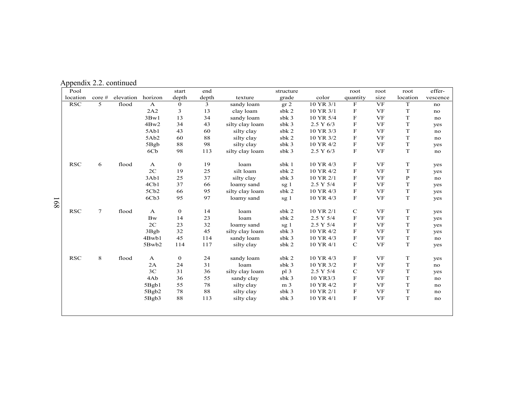| Pool       |        |           |                  | start          | end   |                 | structure        |           | root                      | root      | root         | effer-   |
|------------|--------|-----------|------------------|----------------|-------|-----------------|------------------|-----------|---------------------------|-----------|--------------|----------|
| location   | core # | elevation | horizon          | depth          | depth | texture         | grade            | color     | quantity                  | size      | location     | vescence |
| <b>RSC</b> | 5      | flood     | $\mathbf{A}$     | $\overline{0}$ | 3     | sandy loam      | gr 2             | 10 YR 3/1 | F                         | <b>VF</b> | $\mathbf T$  | no       |
|            |        |           | 2A2              | 3              | 13    | clay loam       | sbk 2            | 10 YR 3/1 | F                         | <b>VF</b> | $\mathbf T$  | no       |
|            |        |           | 3Bw1             | 13             | 34    | sandy loam      | sbk <sub>3</sub> | 10 YR 5/4 | $\boldsymbol{\mathrm{F}}$ | <b>VF</b> | $\mathbf T$  | no       |
|            |        |           | 4Bw2             | 34             | 43    | silty clay loam | sbk 3            | 2.5 Y 6/3 | $\boldsymbol{\mathrm{F}}$ | <b>VF</b> | T            | yes      |
|            |        |           | 5Ab1             | 43             | 60    | silty clay      | sbk 2            | 10 YR 3/3 | $\mathbf F$               | <b>VF</b> | T            | no       |
|            |        |           | 5Ab <sub>2</sub> | 60             | 88    | silty clay      | sbk 2            | 10 YR 3/2 | F                         | <b>VF</b> | T            | no       |
|            |        |           | 5Bgb             | 88             | 98    | silty clay      | sbk 3            | 10 YR 4/2 | F                         | <b>VF</b> | $\mathbf T$  | yes      |
|            |        |           | 6C <sub>b</sub>  | 98             | 113   | silty clay loam | sbk 3            | 2.5 Y 6/3 | F                         | <b>VF</b> | $\mathbf T$  | no       |
| RSC        | 6      | flood     | $\mathbf{A}$     | $\mathbf{0}$   | 19    | loam            | sbk 1            | 10 YR 4/3 | F                         | VF        | T            | yes      |
|            |        |           | 2C               | 19             | 25    | silt loam       | sbk 2            | 10 YR 4/2 | F                         | <b>VF</b> | $\mathbf T$  | yes      |
|            |        |           | 3Ab1             | 25             | 37    | silty clay      | sbk 3            | 10 YR 2/1 | F                         | <b>VF</b> | $\, {\bf P}$ | no       |
|            |        |           | 4Cb1             | 37             | 66    | loamy sand      | sg 1             | 2.5 Y 5/4 | F                         | <b>VF</b> | $\mathbf T$  | yes      |
|            |        |           | 5Cb2             | 66             | 95    | silty clay loam | sbk 2            | 10 YR 4/3 | F                         | <b>VF</b> | $\mathbf T$  | yes      |
|            |        |           | 6Cb3             | 95             | 97    | loamy sand      | sg 1             | 10 YR 4/3 | F                         | <b>VF</b> | $\mathbf T$  | yes      |
| RSC        | $\tau$ | flood     | $\mathbf{A}$     | $\overline{0}$ | 14    | loam            | sbk 2            | 10 YR 2/1 | $\mathbf C$               | <b>VF</b> | $\mathbf T$  | yes      |
|            |        |           | <b>Bw</b>        | 14             | 23    | loam            | sbk 2            | 2.5 Y 5/4 | F                         | <b>VF</b> | $\mathbf T$  | yes      |
|            |        |           | 2C               | 23             | 32    | loamy sand      | sg <sub>1</sub>  | 2.5 Y 5/4 | F                         | <b>VF</b> | T            | yes      |
|            |        |           | 3Bgb             | 32             | 45    | silty clay loam | sbk 3            | 10 YR 4/2 | F                         | <b>VF</b> | T            | yes      |
|            |        |           | 4Bwb1            | 45             | 114   | sandy loam      | sbk 3            | 10 YR 4/3 | F                         | <b>VF</b> | $\mathbf T$  | no       |
|            |        |           | 5Bwb2            | 114            | 117   | silty clay      | sbk 2            | 10 YR 4/1 | $\mathbf C$               | <b>VF</b> | $\mathbf T$  | yes      |
| RSC        | 8      | flood     | $\mathbf{A}$     | $\bf{0}$       | 24    | sandy loam      | sbk 2            | 10 YR 4/3 | F                         | VF        | $\mathbf T$  | yes      |
|            |        |           | 2A               | 24             | 31    | loam            | sbk 3            | 10 YR 3/2 | F                         | <b>VF</b> | T            | no       |
|            |        |           | 3C               | 31             | 36    | silty clay loam | p13              | 2.5 Y 5/4 | $\mathbf C$               | <b>VF</b> | $\mathbf T$  | yes      |
|            |        |           | 4Ab              | 36             | 55    | sandy clay      | sbk 3            | 10 YR3/3  | F                         | <b>VF</b> | $\mathbf T$  | no       |
|            |        |           | 5Bgb1            | 55             | 78    | silty clay      | m <sub>3</sub>   | 10 YR 4/2 | F                         | <b>VF</b> | $\mathbf T$  | no       |
|            |        |           | 5Bgb2            | 78             | 88    | silty clay      | sbk 3            | 10 YR 2/1 | F                         | <b>VF</b> | $\mathbf T$  | no       |
|            |        |           | 5Bgb3            | 88             | 113   | silty clay      | sb $k3$          | 10 YR 4/1 | $\mathbf F$               | <b>VF</b> | $\mathbf T$  | no       |
|            |        |           |                  |                |       |                 |                  |           |                           |           |              |          |

Appendix 2.2. continued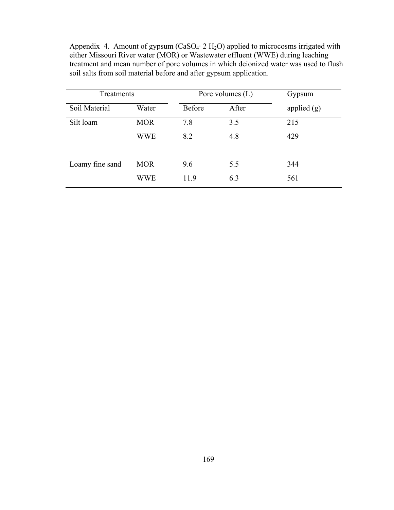Appendix 4. Amount of gypsum ( $CaSO<sub>4</sub>$   $2 H<sub>2</sub>O$ ) applied to microcosms irrigated with either Missouri River water (MOR) or Wastewater effluent (WWE) during leaching treatment and mean number of pore volumes in which deionized water was used to flush soil salts from soil material before and after gypsum application.

| Treatments      |            | Pore volumes $(L)$ |       | Gypsum        |
|-----------------|------------|--------------------|-------|---------------|
| Soil Material   | Water      | <b>Before</b>      | After | applied $(g)$ |
| Silt loam       | <b>MOR</b> | 7.8                | 3.5   | 215           |
|                 | <b>WWE</b> | 8.2                | 4.8   | 429           |
| Loamy fine sand | <b>MOR</b> | 9.6                | 5.5   | 344           |
|                 | <b>WWE</b> | 11.9               | 6.3   | 561           |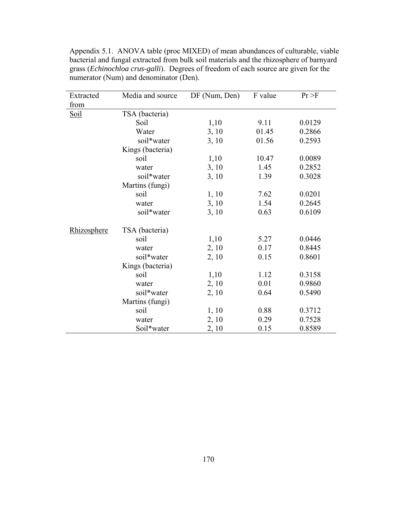| Extracted   | Media and source | DF (Num, Den) | F value | Pr > F |
|-------------|------------------|---------------|---------|--------|
| from        |                  |               |         |        |
| <u>Soil</u> | TSA (bacteria)   |               |         |        |
|             | Soil             | 1,10          | 9.11    | 0.0129 |
|             | Water            | 3, 10         | 01.45   | 0.2866 |
|             | soil*water       | 3, 10         | 01.56   | 0.2593 |
|             | Kings (bacteria) |               |         |        |
|             | soil             | 1,10          | 10.47   | 0.0089 |
|             | water            | 3, 10         | 1.45    | 0.2852 |
|             | soil*water       | 3, 10         | 1.39    | 0.3028 |
|             | Martins (fungi)  |               |         |        |
|             | soil             | 1, 10         | 7.62    | 0.0201 |
|             | water            | 3, 10         | 1.54    | 0.2645 |
|             | soil*water       | 3, 10         | 0.63    | 0.6109 |
| Rhizosphere | TSA (bacteria)   |               |         |        |
|             | soil             | 1,10          | 5.27    | 0.0446 |
|             | water            | 2, 10         | 0.17    | 0.8445 |
|             | soil*water       | 2, 10         | 0.15    | 0.8601 |
|             | Kings (bacteria) |               |         |        |
|             | soil             | 1,10          | 1.12    | 0.3158 |
|             | water            | 2, 10         | 0.01    | 0.9860 |
|             | soil*water       | 2, 10         | 0.64    | 0.5490 |
|             | Martins (fungi)  |               |         |        |
|             | soil             | 1, 10         | 0.88    | 0.3712 |
|             | water            | 2, 10         | 0.29    | 0.7528 |
|             | Soil*water       | 2, 10         | 0.15    | 0.8589 |

Appendix 5.1. ANOVA table (proc MIXED) of mean abundances of culturable, viable bacterial and fungal extracted from bulk soil materials and the rhizosphere of barnyard grass (*Echinochloa crus-galli*). Degrees of freedom of each source are given for the numerator (Num) and denominator (Den).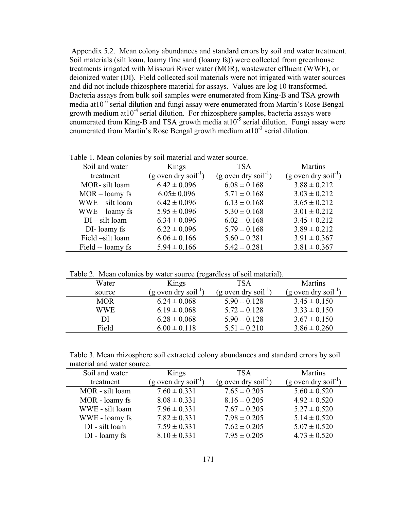Appendix 5.2. Mean colony abundances and standard errors by soil and water treatment. Soil materials (silt loam, loamy fine sand (loamy fs)) were collected from greenhouse treatments irrigated with Missouri River water (MOR), wastewater effluent (WWE), or deionized water (DI). Field collected soil materials were not irrigated with water sources and did not include rhizosphere material for assays. Values are log 10 transformed. Bacteria assays from bulk soil samples were enumerated from King-B and TSA growth media at10-6 serial dilution and fungi assay were enumerated from Martin's Rose Bengal growth medium at  $10^{-4}$  serial dilution. For rhizosphere samples, bacteria assays were enumerated from King-B and TSA growth media at 10<sup>-5</sup> serial dilution. Fungi assay were enumerated from Martin's Rose Bengal growth medium at  $10^{-3}$  serial dilution.

| Table 1. Meall colonies by soil material and water source. |                                    |                                    |                                    |  |  |
|------------------------------------------------------------|------------------------------------|------------------------------------|------------------------------------|--|--|
| Soil and water                                             | Kings                              | <b>TSA</b>                         | <b>Martins</b>                     |  |  |
| treatment                                                  | $(g$ oven dry soil <sup>-1</sup> ) | $(g$ oven dry soil <sup>-1</sup> ) | $(g$ oven dry soil <sup>-1</sup> ) |  |  |
| MOR-silt loam                                              | $6.42 \pm 0.096$                   | $6.08 \pm 0.168$                   | $3.88 \pm 0.212$                   |  |  |
| $MOR$ – loamy fs                                           | $6.05 \pm 0.096$                   | $5.71 \pm 0.168$                   | $3.03 \pm 0.212$                   |  |  |
| $WWE - silt loan$                                          | $6.42 \pm 0.096$                   | $6.13 \pm 0.168$                   | $3.65 \pm 0.212$                   |  |  |
| $WWE -$ loamy fs                                           | $5.95 \pm 0.096$                   | $5.30 \pm 0.168$                   | $3.01 \pm 0.212$                   |  |  |
| $DI - silt loan$                                           | $6.34 \pm 0.096$                   | $6.02 \pm 0.168$                   | $3.45 \pm 0.212$                   |  |  |
| DI-loamy fs                                                | $6.22 \pm 0.096$                   | $5.79 \pm 0.168$                   | $3.89 \pm 0.212$                   |  |  |
| Field -silt loam                                           | $6.06 \pm 0.166$                   | $5.60 \pm 0.281$                   | $3.91 \pm 0.367$                   |  |  |
| Field -- loamy fs                                          | $5.94 \pm 0.166$                   | $5.42 \pm 0.281$                   | $3.81 \pm 0.367$                   |  |  |

Table 1. Mean colonies by soil material and water source.

|  |  |  |  | Table 2. Mean colonies by water source (regardless of soil material). |
|--|--|--|--|-----------------------------------------------------------------------|
|  |  |  |  |                                                                       |

| Water      | Kings                            | TSA                              | <b>Martins</b>                   |
|------------|----------------------------------|----------------------------------|----------------------------------|
| source     | $(g$ oven dry soil <sup>-1</sup> | $(g$ oven dry soil <sup>-1</sup> | (g oven dry soil <sup>-1</sup> ) |
| <b>MOR</b> | $6.24 \pm 0.068$                 | $5.90 \pm 0.128$                 | $3.45 \pm 0.150$                 |
| <b>WWE</b> | $6.19 \pm 0.068$                 | $5.72 \pm 0.128$                 | $3.33 \pm 0.150$                 |
| DI         | $6.28 \pm 0.068$                 | $5.90 \pm 0.128$                 | $3.67 \pm 0.150$                 |
| Field      | $6.00 \pm 0.118$                 | $5.51 \pm 0.210$                 | $3.86 \pm 0.260$                 |
|            |                                  |                                  |                                  |

| Table 3. Mean rhizosphere soil extracted colony abundances and standard errors by soil |
|----------------------------------------------------------------------------------------|
| material and water source.                                                             |

| Soil and water  | Kings                            | <b>TSA</b>                       | <b>Martins</b>                     |
|-----------------|----------------------------------|----------------------------------|------------------------------------|
| treatment       | (g oven dry soil <sup>-1</sup> ) | $(g$ oven dry soil <sup>-1</sup> | $(g$ oven dry soil <sup>-1</sup> ) |
| MOR - silt loam | $7.60 \pm 0.331$                 | $7.65 \pm 0.205$                 | $5.60 \pm 0.520$                   |
| MOR - loamy fs  | $8.08 \pm 0.331$                 | $8.16 \pm 0.205$                 | $4.92 \pm 0.520$                   |
| WWE - silt loam | $7.96 \pm 0.331$                 | $7.67 \pm 0.205$                 | $5.27 \pm 0.520$                   |
| WWE - loamy fs  | $7.82 \pm 0.331$                 | $7.98 \pm 0.205$                 | $5.14 \pm 0.520$                   |
| DI - silt loam  | $7.59 \pm 0.331$                 | $7.62 \pm 0.205$                 | $5.07 \pm 0.520$                   |
| DI - loamy fs   | $8.10 \pm 0.331$                 | $7.95 \pm 0.205$                 | $4.73 \pm 0.520$                   |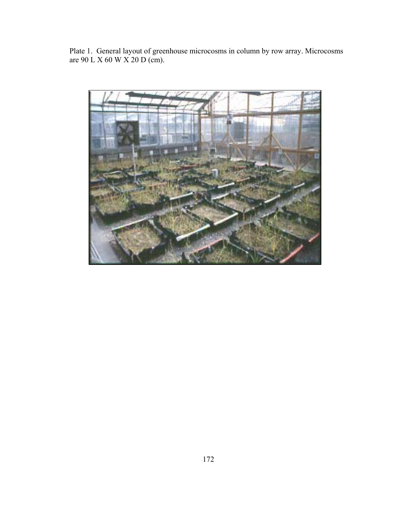Plate 1. General layout of greenhouse microcosms in column by row array. Microcosms are 90 L X 60 W X 20 D (cm).

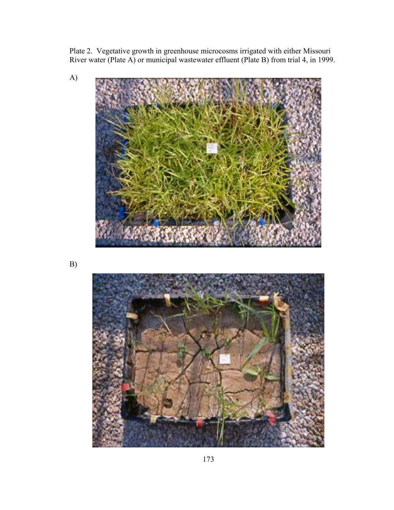Plate 2. Vegetative growth in greenhouse microcosms irrigated with either Missouri River water (Plate A) or municipal wastewater effluent (Plate B) from trial 4, in 1999.



B)